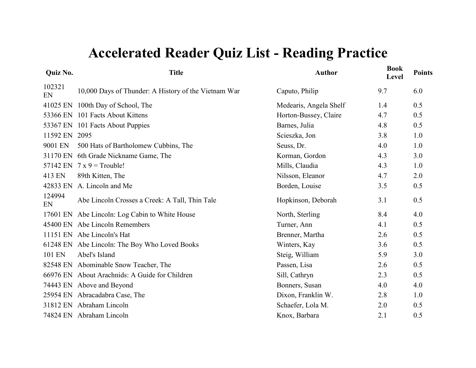| Quiz No.     | <b>Title</b>                                         | <b>Author</b>          | <b>Book</b><br>Level | <b>Points</b> |
|--------------|------------------------------------------------------|------------------------|----------------------|---------------|
| 102321<br>EN | 10,000 Days of Thunder: A History of the Vietnam War | Caputo, Philip         | 9.7                  | 6.0           |
| 41025 EN     | 100th Day of School, The                             | Medearis, Angela Shelf | 1.4                  | 0.5           |
| 53366 EN     | 101 Facts About Kittens                              | Horton-Bussey, Claire  | 4.7                  | 0.5           |
| 53367 EN     | 101 Facts About Puppies                              | Barnes, Julia          | 4.8                  | 0.5           |
| 11592 EN     | 2095                                                 | Scieszka, Jon          | 3.8                  | 1.0           |
| 9001 EN      | 500 Hats of Bartholomew Cubbins, The                 | Seuss, Dr.             | 4.0                  | 1.0           |
| 31170 EN     | 6th Grade Nickname Game, The                         | Korman, Gordon         | 4.3                  | 3.0           |
| 57142 EN     | $7x9 =$ Trouble!                                     | Mills, Claudia         | 4.3                  | 1.0           |
| 413 EN       | 89th Kitten, The                                     | Nilsson, Eleanor       | 4.7                  | 2.0           |
| 42833 EN     | A. Lincoln and Me                                    | Borden, Louise         | 3.5                  | 0.5           |
| 124994<br>EN | Abe Lincoln Crosses a Creek: A Tall, Thin Tale       | Hopkinson, Deborah     | 3.1                  | 0.5           |
| 17601 EN     | Abe Lincoln: Log Cabin to White House                | North, Sterling        | 8.4                  | 4.0           |
| 45400 EN     | Abe Lincoln Remembers                                | Turner, Ann            | 4.1                  | 0.5           |
|              | 11151 EN Abe Lincoln's Hat                           | Brenner, Martha        | 2.6                  | 0.5           |
| 61248 EN     | Abe Lincoln: The Boy Who Loved Books                 | Winters, Kay           | 3.6                  | 0.5           |
| 101 EN       | Abel's Island                                        | Steig, William         | 5.9                  | 3.0           |
| 82548 EN     | Abominable Snow Teacher, The                         | Passen, Lisa           | 2.6                  | 0.5           |
| 66976 EN     | About Arachnids: A Guide for Children                | Sill, Cathryn          | 2.3                  | 0.5           |
|              | 74443 EN Above and Beyond                            | Bonners, Susan         | 4.0                  | 4.0           |
|              | 25954 EN Abracadabra Case, The                       | Dixon, Franklin W.     | 2.8                  | 1.0           |
|              | 31812 EN Abraham Lincoln                             | Schaefer, Lola M.      | 2.0                  | 0.5           |
|              | 74824 EN Abraham Lincoln                             | Knox, Barbara          | 2.1                  | 0.5           |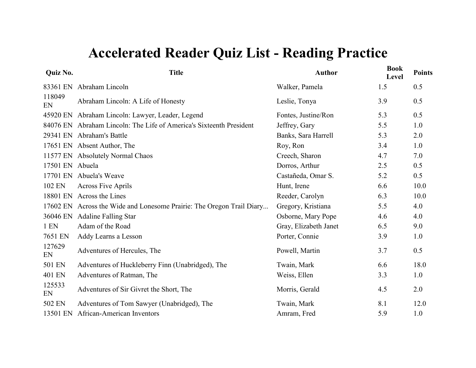| <b>Quiz No.</b> | <b>Title</b>                                                          | <b>Author</b>         | <b>Book</b><br>Level | <b>Points</b> |
|-----------------|-----------------------------------------------------------------------|-----------------------|----------------------|---------------|
|                 | 83361 EN Abraham Lincoln                                              | Walker, Pamela        | 1.5                  | 0.5           |
| 118049<br>EN    | Abraham Lincoln: A Life of Honesty                                    | Leslie, Tonya         | 3.9                  | 0.5           |
|                 | 45920 EN Abraham Lincoln: Lawyer, Leader, Legend                      | Fontes, Justine/Ron   | 5.3                  | 0.5           |
|                 | 84076 EN Abraham Lincoln: The Life of America's Sixteenth President   | Jeffrey, Gary         | 5.5                  | 1.0           |
|                 | 29341 EN Abraham's Battle                                             | Banks, Sara Harrell   | 5.3                  | 2.0           |
|                 | 17651 EN Absent Author, The                                           | Roy, Ron              | 3.4                  | 1.0           |
|                 | 11577 EN Absolutely Normal Chaos                                      | Creech, Sharon        | 4.7                  | 7.0           |
| 17501 EN Abuela |                                                                       | Dorros, Arthur        | 2.5                  | 0.5           |
|                 | 17701 EN Abuela's Weave                                               | Castañeda, Omar S.    | 5.2                  | 0.5           |
| 102 EN          | <b>Across Five Aprils</b>                                             | Hunt, Irene           | 6.6                  | 10.0          |
|                 | 18801 EN Across the Lines                                             | Reeder, Carolyn       | 6.3                  | 10.0          |
|                 | 17602 EN Across the Wide and Lonesome Prairie: The Oregon Trail Diary | Gregory, Kristiana    | 5.5                  | 4.0           |
|                 | 36046 EN Adaline Falling Star                                         | Osborne, Mary Pope    | 4.6                  | 4.0           |
| $1$ EN          | Adam of the Road                                                      | Gray, Elizabeth Janet | 6.5                  | 9.0           |
| 7651 EN         | Addy Learns a Lesson                                                  | Porter, Connie        | 3.9                  | 1.0           |
| 127629<br>EN    | Adventures of Hercules, The                                           | Powell, Martin        | 3.7                  | 0.5           |
| 501 EN          | Adventures of Huckleberry Finn (Unabridged), The                      | Twain, Mark           | 6.6                  | 18.0          |
| 401 EN          | Adventures of Ratman, The                                             | Weiss, Ellen          | 3.3                  | 1.0           |
| 125533<br>EN    | Adventures of Sir Givret the Short, The                               | Morris, Gerald        | 4.5                  | 2.0           |
| 502 EN          | Adventures of Tom Sawyer (Unabridged), The                            | Twain, Mark           | 8.1                  | 12.0          |
| 13501 EN        | African-American Inventors                                            | Amram, Fred           | 5.9                  | 1.0           |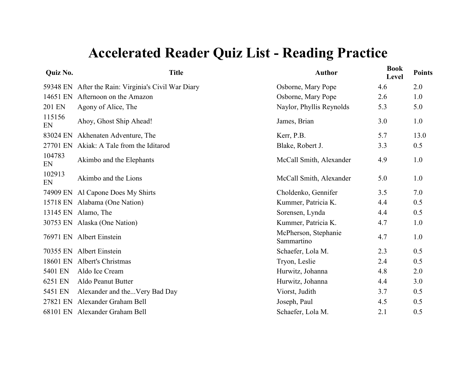| Quiz No.     | <b>Title</b>                                        | <b>Author</b>                      | <b>Book</b><br>Level | <b>Points</b> |
|--------------|-----------------------------------------------------|------------------------------------|----------------------|---------------|
|              | 59348 EN After the Rain: Virginia's Civil War Diary | Osborne, Mary Pope                 | 4.6                  | 2.0           |
| 14651 EN     | Afternoon on the Amazon                             | Osborne, Mary Pope                 | 2.6                  | 1.0           |
| 201 EN       | Agony of Alice, The                                 | Naylor, Phyllis Reynolds           | 5.3                  | 5.0           |
| 115156<br>EN | Ahoy, Ghost Ship Ahead!                             | James, Brian                       | 3.0                  | 1.0           |
| 83024 EN     | Akhenaten Adventure, The                            | Kerr, P.B.                         | 5.7                  | 13.0          |
| 27701 EN     | Akiak: A Tale from the Iditarod                     | Blake, Robert J.                   | 3.3                  | 0.5           |
| 104783<br>EN | Akimbo and the Elephants                            | McCall Smith, Alexander            | 4.9                  | 1.0           |
| 102913<br>EN | Akimbo and the Lions                                | McCall Smith, Alexander            | 5.0                  | 1.0           |
| 74909 EN     | Al Capone Does My Shirts                            | Choldenko, Gennifer                | 3.5                  | 7.0           |
|              | 15718 EN Alabama (One Nation)                       | Kummer, Patricia K.                | 4.4                  | 0.5           |
|              | 13145 EN Alamo, The                                 | Sorensen, Lynda                    | 4.4                  | 0.5           |
|              | 30753 EN Alaska (One Nation)                        | Kummer, Patricia K.                | 4.7                  | 1.0           |
|              | 76971 EN Albert Einstein                            | McPherson, Stephanie<br>Sammartino | 4.7                  | 1.0           |
| 70355 EN     | Albert Einstein                                     | Schaefer, Lola M.                  | 2.3                  | 0.5           |
| 18601 EN     | Albert's Christmas                                  | Tryon, Leslie                      | 2.4                  | 0.5           |
| 5401 EN      | Aldo Ice Cream                                      | Hurwitz, Johanna                   | 4.8                  | 2.0           |
| 6251 EN      | Aldo Peanut Butter                                  | Hurwitz, Johanna                   | 4.4                  | 3.0           |
| 5451 EN      | Alexander and theVery Bad Day                       | Viorst, Judith                     | 3.7                  | 0.5           |
| 27821 EN     | Alexander Graham Bell                               | Joseph, Paul                       | 4.5                  | 0.5           |
|              | 68101 EN Alexander Graham Bell                      | Schaefer, Lola M.                  | 2.1                  | 0.5           |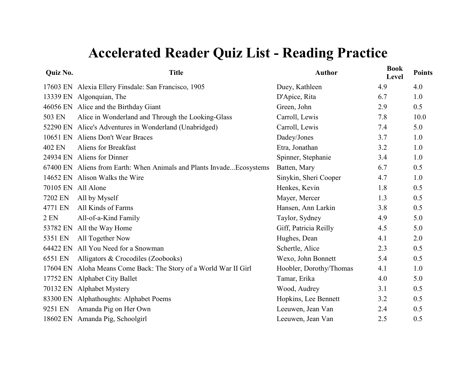| <b>Quiz No.</b>    | <b>Title</b>                                                          | <b>Author</b>           | <b>Book</b><br>Level | <b>Points</b> |
|--------------------|-----------------------------------------------------------------------|-------------------------|----------------------|---------------|
|                    | 17603 EN Alexia Ellery Finsdale: San Francisco, 1905                  | Duey, Kathleen          | 4.9                  | 4.0           |
|                    | 13339 EN Algonquian, The                                              | D'Apice, Rita           | 6.7                  | 1.0           |
|                    | 46056 EN Alice and the Birthday Giant                                 | Green, John             | 2.9                  | 0.5           |
| 503 EN             | Alice in Wonderland and Through the Looking-Glass                     | Carroll, Lewis          | 7.8                  | 10.0          |
| 52290 EN           | Alice's Adventures in Wonderland (Unabridged)                         | Carroll, Lewis          | 7.4                  | 5.0           |
|                    | 10651 EN Aliens Don't Wear Braces                                     | Dadey/Jones             | 3.7                  | 1.0           |
| 402 EN             | Aliens for Breakfast                                                  | Etra, Jonathan          | 3.2                  | 1.0           |
|                    | 24934 EN Aliens for Dinner                                            | Spinner, Stephanie      | 3.4                  | 1.0           |
|                    | 67400 EN Aliens from Earth: When Animals and Plants Invade Ecosystems | Batten, Mary            | 6.7                  | 0.5           |
|                    | 14652 EN Alison Walks the Wire                                        | Sinykin, Sheri Cooper   | 4.7                  | 1.0           |
| 70105 EN All Alone |                                                                       | Henkes, Kevin           | 1.8                  | 0.5           |
| 7202 EN            | All by Myself                                                         | Mayer, Mercer           | 1.3                  | 0.5           |
| 4771 EN            | All Kinds of Farms                                                    | Hansen, Ann Larkin      | 3.8                  | 0.5           |
| 2 EN               | All-of-a-Kind Family                                                  | Taylor, Sydney          | 4.9                  | 5.0           |
| 53782 EN           | All the Way Home                                                      | Giff, Patricia Reilly   | 4.5                  | 5.0           |
| 5351 EN            | All Together Now                                                      | Hughes, Dean            | 4.1                  | 2.0           |
| 64422 EN           | All You Need for a Snowman                                            | Schertle, Alice         | 2.3                  | 0.5           |
| 6551 EN            | Alligators & Crocodiles (Zoobooks)                                    | Wexo, John Bonnett      | 5.4                  | 0.5           |
| 17604 EN           | Aloha Means Come Back: The Story of a World War II Girl               | Hoobler, Dorothy/Thomas | 4.1                  | 1.0           |
| 17752 EN           | <b>Alphabet City Ballet</b>                                           | Tamar, Erika            | 4.0                  | 5.0           |
|                    | 70132 EN Alphabet Mystery                                             | Wood, Audrey            | 3.1                  | 0.5           |
|                    | 83300 EN Alphathoughts: Alphabet Poems                                | Hopkins, Lee Bennett    | 3.2                  | 0.5           |
| 9251 EN            | Amanda Pig on Her Own                                                 | Leeuwen, Jean Van       | 2.4                  | 0.5           |
|                    | 18602 EN Amanda Pig, Schoolgirl                                       | Leeuwen, Jean Van       | 2.5                  | 0.5           |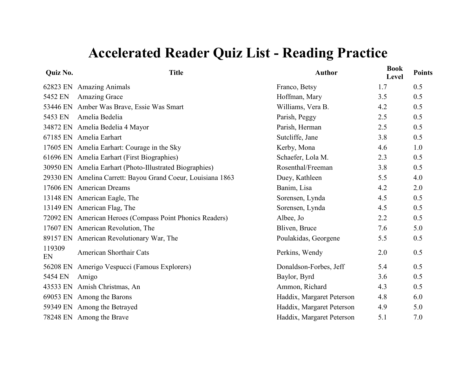| Quiz No.     | <b>Title</b>                                                | <b>Author</b>             | <b>Book</b><br>Level | <b>Points</b> |
|--------------|-------------------------------------------------------------|---------------------------|----------------------|---------------|
| 62823 EN     | <b>Amazing Animals</b>                                      | Franco, Betsy             | 1.7                  | 0.5           |
| 5452 EN      | <b>Amazing Grace</b>                                        | Hoffman, Mary             | 3.5                  | 0.5           |
| 53446 EN     | Amber Was Brave, Essie Was Smart                            | Williams, Vera B.         | 4.2                  | 0.5           |
| 5453 EN      | Amelia Bedelia                                              | Parish, Peggy             | 2.5                  | 0.5           |
|              | 34872 EN Amelia Bedelia 4 Mayor                             | Parish, Herman            | 2.5                  | 0.5           |
|              | 67185 EN Amelia Earhart                                     | Sutcliffe, Jane           | 3.8                  | 0.5           |
|              | 17605 EN Amelia Earhart: Courage in the Sky                 | Kerby, Mona               | 4.6                  | 1.0           |
|              | 61696 EN Amelia Earhart (First Biographies)                 | Schaefer, Lola M.         | 2.3                  | 0.5           |
|              | 30950 EN Amelia Earhart (Photo-Illustrated Biographies)     | Rosenthal/Freeman         | 3.8                  | 0.5           |
|              | 29330 EN Amelina Carrett: Bayou Grand Coeur, Louisiana 1863 | Duey, Kathleen            | 5.5                  | 4.0           |
|              | 17606 EN American Dreams                                    | Banim, Lisa               | 4.2                  | 2.0           |
|              | 13148 EN American Eagle, The                                | Sorensen, Lynda           | 4.5                  | 0.5           |
|              | 13149 EN American Flag, The                                 | Sorensen, Lynda           | 4.5                  | 0.5           |
|              | 72092 EN American Heroes (Compass Point Phonics Readers)    | Albee, Jo                 | 2.2                  | 0.5           |
|              | 17607 EN American Revolution, The                           | Bliven, Bruce             | 7.6                  | 5.0           |
|              | 89157 EN American Revolutionary War, The                    | Poulakidas, Georgene      | 5.5                  | 0.5           |
| 119309<br>EN | American Shorthair Cats                                     | Perkins, Wendy            | 2.0                  | 0.5           |
| 56208 EN     | Amerigo Vespucci (Famous Explorers)                         | Donaldson-Forbes, Jeff    | 5.4                  | 0.5           |
| 5454 EN      | Amigo                                                       | Baylor, Byrd              | 3.6                  | 0.5           |
| 43533 EN     | Amish Christmas, An                                         | Ammon, Richard            | 4.3                  | 0.5           |
|              | 69053 EN Among the Barons                                   | Haddix, Margaret Peterson | 4.8                  | 6.0           |
|              | 59349 EN Among the Betrayed                                 | Haddix, Margaret Peterson | 4.9                  | 5.0           |
|              | 78248 EN Among the Brave                                    | Haddix, Margaret Peterson | 5.1                  | 7.0           |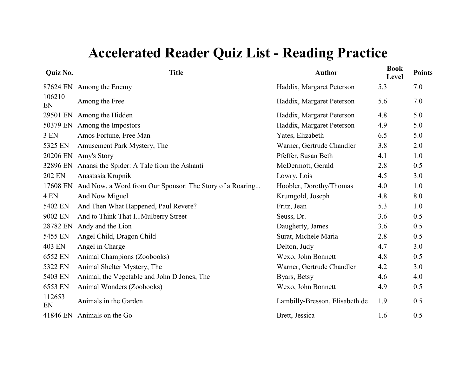| Quiz No.        | <b>Title</b>                                             | <b>Author</b>                  | <b>Book</b><br>Level | <b>Points</b> |
|-----------------|----------------------------------------------------------|--------------------------------|----------------------|---------------|
|                 | 87624 EN Among the Enemy                                 | Haddix, Margaret Peterson      | 5.3                  | 7.0           |
| 106210<br>EN    | Among the Free                                           | Haddix, Margaret Peterson      | 5.6                  | 7.0           |
| 29501 EN        | Among the Hidden                                         | Haddix, Margaret Peterson      | 4.8                  | 5.0           |
| 50379 EN        | Among the Impostors                                      | Haddix, Margaret Peterson      | 4.9                  | 5.0           |
| 3 EN            | Amos Fortune, Free Man                                   | Yates, Elizabeth               | 6.5                  | 5.0           |
| 5325 EN         | Amusement Park Mystery, The                              | Warner, Gertrude Chandler      | 3.8                  | 2.0           |
| 20206 EN        | Amy's Story                                              | Pfeffer, Susan Beth            | 4.1                  | 1.0           |
| 32896 EN        | Anansi the Spider: A Tale from the Ashanti               | McDermott, Gerald              | 2.8                  | 0.5           |
| 202 EN          | Anastasia Krupnik                                        | Lowry, Lois                    | 4.5                  | 3.0           |
| 17608 EN        | And Now, a Word from Our Sponsor: The Story of a Roaring | Hoobler, Dorothy/Thomas        | 4.0                  | 1.0           |
| 4 <sub>EN</sub> | And Now Miguel                                           | Krumgold, Joseph               | 4.8                  | 8.0           |
| 5402 EN         | And Then What Happened, Paul Revere?                     | Fritz, Jean                    | 5.3                  | 1.0           |
| 9002 EN         | And to Think That IMulberry Street                       | Seuss, Dr.                     | 3.6                  | 0.5           |
| 28782 EN        | Andy and the Lion                                        | Daugherty, James               | 3.6                  | 0.5           |
| 5455 EN         | Angel Child, Dragon Child                                | Surat, Michele Maria           | 2.8                  | 0.5           |
| 403 EN          | Angel in Charge                                          | Delton, Judy                   | 4.7                  | 3.0           |
| 6552 EN         | Animal Champions (Zoobooks)                              | Wexo, John Bonnett             | 4.8                  | 0.5           |
| 5322 EN         | Animal Shelter Mystery, The                              | Warner, Gertrude Chandler      | 4.2                  | 3.0           |
| 5403 EN         | Animal, the Vegetable and John D Jones, The              | Byars, Betsy                   | 4.6                  | 4.0           |
| 6553 EN         | Animal Wonders (Zoobooks)                                | Wexo, John Bonnett             | 4.9                  | 0.5           |
| 112653<br>EN    | Animals in the Garden                                    | Lambilly-Bresson, Elisabeth de | 1.9                  | 0.5           |
|                 | 41846 EN Animals on the Go                               | Brett, Jessica                 | 1.6                  | 0.5           |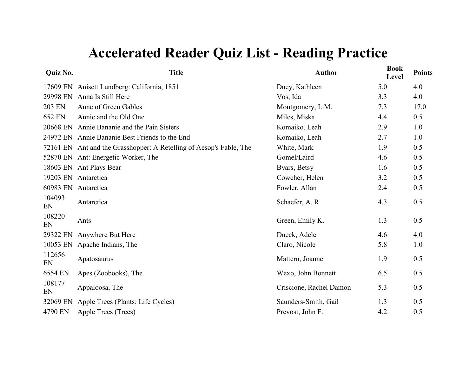| Quiz No.     | <b>Title</b>                                                        | <b>Author</b>           | <b>Book</b><br>Level | <b>Points</b> |
|--------------|---------------------------------------------------------------------|-------------------------|----------------------|---------------|
| 17609 EN     | Anisett Lundberg: California, 1851                                  | Duey, Kathleen          | 5.0                  | 4.0           |
| 29998 EN     | Anna Is Still Here                                                  | Vos, Ida                | 3.3                  | 4.0           |
| 203 EN       | Anne of Green Gables                                                | Montgomery, L.M.        | 7.3                  | 17.0          |
| 652 EN       | Annie and the Old One                                               | Miles, Miska            | 4.4                  | 0.5           |
| 20668 EN     | Annie Bananie and the Pain Sisters                                  | Komaiko, Leah           | 2.9                  | 1.0           |
| 24972 EN     | Annie Bananie Best Friends to the End                               | Komaiko, Leah           | 2.7                  | 1.0           |
|              | 72161 EN Ant and the Grasshopper: A Retelling of Aesop's Fable, The | White, Mark             | 1.9                  | 0.5           |
|              | 52870 EN Ant: Energetic Worker, The                                 | Gomel/Laird             | 4.6                  | 0.5           |
|              | 18603 EN Ant Plays Bear                                             | Byars, Betsy            | 1.6                  | 0.5           |
| 19203 EN     | Antarctica                                                          | Cowcher, Helen          | 3.2                  | 0.5           |
| 60983 EN     | Antarctica                                                          | Fowler, Allan           | 2.4                  | 0.5           |
| 104093<br>EN | Antarctica                                                          | Schaefer, A. R.         | 4.3                  | 0.5           |
| 108220<br>EN | Ants                                                                | Green, Emily K.         | 1.3                  | 0.5           |
| 29322 EN     | Anywhere But Here                                                   | Dueck, Adele            | 4.6                  | 4.0           |
| 10053 EN     | Apache Indians, The                                                 | Claro, Nicole           | 5.8                  | 1.0           |
| 112656<br>EN | Apatosaurus                                                         | Mattern, Joanne         | 1.9                  | 0.5           |
| 6554 EN      | Apes (Zoobooks), The                                                | Wexo, John Bonnett      | 6.5                  | 0.5           |
| 108177<br>EN | Appaloosa, The                                                      | Criscione, Rachel Damon | 5.3                  | 0.5           |
| 32069 EN     | Apple Trees (Plants: Life Cycles)                                   | Saunders-Smith, Gail    | 1.3                  | 0.5           |
| 4790 EN      | Apple Trees (Trees)                                                 | Prevost, John F.        | 4.2                  | 0.5           |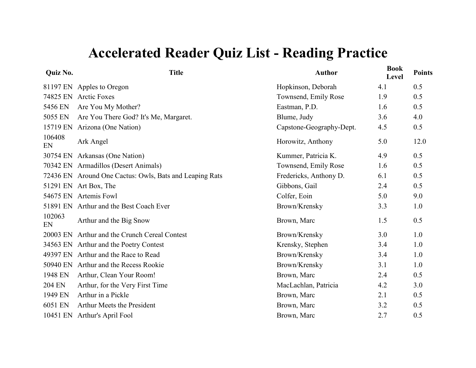#### **Quiz No.**

| <b>Quiz No.</b> | <b>Title</b>                                            | <b>Author</b>            | <b>Book</b><br>Level | <b>Points</b> |
|-----------------|---------------------------------------------------------|--------------------------|----------------------|---------------|
| 81197 EN        | Apples to Oregon                                        | Hopkinson, Deborah       | 4.1                  | 0.5           |
| 74825 EN        | <b>Arctic Foxes</b>                                     | Townsend, Emily Rose     | 1.9                  | 0.5           |
| 5456 EN         | Are You My Mother?                                      | Eastman, P.D.            | 1.6                  | 0.5           |
| 5055 EN         | Are You There God? It's Me, Margaret.                   | Blume, Judy              | 3.6                  | 4.0           |
| 15719 EN        | Arizona (One Nation)                                    | Capstone-Geography-Dept. | 4.5                  | 0.5           |
| 106408<br>EN    | Ark Angel                                               | Horowitz, Anthony        | 5.0                  | 12.0          |
|                 | 30754 EN Arkansas (One Nation)                          | Kummer, Patricia K.      | 4.9                  | 0.5           |
|                 | 70342 EN Armadillos (Desert Animals)                    | Townsend, Emily Rose     | 1.6                  | 0.5           |
|                 | 72436 EN Around One Cactus: Owls, Bats and Leaping Rats | Fredericks, Anthony D.   | 6.1                  | 0.5           |
|                 | 51291 EN Art Box, The                                   | Gibbons, Gail            | 2.4                  | 0.5           |
|                 | 54675 EN Artemis Fowl                                   | Colfer, Eoin             | 5.0                  | 9.0           |
|                 | 51891 EN Arthur and the Best Coach Ever                 | Brown/Krensky            | 3.3                  | 1.0           |
| 102063<br>EN    | Arthur and the Big Snow                                 | Brown, Marc              | 1.5                  | 0.5           |
|                 | 20003 EN Arthur and the Crunch Cereal Contest           | Brown/Krensky            | 3.0                  | 1.0           |
|                 | 34563 EN Arthur and the Poetry Contest                  | Krensky, Stephen         | 3.4                  | 1.0           |
|                 | 49397 EN Arthur and the Race to Read                    | Brown/Krensky            | 3.4                  | 1.0           |
|                 | 50940 EN Arthur and the Recess Rookie                   | Brown/Krensky            | 3.1                  | 1.0           |
| 1948 EN         | Arthur, Clean Your Room!                                | Brown, Marc              | 2.4                  | 0.5           |
| <b>204 EN</b>   | Arthur, for the Very First Time                         | MacLachlan, Patricia     | 4.2                  | 3.0           |
| 1949 EN         | Arthur in a Pickle                                      | Brown, Marc              | 2.1                  | 0.5           |
| 6051 EN         | Arthur Meets the President                              | Brown, Marc              | 3.2                  | 0.5           |
| 10451 EN        | Arthur's April Fool                                     | Brown, Marc              | 2.7                  | 0.5           |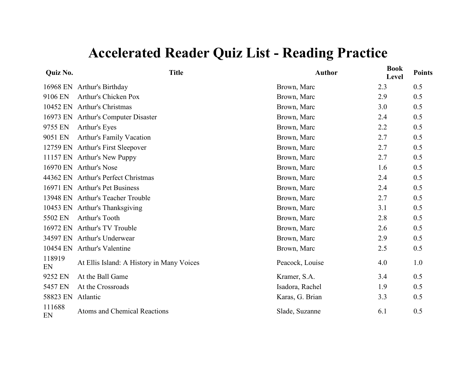| Quiz No.     | <b>Title</b>                              | <b>Author</b>   | <b>Book</b><br>Level | <b>Points</b> |
|--------------|-------------------------------------------|-----------------|----------------------|---------------|
| 16968 EN     | Arthur's Birthday                         | Brown, Marc     | 2.3                  | 0.5           |
| 9106 EN      | Arthur's Chicken Pox                      | Brown, Marc     | 2.9                  | 0.5           |
| 10452 EN     | <b>Arthur's Christmas</b>                 | Brown, Marc     | 3.0                  | 0.5           |
|              | 16973 EN Arthur's Computer Disaster       | Brown, Marc     | 2.4                  | 0.5           |
| 9755 EN      | Arthur's Eyes                             | Brown, Marc     | 2.2                  | 0.5           |
| 9051 EN      | Arthur's Family Vacation                  | Brown, Marc     | 2.7                  | 0.5           |
| 12759 EN     | Arthur's First Sleepover                  | Brown, Marc     | 2.7                  | 0.5           |
|              | 11157 EN Arthur's New Puppy               | Brown, Marc     | 2.7                  | 0.5           |
| 16970 EN     | Arthur's Nose                             | Brown, Marc     | 1.6                  | 0.5           |
|              | 44362 EN Arthur's Perfect Christmas       | Brown, Marc     | 2.4                  | 0.5           |
|              | 16971 EN Arthur's Pet Business            | Brown, Marc     | 2.4                  | 0.5           |
|              | 13948 EN Arthur's Teacher Trouble         | Brown, Marc     | 2.7                  | 0.5           |
| 10453 EN     | Arthur's Thanksgiving                     | Brown, Marc     | 3.1                  | 0.5           |
| 5502 EN      | Arthur's Tooth                            | Brown, Marc     | 2.8                  | 0.5           |
| 16972 EN     | Arthur's TV Trouble                       | Brown, Marc     | 2.6                  | 0.5           |
|              | 34597 EN Arthur's Underwear               | Brown, Marc     | 2.9                  | 0.5           |
| 10454 EN     | <b>Arthur's Valentine</b>                 | Brown, Marc     | 2.5                  | 0.5           |
| 118919<br>EN | At Ellis Island: A History in Many Voices | Peacock, Louise | 4.0                  | 1.0           |
| 9252 EN      | At the Ball Game                          | Kramer, S.A.    | 3.4                  | 0.5           |
| 5457 EN      | At the Crossroads                         | Isadora, Rachel | 1.9                  | 0.5           |
| 58823 EN     | Atlantic                                  | Karas, G. Brian | 3.3                  | 0.5           |
| 111688<br>EN | Atoms and Chemical Reactions              | Slade, Suzanne  | 6.1                  | 0.5           |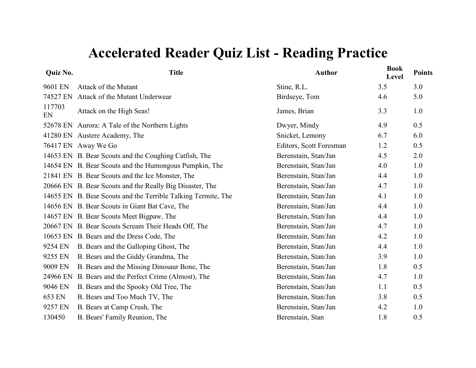| <b>Quiz No.</b> | <b>Title</b>                                                  | <b>Author</b>           | <b>Book</b><br>Level | <b>Points</b> |
|-----------------|---------------------------------------------------------------|-------------------------|----------------------|---------------|
| 9601 EN         | Attack of the Mutant                                          | Stine, R.L.             | 3.5                  | 3.0           |
| 74527 EN        | Attack of the Mutant Underwear                                | Birdseye, Tom           | 4.6                  | 5.0           |
| 117703<br>EN    | Attack on the High Seas!                                      | James, Brian            | 3.3                  | 1.0           |
|                 | 52678 EN Aurora: A Tale of the Northern Lights                | Dwyer, Mindy            | 4.9                  | 0.5           |
|                 | 41280 EN Austere Academy, The                                 | Snicket, Lemony         | 6.7                  | 6.0           |
|                 | 76417 EN Away We Go                                           | Editors, Scott Foresman | 1.2                  | 0.5           |
|                 | 14653 EN B. Bear Scouts and the Coughing Catfish, The         | Berenstain, Stan/Jan    | 4.5                  | 2.0           |
|                 | 14654 EN B. Bear Scouts and the Humongous Pumpkin, The        | Berenstain, Stan/Jan    | 4.0                  | 1.0           |
|                 | 21841 EN B. Bear Scouts and the Ice Monster, The              | Berenstain, Stan/Jan    | 4.4                  | 1.0           |
|                 | 20666 EN B. Bear Scouts and the Really Big Disaster, The      | Berenstain, Stan/Jan    | 4.7                  | 1.0           |
|                 | 14655 EN B. Bear Scouts and the Terrible Talking Termite, The | Berenstain, Stan/Jan    | 4.1                  | 1.0           |
|                 | 14656 EN B. Bear Scouts in Giant Bat Cave, The                | Berenstain, Stan/Jan    | 4.4                  | 1.0           |
|                 | 14657 EN B. Bear Scouts Meet Bigpaw, The                      | Berenstain, Stan/Jan    | 4.4                  | 1.0           |
|                 | 20667 EN B. Bear Scouts Scream Their Heads Off, The           | Berenstain, Stan/Jan    | 4.7                  | 1.0           |
|                 | 10653 EN B. Bears and the Dress Code, The                     | Berenstain, Stan/Jan    | 4.2                  | 1.0           |
| 9254 EN         | B. Bears and the Galloping Ghost, The                         | Berenstain, Stan/Jan    | 4.4                  | 1.0           |
| 9255 EN         | B. Bears and the Giddy Grandma, The                           | Berenstain, Stan/Jan    | 3.9                  | 1.0           |
| 9009 EN         | B. Bears and the Missing Dinosaur Bone, The                   | Berenstain, Stan/Jan    | 1.8                  | 0.5           |
| 24966 EN        | B. Bears and the Perfect Crime (Almost), The                  | Berenstain, Stan/Jan    | 4.7                  | 1.0           |
| 9046 EN         | B. Bears and the Spooky Old Tree, The                         | Berenstain, Stan/Jan    | 1.1                  | 0.5           |
| 653 EN          | B. Bears and Too Much TV, The                                 | Berenstain, Stan/Jan    | 3.8                  | 0.5           |
| 9257 EN         | B. Bears at Camp Crush, The                                   | Berenstain, Stan/Jan    | 4.2                  | 1.0           |
| 130450          | B. Bears' Family Reunion, The                                 | Berenstain, Stan        | 1.8                  | 0.5           |
|                 |                                                               |                         |                      |               |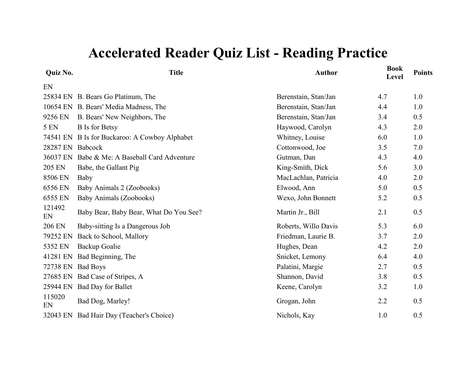| <b>Quiz No.</b>  | <b>Title</b>                             | <b>Author</b>        | <b>Book</b><br>Level | <b>Points</b> |
|------------------|------------------------------------------|----------------------|----------------------|---------------|
| EN               |                                          |                      |                      |               |
|                  | 25834 EN B. Bears Go Platinum, The       | Berenstain, Stan/Jan | 4.7                  | 1.0           |
|                  | 10654 EN B. Bears' Media Madness, The    | Berenstain, Stan/Jan | 4.4                  | 1.0           |
| 9256 EN          | B. Bears' New Neighbors, The             | Berenstain, Stan/Jan | 3.4                  | 0.5           |
| 5 EN             | <b>B</b> Is for Betsy                    | Haywood, Carolyn     | 4.3                  | 2.0           |
| 74541 EN         | B Is for Buckaroo: A Cowboy Alphabet     | Whitney, Louise      | 6.0                  | 1.0           |
| 28287 EN Babcock |                                          | Cottonwood, Joe      | 3.5                  | 7.0           |
| 36037 EN         | Babe & Me: A Baseball Card Adventure     | Gutman, Dan          | 4.3                  | 4.0           |
| 205 EN           | Babe, the Gallant Pig                    | King-Smith, Dick     | 5.6                  | 3.0           |
| 8506 EN          | Baby                                     | MacLachlan, Patricia | 4.0                  | 2.0           |
| 6556 EN          | Baby Animals 2 (Zoobooks)                | Elwood, Ann          | 5.0                  | 0.5           |
| 6555 EN          | Baby Animals (Zoobooks)                  | Wexo, John Bonnett   | 5.2                  | 0.5           |
| 121492<br>EN     | Baby Bear, Baby Bear, What Do You See?   | Martin Jr., Bill     | 2.1                  | 0.5           |
| <b>206 EN</b>    | Baby-sitting Is a Dangerous Job          | Roberts, Willo Davis | 5.3                  | 6.0           |
| 79252 EN         | Back to School, Mallory                  | Friedman, Laurie B.  | 3.7                  | 2.0           |
| 5352 EN          | Backup Goalie                            | Hughes, Dean         | 4.2                  | 2.0           |
| 41281 EN         | Bad Beginning, The                       | Snicket, Lemony      | 6.4                  | 4.0           |
| 72738 EN         | <b>Bad Boys</b>                          | Palatini, Margie     | 2.7                  | 0.5           |
| 27685 EN         | Bad Case of Stripes, A                   | Shannon, David       | 3.8                  | 0.5           |
| 25944 EN         | <b>Bad Day for Ballet</b>                | Keene, Carolyn       | 3.2                  | 1.0           |
| 115020<br>EN     | Bad Dog, Marley!                         | Grogan, John         | 2.2                  | 0.5           |
|                  | 32043 EN Bad Hair Day (Teacher's Choice) | Nichols, Kay         | 1.0                  | 0.5           |
|                  |                                          |                      |                      |               |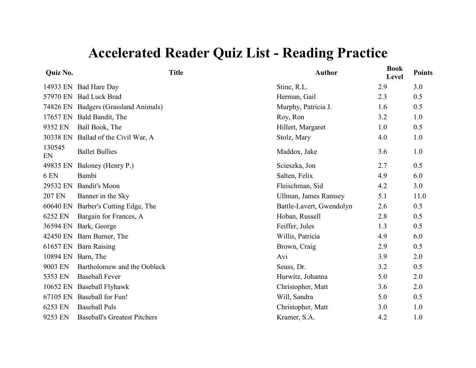| <b>Quiz No.</b>    |                                      | <b>Title</b> | <b>Author</b>               | <b>Book</b><br>Level | <b>Points</b> |
|--------------------|--------------------------------------|--------------|-----------------------------|----------------------|---------------|
|                    | 14933 EN Bad Hare Day                |              | Stine, R.L.                 | 2.9                  | 3.0           |
|                    | 57970 EN Bad Luck Brad               |              | Herman, Gail                | 2.3                  | 0.5           |
|                    | 74826 EN Badgers (Grassland Animals) |              | Murphy, Patricia J.         | 1.6                  | 0.5           |
|                    | 17657 EN Bald Bandit, The            |              | Roy, Ron                    | 3.2                  | 1.0           |
| 9352 EN            | Ball Book, The                       |              | Hillert, Margaret           | 1.0                  | 0.5           |
| 30338 EN           | Ballad of the Civil War, A           |              | Stolz, Mary                 | 4.0                  | 1.0           |
| 130545<br>EN       | <b>Ballet Bullies</b>                |              | Maddox, Jake                | 3.6                  | 1.0           |
| 49835 EN           | Baloney (Henry P.)                   |              | Scieszka, Jon               | 2.7                  | 0.5           |
| 6 EN               | Bambi                                |              | Salten, Felix               | 4.9                  | 6.0           |
| 29532 EN           | <b>Bandit's Moon</b>                 |              | Fleischman, Sid             | 4.2                  | 3.0           |
| 207 EN             | Banner in the Sky                    |              | <b>Ullman, James Ramsey</b> | 5.1                  | 11.0          |
|                    | 60640 EN Barber's Cutting Edge, The  |              | Battle-Lavert, Gwendolyn    | 2.6                  | 0.5           |
| 6252 EN            | Bargain for Frances, A               |              | Hoban, Russell              | 2.8                  | 0.5           |
| 36594 EN           | Bark, George                         |              | Feiffer, Jules              | 1.3                  | 0.5           |
|                    | 42450 EN Barn Burner, The            |              | Willis, Patricia            | 4.9                  | 6.0           |
|                    | 61657 EN Barn Raising                |              | Brown, Craig                | 2.9                  | 0.5           |
| 10894 EN Barn, The |                                      |              | Avi                         | 3.9                  | 2.0           |
| 9003 EN            | Bartholomew and the Oobleck          |              | Seuss, Dr.                  | 3.2                  | 0.5           |
| 5353 EN            | <b>Baseball Fever</b>                |              | Hurwitz, Johanna            | 5.0                  | 2.0           |
|                    | 10652 EN Baseball Flyhawk            |              | Christopher, Matt           | 3.6                  | 2.0           |
|                    | 67105 EN Baseball for Fun!           |              | Will, Sandra                | 5.0                  | 0.5           |
| 6253 EN            | <b>Baseball Pals</b>                 |              | Christopher, Matt           | 3.0                  | 1.0           |
| 9253 EN            | <b>Baseball's Greatest Pitchers</b>  |              | Kramer, S.A.                | 4.2                  | 1.0           |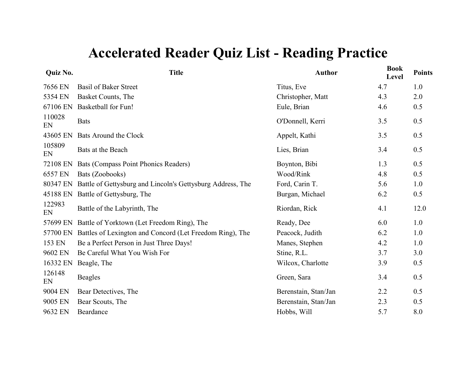| Quiz No.     | <b>Title</b>                                               | <b>Author</b>        | <b>Book</b><br>Level | <b>Points</b> |
|--------------|------------------------------------------------------------|----------------------|----------------------|---------------|
| 7656 EN      | <b>Basil of Baker Street</b>                               | Titus, Eve           | 4.7                  | 1.0           |
| 5354 EN      | Basket Counts, The                                         | Christopher, Matt    | 4.3                  | 2.0           |
| 67106 EN     | <b>Basketball for Fun!</b>                                 | Eule, Brian          | 4.6                  | 0.5           |
| 110028<br>EN | <b>Bats</b>                                                | O'Donnell, Kerri     | 3.5                  | 0.5           |
| 43605 EN     | Bats Around the Clock                                      | Appelt, Kathi        | 3.5                  | 0.5           |
| 105809<br>EN | Bats at the Beach                                          | Lies, Brian          | 3.4                  | 0.5           |
| 72108 EN     | Bats (Compass Point Phonics Readers)                       | Boynton, Bibi        | 1.3                  | 0.5           |
| 6557 EN      | Bats (Zoobooks)                                            | Wood/Rink            | 4.8                  | 0.5           |
| 80347 EN     | Battle of Gettysburg and Lincoln's Gettysburg Address, The | Ford, Carin T.       | 5.6                  | 1.0           |
| 45188 EN     | Battle of Gettysburg, The                                  | Burgan, Michael      | 6.2                  | 0.5           |
| 122983<br>EN | Battle of the Labyrinth, The                               | Riordan, Rick        | 4.1                  | 12.0          |
| 57699 EN     | Battle of Yorktown (Let Freedom Ring), The                 | Ready, Dee           | 6.0                  | 1.0           |
| 57700 EN     | Battles of Lexington and Concord (Let Freedom Ring), The   | Peacock, Judith      | 6.2                  | 1.0           |
| 153 EN       | Be a Perfect Person in Just Three Days!                    | Manes, Stephen       | 4.2                  | 1.0           |
| 9602 EN      | Be Careful What You Wish For                               | Stine, R.L.          | 3.7                  | 3.0           |
| 16332 EN     | Beagle, The                                                | Wilcox, Charlotte    | 3.9                  | 0.5           |
| 126148<br>EN | <b>Beagles</b>                                             | Green, Sara          | 3.4                  | 0.5           |
| 9004 EN      | Bear Detectives, The                                       | Berenstain, Stan/Jan | 2.2                  | 0.5           |
| 9005 EN      | Bear Scouts, The                                           | Berenstain, Stan/Jan | 2.3                  | 0.5           |
| 9632 EN      | Beardance                                                  | Hobbs, Will          | 5.7                  | 8.0           |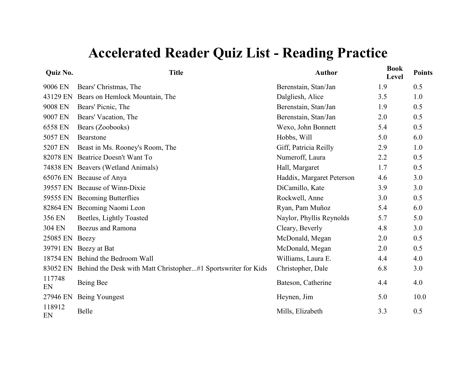| Quiz No.     | <b>Title</b>                                                  | <b>Author</b>             | <b>Book</b><br>Level | <b>Points</b> |
|--------------|---------------------------------------------------------------|---------------------------|----------------------|---------------|
| 9006 EN      | Bears' Christmas, The                                         | Berenstain, Stan/Jan      | 1.9                  | 0.5           |
| 43129 EN     | Bears on Hemlock Mountain, The                                | Dalgliesh, Alice          | 3.5                  | 1.0           |
| 9008 EN      | Bears' Picnic, The                                            | Berenstain, Stan/Jan      | 1.9                  | 0.5           |
| 9007 EN      | Bears' Vacation, The                                          | Berenstain, Stan/Jan      | 2.0                  | 0.5           |
| 6558 EN      | Bears (Zoobooks)                                              | Wexo, John Bonnett        | 5.4                  | 0.5           |
| 5057 EN      | Bearstone                                                     | Hobbs, Will               | 5.0                  | 6.0           |
| 5207 EN      | Beast in Ms. Rooney's Room, The                               | Giff, Patricia Reilly     | 2.9                  | 1.0           |
| 82078 EN     | Beatrice Doesn't Want To                                      | Numeroff, Laura           | 2.2                  | 0.5           |
| 74838 EN     | Beavers (Wetland Animals)                                     | Hall, Margaret            | 1.7                  | 0.5           |
| 65076 EN     | Because of Anya                                               | Haddix, Margaret Peterson | 4.6                  | 3.0           |
| 39557 EN     | Because of Winn-Dixie                                         | DiCamillo, Kate           | 3.9                  | 3.0           |
| 59555 EN     | <b>Becoming Butterflies</b>                                   | Rockwell, Anne            | 3.0                  | 0.5           |
| 82864 EN     | Becoming Naomi Leon                                           | Ryan, Pam Muñoz           | 5.4                  | 6.0           |
| 356 EN       | Beetles, Lightly Toasted                                      | Naylor, Phyllis Reynolds  | 5.7                  | 5.0           |
| 304 EN       | Beezus and Ramona                                             | Cleary, Beverly           | 4.8                  | 3.0           |
| 25085 EN     | Beezy                                                         | McDonald, Megan           | 2.0                  | 0.5           |
| 39791 EN     | Beezy at Bat                                                  | McDonald, Megan           | 2.0                  | 0.5           |
| 18754 EN     | Behind the Bedroom Wall                                       | Williams, Laura E.        | 4.4                  | 4.0           |
| 83052 EN     | Behind the Desk with Matt Christopher#1 Sportswriter for Kids | Christopher, Dale         | 6.8                  | 3.0           |
| 117748<br>EN | Being Bee                                                     | Bateson, Catherine        | 4.4                  | 4.0           |
| 27946 EN     | Being Youngest                                                | Heynen, Jim               | 5.0                  | 10.0          |
| 118912<br>EN | Belle                                                         | Mills, Elizabeth          | 3.3                  | 0.5           |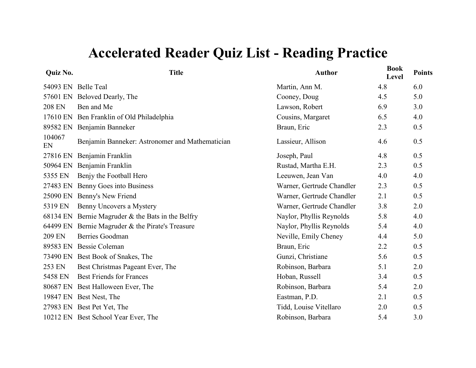| <b>Quiz No.</b> | <b>Title</b>                                      | <b>Author</b>             | <b>Book</b><br>Level | <b>Points</b> |
|-----------------|---------------------------------------------------|---------------------------|----------------------|---------------|
|                 | 54093 EN Belle Teal                               | Martin, Ann M.            | 4.8                  | 6.0           |
|                 | 57601 EN Beloved Dearly, The                      | Cooney, Doug              | 4.5                  | 5.0           |
| <b>208 EN</b>   | Ben and Me                                        | Lawson, Robert            | 6.9                  | 3.0           |
| 17610 EN        | Ben Franklin of Old Philadelphia                  | Cousins, Margaret         | 6.5                  | 4.0           |
| 89582 EN        | Benjamin Banneker                                 | Braun, Eric               | 2.3                  | 0.5           |
| 104067<br>EN    | Benjamin Banneker: Astronomer and Mathematician   | Lassieur, Allison         | 4.6                  | 0.5           |
| 27816 EN        | Benjamin Franklin                                 | Joseph, Paul              | 4.8                  | 0.5           |
| 50964 EN        | Benjamin Franklin                                 | Rustad, Martha E.H.       | 2.3                  | 0.5           |
| 5355 EN         | Benjy the Football Hero                           | Leeuwen, Jean Van         | 4.0                  | 4.0           |
| 27483 EN        | Benny Goes into Business                          | Warner, Gertrude Chandler | 2.3                  | 0.5           |
| 25090 EN        | Benny's New Friend                                | Warner, Gertrude Chandler | 2.1                  | 0.5           |
| 5319 EN         | Benny Uncovers a Mystery                          | Warner, Gertrude Chandler | 3.8                  | 2.0           |
|                 | 68134 EN Bernie Magruder & the Bats in the Belfry | Naylor, Phyllis Reynolds  | 5.8                  | 4.0           |
|                 | 64499 EN Bernie Magruder & the Pirate's Treasure  | Naylor, Phyllis Reynolds  | 5.4                  | 4.0           |
| 209 EN          | <b>Berries Goodman</b>                            | Neville, Emily Cheney     | 4.4                  | 5.0           |
|                 | 89583 EN Bessie Coleman                           | Braun, Eric               | 2.2                  | 0.5           |
|                 | 73490 EN Best Book of Snakes, The                 | Gunzi, Christiane         | 5.6                  | 0.5           |
| 253 EN          | Best Christmas Pageant Ever, The                  | Robinson, Barbara         | 5.1                  | 2.0           |
| 5458 EN         | <b>Best Friends for Frances</b>                   | Hoban, Russell            | 3.4                  | 0.5           |
|                 | 80687 EN Best Halloween Ever, The                 | Robinson, Barbara         | 5.4                  | 2.0           |
|                 | 19847 EN Best Nest, The                           | Eastman, P.D.             | 2.1                  | 0.5           |
|                 | 27983 EN Best Pet Yet, The                        | Tidd, Louise Vitellaro    | 2.0                  | 0.5           |
|                 | 10212 EN Best School Year Ever, The               | Robinson, Barbara         | 5.4                  | 3.0           |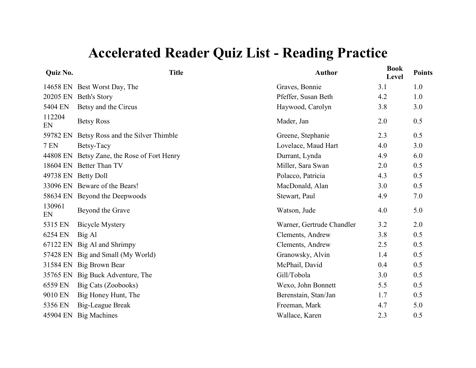| Quiz No.     | <b>Title</b>                       | <b>Author</b>             | <b>Book</b><br>Level | <b>Points</b> |
|--------------|------------------------------------|---------------------------|----------------------|---------------|
|              | 14658 EN Best Worst Day, The       | Graves, Bonnie            | 3.1                  | 1.0           |
| 20205 EN     | <b>Beth's Story</b>                | Pfeffer, Susan Beth       | 4.2                  | 1.0           |
| 5404 EN      | Betsy and the Circus               | Haywood, Carolyn          | 3.8                  | 3.0           |
| 112204<br>EN | <b>Betsy Ross</b>                  | Mader, Jan                | 2.0                  | 0.5           |
| 59782 EN     | Betsy Ross and the Silver Thimble  | Greene, Stephanie         | 2.3                  | 0.5           |
| <b>7 EN</b>  | Betsy-Tacy                         | Lovelace, Maud Hart       | 4.0                  | 3.0           |
| 44808 EN     | Betsy Zane, the Rose of Fort Henry | Durrant, Lynda            | 4.9                  | 6.0           |
| 18604 EN     | <b>Better Than TV</b>              | Miller, Sara Swan         | 2.0                  | 0.5           |
| 49738 EN     | <b>Betty Doll</b>                  | Polacco, Patricia         | 4.3                  | 0.5           |
|              | 33096 EN Beware of the Bears!      | MacDonald, Alan           | 3.0                  | 0.5           |
|              | 58634 EN Beyond the Deepwoods      | Stewart, Paul             | 4.9                  | 7.0           |
| 130961<br>EN | Beyond the Grave                   | Watson, Jude              | 4.0                  | 5.0           |
| 5315 EN      | <b>Bicycle Mystery</b>             | Warner, Gertrude Chandler | 3.2                  | 2.0           |
| 6254 EN      | Big Al                             | Clements, Andrew          | 3.8                  | 0.5           |
| 67122 EN     | Big Al and Shrimpy                 | Clements, Andrew          | 2.5                  | 0.5           |
| 57428 EN     | Big and Small (My World)           | Granowsky, Alvin          | 1.4                  | 0.5           |
| 31584 EN     | <b>Big Brown Bear</b>              | McPhail, David            | 0.4                  | 0.5           |
| 35765 EN     | Big Buck Adventure, The            | Gill/Tobola               | 3.0                  | 0.5           |
| 6559 EN      | Big Cats (Zoobooks)                | Wexo, John Bonnett        | 5.5                  | 0.5           |
| 9010 EN      | Big Honey Hunt, The                | Berenstain, Stan/Jan      | 1.7                  | 0.5           |
| 5356 EN      | Big-League Break                   | Freeman, Mark             | 4.7                  | 5.0           |
| 45904 EN     | <b>Big Machines</b>                | Wallace, Karen            | 2.3                  | 0.5           |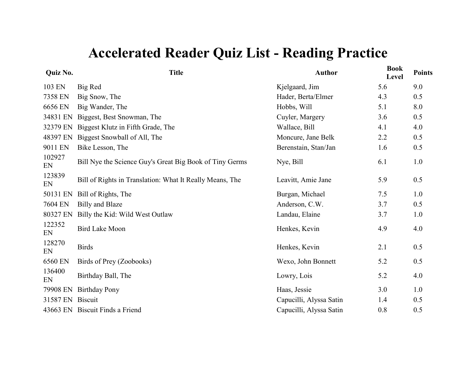| Quiz No.     | <b>Title</b>                                             | <b>Author</b>           | <b>Book</b><br>Level | <b>Points</b> |
|--------------|----------------------------------------------------------|-------------------------|----------------------|---------------|
| 103 EN       | Big Red                                                  | Kjelgaard, Jim          | 5.6                  | 9.0           |
| 7358 EN      | Big Snow, The                                            | Hader, Berta/Elmer      | 4.3                  | 0.5           |
| 6656 EN      | Big Wander, The                                          | Hobbs, Will             | 5.1                  | 8.0           |
| 34831 EN     | Biggest, Best Snowman, The                               | Cuyler, Margery         | 3.6                  | 0.5           |
| 32379 EN     | Biggest Klutz in Fifth Grade, The                        | Wallace, Bill           | 4.1                  | 4.0           |
| 48397 EN     | Biggest Snowball of All, The                             | Moncure, Jane Belk      | 2.2                  | 0.5           |
| 9011 EN      | Bike Lesson, The                                         | Berenstain, Stan/Jan    | 1.6                  | 0.5           |
| 102927<br>EN | Bill Nye the Science Guy's Great Big Book of Tiny Germs  | Nye, Bill               | 6.1                  | 1.0           |
| 123839<br>EN | Bill of Rights in Translation: What It Really Means, The | Leavitt, Amie Jane      | 5.9                  | 0.5           |
| 50131 EN     | Bill of Rights, The                                      | Burgan, Michael         | 7.5                  | 1.0           |
| 7604 EN      | <b>Billy and Blaze</b>                                   | Anderson, C.W.          | 3.7                  | 0.5           |
| 80327 EN     | Billy the Kid: Wild West Outlaw                          | Landau, Elaine          | 3.7                  | 1.0           |
| 122352<br>EN | <b>Bird Lake Moon</b>                                    | Henkes, Kevin           | 4.9                  | 4.0           |
| 128270<br>EN | <b>Birds</b>                                             | Henkes, Kevin           | 2.1                  | 0.5           |
| 6560 EN      | Birds of Prey (Zoobooks)                                 | Wexo, John Bonnett      | 5.2                  | 0.5           |
| 136400<br>EN | Birthday Ball, The                                       | Lowry, Lois             | 5.2                  | 4.0           |
| 79908 EN     | <b>Birthday Pony</b>                                     | Haas, Jessie            | 3.0                  | 1.0           |
| 31587 EN     | <b>Biscuit</b>                                           | Capucilli, Alyssa Satin | 1.4                  | 0.5           |
|              | 43663 EN Biscuit Finds a Friend                          | Capucilli, Alyssa Satin | 0.8                  | 0.5           |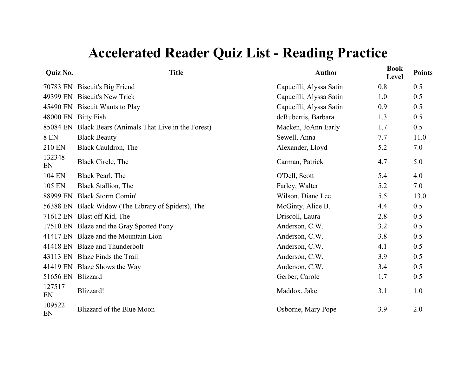#### **Quiz No.**

| <b>Quiz No.</b>     | <b>Title</b>                                           | <b>Author</b>           | <b>Book</b><br>Level | <b>Points</b> |
|---------------------|--------------------------------------------------------|-------------------------|----------------------|---------------|
|                     | 70783 EN Biscuit's Big Friend                          | Capucilli, Alyssa Satin | 0.8                  | 0.5           |
|                     | 49399 EN Biscuit's New Trick                           | Capucilli, Alyssa Satin | 1.0                  | 0.5           |
|                     | 45490 EN Biscuit Wants to Play                         | Capucilli, Alyssa Satin | 0.9                  | 0.5           |
| 48000 EN Bitty Fish |                                                        | deRubertis, Barbara     | 1.3                  | 0.5           |
|                     | 85084 EN Black Bears (Animals That Live in the Forest) | Macken, JoAnn Early     | 1.7                  | 0.5           |
| <b>8 EN</b>         | <b>Black Beauty</b>                                    | Sewell, Anna            | 7.7                  | 11.0          |
| 210 EN              | Black Cauldron, The                                    | Alexander, Lloyd        | 5.2                  | 7.0           |
| 132348<br>EN        | Black Circle, The                                      | Carman, Patrick         | 4.7                  | 5.0           |
| 104 EN              | Black Pearl, The                                       | O'Dell, Scott           | 5.4                  | 4.0           |
| 105 EN              | Black Stallion, The                                    | Farley, Walter          | 5.2                  | 7.0           |
| 88999 EN            | <b>Black Storm Comin'</b>                              | Wilson, Diane Lee       | 5.5                  | 13.0          |
|                     | 56388 EN Black Widow (The Library of Spiders), The     | McGinty, Alice B.       | 4.4                  | 0.5           |
|                     | 71612 EN Blast off Kid, The                            | Driscoll, Laura         | 2.8                  | 0.5           |
|                     | 17510 EN Blaze and the Gray Spotted Pony               | Anderson, C.W.          | 3.2                  | 0.5           |
|                     | 41417 EN Blaze and the Mountain Lion                   | Anderson, C.W.          | 3.8                  | 0.5           |
|                     | 41418 EN Blaze and Thunderbolt                         | Anderson, C.W.          | 4.1                  | 0.5           |
|                     | 43113 EN Blaze Finds the Trail                         | Anderson, C.W.          | 3.9                  | 0.5           |
|                     | 41419 EN Blaze Shows the Way                           | Anderson, C.W.          | 3.4                  | 0.5           |
| 51656 EN Blizzard   |                                                        | Gerber, Carole          | 1.7                  | 0.5           |
| 127517<br>EN        | Blizzard!                                              | Maddox, Jake            | 3.1                  | 1.0           |
| 109522<br>EN        | Blizzard of the Blue Moon                              | Osborne, Mary Pope      | 3.9                  | 2.0           |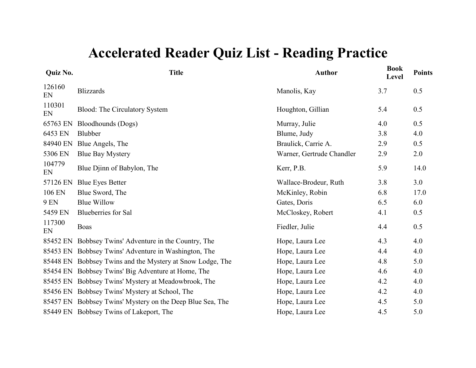| Quiz No.     | <b>Title</b>                                              | <b>Author</b>             | <b>Book</b><br>Level | <b>Points</b> |
|--------------|-----------------------------------------------------------|---------------------------|----------------------|---------------|
| 126160<br>EN | <b>Blizzards</b>                                          | Manolis, Kay              | 3.7                  | 0.5           |
| 110301<br>EN | <b>Blood:</b> The Circulatory System                      | Houghton, Gillian         | 5.4                  | 0.5           |
| 65763 EN     | <b>Bloodhounds</b> (Dogs)                                 | Murray, Julie             | 4.0                  | 0.5           |
| 6453 EN      | Blubber                                                   | Blume, Judy               | 3.8                  | 4.0           |
| 84940 EN     | Blue Angels, The                                          | Braulick, Carrie A.       | 2.9                  | 0.5           |
| 5306 EN      | <b>Blue Bay Mystery</b>                                   | Warner, Gertrude Chandler | 2.9                  | 2.0           |
| 104779<br>EN | Blue Djinn of Babylon, The                                | Kerr, P.B.                | 5.9                  | 14.0          |
| 57126 EN     | <b>Blue Eyes Better</b>                                   | Wallace-Brodeur, Ruth     | 3.8                  | 3.0           |
| 106 EN       | Blue Sword, The                                           | McKinley, Robin           | 6.8                  | 17.0          |
| <b>9 EN</b>  | <b>Blue Willow</b>                                        | Gates, Doris              | 6.5                  | 6.0           |
| 5459 EN      | <b>Blueberries</b> for Sal                                | McCloskey, Robert         | 4.1                  | 0.5           |
| 117300<br>EN | <b>Boas</b>                                               | Fiedler, Julie            | 4.4                  | 0.5           |
| 85452 EN     | Bobbsey Twins' Adventure in the Country, The              | Hope, Laura Lee           | 4.3                  | 4.0           |
| 85453 EN     | Bobbsey Twins' Adventure in Washington, The               | Hope, Laura Lee           | 4.4                  | 4.0           |
| 85448 EN     | Bobbsey Twins and the Mystery at Snow Lodge, The          | Hope, Laura Lee           | 4.8                  | 5.0           |
| 85454 EN     | Bobbsey Twins' Big Adventure at Home, The                 | Hope, Laura Lee           | 4.6                  | 4.0           |
| 85455 EN     | Bobbsey Twins' Mystery at Meadowbrook, The                | Hope, Laura Lee           | 4.2                  | 4.0           |
| 85456 EN     | Bobbsey Twins' Mystery at School, The                     | Hope, Laura Lee           | 4.2                  | 4.0           |
|              | 85457 EN Bobbsey Twins' Mystery on the Deep Blue Sea, The | Hope, Laura Lee           | 4.5                  | 5.0           |
|              | 85449 EN Bobbsey Twins of Lakeport, The                   | Hope, Laura Lee           | 4.5                  | 5.0           |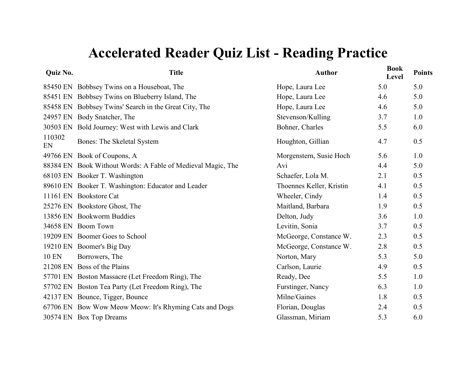| Quiz No.     | <b>Title</b>                                                | <b>Author</b>            | <b>Book</b><br>Level | <b>Points</b> |
|--------------|-------------------------------------------------------------|--------------------------|----------------------|---------------|
|              | 85450 EN Bobbsey Twins on a Houseboat, The                  | Hope, Laura Lee          | 5.0                  | 5.0           |
|              | 85451 EN Bobbsey Twins on Blueberry Island, The             | Hope, Laura Lee          | 4.6                  | 5.0           |
|              | 85458 EN Bobbsey Twins' Search in the Great City, The       | Hope, Laura Lee          | 4.6                  | 5.0           |
|              | 24957 EN Body Snatcher, The                                 | Stevenson/Kulling        | 3.7                  | 1.0           |
|              | 30503 EN Bold Journey: West with Lewis and Clark            | Bohner, Charles          | 5.5                  | 6.0           |
| 110302<br>EN | Bones: The Skeletal System                                  | Houghton, Gillian        | 4.7                  | 0.5           |
|              | 49766 EN Book of Coupons, A                                 | Morgenstern, Susie Hoch  | 5.6                  | 1.0           |
|              | 88384 EN Book Without Words: A Fable of Medieval Magic, The | Avi                      | 4.4                  | 5.0           |
|              | 68103 EN Booker T. Washington                               | Schaefer, Lola M.        | 2.1                  | 0.5           |
|              | 89610 EN Booker T. Washington: Educator and Leader          | Thoennes Keller, Kristin | 4.1                  | 0.5           |
|              | 11161 EN Bookstore Cat                                      | Wheeler, Cindy           | 1.4                  | 0.5           |
|              | 25276 EN Bookstore Ghost, The                               | Maitland, Barbara        | 1.9                  | 0.5           |
|              | 13856 EN Bookworm Buddies                                   | Delton, Judy             | 3.6                  | 1.0           |
|              | 34658 EN Boom Town                                          | Levitin, Sonia           | 3.7                  | 0.5           |
|              | 19209 EN Boomer Goes to School                              | McGeorge, Constance W.   | 2.3                  | 0.5           |
|              | 19210 EN Boomer's Big Day                                   | McGeorge, Constance W.   | 2.8                  | 0.5           |
| <b>10 EN</b> | Borrowers, The                                              | Norton, Mary             | 5.3                  | 5.0           |
|              | 21208 EN Boss of the Plains                                 | Carlson, Laurie          | 4.9                  | 0.5           |
|              | 57701 EN Boston Massacre (Let Freedom Ring), The            | Ready, Dee               | 5.5                  | 1.0           |
|              | 57702 EN Boston Tea Party (Let Freedom Ring), The           | Furstinger, Nancy        | 6.3                  | 1.0           |
|              | 42137 EN Bounce, Tigger, Bounce                             | Milne/Gaines             | 1.8                  | 0.5           |
|              | 67706 EN Bow Wow Meow Meow: It's Rhyming Cats and Dogs      | Florian, Douglas         | 2.4                  | 0.5           |
|              | 30574 EN Box Top Dreams                                     | Glassman, Miriam         | 5.3                  | 6.0           |
|              |                                                             |                          |                      |               |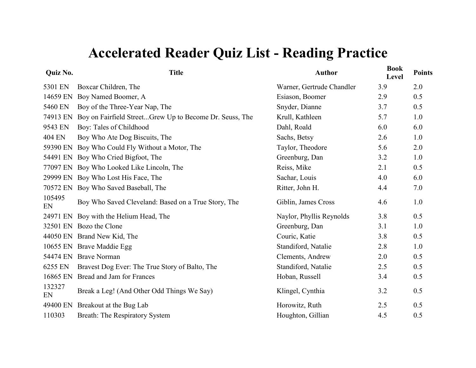| Quiz No.     | <b>Title</b>                                            | <b>Author</b>             | <b>Book</b><br>Level | <b>Points</b> |
|--------------|---------------------------------------------------------|---------------------------|----------------------|---------------|
| 5301 EN      | Boxcar Children, The                                    | Warner, Gertrude Chandler | 3.9                  | 2.0           |
| 14659 EN     | Boy Named Boomer, A                                     | Esiason, Boomer           | 2.9                  | 0.5           |
| 5460 EN      | Boy of the Three-Year Nap, The                          | Snyder, Dianne            | 3.7                  | 0.5           |
| 74913 EN     | Boy on Fairfield StreetGrew Up to Become Dr. Seuss, The | Krull, Kathleen           | 5.7                  | 1.0           |
| 9543 EN      | Boy: Tales of Childhood                                 | Dahl, Roald               | 6.0                  | 6.0           |
| 404 EN       | Boy Who Ate Dog Biscuits, The                           | Sachs, Betsy              | 2.6                  | 1.0           |
| 59390 EN     | Boy Who Could Fly Without a Motor, The                  | Taylor, Theodore          | 5.6                  | 2.0           |
| 54491 EN     | Boy Who Cried Bigfoot, The                              | Greenburg, Dan            | 3.2                  | 1.0           |
| 77097 EN     | Boy Who Looked Like Lincoln, The                        | Reiss, Mike               | 2.1                  | 0.5           |
| 29999 EN     | Boy Who Lost His Face, The                              | Sachar, Louis             | 4.0                  | 6.0           |
| 70572 EN     | Boy Who Saved Baseball, The                             | Ritter, John H.           | 4.4                  | 7.0           |
| 105495<br>EN | Boy Who Saved Cleveland: Based on a True Story, The     | Giblin, James Cross       | 4.6                  | 1.0           |
| 24971 EN     | Boy with the Helium Head, The                           | Naylor, Phyllis Reynolds  | 3.8                  | 0.5           |
| 32501 EN     | Bozo the Clone                                          | Greenburg, Dan            | 3.1                  | 1.0           |
| 44050 EN     | Brand New Kid, The                                      | Couric, Katie             | 3.8                  | 0.5           |
| 10655 EN     | Brave Maddie Egg                                        | Standiford, Natalie       | 2.8                  | 1.0           |
| 54474 EN     | <b>Brave Norman</b>                                     | Clements, Andrew          | 2.0                  | 0.5           |
| 6255 EN      | Bravest Dog Ever: The True Story of Balto, The          | Standiford, Natalie       | 2.5                  | 0.5           |
| 16865 EN     | Bread and Jam for Frances                               | Hoban, Russell            | 3.4                  | 0.5           |
| 132327<br>EN | Break a Leg! (And Other Odd Things We Say)              | Klingel, Cynthia          | 3.2                  | 0.5           |
| 49400 EN     | Breakout at the Bug Lab                                 | Horowitz, Ruth            | 2.5                  | 0.5           |
| 110303       | Breath: The Respiratory System                          | Houghton, Gillian         | 4.5                  | 0.5           |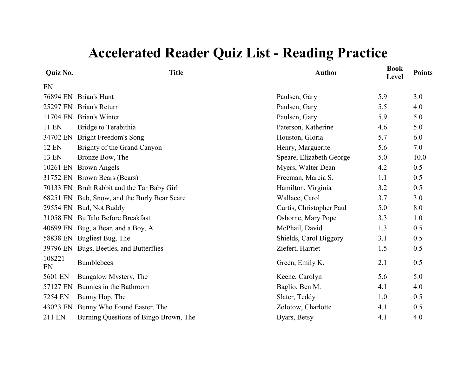| Quiz No.     | <b>Title</b>                                 | <b>Author</b>            | <b>Book</b><br>Level | <b>Points</b> |
|--------------|----------------------------------------------|--------------------------|----------------------|---------------|
| EN           |                                              |                          |                      |               |
| 76894 EN     | Brian's Hunt                                 | Paulsen, Gary            | 5.9                  | 3.0           |
| 25297 EN     | Brian's Return                               | Paulsen, Gary            | 5.5                  | 4.0           |
| 11704 EN     | Brian's Winter                               | Paulsen, Gary            | 5.9                  | 5.0           |
| 11 EN        | Bridge to Terabithia                         | Paterson, Katherine      | 4.6                  | 5.0           |
| 34702 EN     | <b>Bright Freedom's Song</b>                 | Houston, Gloria          | 5.7                  | 6.0           |
| <b>12 EN</b> | Brighty of the Grand Canyon                  | Henry, Marguerite        | 5.6                  | 7.0           |
| 13 EN        | Bronze Bow, The                              | Speare, Elizabeth George | 5.0                  | 10.0          |
| 10261 EN     | <b>Brown Angels</b>                          | Myers, Walter Dean       | 4.2                  | 0.5           |
|              | 31752 EN Brown Bears (Bears)                 | Freeman, Marcia S.       | 1.1                  | 0.5           |
|              | 70133 EN Bruh Rabbit and the Tar Baby Girl   | Hamilton, Virginia       | 3.2                  | 0.5           |
|              | 68251 EN Bub, Snow, and the Burly Bear Scare | Wallace, Carol           | 3.7                  | 3.0           |
|              | 29554 EN Bud, Not Buddy                      | Curtis, Christopher Paul | 5.0                  | 8.0           |
|              | 31058 EN Buffalo Before Breakfast            | Osborne, Mary Pope       | 3.3                  | 1.0           |
|              | 40699 EN Bug, a Bear, and a Boy, A           | McPhail, David           | 1.3                  | 0.5           |
|              | 58838 EN Bugliest Bug, The                   | Shields, Carol Diggory   | 3.1                  | 0.5           |
|              | 39796 EN Bugs, Beetles, and Butterflies      | Ziefert, Harriet         | 1.5                  | 0.5           |
| 108221<br>EN | <b>Bumblebees</b>                            | Green, Emily K.          | 2.1                  | 0.5           |
| 5601 EN      | Bungalow Mystery, The                        | Keene, Carolyn           | 5.6                  | 5.0           |
| 57127 EN     | Bunnies in the Bathroom                      | Baglio, Ben M.           | 4.1                  | 4.0           |
| 7254 EN      | Bunny Hop, The                               | Slater, Teddy            | 1.0                  | 0.5           |
| 43023 EN     | Bunny Who Found Easter, The                  | Zolotow, Charlotte       | 4.1                  | 0.5           |
| 211 EN       | Burning Questions of Bingo Brown, The        | Byars, Betsy             | 4.1                  | 4.0           |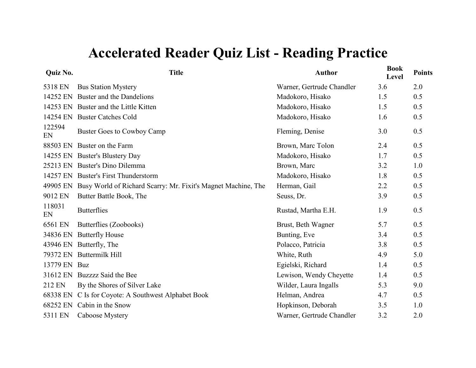| Quiz No.     | <b>Title</b>                                                           | <b>Author</b>             | <b>Book</b><br>Level | <b>Points</b> |
|--------------|------------------------------------------------------------------------|---------------------------|----------------------|---------------|
| 5318 EN      | <b>Bus Station Mystery</b>                                             | Warner, Gertrude Chandler | 3.6                  | 2.0           |
| 14252 EN     | Buster and the Dandelions                                              | Madokoro, Hisako          | 1.5                  | 0.5           |
|              | 14253 EN Buster and the Little Kitten                                  | Madokoro, Hisako          | 1.5                  | 0.5           |
|              | 14254 EN Buster Catches Cold                                           | Madokoro, Hisako          | 1.6                  | 0.5           |
| 122594<br>EN | Buster Goes to Cowboy Camp                                             | Fleming, Denise           | 3.0                  | 0.5           |
| 88503 EN     | Buster on the Farm                                                     | Brown, Marc Tolon         | 2.4                  | 0.5           |
|              | 14255 EN Buster's Blustery Day                                         | Madokoro, Hisako          | 1.7                  | 0.5           |
|              | 25213 EN Buster's Dino Dilemma                                         | Brown, Marc               | 3.2                  | 1.0           |
|              | 14257 EN Buster's First Thunderstorm                                   | Madokoro, Hisako          | 1.8                  | 0.5           |
|              | 49905 EN Busy World of Richard Scarry: Mr. Fixit's Magnet Machine, The | Herman, Gail              | 2.2                  | 0.5           |
| 9012 EN      | Butter Battle Book, The                                                | Seuss, Dr.                | 3.9                  | 0.5           |
| 118031<br>EN | <b>Butterflies</b>                                                     | Rustad, Martha E.H.       | 1.9                  | 0.5           |
| 6561 EN      | Butterflies (Zoobooks)                                                 | Brust, Beth Wagner        | 5.7                  | 0.5           |
| 34836 EN     | <b>Butterfly House</b>                                                 | Bunting, Eve              | 3.4                  | 0.5           |
|              | 43946 EN Butterfly, The                                                | Polacco, Patricia         | 3.8                  | 0.5           |
| 79372 EN     | Buttermilk Hill                                                        | White, Ruth               | 4.9                  | 5.0           |
| 13779 EN Buz |                                                                        | Egielski, Richard         | 1.4                  | 0.5           |
|              | 31612 EN Buzzzz Said the Bee                                           | Lewison, Wendy Cheyette   | 1.4                  | 0.5           |
| 212 EN       | By the Shores of Silver Lake                                           | Wilder, Laura Ingalls     | 5.3                  | 9.0           |
| 68338 EN     | C Is for Coyote: A Southwest Alphabet Book                             | Helman, Andrea            | 4.7                  | 0.5           |
| 68252 EN     | Cabin in the Snow                                                      | Hopkinson, Deborah        | 3.5                  | 1.0           |
| 5311 EN      | Caboose Mystery                                                        | Warner, Gertrude Chandler | 3.2                  | 2.0           |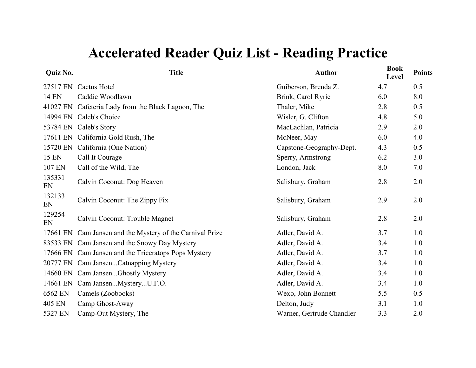| Quiz No.     | <b>Title</b>                                              | <b>Author</b>             | <b>Book</b><br>Level | <b>Points</b> |
|--------------|-----------------------------------------------------------|---------------------------|----------------------|---------------|
| 27517 EN     | Cactus Hotel                                              | Guiberson, Brenda Z.      | 4.7                  | 0.5           |
| <b>14 EN</b> | Caddie Woodlawn                                           | Brink, Carol Ryrie        | 6.0                  | 8.0           |
|              | 41027 EN Cafeteria Lady from the Black Lagoon, The        | Thaler, Mike              | 2.8                  | 0.5           |
| 14994 EN     | Caleb's Choice                                            | Wisler, G. Clifton        | 4.8                  | 5.0           |
| 53784 EN     | Caleb's Story                                             | MacLachlan, Patricia      | 2.9                  | 2.0           |
| 17611 EN     | California Gold Rush, The                                 | McNeer, May               | 6.0                  | 4.0           |
| 15720 EN     | California (One Nation)                                   | Capstone-Geography-Dept.  | 4.3                  | 0.5           |
| 15 EN        | Call It Courage                                           | Sperry, Armstrong         | 6.2                  | 3.0           |
| 107 EN       | Call of the Wild, The                                     | London, Jack              | 8.0                  | 7.0           |
| 135331<br>EN | Calvin Coconut: Dog Heaven                                | Salisbury, Graham         | 2.8                  | 2.0           |
| 132133<br>EN | Calvin Coconut: The Zippy Fix                             | Salisbury, Graham         | 2.9                  | 2.0           |
| 129254<br>EN | Calvin Coconut: Trouble Magnet                            | Salisbury, Graham         | 2.8                  | 2.0           |
|              | 17661 EN Cam Jansen and the Mystery of the Carnival Prize | Adler, David A.           | 3.7                  | 1.0           |
|              | 83533 EN Cam Jansen and the Snowy Day Mystery             | Adler, David A.           | 3.4                  | 1.0           |
|              | 17666 EN Cam Jansen and the Triceratops Pops Mystery      | Adler, David A.           | 3.7                  | 1.0           |
|              | 20777 EN Cam JansenCatnapping Mystery                     | Adler, David A.           | 3.4                  | 1.0           |
|              | 14660 EN Cam JansenGhostly Mystery                        | Adler, David A.           | 3.4                  | 1.0           |
| 14661 EN     | Cam JansenMysteryU.F.O.                                   | Adler, David A.           | 3.4                  | 1.0           |
| 6562 EN      | Camels (Zoobooks)                                         | Wexo, John Bonnett        | 5.5                  | 0.5           |
| 405 EN       | Camp Ghost-Away                                           | Delton, Judy              | 3.1                  | 1.0           |
| 5327 EN      | Camp-Out Mystery, The                                     | Warner, Gertrude Chandler | 3.3                  | 2.0           |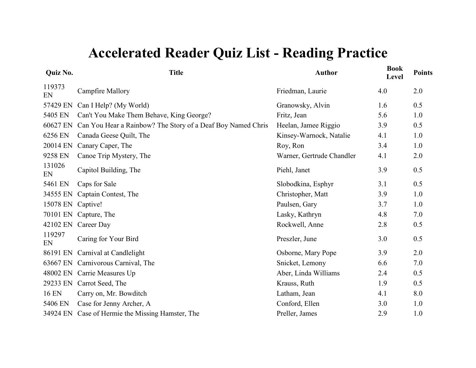| <b>Quiz No.</b> | <b>Title</b>                                                | <b>Author</b>             | <b>Book</b><br>Level | <b>Points</b> |
|-----------------|-------------------------------------------------------------|---------------------------|----------------------|---------------|
| 119373<br>EN    | <b>Campfire Mallory</b>                                     | Friedman, Laurie          | 4.0                  | 2.0           |
| 57429 EN        | Can I Help? (My World)                                      | Granowsky, Alvin          | 1.6                  | 0.5           |
| 5405 EN         | Can't You Make Them Behave, King George?                    | Fritz, Jean               | 5.6                  | 1.0           |
| 60627 EN        | Can You Hear a Rainbow? The Story of a Deaf Boy Named Chris | Heelan, Jamee Riggio      | 3.9                  | 0.5           |
| 6256 EN         | Canada Geese Quilt, The                                     | Kinsey-Warnock, Natalie   | 4.1                  | 1.0           |
| 20014 EN        | Canary Caper, The                                           | Roy, Ron                  | 3.4                  | 1.0           |
| 9258 EN         | Canoe Trip Mystery, The                                     | Warner, Gertrude Chandler | 4.1                  | 2.0           |
| 131026<br>EN    | Capitol Building, The                                       | Piehl, Janet              | 3.9                  | 0.5           |
| 5461 EN         | Caps for Sale                                               | Slobodkina, Esphyr        | 3.1                  | 0.5           |
| 34555 EN        | Captain Contest, The                                        | Christopher, Matt         | 3.9                  | 1.0           |
| 15078 EN        | Captive!                                                    | Paulsen, Gary             | 3.7                  | 1.0           |
| 70101 EN        | Capture, The                                                | Lasky, Kathryn            | 4.8                  | 7.0           |
|                 | 42102 EN Career Day                                         | Rockwell, Anne            | 2.8                  | 0.5           |
| 119297<br>EN    | Caring for Your Bird                                        | Preszler, June            | 3.0                  | 0.5           |
| 86191 EN        | Carnival at Candlelight                                     | Osborne, Mary Pope        | 3.9                  | 2.0           |
| 63667 EN        | Carnivorous Carnival, The                                   | Snicket, Lemony           | 6.6                  | 7.0           |
|                 | 48002 EN Carrie Measures Up                                 | Aber, Linda Williams      | 2.4                  | 0.5           |
| 29233 EN        | Carrot Seed, The                                            | Krauss, Ruth              | 1.9                  | 0.5           |
| <b>16 EN</b>    | Carry on, Mr. Bowditch                                      | Latham, Jean              | 4.1                  | 8.0           |
| 5406 EN         | Case for Jenny Archer, A                                    | Conford, Ellen            | 3.0                  | 1.0           |
|                 | 34924 EN Case of Hermie the Missing Hamster, The            | Preller, James            | 2.9                  | 1.0           |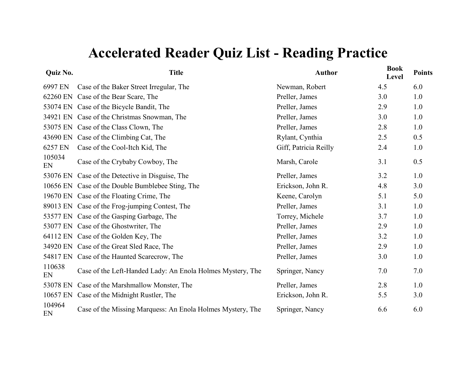| Quiz No.     | <b>Title</b>                                               | <b>Author</b>         | <b>Book</b><br>Level | <b>Points</b> |
|--------------|------------------------------------------------------------|-----------------------|----------------------|---------------|
| 6997 EN      | Case of the Baker Street Irregular, The                    | Newman, Robert        | 4.5                  | 6.0           |
| 62260 EN     | Case of the Bear Scare, The                                | Preller, James        | 3.0                  | 1.0           |
|              | 53074 EN Case of the Bicycle Bandit, The                   | Preller, James        | 2.9                  | 1.0           |
|              | 34921 EN Case of the Christmas Snowman, The                | Preller, James        | 3.0                  | 1.0           |
|              | 53075 EN Case of the Class Clown, The                      | Preller, James        | 2.8                  | 1.0           |
|              | 43690 EN Case of the Climbing Cat, The                     | Rylant, Cynthia       | 2.5                  | 0.5           |
| 6257 EN      | Case of the Cool-Itch Kid, The                             | Giff, Patricia Reilly | 2.4                  | 1.0           |
| 105034<br>EN | Case of the Crybaby Cowboy, The                            | Marsh, Carole         | 3.1                  | 0.5           |
|              | 53076 EN Case of the Detective in Disguise, The            | Preller, James        | 3.2                  | 1.0           |
|              | 10656 EN Case of the Double Bumblebee Sting, The           | Erickson, John R.     | 4.8                  | 3.0           |
|              | 19670 EN Case of the Floating Crime, The                   | Keene, Carolyn        | 5.1                  | 5.0           |
|              | 89013 EN Case of the Frog-jumping Contest, The             | Preller, James        | 3.1                  | 1.0           |
|              | 53577 EN Case of the Gasping Garbage, The                  | Torrey, Michele       | 3.7                  | 1.0           |
|              | 53077 EN Case of the Ghostwriter, The                      | Preller, James        | 2.9                  | 1.0           |
|              | 64112 EN Case of the Golden Key, The                       | Preller, James        | 3.2                  | 1.0           |
|              | 34920 EN Case of the Great Sled Race, The                  | Preller, James        | 2.9                  | 1.0           |
|              | 54817 EN Case of the Haunted Scarecrow, The                | Preller, James        | 3.0                  | 1.0           |
| 110638<br>EN | Case of the Left-Handed Lady: An Enola Holmes Mystery, The | Springer, Nancy       | 7.0                  | 7.0           |
| 53078 EN     | Case of the Marshmallow Monster, The                       | Preller, James        | 2.8                  | 1.0           |
| 10657 EN     | Case of the Midnight Rustler, The                          | Erickson, John R.     | 5.5                  | 3.0           |
| 104964<br>EN | Case of the Missing Marquess: An Enola Holmes Mystery, The | Springer, Nancy       | 6.6                  | 6.0           |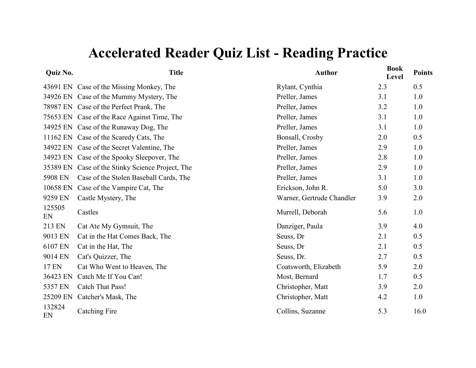| <b>Quiz No.</b> | <b>Title</b>                                     | <b>Author</b>             | <b>Book</b><br>Level | <b>Points</b> |
|-----------------|--------------------------------------------------|---------------------------|----------------------|---------------|
|                 | 43691 EN Case of the Missing Monkey, The         | Rylant, Cynthia           | 2.3                  | 0.5           |
|                 | 34926 EN Case of the Mummy Mystery, The          | Preller, James            | 3.1                  | 1.0           |
|                 | 78987 EN Case of the Perfect Prank, The          | Preller, James            | 3.2                  | 1.0           |
|                 | 75653 EN Case of the Race Against Time, The      | Preller, James            | 3.1                  | 1.0           |
|                 | 34925 EN Case of the Runaway Dog, The            | Preller, James            | 3.1                  | 1.0           |
|                 | 11162 EN Case of the Scaredy Cats, The           | Bonsall, Crosby           | 2.0                  | 0.5           |
|                 | 34922 EN Case of the Secret Valentine, The       | Preller, James            | 2.9                  | 1.0           |
|                 | 34923 EN Case of the Spooky Sleepover, The       | Preller, James            | 2.8                  | 1.0           |
|                 | 35389 EN Case of the Stinky Science Project, The | Preller, James            | 2.9                  | 1.0           |
| 5908 EN         | Case of the Stolen Baseball Cards, The           | Preller, James            | 3.1                  | 1.0           |
| 10658 EN        | Case of the Vampire Cat, The                     | Erickson, John R.         | 5.0                  | 3.0           |
| 9259 EN         | Castle Mystery, The                              | Warner, Gertrude Chandler | 3.9                  | 2.0           |
| 125505<br>EN    | Castles                                          | Murrell, Deborah          | 5.6                  | 1.0           |
| 213 EN          | Cat Ate My Gymsuit, The                          | Danziger, Paula           | 3.9                  | 4.0           |
| 9013 EN         | Cat in the Hat Comes Back, The                   | Seuss, Dr                 | 2.1                  | 0.5           |
| 6107 EN         | Cat in the Hat, The                              | Seuss, Dr                 | 2.1                  | 0.5           |
| 9014 EN         | Cat's Quizzer, The                               | Seuss, Dr.                | 2.7                  | 0.5           |
| <b>17 EN</b>    | Cat Who Went to Heaven, The                      | Coatsworth, Elizabeth     | 5.9                  | 2.0           |
| 36423 EN        | Catch Me If You Can!                             | Most, Bernard             | 1.7                  | 0.5           |
| 5357 EN         | <b>Catch That Pass!</b>                          | Christopher, Matt         | 3.9                  | 2.0           |
| 25209 EN        | Catcher's Mask, The                              | Christopher, Matt         | 4.2                  | 1.0           |
| 132824<br>EN    | <b>Catching Fire</b>                             | Collins, Suzanne          | 5.3                  | 16.0          |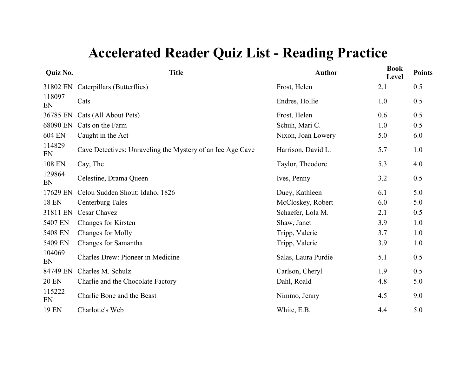| Quiz No.     | <b>Title</b>                                               | <b>Author</b>       | <b>Book</b><br>Level | <b>Points</b> |
|--------------|------------------------------------------------------------|---------------------|----------------------|---------------|
| 31802 EN     | Caterpillars (Butterflies)                                 | Frost, Helen        | 2.1                  | 0.5           |
| 118097<br>EN | Cats                                                       | Endres, Hollie      | 1.0                  | 0.5           |
| 36785 EN     | Cats (All About Pets)                                      | Frost, Helen        | 0.6                  | 0.5           |
| 68090 EN     | Cats on the Farm                                           | Schuh, Mari C.      | 1.0                  | 0.5           |
| 604 EN       | Caught in the Act                                          | Nixon, Joan Lowery  | 5.0                  | 6.0           |
| 114829<br>EN | Cave Detectives: Unraveling the Mystery of an Ice Age Cave | Harrison, David L.  | 5.7                  | 1.0           |
| 108 EN       | Cay, The                                                   | Taylor, Theodore    | 5.3                  | 4.0           |
| 129864<br>EN | Celestine, Drama Queen                                     | Ives, Penny         | 3.2                  | 0.5           |
| 17629 EN     | Celou Sudden Shout: Idaho, 1826                            | Duey, Kathleen      | 6.1                  | 5.0           |
| <b>18 EN</b> | Centerburg Tales                                           | McCloskey, Robert   | 6.0                  | 5.0           |
| 31811 EN     | Cesar Chavez                                               | Schaefer, Lola M.   | 2.1                  | 0.5           |
| 5407 EN      | Changes for Kirsten                                        | Shaw, Janet         | 3.9                  | 1.0           |
| 5408 EN      | Changes for Molly                                          | Tripp, Valerie      | 3.7                  | 1.0           |
| 5409 EN      | Changes for Samantha                                       | Tripp, Valerie      | 3.9                  | 1.0           |
| 104069<br>EN | Charles Drew: Pioneer in Medicine                          | Salas, Laura Purdie | 5.1                  | 0.5           |
| 84749 EN     | Charles M. Schulz                                          | Carlson, Cheryl     | 1.9                  | 0.5           |
| <b>20 EN</b> | Charlie and the Chocolate Factory                          | Dahl, Roald         | 4.8                  | 5.0           |
| 115222<br>EN | Charlie Bone and the Beast                                 | Nimmo, Jenny        | 4.5                  | 9.0           |
| 19 EN        | Charlotte's Web                                            | White, E.B.         | 4.4                  | 5.0           |
|              |                                                            |                     |                      |               |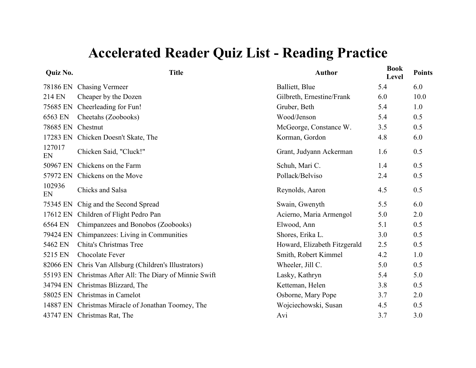| <b>Quiz No.</b> | <b>Title</b>                                            | <b>Author</b>                | <b>Book</b><br>Level | <b>Points</b> |
|-----------------|---------------------------------------------------------|------------------------------|----------------------|---------------|
|                 | 78186 EN Chasing Vermeer                                | Balliett, Blue               | 5.4                  | 6.0           |
| 214 EN          | Cheaper by the Dozen                                    | Gilbreth, Ernestine/Frank    | 6.0                  | 10.0          |
| 75685 EN        | Cheerleading for Fun!                                   | Gruber, Beth                 | 5.4                  | 1.0           |
| 6563 EN         | Cheetahs (Zoobooks)                                     | Wood/Jenson                  | 5.4                  | 0.5           |
| 78685 EN        | Chestnut                                                | McGeorge, Constance W.       | 3.5                  | 0.5           |
| 17283 EN        | Chicken Doesn't Skate, The                              | Korman, Gordon               | 4.8                  | 6.0           |
| 127017<br>EN    | Chicken Said, "Cluck!"                                  | Grant, Judyann Ackerman      | 1.6                  | 0.5           |
| 50967 EN        | Chickens on the Farm                                    | Schuh, Mari C.               | 1.4                  | 0.5           |
| 57972 EN        | Chickens on the Move                                    | Pollack/Belviso              | 2.4                  | 0.5           |
| 102936<br>EN    | Chicks and Salsa                                        | Reynolds, Aaron              | 4.5                  | 0.5           |
| 75345 EN        | Chig and the Second Spread                              | Swain, Gwenyth               | 5.5                  | 6.0           |
| 17612 EN        | Children of Flight Pedro Pan                            | Acierno, Maria Armengol      | 5.0                  | 2.0           |
| 6564 EN         | Chimpanzees and Bonobos (Zoobooks)                      | Elwood, Ann                  | 5.1                  | 0.5           |
| 79424 EN        | Chimpanzees: Living in Communities                      | Shores, Erika L.             | 3.0                  | 0.5           |
| 5462 EN         | Chita's Christmas Tree                                  | Howard, Elizabeth Fitzgerald | 2.5                  | 0.5           |
| 5215 EN         | Chocolate Fever                                         | Smith, Robert Kimmel         | 4.2                  | 1.0           |
|                 | 82066 EN Chris Van Allsburg (Children's Illustrators)   | Wheeler, Jill C.             | 5.0                  | 0.5           |
|                 | 55193 EN Christmas After All: The Diary of Minnie Swift | Lasky, Kathryn               | 5.4                  | 5.0           |
|                 | 34794 EN Christmas Blizzard, The                        | Ketteman, Helen              | 3.8                  | 0.5           |
|                 | 58025 EN Christmas in Camelot                           | Osborne, Mary Pope           | 3.7                  | 2.0           |
|                 | 14887 EN Christmas Miracle of Jonathan Toomey, The      | Wojciechowski, Susan         | 4.5                  | 0.5           |
|                 | 43747 EN Christmas Rat, The                             | Avi                          | 3.7                  | 3.0           |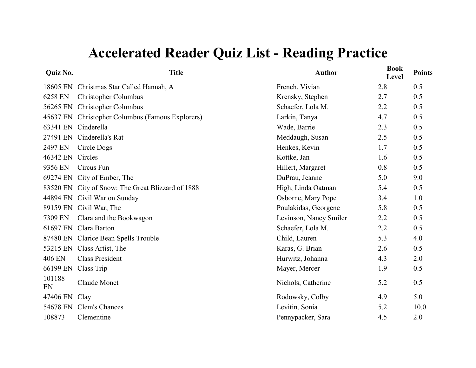| Quiz No.     | <b>Title</b>                                      | <b>Author</b>          | <b>Book</b><br>Level | <b>Points</b> |
|--------------|---------------------------------------------------|------------------------|----------------------|---------------|
| 18605 EN     | Christmas Star Called Hannah, A                   | French, Vivian         | 2.8                  | 0.5           |
| 6258 EN      | <b>Christopher Columbus</b>                       | Krensky, Stephen       | 2.7                  | 0.5           |
| 56265 EN     | <b>Christopher Columbus</b>                       | Schaefer, Lola M.      | 2.2                  | 0.5           |
| 45637 EN     | Christopher Columbus (Famous Explorers)           | Larkin, Tanya          | 4.7                  | 0.5           |
| 63341 EN     | Cinderella                                        | Wade, Barrie           | 2.3                  | 0.5           |
| 27491 EN     | Cinderella's Rat                                  | Meddaugh, Susan        | 2.5                  | 0.5           |
| 2497 EN      | Circle Dogs                                       | Henkes, Kevin          | 1.7                  | 0.5           |
| 46342 EN     | Circles                                           | Kottke, Jan            | 1.6                  | 0.5           |
| 9356 EN      | Circus Fun                                        | Hillert, Margaret      | 0.8                  | 0.5           |
|              | 69274 EN City of Ember, The                       | DuPrau, Jeanne         | 5.0                  | 9.0           |
|              | 83520 EN City of Snow: The Great Blizzard of 1888 | High, Linda Oatman     | 5.4                  | 0.5           |
|              | 44894 EN Civil War on Sunday                      | Osborne, Mary Pope     | 3.4                  | 1.0           |
| 89159 EN     | Civil War, The                                    | Poulakidas, Georgene   | 5.8                  | 0.5           |
| 7309 EN      | Clara and the Bookwagon                           | Levinson, Nancy Smiler | 2.2                  | 0.5           |
| 61697 EN     | Clara Barton                                      | Schaefer, Lola M.      | 2.2                  | 0.5           |
|              | 87480 EN Clarice Bean Spells Trouble              | Child, Lauren          | 5.3                  | 4.0           |
| 53215 EN     | Class Artist, The                                 | Karas, G. Brian        | 2.6                  | 0.5           |
| 406 EN       | <b>Class President</b>                            | Hurwitz, Johanna       | 4.3                  | 2.0           |
| 66199 EN     | Class Trip                                        | Mayer, Mercer          | 1.9                  | 0.5           |
| 101188<br>EN | <b>Claude Monet</b>                               | Nichols, Catherine     | 5.2                  | 0.5           |
| 47406 EN     | Clay                                              | Rodowsky, Colby        | 4.9                  | 5.0           |
| 54678 EN     | Clem's Chances                                    | Levitin, Sonia         | 5.2                  | 10.0          |
| 108873       | Clementine                                        | Pennypacker, Sara      | 4.5                  | 2.0           |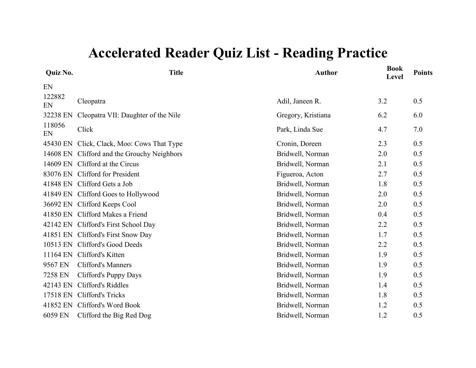| Quiz No.     | <b>Title</b>                                | <b>Author</b>      | <b>Book</b><br>Level | <b>Points</b> |
|--------------|---------------------------------------------|--------------------|----------------------|---------------|
| EN           |                                             |                    |                      |               |
| 122882<br>EN | Cleopatra                                   | Adil, Janeen R.    | 3.2                  | 0.5           |
| 32238 EN     | Cleopatra VII: Daughter of the Nile         | Gregory, Kristiana | 6.2                  | 6.0           |
| 118056<br>EN | Click                                       | Park, Linda Sue    | 4.7                  | 7.0           |
|              | 45430 EN Click, Clack, Moo: Cows That Type  | Cronin, Doreen     | 2.3                  | 0.5           |
|              | 14608 EN Clifford and the Grouchy Neighbors | Bridwell, Norman   | 2.0                  | 0.5           |
|              | 14609 EN Clifford at the Circus             | Bridwell, Norman   | 2.1                  | 0.5           |
|              | 83076 EN Clifford for President             | Figueroa, Acton    | 2.7                  | 0.5           |
|              | 41848 EN Clifford Gets a Job                | Bridwell, Norman   | 1.8                  | 0.5           |
|              | 41849 EN Clifford Goes to Hollywood         | Bridwell, Norman   | 2.0                  | 0.5           |
|              | 36692 EN Clifford Keeps Cool                | Bridwell, Norman   | 2.0                  | 0.5           |
|              | 41850 EN Clifford Makes a Friend            | Bridwell, Norman   | 0.4                  | 0.5           |
|              | 42142 EN Clifford's First School Day        | Bridwell, Norman   | 2.2                  | 0.5           |
|              | 41851 EN Clifford's First Snow Day          | Bridwell, Norman   | 1.7                  | 0.5           |
|              | 10513 EN Clifford's Good Deeds              | Bridwell, Norman   | 2.2                  | 0.5           |
| 11164 EN     | Clifford's Kitten                           | Bridwell, Norman   | 1.9                  | 0.5           |
| 9567 EN      | <b>Clifford's Manners</b>                   | Bridwell, Norman   | 1.9                  | 0.5           |
| 7258 EN      | Clifford's Puppy Days                       | Bridwell, Norman   | 1.9                  | 0.5           |
| 42143 EN     | Clifford's Riddles                          | Bridwell, Norman   | 1.4                  | 0.5           |
| 17518 EN     | <b>Clifford's Tricks</b>                    | Bridwell, Norman   | 1.8                  | 0.5           |
| 41852 EN     | Clifford's Word Book                        | Bridwell, Norman   | 1.2                  | 0.5           |
| 6059 EN      | Clifford the Big Red Dog                    | Bridwell, Norman   | 1.2                  | 0.5           |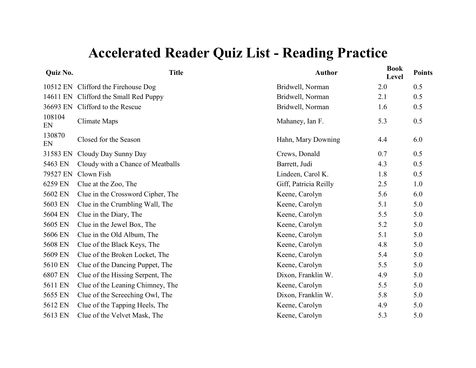| Quiz No.     | <b>Title</b>                          | <b>Author</b>         | <b>Book</b><br>Level | <b>Points</b> |
|--------------|---------------------------------------|-----------------------|----------------------|---------------|
|              | 10512 EN Clifford the Firehouse Dog   | Bridwell, Norman      | 2.0                  | 0.5           |
|              | 14611 EN Clifford the Small Red Puppy | Bridwell, Norman      | 2.1                  | 0.5           |
|              | 36693 EN Clifford to the Rescue       | Bridwell, Norman      | 1.6                  | 0.5           |
| 108104<br>EN | Climate Maps                          | Mahaney, Ian F.       | 5.3                  | 0.5           |
| 130870<br>EN | Closed for the Season                 | Hahn, Mary Downing    | 4.4                  | 6.0           |
| 31583 EN     | Cloudy Day Sunny Day                  | Crews, Donald         | 0.7                  | 0.5           |
| 5463 EN      | Cloudy with a Chance of Meatballs     | Barrett, Judi         | 4.3                  | 0.5           |
| 79527 EN     | Clown Fish                            | Lindeen, Carol K.     | 1.8                  | 0.5           |
| 6259 EN      | Clue at the Zoo, The                  | Giff, Patricia Reilly | 2.5                  | 1.0           |
| 5602 EN      | Clue in the Crossword Cipher, The     | Keene, Carolyn        | 5.6                  | 6.0           |
| 5603 EN      | Clue in the Crumbling Wall, The       | Keene, Carolyn        | 5.1                  | 5.0           |
| 5604 EN      | Clue in the Diary, The                | Keene, Carolyn        | 5.5                  | 5.0           |
| 5605 EN      | Clue in the Jewel Box, The            | Keene, Carolyn        | 5.2                  | 5.0           |
| 5606 EN      | Clue in the Old Album, The            | Keene, Carolyn        | 5.1                  | 5.0           |
| 5608 EN      | Clue of the Black Keys, The           | Keene, Carolyn        | 4.8                  | 5.0           |
| 5609 EN      | Clue of the Broken Locket, The        | Keene, Carolyn        | 5.4                  | 5.0           |
| 5610 EN      | Clue of the Dancing Puppet, The       | Keene, Carolyn        | 5.5                  | 5.0           |
| 6807 EN      | Clue of the Hissing Serpent, The      | Dixon, Franklin W.    | 4.9                  | 5.0           |
| 5611 EN      | Clue of the Leaning Chimney, The      | Keene, Carolyn        | 5.5                  | 5.0           |
| 5655 EN      | Clue of the Screeching Owl, The       | Dixon, Franklin W.    | 5.8                  | 5.0           |
| 5612 EN      | Clue of the Tapping Heels, The        | Keene, Carolyn        | 4.9                  | 5.0           |
| 5613 EN      | Clue of the Velvet Mask, The          | Keene, Carolyn        | 5.3                  | 5.0           |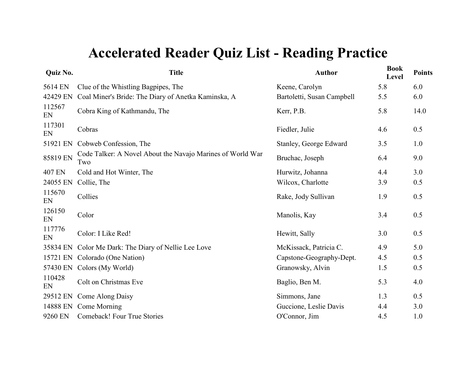| <b>Quiz No.</b> | <b>Title</b>                                                      | <b>Author</b>              | <b>Book</b><br>Level | <b>Points</b> |
|-----------------|-------------------------------------------------------------------|----------------------------|----------------------|---------------|
| 5614 EN         | Clue of the Whistling Bagpipes, The                               | Keene, Carolyn             | 5.8                  | 6.0           |
| 42429 EN        | Coal Miner's Bride: The Diary of Anetka Kaminska, A               | Bartoletti, Susan Campbell | 5.5                  | 6.0           |
| 112567<br>EN    | Cobra King of Kathmandu, The                                      | Kerr, P.B.                 | 5.8                  | 14.0          |
| 117301<br>EN    | Cobras                                                            | Fiedler, Julie             | 4.6                  | 0.5           |
| 51921 EN        | Cobweb Confession, The                                            | Stanley, George Edward     | 3.5                  | 1.0           |
| 85819 EN        | Code Talker: A Novel About the Navajo Marines of World War<br>Two | Bruchac, Joseph            | 6.4                  | 9.0           |
| 407 EN          | Cold and Hot Winter, The                                          | Hurwitz, Johanna           | 4.4                  | 3.0           |
| 24055 EN        | Collie, The                                                       | Wilcox, Charlotte          | 3.9                  | 0.5           |
| 115670<br>EN    | Collies                                                           | Rake, Jody Sullivan        | 1.9                  | 0.5           |
| 126150<br>EN    | Color                                                             | Manolis, Kay               | 3.4                  | 0.5           |
| 117776<br>EN    | Color: I Like Red!                                                | Hewitt, Sally              | 3.0                  | 0.5           |
| 35834 EN        | Color Me Dark: The Diary of Nellie Lee Love                       | McKissack, Patricia C.     | 4.9                  | 5.0           |
| 15721 EN        | Colorado (One Nation)                                             | Capstone-Geography-Dept.   | 4.5                  | 0.5           |
| 57430 EN        | Colors (My World)                                                 | Granowsky, Alvin           | 1.5                  | 0.5           |
| 110428<br>EN    | Colt on Christmas Eve                                             | Baglio, Ben M.             | 5.3                  | 4.0           |
| 29512 EN        | Come Along Daisy                                                  | Simmons, Jane              | 1.3                  | 0.5           |
| 14888 EN        | Come Morning                                                      | Guccione, Leslie Davis     | 4.4                  | 3.0           |
| 9260 EN         | Comeback! Four True Stories                                       | O'Connor, Jim              | 4.5                  | 1.0           |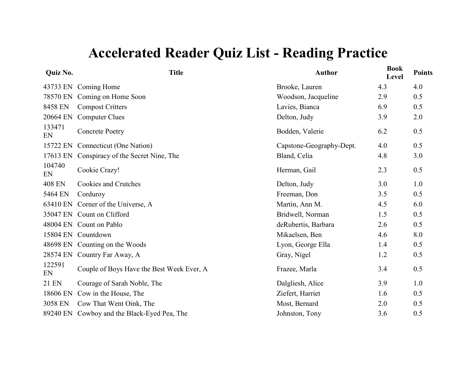| Quiz No.      | <b>Title</b>                                | <b>Author</b>            | <b>Book</b><br>Level | <b>Points</b> |
|---------------|---------------------------------------------|--------------------------|----------------------|---------------|
|               | 43733 EN Coming Home                        | Brooke, Lauren           | 4.3                  | 4.0           |
| 78570 EN      | Coming on Home Soon                         | Woodson, Jacqueline      | 2.9                  | 0.5           |
| 8458 EN       | <b>Compost Critters</b>                     | Lavies, Bianca           | 6.9                  | 0.5           |
| 20664 EN      | <b>Computer Clues</b>                       | Delton, Judy             | 3.9                  | 2.0           |
| 133471<br>EN  | <b>Concrete Poetry</b>                      | Bodden, Valerie          | 6.2                  | 0.5           |
| 15722 EN      | Connecticut (One Nation)                    | Capstone-Geography-Dept. | 4.0                  | 0.5           |
| 17613 EN      | Conspiracy of the Secret Nine, The          | Bland, Celia             | 4.8                  | 3.0           |
| 104740<br>EN  | Cookie Crazy!                               | Herman, Gail             | 2.3                  | 0.5           |
| <b>408 EN</b> | <b>Cookies and Crutches</b>                 | Delton, Judy             | 3.0                  | 1.0           |
| 5464 EN       | Corduroy                                    | Freeman, Don             | 3.5                  | 0.5           |
| 63410 EN      | Corner of the Universe, A                   | Martin, Ann M.           | 4.5                  | 6.0           |
|               | 35047 EN Count on Clifford                  | Bridwell, Norman         | 1.5                  | 0.5           |
|               | 48004 EN Count on Pablo                     | deRubertis, Barbara      | 2.6                  | 0.5           |
|               | 15804 EN Countdown                          | Mikaelsen, Ben           | 4.6                  | 8.0           |
|               | 48698 EN Counting on the Woods              | Lyon, George Ella        | 1.4                  | 0.5           |
|               | 28574 EN Country Far Away, A                | Gray, Nigel              | 1.2                  | 0.5           |
| 122591<br>EN  | Couple of Boys Have the Best Week Ever, A   | Frazee, Marla            | 3.4                  | 0.5           |
| 21 EN         | Courage of Sarah Noble, The                 | Dalgliesh, Alice         | 3.9                  | 1.0           |
| 18606 EN      | Cow in the House, The                       | Ziefert, Harriet         | 1.6                  | 0.5           |
| 3058 EN       | Cow That Went Oink, The                     | Most, Bernard            | 2.0                  | 0.5           |
|               | 89240 EN Cowboy and the Black-Eyed Pea, The | Johnston, Tony           | 3.6                  | 0.5           |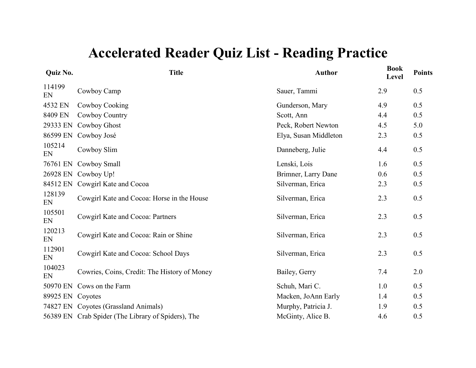| Quiz No.         | <b>Title</b>                                       | <b>Author</b>         | <b>Book</b><br>Level | <b>Points</b> |
|------------------|----------------------------------------------------|-----------------------|----------------------|---------------|
| 114199<br>EN     | Cowboy Camp                                        | Sauer, Tammi          | 2.9                  | 0.5           |
| 4532 EN          | Cowboy Cooking                                     | Gunderson, Mary       | 4.9                  | 0.5           |
| 8409 EN          | Cowboy Country                                     | Scott, Ann            | 4.4                  | 0.5           |
| 29333 EN         | Cowboy Ghost                                       | Peck, Robert Newton   | 4.5                  | 5.0           |
| 86599 EN         | Cowboy José                                        | Elya, Susan Middleton | 2.3                  | 0.5           |
| 105214<br>EN     | Cowboy Slim                                        | Danneberg, Julie      | 4.4                  | 0.5           |
| 76761 EN         | Cowboy Small                                       | Lenski, Lois          | 1.6                  | 0.5           |
| 26928 EN         | Cowboy Up!                                         | Brimner, Larry Dane   | 0.6                  | 0.5           |
| 84512 EN         | Cowgirl Kate and Cocoa                             | Silverman, Erica      | 2.3                  | 0.5           |
| 128139<br>EN     | Cowgirl Kate and Cocoa: Horse in the House         | Silverman, Erica      | 2.3                  | 0.5           |
| 105501<br>EN     | Cowgirl Kate and Cocoa: Partners                   | Silverman, Erica      | 2.3                  | 0.5           |
| 120213<br>EN     | Cowgirl Kate and Cocoa: Rain or Shine              | Silverman, Erica      | 2.3                  | 0.5           |
| 112901<br>EN     | Cowgirl Kate and Cocoa: School Days                | Silverman, Erica      | 2.3                  | 0.5           |
| 104023<br>EN     | Cowries, Coins, Credit: The History of Money       | Bailey, Gerry         | 7.4                  | 2.0           |
| 50970 EN         | Cows on the Farm                                   | Schuh, Mari C.        | 1.0                  | 0.5           |
| 89925 EN Coyotes |                                                    | Macken, JoAnn Early   | 1.4                  | 0.5           |
|                  | 74827 EN Coyotes (Grassland Animals)               | Murphy, Patricia J.   | 1.9                  | 0.5           |
|                  | 56389 EN Crab Spider (The Library of Spiders), The | McGinty, Alice B.     | 4.6                  | 0.5           |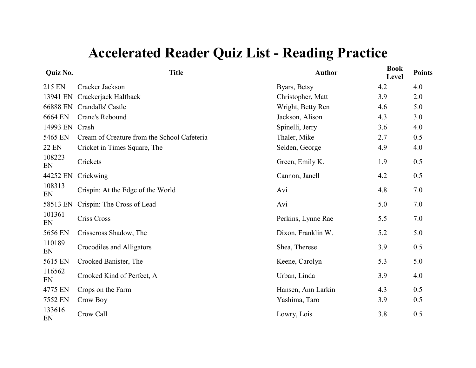| Quiz No.       | <b>Title</b>                                | <b>Author</b>      | <b>Book</b><br>Level | <b>Points</b> |
|----------------|---------------------------------------------|--------------------|----------------------|---------------|
| 215 EN         | Cracker Jackson                             | Byars, Betsy       | 4.2                  | 4.0           |
| 13941 EN       | Crackerjack Halfback                        | Christopher, Matt  | 3.9                  | 2.0           |
| 66888 EN       | Crandalls' Castle                           | Wright, Betty Ren  | 4.6                  | 5.0           |
| 6664 EN        | Crane's Rebound                             | Jackson, Alison    | 4.3                  | 3.0           |
| 14993 EN Crash |                                             | Spinelli, Jerry    | 3.6                  | 4.0           |
| 5465 EN        | Cream of Creature from the School Cafeteria | Thaler, Mike       | 2.7                  | 0.5           |
| <b>22 EN</b>   | Cricket in Times Square, The                | Selden, George     | 4.9                  | 4.0           |
| 108223<br>EN   | Crickets                                    | Green, Emily K.    | 1.9                  | 0.5           |
| 44252 EN       | Crickwing                                   | Cannon, Janell     | 4.2                  | 0.5           |
| 108313<br>EN   | Crispin: At the Edge of the World           | Avi                | 4.8                  | 7.0           |
| 58513 EN       | Crispin: The Cross of Lead                  | Avi                | 5.0                  | 7.0           |
| 101361<br>EN   | <b>Criss Cross</b>                          | Perkins, Lynne Rae | 5.5                  | 7.0           |
| 5656 EN        | Crisscross Shadow, The                      | Dixon, Franklin W. | 5.2                  | 5.0           |
| 110189<br>EN   | Crocodiles and Alligators                   | Shea, Therese      | 3.9                  | 0.5           |
| 5615 EN        | Crooked Banister, The                       | Keene, Carolyn     | 5.3                  | 5.0           |
| 116562<br>EN   | Crooked Kind of Perfect, A                  | Urban, Linda       | 3.9                  | 4.0           |
| 4775 EN        | Crops on the Farm                           | Hansen, Ann Larkin | 4.3                  | 0.5           |
| 7552 EN        | Crow Boy                                    | Yashima, Taro      | 3.9                  | 0.5           |
| 133616<br>EN   | Crow Call                                   | Lowry, Lois        | 3.8                  | 0.5           |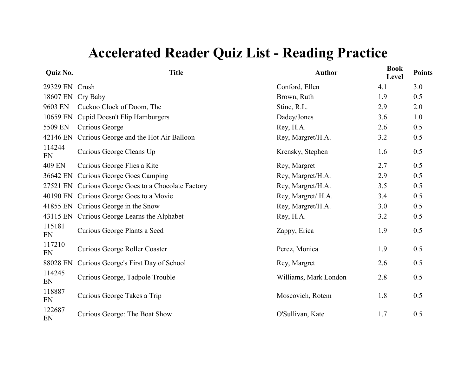| Quiz No.       | <b>Title</b>                               | <b>Author</b>         | <b>Book</b><br>Level | <b>Points</b> |
|----------------|--------------------------------------------|-----------------------|----------------------|---------------|
| 29329 EN Crush |                                            | Conford, Ellen        | 4.1                  | 3.0           |
| 18607 EN       | Cry Baby                                   | Brown, Ruth           | 1.9                  | 0.5           |
| 9603 EN        | Cuckoo Clock of Doom, The                  | Stine, R.L.           | 2.9                  | 2.0           |
| 10659 EN       | Cupid Doesn't Flip Hamburgers              | Dadey/Jones           | 3.6                  | 1.0           |
| 5509 EN        | Curious George                             | Rey, H.A.             | 2.6                  | 0.5           |
| 42146 EN       | Curious George and the Hot Air Balloon     | Rey, Margret/H.A.     | 3.2                  | 0.5           |
| 114244<br>EN   | Curious George Cleans Up                   | Krensky, Stephen      | 1.6                  | 0.5           |
| 409 EN         | Curious George Flies a Kite                | Rey, Margret          | 2.7                  | 0.5           |
| 36642 EN       | <b>Curious George Goes Camping</b>         | Rey, Margret/H.A.     | 2.9                  | 0.5           |
| 27521 EN       | Curious George Goes to a Chocolate Factory | Rey, Margret/H.A.     | 3.5                  | 0.5           |
|                | 40190 EN Curious George Goes to a Movie    | Rey, Margret/ H.A.    | 3.4                  | 0.5           |
|                | 41855 EN Curious George in the Snow        | Rey, Margret/H.A.     | 3.0                  | 0.5           |
| 43115 EN       | Curious George Learns the Alphabet         | Rey, H.A.             | 3.2                  | 0.5           |
| 115181<br>EN   | Curious George Plants a Seed               | Zappy, Erica          | 1.9                  | 0.5           |
| 117210<br>EN   | Curious George Roller Coaster              | Perez, Monica         | 1.9                  | 0.5           |
| 88028 EN       | Curious George's First Day of School       | Rey, Margret          | 2.6                  | 0.5           |
| 114245<br>EN   | Curious George, Tadpole Trouble            | Williams, Mark London | 2.8                  | 0.5           |
| 118887<br>EN   | Curious George Takes a Trip                | Moscovich, Rotem      | 1.8                  | 0.5           |
| 122687<br>EN   | Curious George: The Boat Show              | O'Sullivan, Kate      | 1.7                  | 0.5           |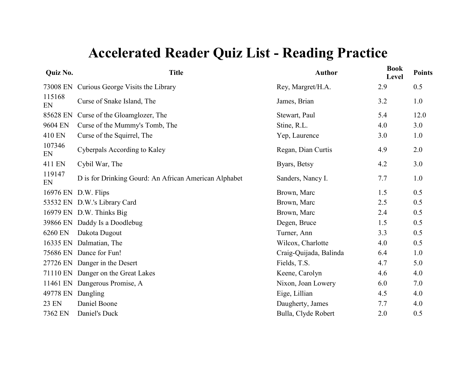| <b>Quiz No.</b> | <b>Title</b>                                          | <b>Author</b>          | <b>Book</b><br>Level | <b>Points</b> |
|-----------------|-------------------------------------------------------|------------------------|----------------------|---------------|
| 73008 EN        | Curious George Visits the Library                     | Rey, Margret/H.A.      | 2.9                  | 0.5           |
| 115168<br>EN    | Curse of Snake Island, The                            | James, Brian           | 3.2                  | 1.0           |
| 85628 EN        | Curse of the Gloamglozer, The                         | Stewart, Paul          | 5.4                  | 12.0          |
| 9604 EN         | Curse of the Mummy's Tomb, The                        | Stine, R.L.            | 4.0                  | 3.0           |
| 410 EN          | Curse of the Squirrel, The                            | Yep, Laurence          | 3.0                  | 1.0           |
| 107346<br>EN    | Cyberpals According to Kaley                          | Regan, Dian Curtis     | 4.9                  | 2.0           |
| 411 EN          | Cybil War, The                                        | Byars, Betsy           | 4.2                  | 3.0           |
| 119147<br>EN    | D is for Drinking Gourd: An African American Alphabet | Sanders, Nancy I.      | 7.7                  | 1.0           |
|                 | 16976 EN D.W. Flips                                   | Brown, Marc            | 1.5                  | 0.5           |
|                 | 53532 EN D.W.'s Library Card                          | Brown, Marc            | 2.5                  | 0.5           |
|                 | 16979 EN D.W. Thinks Big                              | Brown, Marc            | 2.4                  | 0.5           |
|                 | 39866 EN Daddy Is a Doodlebug                         | Degen, Bruce           | 1.5                  | 0.5           |
| 6260 EN         | Dakota Dugout                                         | Turner, Ann            | 3.3                  | 0.5           |
|                 | 16335 EN Dalmatian, The                               | Wilcox, Charlotte      | 4.0                  | 0.5           |
|                 | 75686 EN Dance for Fun!                               | Craig-Quijada, Balinda | 6.4                  | 1.0           |
|                 | 27726 EN Danger in the Desert                         | Fields, T.S.           | 4.7                  | 5.0           |
|                 | 71110 EN Danger on the Great Lakes                    | Keene, Carolyn         | 4.6                  | 4.0           |
|                 | 11461 EN Dangerous Promise, A                         | Nixon, Joan Lowery     | 6.0                  | 7.0           |
| 49778 EN        | Dangling                                              | Eige, Lillian          | 4.5                  | 4.0           |
| <b>23 EN</b>    | Daniel Boone                                          | Daugherty, James       | 7.7                  | 4.0           |
| 7362 EN         | Daniel's Duck                                         | Bulla, Clyde Robert    | 2.0                  | 0.5           |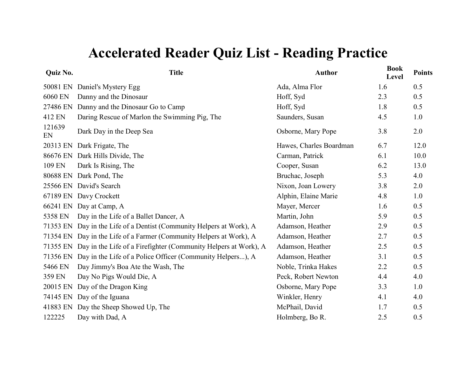| Quiz No.     | <b>Title</b>                                                             | <b>Author</b>           | <b>Book</b><br>Level | <b>Points</b> |
|--------------|--------------------------------------------------------------------------|-------------------------|----------------------|---------------|
| 50081 EN     | Daniel's Mystery Egg                                                     | Ada, Alma Flor          | 1.6                  | 0.5           |
| 6060 EN      | Danny and the Dinosaur                                                   | Hoff, Syd               | 2.3                  | 0.5           |
| 27486 EN     | Danny and the Dinosaur Go to Camp                                        | Hoff, Syd               | 1.8                  | 0.5           |
| 412 EN       | Daring Rescue of Marlon the Swimming Pig, The                            | Saunders, Susan         | 4.5                  | 1.0           |
| 121639<br>EN | Dark Day in the Deep Sea                                                 | Osborne, Mary Pope      | 3.8                  | 2.0           |
| 20313 EN     | Dark Frigate, The                                                        | Hawes, Charles Boardman | 6.7                  | 12.0          |
|              | 86676 EN Dark Hills Divide, The                                          | Carman, Patrick         | 6.1                  | 10.0          |
| 109 EN       | Dark Is Rising, The                                                      | Cooper, Susan           | 6.2                  | 13.0          |
|              | 80688 EN Dark Pond, The                                                  | Bruchac, Joseph         | 5.3                  | 4.0           |
|              | 25566 EN David's Search                                                  | Nixon, Joan Lowery      | 3.8                  | 2.0           |
|              | 67189 EN Davy Crockett                                                   | Alphin, Elaine Marie    | 4.8                  | 1.0           |
| 66241 EN     | Day at Camp, A                                                           | Mayer, Mercer           | 1.6                  | 0.5           |
| 5358 EN      | Day in the Life of a Ballet Dancer, A                                    | Martin, John            | 5.9                  | 0.5           |
| 71353 EN     | Day in the Life of a Dentist (Community Helpers at Work), A              | Adamson, Heather        | 2.9                  | 0.5           |
| 71354 EN     | Day in the Life of a Farmer (Community Helpers at Work), A               | Adamson, Heather        | 2.7                  | 0.5           |
|              | 71355 EN Day in the Life of a Firefighter (Community Helpers at Work), A | Adamson, Heather        | 2.5                  | 0.5           |
| 71356 EN     | Day in the Life of a Police Officer (Community Helpers), A               | Adamson, Heather        | 3.1                  | 0.5           |
| 5466 EN      | Day Jimmy's Boa Ate the Wash, The                                        | Noble, Trinka Hakes     | 2.2                  | 0.5           |
| 359 EN       | Day No Pigs Would Die, A                                                 | Peck, Robert Newton     | 4.4                  | 4.0           |
| 20015 EN     | Day of the Dragon King                                                   | Osborne, Mary Pope      | 3.3                  | 1.0           |
| 74145 EN     | Day of the Iguana                                                        | Winkler, Henry          | 4.1                  | 4.0           |
| 41883 EN     | Day the Sheep Showed Up, The                                             | McPhail, David          | 1.7                  | 0.5           |
| 122225       | Day with Dad, A                                                          | Holmberg, Bo R.         | 2.5                  | 0.5           |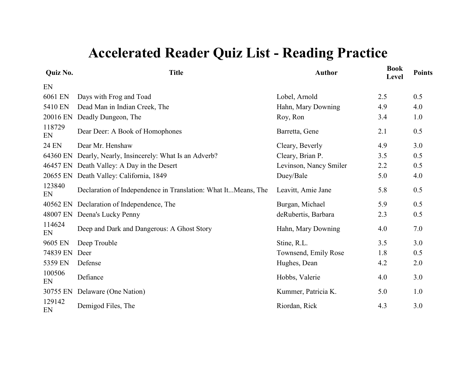| Quiz No.     | <b>Title</b>                                                  | <b>Author</b>          | <b>Book</b><br><b>Level</b> | <b>Points</b> |
|--------------|---------------------------------------------------------------|------------------------|-----------------------------|---------------|
| EN           |                                                               |                        |                             |               |
| 6061 EN      | Days with Frog and Toad                                       | Lobel, Arnold          | 2.5                         | 0.5           |
| 5410 EN      | Dead Man in Indian Creek, The                                 | Hahn, Mary Downing     | 4.9                         | 4.0           |
| 20016 EN     | Deadly Dungeon, The                                           | Roy, Ron               | 3.4                         | 1.0           |
| 118729<br>EN | Dear Deer: A Book of Homophones                               | Barretta, Gene         | 2.1                         | 0.5           |
| <b>24 EN</b> | Dear Mr. Henshaw                                              | Cleary, Beverly        | 4.9                         | 3.0           |
| 64360 EN     | Dearly, Nearly, Insincerely: What Is an Adverb?               | Cleary, Brian P.       | 3.5                         | 0.5           |
|              | 46457 EN Death Valley: A Day in the Desert                    | Levinson, Nancy Smiler | 2.2                         | 0.5           |
| 20655 EN     | Death Valley: California, 1849                                | Duey/Bale              | 5.0                         | 4.0           |
| 123840<br>EN | Declaration of Independence in Translation: What ItMeans, The | Leavitt, Amie Jane     | 5.8                         | 0.5           |
| 40562 EN     | Declaration of Independence, The                              | Burgan, Michael        | 5.9                         | 0.5           |
| 48007 EN     | Deena's Lucky Penny                                           | deRubertis, Barbara    | 2.3                         | 0.5           |
| 114624<br>EN | Deep and Dark and Dangerous: A Ghost Story                    | Hahn, Mary Downing     | 4.0                         | 7.0           |
| 9605 EN      | Deep Trouble                                                  | Stine, R.L.            | 3.5                         | 3.0           |
| 74839 EN     | Deer                                                          | Townsend, Emily Rose   | 1.8                         | 0.5           |
| 5359 EN      | Defense                                                       | Hughes, Dean           | 4.2                         | 2.0           |
| 100506<br>EN | Defiance                                                      | Hobbs, Valerie         | 4.0                         | 3.0           |
| 30755 EN     | Delaware (One Nation)                                         | Kummer, Patricia K.    | 5.0                         | 1.0           |
| 129142<br>EN | Demigod Files, The                                            | Riordan, Rick          | 4.3                         | 3.0           |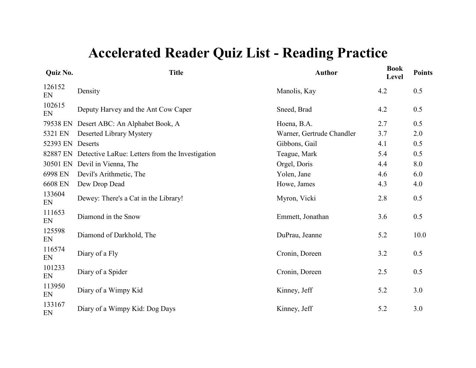| Quiz No.     | <b>Title</b>                                    | <b>Author</b>             | <b>Book</b><br>Level | <b>Points</b> |
|--------------|-------------------------------------------------|---------------------------|----------------------|---------------|
| 126152<br>EN | Density                                         | Manolis, Kay              | 4.2                  | 0.5           |
| 102615<br>EN | Deputy Harvey and the Ant Cow Caper             | Sneed, Brad               | 4.2                  | 0.5           |
| 79538 EN     | Desert ABC: An Alphabet Book, A                 | Hoena, B.A.               | 2.7                  | 0.5           |
| 5321 EN      | Deserted Library Mystery                        | Warner, Gertrude Chandler | 3.7                  | 2.0           |
| 52393 EN     | Deserts                                         | Gibbons, Gail             | 4.1                  | 0.5           |
| 82887 EN     | Detective LaRue: Letters from the Investigation | Teague, Mark              | 5.4                  | 0.5           |
| 30501 EN     | Devil in Vienna, The                            | Orgel, Doris              | 4.4                  | 8.0           |
| 6998 EN      | Devil's Arithmetic, The                         | Yolen, Jane               | 4.6                  | 6.0           |
| 6608 EN      | Dew Drop Dead                                   | Howe, James               | 4.3                  | 4.0           |
| 133604<br>EN | Dewey: There's a Cat in the Library!            | Myron, Vicki              | 2.8                  | 0.5           |
| 111653<br>EN | Diamond in the Snow                             | Emmett, Jonathan          | 3.6                  | 0.5           |
| 125598<br>EN | Diamond of Darkhold, The                        | DuPrau, Jeanne            | 5.2                  | 10.0          |
| 116574<br>EN | Diary of a Fly                                  | Cronin, Doreen            | 3.2                  | 0.5           |
| 101233<br>EN | Diary of a Spider                               | Cronin, Doreen            | 2.5                  | 0.5           |
| 113950<br>EN | Diary of a Wimpy Kid                            | Kinney, Jeff              | 5.2                  | 3.0           |
| 133167<br>EN | Diary of a Wimpy Kid: Dog Days                  | Kinney, Jeff              | 5.2                  | 3.0           |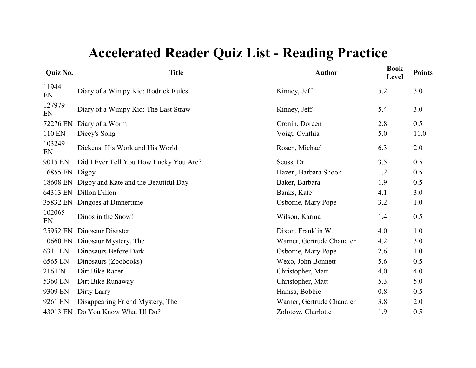| <b>Quiz No.</b> | <b>Title</b>                                  | <b>Author</b>             | <b>Book</b><br><b>Level</b> | <b>Points</b> |
|-----------------|-----------------------------------------------|---------------------------|-----------------------------|---------------|
| 119441<br>EN    | Diary of a Wimpy Kid: Rodrick Rules           | Kinney, Jeff              | 5.2                         | 3.0           |
| 127979<br>EN    | Diary of a Wimpy Kid: The Last Straw          | Kinney, Jeff              | 5.4                         | 3.0           |
| 72276 EN        | Diary of a Worm                               | Cronin, Doreen            | 2.8                         | 0.5           |
| 110 EN          | Dicey's Song                                  | Voigt, Cynthia            | 5.0                         | 11.0          |
| 103249<br>EN    | Dickens: His Work and His World               | Rosen, Michael            | 6.3                         | 2.0           |
| 9015 EN         | Did I Ever Tell You How Lucky You Are?        | Seuss, Dr.                | 3.5                         | 0.5           |
| 16855 EN Digby  |                                               | Hazen, Barbara Shook      | 1.2                         | 0.5           |
|                 | 18608 EN Digby and Kate and the Beautiful Day | Baker, Barbara            | 1.9                         | 0.5           |
|                 | 64313 EN Dillon Dillon                        | Banks, Kate               | 4.1                         | 3.0           |
|                 | 35832 EN Dingoes at Dinnertime                | Osborne, Mary Pope        | 3.2                         | 1.0           |
| 102065<br>EN    | Dinos in the Snow!                            | Wilson, Karma             | 1.4                         | 0.5           |
| 25952 EN        | Dinosaur Disaster                             | Dixon, Franklin W.        | 4.0                         | 1.0           |
| 10660 EN        | Dinosaur Mystery, The                         | Warner, Gertrude Chandler | 4.2                         | 3.0           |
| 6311 EN         | Dinosaurs Before Dark                         | Osborne, Mary Pope        | 2.6                         | 1.0           |
| 6565 EN         | Dinosaurs (Zoobooks)                          | Wexo, John Bonnett        | 5.6                         | 0.5           |
| 216 EN          | Dirt Bike Racer                               | Christopher, Matt         | 4.0                         | 4.0           |
| 5360 EN         | Dirt Bike Runaway                             | Christopher, Matt         | 5.3                         | 5.0           |
| 9309 EN         | Dirty Larry                                   | Hamsa, Bobbie             | 0.8                         | 0.5           |
| 9261 EN         | Disappearing Friend Mystery, The              | Warner, Gertrude Chandler | 3.8                         | 2.0           |
|                 | 43013 EN Do You Know What I'll Do?            | Zolotow, Charlotte        | 1.9                         | 0.5           |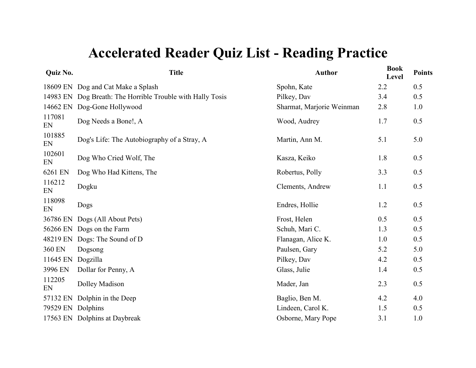| <b>Title</b>                                               | <b>Author</b>             | <b>Book</b><br>Level | <b>Points</b> |
|------------------------------------------------------------|---------------------------|----------------------|---------------|
| 18609 EN Dog and Cat Make a Splash                         | Spohn, Kate               | 2.2                  | 0.5           |
| 14983 EN Dog Breath: The Horrible Trouble with Hally Tosis | Pilkey, Dav               | 3.4                  | 0.5           |
| Dog-Gone Hollywood                                         | Sharmat, Marjorie Weinman | 2.8                  | 1.0           |
| Dog Needs a Bone!, A                                       | Wood, Audrey              | 1.7                  | 0.5           |
| Dog's Life: The Autobiography of a Stray, A                | Martin, Ann M.            | 5.1                  | 5.0           |
| Dog Who Cried Wolf, The                                    | Kasza, Keiko              | 1.8                  | 0.5           |
| Dog Who Had Kittens, The                                   | Robertus, Polly           | 3.3                  | 0.5           |
| Dogku                                                      | Clements, Andrew          | 1.1                  | 0.5           |
| Dogs                                                       | Endres, Hollie            | 1.2                  | 0.5           |
| Dogs (All About Pets)                                      | Frost, Helen              | 0.5                  | 0.5           |
| 56266 EN<br>Dogs on the Farm                               | Schuh, Mari C.            | 1.3                  | 0.5           |
| Dogs: The Sound of D                                       | Flanagan, Alice K.        | 1.0                  | 0.5           |
| Dogsong                                                    | Paulsen, Gary             | 5.2                  | 5.0           |
| Dogzilla                                                   | Pilkey, Dav               | 4.2                  | 0.5           |
| Dollar for Penny, A                                        | Glass, Julie              | 1.4                  | 0.5           |
| Dolley Madison                                             | Mader, Jan                | 2.3                  | 0.5           |
| Dolphin in the Deep                                        | Baglio, Ben M.            | 4.2                  | 4.0           |
| Dolphins                                                   | Lindeen, Carol K.         | 1.5                  | 0.5           |
| 17563 EN Dolphins at Daybreak                              | Osborne, Mary Pope        | 3.1                  | 1.0           |
|                                                            |                           |                      |               |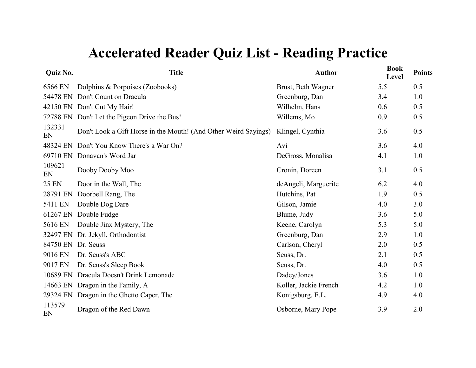| Quiz No.           | <b>Title</b>                                                    | <b>Author</b>         | <b>Book</b><br>Level | <b>Points</b> |
|--------------------|-----------------------------------------------------------------|-----------------------|----------------------|---------------|
| 6566 EN            | Dolphins & Porpoises (Zoobooks)                                 | Brust, Beth Wagner    | 5.5                  | 0.5           |
| 54478 EN           | Don't Count on Dracula                                          | Greenburg, Dan        | 3.4                  | 1.0           |
|                    | 42150 EN Don't Cut My Hair!                                     | Wilhelm, Hans         | 0.6                  | 0.5           |
| 72788 EN           | Don't Let the Pigeon Drive the Bus!                             | Willems, Mo           | 0.9                  | 0.5           |
| 132331<br>EN       | Don't Look a Gift Horse in the Mouth! (And Other Weird Sayings) | Klingel, Cynthia      | 3.6                  | 0.5           |
| 48324 EN           | Don't You Know There's a War On?                                | Avi                   | 3.6                  | 4.0           |
| 69710 EN           | Donavan's Word Jar                                              | DeGross, Monalisa     | 4.1                  | 1.0           |
| 109621<br>EN       | Dooby Dooby Moo                                                 | Cronin, Doreen        | 3.1                  | 0.5           |
| 25 EN              | Door in the Wall, The                                           | deAngeli, Marguerite  | 6.2                  | 4.0           |
| 28791 EN           | Doorbell Rang, The                                              | Hutchins, Pat         | 1.9                  | 0.5           |
| 5411 EN            | Double Dog Dare                                                 | Gilson, Jamie         | 4.0                  | 3.0           |
| 61267 EN           | Double Fudge                                                    | Blume, Judy           | 3.6                  | 5.0           |
| 5616 EN            | Double Jinx Mystery, The                                        | Keene, Carolyn        | 5.3                  | 5.0           |
| 32497 EN           | Dr. Jekyll, Orthodontist                                        | Greenburg, Dan        | 2.9                  | 1.0           |
| 84750 EN Dr. Seuss |                                                                 | Carlson, Cheryl       | 2.0                  | 0.5           |
| 9016 EN            | Dr. Seuss's ABC                                                 | Seuss, Dr.            | 2.1                  | 0.5           |
| 9017 EN            | Dr. Seuss's Sleep Book                                          | Seuss, Dr.            | 4.0                  | 0.5           |
| 10689 EN           | Dracula Doesn't Drink Lemonade                                  | Dadey/Jones           | 3.6                  | 1.0           |
|                    | 14663 EN Dragon in the Family, A                                | Koller, Jackie French | 4.2                  | 1.0           |
|                    | 29324 EN Dragon in the Ghetto Caper, The                        | Konigsburg, E.L.      | 4.9                  | 4.0           |
| 113579<br>EN       | Dragon of the Red Dawn                                          | Osborne, Mary Pope    | 3.9                  | 2.0           |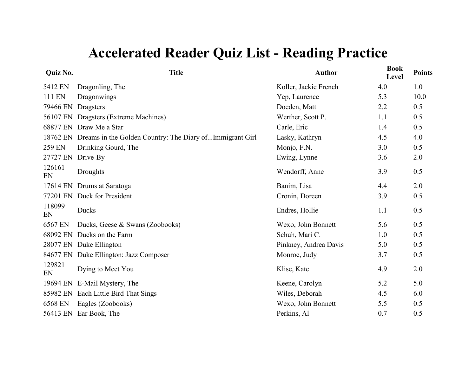| <b>Quiz No.</b> | <b>Title</b>                                                      | <b>Author</b>         | <b>Book</b><br>Level | <b>Points</b> |
|-----------------|-------------------------------------------------------------------|-----------------------|----------------------|---------------|
| 5412 EN         | Dragonling, The                                                   | Koller, Jackie French | 4.0                  | 1.0           |
| 111 EN          | Dragonwings                                                       | Yep, Laurence         | 5.3                  | 10.0          |
| 79466 EN        | Dragsters                                                         | Doeden, Matt          | 2.2                  | 0.5           |
|                 | 56107 EN Dragsters (Extreme Machines)                             | Werther, Scott P.     | 1.1                  | 0.5           |
|                 | 68877 EN Draw Me a Star                                           | Carle, Eric           | 1.4                  | 0.5           |
|                 | 18762 EN Dreams in the Golden Country: The Diary ofImmigrant Girl | Lasky, Kathryn        | 4.5                  | 4.0           |
| 259 EN          | Drinking Gourd, The                                               | Monjo, F.N.           | 3.0                  | 0.5           |
| 27727 EN        | Drive-By                                                          | Ewing, Lynne          | 3.6                  | 2.0           |
| 126161<br>EN    | Droughts                                                          | Wendorff, Anne        | 3.9                  | 0.5           |
|                 | 17614 EN Drums at Saratoga                                        | Banim, Lisa           | 4.4                  | 2.0           |
|                 | 77201 EN Duck for President                                       | Cronin, Doreen        | 3.9                  | 0.5           |
| 118099<br>EN    | Ducks                                                             | Endres, Hollie        | 1.1                  | 0.5           |
| 6567 EN         | Ducks, Geese & Swans (Zoobooks)                                   | Wexo, John Bonnett    | 5.6                  | 0.5           |
| 68092 EN        | Ducks on the Farm                                                 | Schuh, Mari C.        | 1.0                  | 0.5           |
|                 | 28077 EN Duke Ellington                                           | Pinkney, Andrea Davis | 5.0                  | 0.5           |
|                 | 84677 EN Duke Ellington: Jazz Composer                            | Monroe, Judy          | 3.7                  | 0.5           |
| 129821<br>EN    | Dying to Meet You                                                 | Klise, Kate           | 4.9                  | 2.0           |
|                 | 19694 EN E-Mail Mystery, The                                      | Keene, Carolyn        | 5.2                  | 5.0           |
|                 | 85982 EN Each Little Bird That Sings                              | Wiles, Deborah        | 4.5                  | 6.0           |
| 6568 EN         | Eagles (Zoobooks)                                                 | Wexo, John Bonnett    | 5.5                  | 0.5           |
|                 | 56413 EN Ear Book, The                                            | Perkins, Al           | 0.7                  | 0.5           |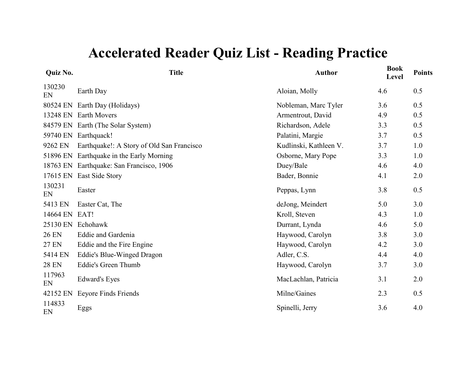| Quiz No.      | <b>Title</b>                              | <b>Author</b>          | <b>Book</b><br>Level | <b>Points</b> |
|---------------|-------------------------------------------|------------------------|----------------------|---------------|
| 130230<br>EN  | Earth Day                                 | Aloian, Molly          | 4.6                  | 0.5           |
|               | 80524 EN Earth Day (Holidays)             | Nobleman, Marc Tyler   | 3.6                  | 0.5           |
| 13248 EN      | <b>Earth Movers</b>                       | Armentrout, David      | 4.9                  | 0.5           |
|               | 84579 EN Earth (The Solar System)         | Richardson, Adele      | 3.3                  | 0.5           |
|               | 59740 EN Earthquack!                      | Palatini, Margie       | 3.7                  | 0.5           |
| 9262 EN       | Earthquake!: A Story of Old San Francisco | Kudlinski, Kathleen V. | 3.7                  | 1.0           |
|               | 51896 EN Earthquake in the Early Morning  | Osborne, Mary Pope     | 3.3                  | 1.0           |
|               | 18763 EN Earthquake: San Francisco, 1906  | Duey/Bale              | 4.6                  | 4.0           |
|               | 17615 EN East Side Story                  | Bader, Bonnie          | 4.1                  | 2.0           |
| 130231<br>EN  | Easter                                    | Peppas, Lynn           | 3.8                  | 0.5           |
| 5413 EN       | Easter Cat, The                           | deJong, Meindert       | 5.0                  | 3.0           |
| 14664 EN EAT! |                                           | Kroll, Steven          | 4.3                  | 1.0           |
|               | 25130 EN Echohawk                         | Durrant, Lynda         | 4.6                  | 5.0           |
| <b>26 EN</b>  | Eddie and Gardenia                        | Haywood, Carolyn       | 3.8                  | 3.0           |
| <b>27 EN</b>  | Eddie and the Fire Engine                 | Haywood, Carolyn       | 4.2                  | 3.0           |
| 5414 EN       | Eddie's Blue-Winged Dragon                | Adler, C.S.            | 4.4                  | 4.0           |
| <b>28 EN</b>  | Eddie's Green Thumb                       | Haywood, Carolyn       | 3.7                  | 3.0           |
| 117963<br>EN  | <b>Edward's Eyes</b>                      | MacLachlan, Patricia   | 3.1                  | 2.0           |
| 42152 EN      | Eeyore Finds Friends                      | Milne/Gaines           | 2.3                  | 0.5           |
| 114833<br>EN  | Eggs                                      | Spinelli, Jerry        | 3.6                  | 4.0           |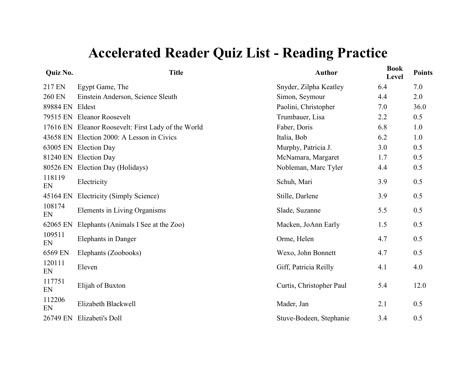| Quiz No.        | <b>Title</b>                                        | <b>Author</b>            | <b>Book</b><br>Level | <b>Points</b> |
|-----------------|-----------------------------------------------------|--------------------------|----------------------|---------------|
| 217 EN          | Egypt Game, The                                     | Snyder, Zilpha Keatley   | 6.4                  | 7.0           |
| 260 EN          | Einstein Anderson, Science Sleuth                   | Simon, Seymour           | 4.4                  | 2.0           |
| 89884 EN Eldest |                                                     | Paolini, Christopher     | 7.0                  | 36.0          |
|                 | 79515 EN Eleanor Roosevelt                          | Trumbauer, Lisa          | 2.2                  | 0.5           |
|                 | 17616 EN Eleanor Roosevelt: First Lady of the World | Faber, Doris             | 6.8                  | 1.0           |
|                 | 43658 EN Election 2000: A Lesson in Civics          | Italia, Bob              | 6.2                  | 1.0           |
|                 | 63005 EN Election Day                               | Murphy, Patricia J.      | 3.0                  | 0.5           |
|                 | 81240 EN Election Day                               | McNamara, Margaret       | 1.7                  | 0.5           |
|                 | 80526 EN Election Day (Holidays)                    | Nobleman, Marc Tyler     | 4.4                  | 0.5           |
| 118119<br>EN    | Electricity                                         | Schuh, Mari              | 3.9                  | 0.5           |
| 45164 EN        | Electricity (Simply Science)                        | Stille, Darlene          | 3.9                  | 0.5           |
| 108174<br>EN    | Elements in Living Organisms                        | Slade, Suzanne           | 5.5                  | 0.5           |
| 62065 EN        | Elephants (Animals I See at the Zoo)                | Macken, JoAnn Early      | 1.5                  | 0.5           |
| 109511<br>EN    | <b>Elephants in Danger</b>                          | Orme, Helen              | 4.7                  | 0.5           |
| 6569 EN         | Elephants (Zoobooks)                                | Wexo, John Bonnett       | 4.7                  | 0.5           |
| 120111<br>EN    | Eleven                                              | Giff, Patricia Reilly    | 4.1                  | 4.0           |
| 117751<br>EN    | Elijah of Buxton                                    | Curtis, Christopher Paul | 5.4                  | 12.0          |
| 112206<br>EN    | Elizabeth Blackwell                                 | Mader, Jan               | 2.1                  | 0.5           |
| 26749 EN        | Elizabeti's Doll                                    | Stuve-Bodeen, Stephanie  | 3.4                  | 0.5           |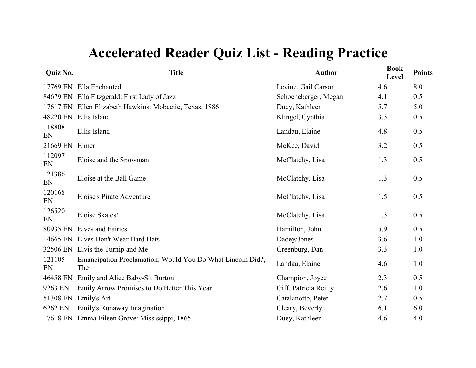| <b>Quiz No.</b> | <b>Title</b>                                                      | <b>Author</b>         | <b>Book</b><br>Level | <b>Points</b> |
|-----------------|-------------------------------------------------------------------|-----------------------|----------------------|---------------|
|                 | 17769 EN Ella Enchanted                                           | Levine, Gail Carson   | 4.6                  | 8.0           |
|                 | 84679 EN Ella Fitzgerald: First Lady of Jazz                      | Schoeneberger, Megan  | 4.1                  | 0.5           |
|                 | 17617 EN Ellen Elizabeth Hawkins: Mobeetie, Texas, 1886           | Duey, Kathleen        | 5.7                  | 5.0           |
| 48220 EN        | Ellis Island                                                      | Klingel, Cynthia      | 3.3                  | 0.5           |
| 118808<br>EN    | Ellis Island                                                      | Landau, Elaine        | 4.8                  | 0.5           |
| 21669 EN        | Elmer                                                             | McKee, David          | 3.2                  | 0.5           |
| 112097<br>EN    | Eloise and the Snowman                                            | McClatchy, Lisa       | 1.3                  | 0.5           |
| 121386<br>EN    | Eloise at the Ball Game                                           | McClatchy, Lisa       | 1.3                  | 0.5           |
| 120168<br>EN    | Eloise's Pirate Adventure                                         | McClatchy, Lisa       | 1.5                  | 0.5           |
| 126520<br>EN    | Eloise Skates!                                                    | McClatchy, Lisa       | 1.3                  | 0.5           |
| 80935 EN        | Elves and Fairies                                                 | Hamilton, John        | 5.9                  | 0.5           |
|                 | 14665 EN Elves Don't Wear Hard Hats                               | Dadey/Jones           | 3.6                  | 1.0           |
|                 | 32506 EN Elvis the Turnip and Me                                  | Greenburg, Dan        | 3.3                  | 1.0           |
| 121105<br>EN    | Emancipation Proclamation: Would You Do What Lincoln Did?,<br>The | Landau, Elaine        | 4.6                  | 1.0           |
| 46458 EN        | Emily and Alice Baby-Sit Burton                                   | Champion, Joyce       | 2.3                  | 0.5           |
| 9263 EN         | Emily Arrow Promises to Do Better This Year                       | Giff, Patricia Reilly | 2.6                  | 1.0           |
| 51308 EN        | Emily's Art                                                       | Catalanotto, Peter    | 2.7                  | 0.5           |
| 6262 EN         | Emily's Runaway Imagination                                       | Cleary, Beverly       | 6.1                  | 6.0           |
|                 | 17618 EN Emma Eileen Grove: Mississippi, 1865                     | Duey, Kathleen        | 4.6                  | 4.0           |
|                 |                                                                   |                       |                      |               |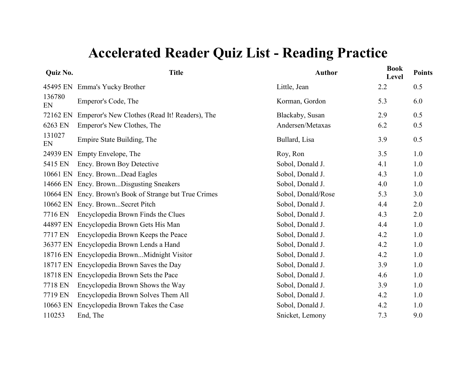| Quiz No.     | <b>Title</b>                                           | <b>Author</b>      | <b>Book</b><br>Level | <b>Points</b> |
|--------------|--------------------------------------------------------|--------------------|----------------------|---------------|
|              | 45495 EN Emma's Yucky Brother                          | Little, Jean       | 2.2                  | 0.5           |
| 136780<br>EN | Emperor's Code, The                                    | Korman, Gordon     | 5.3                  | 6.0           |
| 72162 EN     | Emperor's New Clothes (Read It! Readers), The          | Blackaby, Susan    | 2.9                  | 0.5           |
| 6263 EN      | Emperor's New Clothes, The                             | Andersen/Metaxas   | 6.2                  | 0.5           |
| 131027<br>EN | Empire State Building, The                             | Bullard, Lisa      | 3.9                  | 0.5           |
| 24939 EN     | Empty Envelope, The                                    | Roy, Ron           | 3.5                  | 1.0           |
| 5415 EN      | Ency. Brown Boy Detective                              | Sobol, Donald J.   | 4.1                  | 1.0           |
| 10661 EN     | Ency. BrownDead Eagles                                 | Sobol, Donald J.   | 4.3                  | 1.0           |
| 14666 EN     | Ency. BrownDisgusting Sneakers                         | Sobol, Donald J.   | 4.0                  | 1.0           |
|              | 10664 EN Ency. Brown's Book of Strange but True Crimes | Sobol, Donald/Rose | 5.3                  | 3.0           |
| 10662 EN     | Ency. BrownSecret Pitch                                | Sobol, Donald J.   | 4.4                  | 2.0           |
| 7716 EN      | Encyclopedia Brown Finds the Clues                     | Sobol, Donald J.   | 4.3                  | 2.0           |
| 44897 EN     | Encyclopedia Brown Gets His Man                        | Sobol, Donald J.   | 4.4                  | 1.0           |
| 7717 EN      | Encyclopedia Brown Keeps the Peace                     | Sobol, Donald J.   | 4.2                  | 1.0           |
| 36377 EN     | Encyclopedia Brown Lends a Hand                        | Sobol, Donald J.   | 4.2                  | 1.0           |
| 18716 EN     | Encyclopedia BrownMidnight Visitor                     | Sobol, Donald J.   | 4.2                  | 1.0           |
| 18717 EN     | Encyclopedia Brown Saves the Day                       | Sobol, Donald J.   | 3.9                  | 1.0           |
| 18718 EN     | Encyclopedia Brown Sets the Pace                       | Sobol, Donald J.   | 4.6                  | 1.0           |
| 7718 EN      | Encyclopedia Brown Shows the Way                       | Sobol, Donald J.   | 3.9                  | 1.0           |
| 7719 EN      | Encyclopedia Brown Solves Them All                     | Sobol, Donald J.   | 4.2                  | 1.0           |
| 10663 EN     | Encyclopedia Brown Takes the Case                      | Sobol, Donald J.   | 4.2                  | 1.0           |
| 110253       | End, The                                               | Snicket, Lemony    | 7.3                  | 9.0           |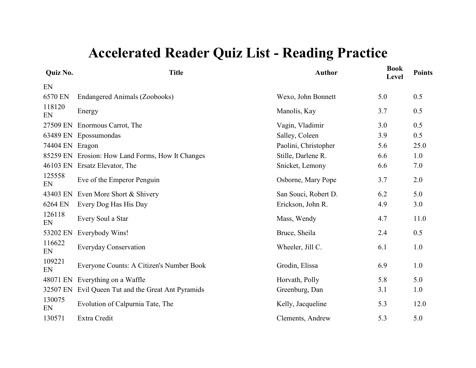| Quiz No.     | <b>Title</b>                              | <b>Author</b>        | <b>Book</b><br>Level | <b>Points</b> |
|--------------|-------------------------------------------|----------------------|----------------------|---------------|
| EN           |                                           |                      |                      |               |
| 6570 EN      | Endangered Animals (Zoobooks)             | Wexo, John Bonnett   | 5.0                  | 0.5           |
| 118120<br>EN | Energy                                    | Manolis, Kay         | 3.7                  | 0.5           |
| 27509 EN     | Enormous Carrot, The                      | Vagin, Vladimir      | 3.0                  | 0.5           |
| 63489 EN     | Epossumondas                              | Salley, Coleen       | 3.9                  | 0.5           |
| 74404 EN     | Eragon                                    | Paolini, Christopher | 5.6                  | 25.0          |
| 85259 EN     | Erosion: How Land Forms, How It Changes   | Stille, Darlene R.   | 6.6                  | 1.0           |
| 46103 EN     | Ersatz Elevator, The                      | Snicket, Lemony      | 6.6                  | 7.0           |
| 125558<br>EN | Eve of the Emperor Penguin                | Osborne, Mary Pope   | 3.7                  | 2.0           |
| 43403 EN     | Even More Short & Shivery                 | San Souci, Robert D. | 6.2                  | 5.0           |
| 6264 EN      | Every Dog Has His Day                     | Erickson, John R.    | 4.9                  | 3.0           |
| 126118<br>EN | Every Soul a Star                         | Mass, Wendy          | 4.7                  | 11.0          |
| 53202 EN     | Everybody Wins!                           | Bruce, Sheila        | 2.4                  | 0.5           |
| 116622<br>EN | <b>Everyday Conservation</b>              | Wheeler, Jill C.     | 6.1                  | 1.0           |
| 109221<br>EN | Everyone Counts: A Citizen's Number Book  | Grodin, Elissa       | 6.9                  | 1.0           |
| 48071 EN     | Everything on a Waffle                    | Horvath, Polly       | 5.8                  | 5.0           |
| 32507 EN     | Evil Queen Tut and the Great Ant Pyramids | Greenburg, Dan       | 3.1                  | 1.0           |
| 130075<br>EN | Evolution of Calpurnia Tate, The          | Kelly, Jacqueline    | 5.3                  | 12.0          |
| 130571       | Extra Credit                              | Clements, Andrew     | 5.3                  | 5.0           |
|              |                                           |                      |                      |               |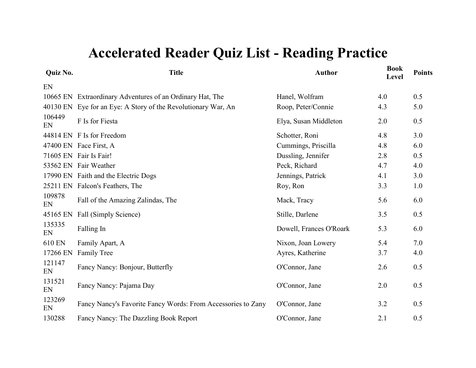| <b>Book</b><br>Level | <b>Points</b> |
|----------------------|---------------|
|                      |               |
| 4.0                  | 0.5           |
| 4.3                  | 5.0           |
| 2.0                  | 0.5           |
| 4.8                  | 3.0           |
| 4.8                  | 6.0           |
| 2.8                  | 0.5           |
| 4.7                  | 4.0           |
| 4.1                  | 3.0           |
| 3.3                  | 1.0           |
| 5.6                  | 6.0           |
| 3.5                  | 0.5           |
| 5.3                  | 6.0           |
| 5.4                  | 7.0           |
| 3.7                  | 4.0           |
| 2.6                  | 0.5           |
| 2.0                  | 0.5           |
| 3.2                  | 0.5           |
| 2.1                  | 0.5           |
|                      |               |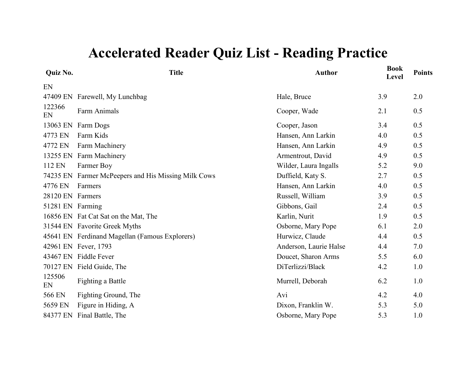| Quiz No.         | <b>Title</b>                                   | <b>Author</b>          | <b>Book</b><br>Level | <b>Points</b> |
|------------------|------------------------------------------------|------------------------|----------------------|---------------|
| EN               |                                                |                        |                      |               |
| 47409 EN         | Farewell, My Lunchbag                          | Hale, Bruce            | 3.9                  | 2.0           |
| 122366<br>EN     | <b>Farm Animals</b>                            | Cooper, Wade           | 2.1                  | 0.5           |
| 13063 EN         | Farm Dogs                                      | Cooper, Jason          | 3.4                  | 0.5           |
| 4773 EN          | Farm Kids                                      | Hansen, Ann Larkin     | 4.0                  | 0.5           |
| 4772 EN          | Farm Machinery                                 | Hansen, Ann Larkin     | 4.9                  | 0.5           |
| 13255 EN         | Farm Machinery                                 | Armentrout, David      | 4.9                  | 0.5           |
| 112 EN           | Farmer Boy                                     | Wilder, Laura Ingalls  | 5.2                  | 9.0           |
| 74235 EN         | Farmer McPeepers and His Missing Milk Cows     | Duffield, Katy S.      | 2.7                  | 0.5           |
| 4776 EN          | Farmers                                        | Hansen, Ann Larkin     | 4.0                  | 0.5           |
| 28120 EN         | Farmers                                        | Russell, William       | 3.9                  | 0.5           |
| 51281 EN Farming |                                                | Gibbons, Gail          | 2.4                  | 0.5           |
|                  | 16856 EN Fat Cat Sat on the Mat, The           | Karlin, Nurit          | 1.9                  | 0.5           |
|                  | 31544 EN Favorite Greek Myths                  | Osborne, Mary Pope     | 6.1                  | 2.0           |
|                  | 45641 EN Ferdinand Magellan (Famous Explorers) | Hurwicz, Claude        | 4.4                  | 0.5           |
|                  | 42961 EN Fever, 1793                           | Anderson, Laurie Halse | 4.4                  | 7.0           |
| 43467 EN         | <b>Fiddle Fever</b>                            | Doucet, Sharon Arms    | 5.5                  | 6.0           |
|                  | 70127 EN Field Guide, The                      | DiTerlizzi/Black       | 4.2                  | 1.0           |
| 125506<br>EN     | <b>Fighting a Battle</b>                       | Murrell, Deborah       | 6.2                  | 1.0           |
| 566 EN           | Fighting Ground, The                           | Avi                    | 4.2                  | 4.0           |
| 5659 EN          | Figure in Hiding, A                            | Dixon, Franklin W.     | 5.3                  | 5.0           |
| 84377 EN         | Final Battle, The                              | Osborne, Mary Pope     | 5.3                  | 1.0           |
|                  |                                                |                        |                      |               |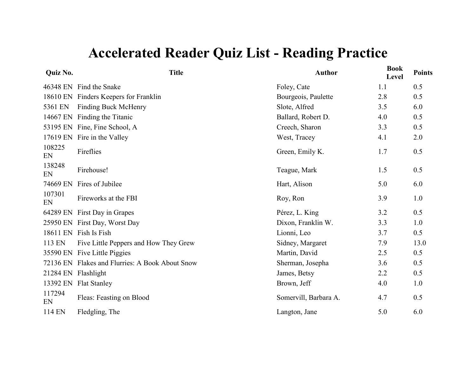| <b>Title</b>                                    | <b>Author</b>         | <b>Book</b><br>Level | <b>Points</b> |
|-------------------------------------------------|-----------------------|----------------------|---------------|
| 46348 EN Find the Snake                         | Foley, Cate           | 1.1                  | 0.5           |
| Finders Keepers for Franklin                    | Bourgeois, Paulette   | 2.8                  | 0.5           |
| <b>Finding Buck McHenry</b>                     | Slote, Alfred         | 3.5                  | 6.0           |
| Finding the Titanic                             | Ballard, Robert D.    | 4.0                  | 0.5           |
| 53195 EN Fine, Fine School, A                   | Creech, Sharon        | 3.3                  | 0.5           |
| Fire in the Valley                              | West, Tracey          | 4.1                  | 2.0           |
| Fireflies                                       | Green, Emily K.       | 1.7                  | 0.5           |
| Firehouse!                                      | Teague, Mark          | 1.5                  | 0.5           |
| Fires of Jubilee                                | Hart, Alison          | 5.0                  | 6.0           |
| Fireworks at the FBI                            | Roy, Ron              | 3.9                  | 1.0           |
| First Day in Grapes                             | Pérez, L. King        | 3.2                  | 0.5           |
| 25950 EN First Day, Worst Day                   | Dixon, Franklin W.    | 3.3                  | 1.0           |
| 18611 EN Fish Is Fish                           | Lionni, Leo           | 3.7                  | 0.5           |
| Five Little Peppers and How They Grew           | Sidney, Margaret      | 7.9                  | 13.0          |
| Five Little Piggies                             | Martin, David         | 2.5                  | 0.5           |
| 72136 EN Flakes and Flurries: A Book About Snow | Sherman, Josepha      | 3.6                  | 0.5           |
| Flashlight                                      | James, Betsy          | 2.2                  | 0.5           |
| <b>Flat Stanley</b>                             | Brown, Jeff           | 4.0                  | 1.0           |
| Fleas: Feasting on Blood                        | Somervill, Barbara A. | 4.7                  | 0.5           |
| Fledgling, The                                  | Langton, Jane         | 5.0                  | 6.0           |
|                                                 |                       |                      |               |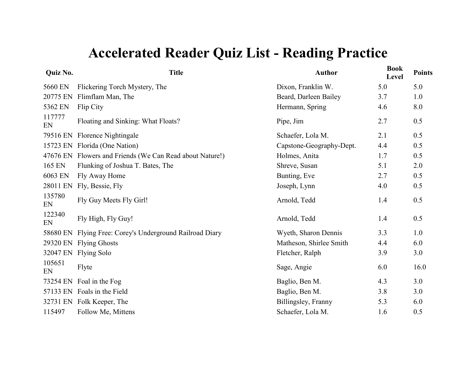| <b>Quiz No.</b> | <b>Title</b>                                             | <b>Author</b>            | <b>Book</b><br>Level | <b>Points</b> |
|-----------------|----------------------------------------------------------|--------------------------|----------------------|---------------|
| 5660 EN         | Flickering Torch Mystery, The                            | Dixon, Franklin W.       | 5.0                  | 5.0           |
| 20775 EN        | Flimflam Man, The                                        | Beard, Darleen Bailey    | 3.7                  | 1.0           |
| 5362 EN         | Flip City                                                | Hermann, Spring          | 4.6                  | 8.0           |
| 117777<br>EN    | Floating and Sinking: What Floats?                       | Pipe, Jim                | 2.7                  | 0.5           |
| 79516 EN        | Florence Nightingale                                     | Schaefer, Lola M.        | 2.1                  | 0.5           |
| 15723 EN        | Florida (One Nation)                                     | Capstone-Geography-Dept. | 4.4                  | 0.5           |
|                 | 47676 EN Flowers and Friends (We Can Read about Nature!) | Holmes, Anita            | 1.7                  | 0.5           |
| 165 EN          | Flunking of Joshua T. Bates, The                         | Shreve, Susan            | 5.1                  | 2.0           |
| 6063 EN         | Fly Away Home                                            | Bunting, Eve             | 2.7                  | 0.5           |
| 28011 EN        | Fly, Bessie, Fly                                         | Joseph, Lynn             | 4.0                  | 0.5           |
| 135780<br>EN    | Fly Guy Meets Fly Girl!                                  | Arnold, Tedd             | 1.4                  | 0.5           |
| 122340<br>EN    | Fly High, Fly Guy!                                       | Arnold, Tedd             | 1.4                  | 0.5           |
| 58680 EN        | Flying Free: Corey's Underground Railroad Diary          | Wyeth, Sharon Dennis     | 3.3                  | 1.0           |
| 29320 EN        | <b>Flying Ghosts</b>                                     | Matheson, Shirlee Smith  | 4.4                  | 6.0           |
| 32047 EN        | <b>Flying Solo</b>                                       | Fletcher, Ralph          | 3.9                  | 3.0           |
| 105651<br>EN    | Flyte                                                    | Sage, Angie              | 6.0                  | 16.0          |
|                 | 73254 EN Foal in the Fog                                 | Baglio, Ben M.           | 4.3                  | 3.0           |
|                 | 57133 EN Foals in the Field                              | Baglio, Ben M.           | 3.8                  | 3.0           |
|                 | 32731 EN Folk Keeper, The                                | Billingsley, Franny      | 5.3                  | 6.0           |
| 115497          | Follow Me, Mittens                                       | Schaefer, Lola M.        | 1.6                  | 0.5           |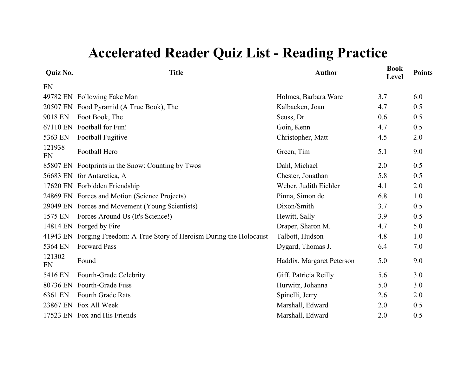| <b>Quiz No.</b> | <b>Title</b>                                                           | <b>Author</b>             | <b>Book</b><br>Level | <b>Points</b> |
|-----------------|------------------------------------------------------------------------|---------------------------|----------------------|---------------|
| EN              |                                                                        |                           |                      |               |
|                 | 49782 EN Following Fake Man                                            | Holmes, Barbara Ware      | 3.7                  | 6.0           |
|                 | 20507 EN Food Pyramid (A True Book), The                               | Kalbacken, Joan           | 4.7                  | 0.5           |
| 9018 EN         | Foot Book, The                                                         | Seuss, Dr.                | 0.6                  | 0.5           |
| 67110 EN        | Football for Fun!                                                      | Goin, Kenn                | 4.7                  | 0.5           |
| 5363 EN         | Football Fugitive                                                      | Christopher, Matt         | 4.5                  | 2.0           |
| 121938<br>EN    | Football Hero                                                          | Green, Tim                | 5.1                  | 9.0           |
|                 | 85807 EN Footprints in the Snow: Counting by Twos                      | Dahl, Michael             | 2.0                  | 0.5           |
|                 | 56683 EN for Antarctica, A                                             | Chester, Jonathan         | 5.8                  | 0.5           |
|                 | 17620 EN Forbidden Friendship                                          | Weber, Judith Eichler     | 4.1                  | 2.0           |
|                 | 24869 EN Forces and Motion (Science Projects)                          | Pinna, Simon de           | 6.8                  | 1.0           |
|                 | 29049 EN Forces and Movement (Young Scientists)                        | Dixon/Smith               | 3.7                  | 0.5           |
| 1575 EN         | Forces Around Us (It's Science!)                                       | Hewitt, Sally             | 3.9                  | 0.5           |
|                 | 14814 EN Forged by Fire                                                | Draper, Sharon M.         | 4.7                  | 5.0           |
|                 | 41943 EN Forging Freedom: A True Story of Heroism During the Holocaust | Talbott, Hudson           | 4.8                  | 1.0           |
| 5364 EN         | <b>Forward Pass</b>                                                    | Dygard, Thomas J.         | 6.4                  | 7.0           |
| 121302<br>EN    | Found                                                                  | Haddix, Margaret Peterson | 5.0                  | 9.0           |
| 5416 EN         | Fourth-Grade Celebrity                                                 | Giff, Patricia Reilly     | 5.6                  | 3.0           |
| 80736 EN        | <b>Fourth-Grade Fuss</b>                                               | Hurwitz, Johanna          | 5.0                  | 3.0           |
| 6361 EN         | Fourth Grade Rats                                                      | Spinelli, Jerry           | 2.6                  | 2.0           |
|                 | 23867 EN Fox All Week                                                  | Marshall, Edward          | 2.0                  | 0.5           |
|                 | 17523 EN Fox and His Friends                                           | Marshall, Edward          | 2.0                  | 0.5           |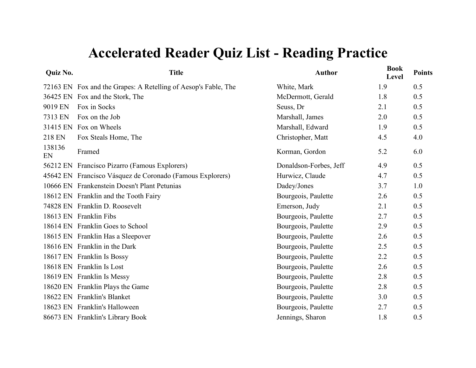| Quiz No.     | <b>Title</b>                                                   | <b>Author</b>          | <b>Book</b><br>Level | <b>Points</b> |
|--------------|----------------------------------------------------------------|------------------------|----------------------|---------------|
|              | 72163 EN Fox and the Grapes: A Retelling of Aesop's Fable, The | White, Mark            | 1.9                  | 0.5           |
|              | 36425 EN Fox and the Stork, The                                | McDermott, Gerald      | 1.8                  | 0.5           |
| 9019 EN      | Fox in Socks                                                   | Seuss, Dr              | 2.1                  | 0.5           |
| 7313 EN      | Fox on the Job                                                 | Marshall, James        | 2.0                  | 0.5           |
| 31415 EN     | Fox on Wheels                                                  | Marshall, Edward       | 1.9                  | 0.5           |
| 218 EN       | Fox Steals Home, The                                           | Christopher, Matt      | 4.5                  | 4.0           |
| 138136<br>EN | Framed                                                         | Korman, Gordon         | 5.2                  | 6.0           |
|              | 56212 EN Francisco Pizarro (Famous Explorers)                  | Donaldson-Forbes, Jeff | 4.9                  | 0.5           |
|              | 45642 EN Francisco Vásquez de Coronado (Famous Explorers)      | Hurwicz, Claude        | 4.7                  | 0.5           |
|              | 10666 EN Frankenstein Doesn't Plant Petunias                   | Dadey/Jones            | 3.7                  | 1.0           |
|              | 18612 EN Franklin and the Tooth Fairy                          | Bourgeois, Paulette    | 2.6                  | 0.5           |
|              | 74828 EN Franklin D. Roosevelt                                 | Emerson, Judy          | 2.1                  | 0.5           |
|              | 18613 EN Franklin Fibs                                         | Bourgeois, Paulette    | 2.7                  | 0.5           |
|              | 18614 EN Franklin Goes to School                               | Bourgeois, Paulette    | 2.9                  | 0.5           |
|              | 18615 EN Franklin Has a Sleepover                              | Bourgeois, Paulette    | 2.6                  | 0.5           |
|              | 18616 EN Franklin in the Dark                                  | Bourgeois, Paulette    | 2.5                  | 0.5           |
|              | 18617 EN Franklin Is Bossy                                     | Bourgeois, Paulette    | 2.2                  | 0.5           |
|              | 18618 EN Franklin Is Lost                                      | Bourgeois, Paulette    | 2.6                  | 0.5           |
|              | 18619 EN Franklin Is Messy                                     | Bourgeois, Paulette    | 2.8                  | 0.5           |
|              | 18620 EN Franklin Plays the Game                               | Bourgeois, Paulette    | 2.8                  | 0.5           |
|              | 18622 EN Franklin's Blanket                                    | Bourgeois, Paulette    | 3.0                  | 0.5           |
| 18623 EN     | Franklin's Halloween                                           | Bourgeois, Paulette    | 2.7                  | 0.5           |
|              | 86673 EN Franklin's Library Book                               | Jennings, Sharon       | 1.8                  | 0.5           |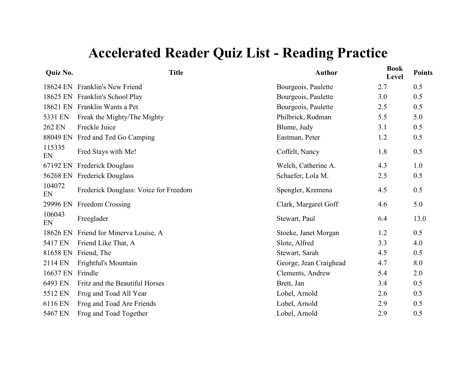| Quiz No.     | <b>Title</b>                          | <b>Author</b>          | <b>Book</b><br>Level | <b>Points</b> |
|--------------|---------------------------------------|------------------------|----------------------|---------------|
|              | 18624 EN Franklin's New Friend        | Bourgeois, Paulette    | 2.7                  | 0.5           |
|              | 18625 EN Franklin's School Play       | Bourgeois, Paulette    | 3.0                  | 0.5           |
|              | 18621 EN Franklin Wants a Pet         | Bourgeois, Paulette    | 2.5                  | 0.5           |
| 5331 EN      | Freak the Mighty/The Mighty           | Philbrick, Rodman      | 5.5                  | 5.0           |
| 262 EN       | Freckle Juice                         | Blume, Judy            | 3.1                  | 0.5           |
| 88049 EN     | Fred and Ted Go Camping               | Eastman, Peter         | 1.2                  | 0.5           |
| 115335<br>EN | Fred Stays with Me!                   | Coffelt, Nancy         | 1.8                  | 0.5           |
| 67192 EN     | <b>Frederick Douglass</b>             | Welch, Catherine A.    | 4.3                  | 1.0           |
|              | 56268 EN Frederick Douglass           | Schaefer, Lola M.      | 2.5                  | 0.5           |
| 104072<br>EN | Frederick Douglass: Voice for Freedom | Spengler, Kremena      | 4.5                  | 0.5           |
| 29996 EN     | Freedom Crossing                      | Clark, Margaret Goff   | 4.6                  | 5.0           |
| 106043<br>EN | Freeglader                            | Stewart, Paul          | 6.4                  | 13.0          |
| 18626 EN     | Friend for Minerva Louise, A          | Stoeke, Janet Morgan   | 1.2                  | 0.5           |
| 5417 EN      | Friend Like That, A                   | Slote, Alfred          | 3.3                  | 4.0           |
|              | 81658 EN Friend, The                  | Stewart, Sarah         | 4.5                  | 0.5           |
| 2114 EN      | Frightful's Mountain                  | George, Jean Craighead | 4.7                  | 8.0           |
| 16637 EN     | Frindle                               | Clements, Andrew       | 5.4                  | 2.0           |
| 6493 EN      | Fritz and the Beautiful Horses        | Brett, Jan             | 3.4                  | 0.5           |
| 5512 EN      | Frog and Toad All Year                | Lobel, Arnold          | 2.6                  | 0.5           |
| 6116 EN      | Frog and Toad Are Friends             | Lobel, Arnold          | 2.9                  | 0.5           |
| 5467 EN      | Frog and Toad Together                | Lobel, Arnold          | 2.9                  | 0.5           |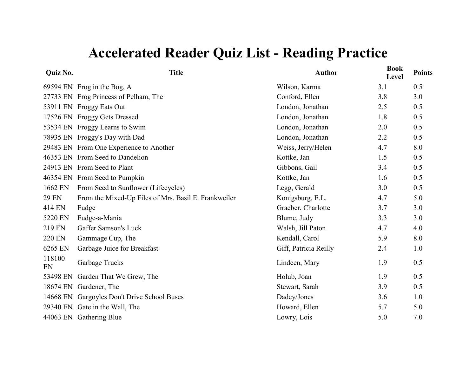| Quiz No.      | <b>Title</b>                                         | <b>Author</b>         | <b>Book</b><br>Level | <b>Points</b> |
|---------------|------------------------------------------------------|-----------------------|----------------------|---------------|
|               | 69594 EN Frog in the Bog, A                          | Wilson, Karma         | 3.1                  | 0.5           |
|               | 27733 EN Frog Princess of Pelham, The                | Conford, Ellen        | 3.8                  | 3.0           |
|               | 53911 EN Froggy Eats Out                             | London, Jonathan      | 2.5                  | 0.5           |
|               | 17526 EN Froggy Gets Dressed                         | London, Jonathan      | 1.8                  | 0.5           |
|               | 53534 EN Froggy Learns to Swim                       | London, Jonathan      | 2.0                  | 0.5           |
|               | 78935 EN Froggy's Day with Dad                       | London, Jonathan      | 2.2                  | 0.5           |
|               | 29483 EN From One Experience to Another              | Weiss, Jerry/Helen    | 4.7                  | 8.0           |
|               | 46353 EN From Seed to Dandelion                      | Kottke, Jan           | 1.5                  | 0.5           |
|               | 24913 EN From Seed to Plant                          | Gibbons, Gail         | 3.4                  | 0.5           |
|               | 46354 EN From Seed to Pumpkin                        | Kottke, Jan           | 1.6                  | 0.5           |
| 1662 EN       | From Seed to Sunflower (Lifecycles)                  | Legg, Gerald          | 3.0                  | 0.5           |
| <b>29 EN</b>  | From the Mixed-Up Files of Mrs. Basil E. Frankweiler | Konigsburg, E.L.      | 4.7                  | 5.0           |
| 414 EN        | Fudge                                                | Graeber, Charlotte    | 3.7                  | 3.0           |
| 5220 EN       | Fudge-a-Mania                                        | Blume, Judy           | 3.3                  | 3.0           |
| 219 EN        | Gaffer Samson's Luck                                 | Walsh, Jill Paton     | 4.7                  | 4.0           |
| <b>220 EN</b> | Gammage Cup, The                                     | Kendall, Carol        | 5.9                  | 8.0           |
| 6265 EN       | Garbage Juice for Breakfast                          | Giff, Patricia Reilly | 2.4                  | 1.0           |
| 118100<br>EN  | Garbage Trucks                                       | Lindeen, Mary         | 1.9                  | 0.5           |
| 53498 EN      | Garden That We Grew, The                             | Holub, Joan           | 1.9                  | 0.5           |
|               | 18674 EN Gardener, The                               | Stewart, Sarah        | 3.9                  | 0.5           |
|               | 14668 EN Gargoyles Don't Drive School Buses          | Dadey/Jones           | 3.6                  | 1.0           |
|               | 29340 EN Gate in the Wall, The                       | Howard, Ellen         | 5.7                  | 5.0           |
|               | 44063 EN Gathering Blue                              | Lowry, Lois           | 5.0                  | 7.0           |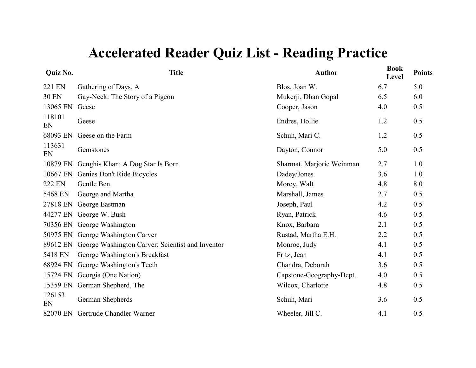| Quiz No.     | <b>Title</b>                                     | <b>Author</b>             | <b>Book</b><br>Level | <b>Points</b> |
|--------------|--------------------------------------------------|---------------------------|----------------------|---------------|
| 221 EN       | Gathering of Days, A                             | Blos, Joan W.             | 6.7                  | 5.0           |
| <b>30 EN</b> | Gay-Neck: The Story of a Pigeon                  | Mukerji, Dhan Gopal       | 6.5                  | 6.0           |
| 13065 EN     | Geese                                            | Cooper, Jason             | 4.0                  | 0.5           |
| 118101<br>EN | Geese                                            | Endres, Hollie            | 1.2                  | 0.5           |
| 68093 EN     | Geese on the Farm                                | Schuh, Mari C.            | 1.2                  | 0.5           |
| 113631<br>EN | Gemstones                                        | Dayton, Connor            | 5.0                  | 0.5           |
| 10879 EN     | Genghis Khan: A Dog Star Is Born                 | Sharmat, Marjorie Weinman | 2.7                  | 1.0           |
| 10667 EN     | Genies Don't Ride Bicycles                       | Dadey/Jones               | 3.6                  | 1.0           |
| 222 EN       | Gentle Ben                                       | Morey, Walt               | 4.8                  | 8.0           |
| 5468 EN      | George and Martha                                | Marshall, James           | 2.7                  | 0.5           |
| 27818 EN     | George Eastman                                   | Joseph, Paul              | 4.2                  | 0.5           |
| 44277 EN     | George W. Bush                                   | Ryan, Patrick             | 4.6                  | 0.5           |
| 70356 EN     | George Washington                                | Knox, Barbara             | 2.1                  | 0.5           |
| 50975 EN     | George Washington Carver                         | Rustad, Martha E.H.       | 2.2                  | 0.5           |
| 89612 EN     | George Washington Carver: Scientist and Inventor | Monroe, Judy              | 4.1                  | 0.5           |
| 5418 EN      | George Washington's Breakfast                    | Fritz, Jean               | 4.1                  | 0.5           |
| 68924 EN     | George Washington's Teeth                        | Chandra, Deborah          | 3.6                  | 0.5           |
| 15724 EN     | Georgia (One Nation)                             | Capstone-Geography-Dept.  | 4.0                  | 0.5           |
| 15359 EN     | German Shepherd, The                             | Wilcox, Charlotte         | 4.8                  | 0.5           |
| 126153<br>EN | German Shepherds                                 | Schuh, Mari               | 3.6                  | 0.5           |
| 82070 EN     | Gertrude Chandler Warner                         | Wheeler, Jill C.          | 4.1                  | 0.5           |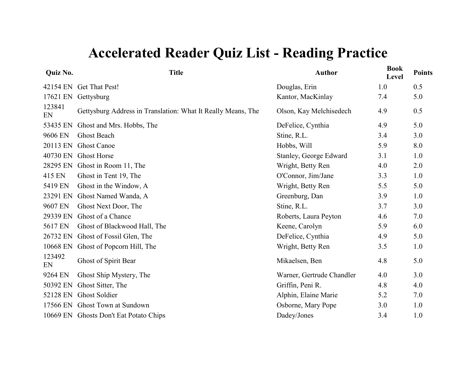| 42154 EN Get That Pest!<br>Douglas, Erin<br>1.0<br>0.5<br>Kantor, MacKinlay<br>5.0<br>17621 EN<br>Gettysburg<br>7.4<br>123841<br>0.5<br>Gettysburg Address in Translation: What It Really Means, The<br>4.9<br>Olson, Kay Melchisedech<br>EN<br>5.0<br>DeFelice, Cynthia<br>53435 EN<br>Ghost and Mrs. Hobbs, The<br>4.9<br>3.0<br>9606 EN<br><b>Ghost Beach</b><br>Stine, R.L.<br>3.4<br>8.0<br>20113 EN<br><b>Ghost Canoe</b><br>Hobbs, Will<br>5.9<br>40730 EN<br><b>Ghost Horse</b><br>1.0<br>Stanley, George Edward<br>3.1<br>28295 EN Ghost in Room 11, The<br>Wright, Betty Ren<br>2.0<br>4.0<br>415 EN<br>Ghost in Tent 19, The<br>O'Connor, Jim/Jane<br>3.3<br>1.0<br>5419 EN<br>Ghost in the Window, A<br>Wright, Betty Ren<br>5.0<br>5.5<br>Ghost Named Wanda, A<br>Greenburg, Dan<br>1.0<br>23291 EN<br>3.9<br>9607 EN<br>Stine, R.L.<br>3.0<br>Ghost Next Door, The<br>3.7<br>29339 EN<br>Ghost of a Chance<br>7.0<br>Roberts, Laura Peyton<br>4.6<br>5617 EN<br>Ghost of Blackwood Hall, The<br>Keene, Carolyn<br>5.9<br>6.0<br>26732 EN<br>Ghost of Fossil Glen, The<br>DeFelice, Cynthia<br>5.0<br>4.9<br>10668 EN<br>Ghost of Popcorn Hill, The<br>Wright, Betty Ren<br>3.5<br>1.0<br>123492<br>5.0<br>Ghost of Spirit Bear<br>Mikaelsen, Ben<br>4.8<br>EN<br>3.0<br>9264 EN<br>Ghost Ship Mystery, The<br>Warner, Gertrude Chandler<br>4.0<br>Griffin, Peni R.<br>4.0<br>50392 EN<br>Ghost Sitter, The<br>4.8<br>52128 EN<br><b>Ghost Soldier</b><br>Alphin, Elaine Marie<br>5.2<br>7.0<br>17566 EN Ghost Town at Sundown<br>Osborne, Mary Pope<br>1.0<br>3.0 | Quiz No. | <b>Title</b>                           | <b>Author</b> | <b>Book</b><br>Level | <b>Points</b> |
|---------------------------------------------------------------------------------------------------------------------------------------------------------------------------------------------------------------------------------------------------------------------------------------------------------------------------------------------------------------------------------------------------------------------------------------------------------------------------------------------------------------------------------------------------------------------------------------------------------------------------------------------------------------------------------------------------------------------------------------------------------------------------------------------------------------------------------------------------------------------------------------------------------------------------------------------------------------------------------------------------------------------------------------------------------------------------------------------------------------------------------------------------------------------------------------------------------------------------------------------------------------------------------------------------------------------------------------------------------------------------------------------------------------------------------------------------------------------------------------------------------------------------------------------------------------------------------|----------|----------------------------------------|---------------|----------------------|---------------|
|                                                                                                                                                                                                                                                                                                                                                                                                                                                                                                                                                                                                                                                                                                                                                                                                                                                                                                                                                                                                                                                                                                                                                                                                                                                                                                                                                                                                                                                                                                                                                                                 |          |                                        |               |                      |               |
|                                                                                                                                                                                                                                                                                                                                                                                                                                                                                                                                                                                                                                                                                                                                                                                                                                                                                                                                                                                                                                                                                                                                                                                                                                                                                                                                                                                                                                                                                                                                                                                 |          |                                        |               |                      |               |
|                                                                                                                                                                                                                                                                                                                                                                                                                                                                                                                                                                                                                                                                                                                                                                                                                                                                                                                                                                                                                                                                                                                                                                                                                                                                                                                                                                                                                                                                                                                                                                                 |          |                                        |               |                      |               |
|                                                                                                                                                                                                                                                                                                                                                                                                                                                                                                                                                                                                                                                                                                                                                                                                                                                                                                                                                                                                                                                                                                                                                                                                                                                                                                                                                                                                                                                                                                                                                                                 |          |                                        |               |                      |               |
|                                                                                                                                                                                                                                                                                                                                                                                                                                                                                                                                                                                                                                                                                                                                                                                                                                                                                                                                                                                                                                                                                                                                                                                                                                                                                                                                                                                                                                                                                                                                                                                 |          |                                        |               |                      |               |
|                                                                                                                                                                                                                                                                                                                                                                                                                                                                                                                                                                                                                                                                                                                                                                                                                                                                                                                                                                                                                                                                                                                                                                                                                                                                                                                                                                                                                                                                                                                                                                                 |          |                                        |               |                      |               |
|                                                                                                                                                                                                                                                                                                                                                                                                                                                                                                                                                                                                                                                                                                                                                                                                                                                                                                                                                                                                                                                                                                                                                                                                                                                                                                                                                                                                                                                                                                                                                                                 |          |                                        |               |                      |               |
|                                                                                                                                                                                                                                                                                                                                                                                                                                                                                                                                                                                                                                                                                                                                                                                                                                                                                                                                                                                                                                                                                                                                                                                                                                                                                                                                                                                                                                                                                                                                                                                 |          |                                        |               |                      |               |
|                                                                                                                                                                                                                                                                                                                                                                                                                                                                                                                                                                                                                                                                                                                                                                                                                                                                                                                                                                                                                                                                                                                                                                                                                                                                                                                                                                                                                                                                                                                                                                                 |          |                                        |               |                      |               |
|                                                                                                                                                                                                                                                                                                                                                                                                                                                                                                                                                                                                                                                                                                                                                                                                                                                                                                                                                                                                                                                                                                                                                                                                                                                                                                                                                                                                                                                                                                                                                                                 |          |                                        |               |                      |               |
|                                                                                                                                                                                                                                                                                                                                                                                                                                                                                                                                                                                                                                                                                                                                                                                                                                                                                                                                                                                                                                                                                                                                                                                                                                                                                                                                                                                                                                                                                                                                                                                 |          |                                        |               |                      |               |
|                                                                                                                                                                                                                                                                                                                                                                                                                                                                                                                                                                                                                                                                                                                                                                                                                                                                                                                                                                                                                                                                                                                                                                                                                                                                                                                                                                                                                                                                                                                                                                                 |          |                                        |               |                      |               |
|                                                                                                                                                                                                                                                                                                                                                                                                                                                                                                                                                                                                                                                                                                                                                                                                                                                                                                                                                                                                                                                                                                                                                                                                                                                                                                                                                                                                                                                                                                                                                                                 |          |                                        |               |                      |               |
|                                                                                                                                                                                                                                                                                                                                                                                                                                                                                                                                                                                                                                                                                                                                                                                                                                                                                                                                                                                                                                                                                                                                                                                                                                                                                                                                                                                                                                                                                                                                                                                 |          |                                        |               |                      |               |
|                                                                                                                                                                                                                                                                                                                                                                                                                                                                                                                                                                                                                                                                                                                                                                                                                                                                                                                                                                                                                                                                                                                                                                                                                                                                                                                                                                                                                                                                                                                                                                                 |          |                                        |               |                      |               |
|                                                                                                                                                                                                                                                                                                                                                                                                                                                                                                                                                                                                                                                                                                                                                                                                                                                                                                                                                                                                                                                                                                                                                                                                                                                                                                                                                                                                                                                                                                                                                                                 |          |                                        |               |                      |               |
|                                                                                                                                                                                                                                                                                                                                                                                                                                                                                                                                                                                                                                                                                                                                                                                                                                                                                                                                                                                                                                                                                                                                                                                                                                                                                                                                                                                                                                                                                                                                                                                 |          |                                        |               |                      |               |
|                                                                                                                                                                                                                                                                                                                                                                                                                                                                                                                                                                                                                                                                                                                                                                                                                                                                                                                                                                                                                                                                                                                                                                                                                                                                                                                                                                                                                                                                                                                                                                                 |          |                                        |               |                      |               |
|                                                                                                                                                                                                                                                                                                                                                                                                                                                                                                                                                                                                                                                                                                                                                                                                                                                                                                                                                                                                                                                                                                                                                                                                                                                                                                                                                                                                                                                                                                                                                                                 |          |                                        |               |                      |               |
|                                                                                                                                                                                                                                                                                                                                                                                                                                                                                                                                                                                                                                                                                                                                                                                                                                                                                                                                                                                                                                                                                                                                                                                                                                                                                                                                                                                                                                                                                                                                                                                 |          |                                        |               |                      |               |
|                                                                                                                                                                                                                                                                                                                                                                                                                                                                                                                                                                                                                                                                                                                                                                                                                                                                                                                                                                                                                                                                                                                                                                                                                                                                                                                                                                                                                                                                                                                                                                                 |          |                                        |               |                      |               |
|                                                                                                                                                                                                                                                                                                                                                                                                                                                                                                                                                                                                                                                                                                                                                                                                                                                                                                                                                                                                                                                                                                                                                                                                                                                                                                                                                                                                                                                                                                                                                                                 |          | 10669 EN Ghosts Don't Eat Potato Chips | Dadey/Jones   | 3.4                  | 1.0           |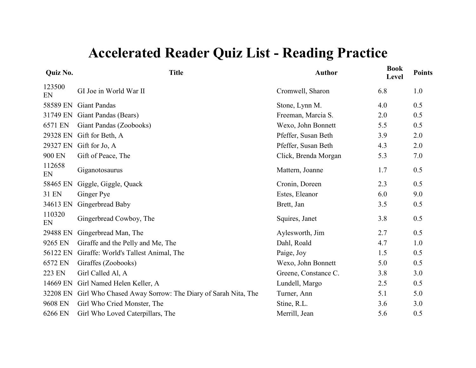| <b>Quiz No.</b> | <b>Title</b>                                              | <b>Author</b>        | <b>Book</b><br>Level | <b>Points</b> |
|-----------------|-----------------------------------------------------------|----------------------|----------------------|---------------|
| 123500<br>EN    | GI Joe in World War II                                    | Cromwell, Sharon     | 6.8                  | 1.0           |
| 58589 EN        | <b>Giant Pandas</b>                                       | Stone, Lynn M.       | 4.0                  | 0.5           |
| 31749 EN        | Giant Pandas (Bears)                                      | Freeman, Marcia S.   | 2.0                  | 0.5           |
| 6571 EN         | Giant Pandas (Zoobooks)                                   | Wexo, John Bonnett   | 5.5                  | 0.5           |
| 29328 EN        | Gift for Beth, A                                          | Pfeffer, Susan Beth  | 3.9                  | 2.0           |
| 29327 EN        | Gift for Jo, A                                            | Pfeffer, Susan Beth  | 4.3                  | 2.0           |
| 900 EN          | Gift of Peace, The                                        | Click, Brenda Morgan | 5.3                  | 7.0           |
| 112658<br>EN    | Giganotosaurus                                            | Mattern, Joanne      | 1.7                  | 0.5           |
| 58465 EN        | Giggle, Giggle, Quack                                     | Cronin, Doreen       | 2.3                  | 0.5           |
| 31 EN           | Ginger Pye                                                | Estes, Eleanor       | 6.0                  | 9.0           |
| 34613 EN        | Gingerbread Baby                                          | Brett, Jan           | 3.5                  | 0.5           |
| 110320<br>EN    | Gingerbread Cowboy, The                                   | Squires, Janet       | 3.8                  | 0.5           |
| 29488 EN        | Gingerbread Man, The                                      | Aylesworth, Jim      | 2.7                  | 0.5           |
| 9265 EN         | Giraffe and the Pelly and Me, The                         | Dahl, Roald          | 4.7                  | 1.0           |
| 56122 EN        | Giraffe: World's Tallest Animal, The                      | Paige, Joy           | 1.5                  | 0.5           |
| 6572 EN         | Giraffes (Zoobooks)                                       | Wexo, John Bonnett   | 5.0                  | 0.5           |
| 223 EN          | Girl Called Al, A                                         | Greene, Constance C. | 3.8                  | 3.0           |
| 14669 EN        | Girl Named Helen Keller, A                                | Lundell, Margo       | 2.5                  | 0.5           |
| 32208 EN        | Girl Who Chased Away Sorrow: The Diary of Sarah Nita, The | Turner, Ann          | 5.1                  | 5.0           |
| 9608 EN         | Girl Who Cried Monster, The                               | Stine, R.L.          | 3.6                  | 3.0           |
| 6266 EN         | Girl Who Loved Caterpillars, The                          | Merrill, Jean        | 5.6                  | 0.5           |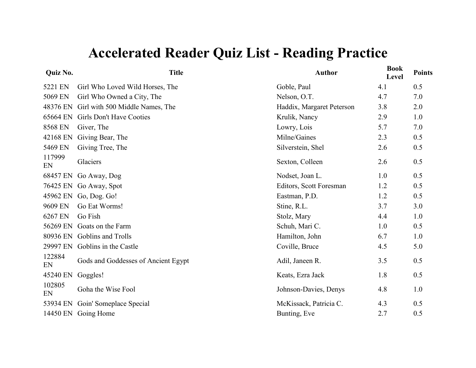| <b>Quiz No.</b> | <b>Title</b>                        | <b>Author</b>             | <b>Book</b><br>Level | <b>Points</b> |
|-----------------|-------------------------------------|---------------------------|----------------------|---------------|
| 5221 EN         | Girl Who Loved Wild Horses, The     | Goble, Paul               | 4.1                  | 0.5           |
| 5069 EN         | Girl Who Owned a City, The          | Nelson, O.T.              | 4.7                  | 7.0           |
| 48376 EN        | Girl with 500 Middle Names, The     | Haddix, Margaret Peterson | 3.8                  | 2.0           |
| 65664 EN        | Girls Don't Have Cooties            | Krulik, Nancy             | 2.9                  | 1.0           |
| 8568 EN         | Giver, The                          | Lowry, Lois               | 5.7                  | 7.0           |
| 42168 EN        | Giving Bear, The                    | Milne/Gaines              | 2.3                  | 0.5           |
| 5469 EN         | Giving Tree, The                    | Silverstein, Shel         | 2.6                  | 0.5           |
| 117999<br>EN    | Glaciers                            | Sexton, Colleen           | 2.6                  | 0.5           |
| 68457 EN        | Go Away, Dog                        | Nodset, Joan L.           | 1.0                  | 0.5           |
| 76425 EN        | Go Away, Spot                       | Editors, Scott Foresman   | 1.2                  | 0.5           |
| 45962 EN        | Go, Dog. Go!                        | Eastman, P.D.             | 1.2                  | 0.5           |
| 9609 EN         | Go Eat Worms!                       | Stine, R.L.               | 3.7                  | 3.0           |
| 6267 EN         | Go Fish                             | Stolz, Mary               | 4.4                  | 1.0           |
| 56269 EN        | Goats on the Farm                   | Schuh, Mari C.            | 1.0                  | 0.5           |
|                 | 80936 EN Goblins and Trolls         | Hamilton, John            | 6.7                  | 1.0           |
| 29997 EN        | Goblins in the Castle               | Coville, Bruce            | 4.5                  | 5.0           |
| 122884<br>EN    | Gods and Goddesses of Ancient Egypt | Adil, Janeen R.           | 3.5                  | 0.5           |
| 45240 EN        | Goggles!                            | Keats, Ezra Jack          | 1.8                  | 0.5           |
| 102805<br>EN    | Goha the Wise Fool                  | Johnson-Davies, Denys     | 4.8                  | 1.0           |
| 53934 EN        | Goin' Someplace Special             | McKissack, Patricia C.    | 4.3                  | 0.5           |
|                 | 14450 EN Going Home                 | Bunting, Eve              | 2.7                  | 0.5           |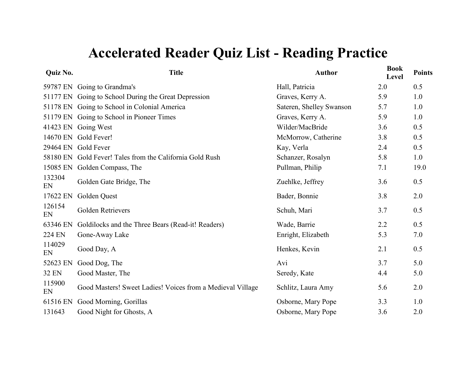| Quiz No.      | <b>Title</b>                                               | <b>Author</b>            | <b>Book</b><br>Level | <b>Points</b> |
|---------------|------------------------------------------------------------|--------------------------|----------------------|---------------|
|               | 59787 EN Going to Grandma's                                | Hall, Patricia           | 2.0                  | 0.5           |
|               | 51177 EN Going to School During the Great Depression       | Graves, Kerry A.         | 5.9                  | 1.0           |
|               | 51178 EN Going to School in Colonial America               | Sateren, Shelley Swanson | 5.7                  | 1.0           |
|               | 51179 EN Going to School in Pioneer Times                  | Graves, Kerry A.         | 5.9                  | 1.0           |
|               | 41423 EN Going West                                        | Wilder/MacBride          | 3.6                  | 0.5           |
|               | 14670 EN Gold Fever!                                       | McMorrow, Catherine      | 3.8                  | 0.5           |
|               | 29464 EN Gold Fever                                        | Kay, Verla               | 2.4                  | 0.5           |
|               | 58180 EN Gold Fever! Tales from the California Gold Rush   | Schanzer, Rosalyn        | 5.8                  | 1.0           |
| 15085 EN      | Golden Compass, The                                        | Pullman, Philip          | 7.1                  | 19.0          |
| 132304<br>EN  | Golden Gate Bridge, The                                    | Zuehlke, Jeffrey         | 3.6                  | 0.5           |
| 17622 EN      | Golden Quest                                               | Bader, Bonnie            | 3.8                  | 2.0           |
| 126154<br>EN  | Golden Retrievers                                          | Schuh, Mari              | 3.7                  | 0.5           |
| 63346 EN      | Goldilocks and the Three Bears (Read-it! Readers)          | Wade, Barrie             | 2.2                  | 0.5           |
| <b>224 EN</b> | Gone-Away Lake                                             | Enright, Elizabeth       | 5.3                  | 7.0           |
| 114029<br>EN  | Good Day, A                                                | Henkes, Kevin            | 2.1                  | 0.5           |
| 52623 EN      | Good Dog, The                                              | Avi                      | 3.7                  | 5.0           |
| <b>32 EN</b>  | Good Master, The                                           | Seredy, Kate             | 4.4                  | 5.0           |
| 115900<br>EN  | Good Masters! Sweet Ladies! Voices from a Medieval Village | Schlitz, Laura Amy       | 5.6                  | 2.0           |
| 61516 EN      | Good Morning, Gorillas                                     | Osborne, Mary Pope       | 3.3                  | 1.0           |
| 131643        | Good Night for Ghosts, A                                   | Osborne, Mary Pope       | 3.6                  | 2.0           |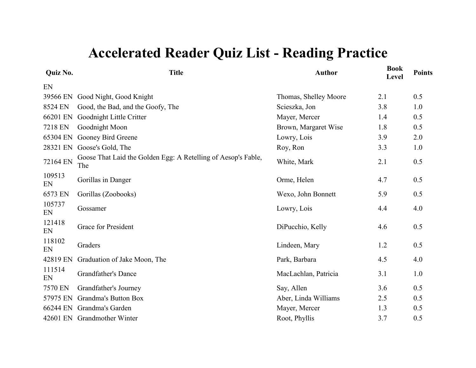| Quiz No.     | <b>Title</b>                                                         | <b>Author</b>         | <b>Book</b><br>Level | <b>Points</b> |
|--------------|----------------------------------------------------------------------|-----------------------|----------------------|---------------|
| EN           |                                                                      |                       |                      |               |
| 39566 EN     | Good Night, Good Knight                                              | Thomas, Shelley Moore | 2.1                  | 0.5           |
| 8524 EN      | Good, the Bad, and the Goofy, The                                    | Scieszka, Jon         | 3.8                  | 1.0           |
| 66201 EN     | Goodnight Little Critter                                             | Mayer, Mercer         | 1.4                  | 0.5           |
| 7218 EN      | Goodnight Moon                                                       | Brown, Margaret Wise  | 1.8                  | 0.5           |
| 65304 EN     | Gooney Bird Greene                                                   | Lowry, Lois           | 3.9                  | 2.0           |
| 28321 EN     | Goose's Gold, The                                                    | Roy, Ron              | 3.3                  | 1.0           |
| 72164 EN     | Goose That Laid the Golden Egg: A Retelling of Aesop's Fable,<br>The | White, Mark           | 2.1                  | 0.5           |
| 109513<br>EN | Gorillas in Danger                                                   | Orme, Helen           | 4.7                  | 0.5           |
| 6573 EN      | Gorillas (Zoobooks)                                                  | Wexo, John Bonnett    | 5.9                  | 0.5           |
| 105737<br>EN | Gossamer                                                             | Lowry, Lois           | 4.4                  | 4.0           |
| 121418<br>EN | <b>Grace for President</b>                                           | DiPucchio, Kelly      | 4.6                  | 0.5           |
| 118102<br>EN | Graders                                                              | Lindeen, Mary         | 1.2                  | 0.5           |
| 42819 EN     | Graduation of Jake Moon, The                                         | Park, Barbara         | 4.5                  | 4.0           |
| 111514<br>EN | <b>Grandfather's Dance</b>                                           | MacLachlan, Patricia  | 3.1                  | 1.0           |
| 7570 EN      | Grandfather's Journey                                                | Say, Allen            | 3.6                  | 0.5           |
| 57975 EN     | Grandma's Button Box                                                 | Aber, Linda Williams  | 2.5                  | 0.5           |
| 66244 EN     | Grandma's Garden                                                     | Mayer, Mercer         | 1.3                  | 0.5           |
|              | 42601 EN Grandmother Winter                                          | Root, Phyllis         | 3.7                  | 0.5           |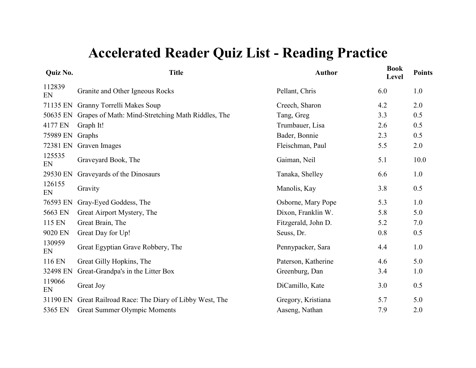| Quiz No.     | <b>Title</b>                                      | <b>Author</b>       | <b>Book</b><br>Level | <b>Points</b> |
|--------------|---------------------------------------------------|---------------------|----------------------|---------------|
| 112839<br>EN | Granite and Other Igneous Rocks                   | Pellant, Chris      | 6.0                  | 1.0           |
| 71135 EN     | Granny Torrelli Makes Soup                        | Creech, Sharon      | 4.2                  | 2.0           |
| 50635 EN     | Grapes of Math: Mind-Stretching Math Riddles, The | Tang, Greg          | 3.3                  | 0.5           |
| 4177 EN      | Graph It!                                         | Trumbauer, Lisa     | 2.6                  | 0.5           |
| 75989 EN     | Graphs                                            | Bader, Bonnie       | 2.3                  | 0.5           |
| 72381 EN     | Graven Images                                     | Fleischman, Paul    | 5.5                  | 2.0           |
| 125535<br>EN | Graveyard Book, The                               | Gaiman, Neil        | 5.1                  | 10.0          |
| 29530 EN     | Graveyards of the Dinosaurs                       | Tanaka, Shelley     | 6.6                  | 1.0           |
| 126155<br>EN | Gravity                                           | Manolis, Kay        | 3.8                  | 0.5           |
| 76593 EN     | Gray-Eyed Goddess, The                            | Osborne, Mary Pope  | 5.3                  | 1.0           |
| 5663 EN      | Great Airport Mystery, The                        | Dixon, Franklin W.  | 5.8                  | 5.0           |
| 115 EN       | Great Brain, The                                  | Fitzgerald, John D. | 5.2                  | 7.0           |
| 9020 EN      | Great Day for Up!                                 | Seuss, Dr.          | 0.8                  | 0.5           |
| 130959<br>EN | Great Egyptian Grave Robbery, The                 | Pennypacker, Sara   | 4.4                  | 1.0           |
| 116 EN       | Great Gilly Hopkins, The                          | Paterson, Katherine | 4.6                  | 5.0           |
| 32498 EN     | Great-Grandpa's in the Litter Box                 | Greenburg, Dan      | 3.4                  | 1.0           |
| 119066<br>EN | Great Joy                                         | DiCamillo, Kate     | 3.0                  | 0.5           |
| 31190 EN     | Great Railroad Race: The Diary of Libby West, The | Gregory, Kristiana  | 5.7                  | 5.0           |
| 5365 EN      | <b>Great Summer Olympic Moments</b>               | Aaseng, Nathan      | 7.9                  | 2.0           |
|              |                                                   |                     |                      |               |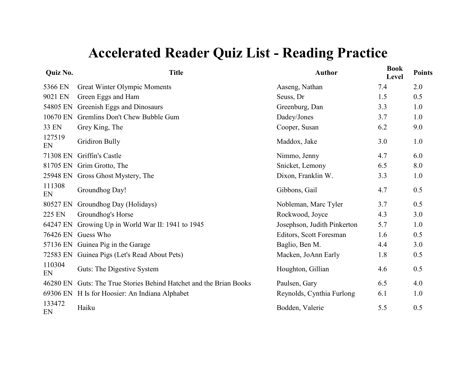| Quiz No.     | <b>Title</b>                                              | <b>Author</b>               | <b>Book</b><br>Level | <b>Points</b> |
|--------------|-----------------------------------------------------------|-----------------------------|----------------------|---------------|
| 5366 EN      | Great Winter Olympic Moments                              | Aaseng, Nathan              | 7.4                  | 2.0           |
| 9021 EN      | Green Eggs and Ham                                        | Seuss, Dr                   | 1.5                  | 0.5           |
| 54805 EN     | Greenish Eggs and Dinosaurs                               | Greenburg, Dan              | 3.3                  | 1.0           |
| 10670 EN     | Gremlins Don't Chew Bubble Gum                            | Dadey/Jones                 | 3.7                  | 1.0           |
| 33 EN        | Grey King, The                                            | Cooper, Susan               | 6.2                  | 9.0           |
| 127519<br>EN | <b>Gridiron Bully</b>                                     | Maddox, Jake                | 3.0                  | 1.0           |
| 71308 EN     | Griffin's Castle                                          | Nimmo, Jenny                | 4.7                  | 6.0           |
| 81705 EN     | Grim Grotto, The                                          | Snicket, Lemony             | 6.5                  | 8.0           |
|              | 25948 EN Gross Ghost Mystery, The                         | Dixon, Franklin W.          | 3.3                  | 1.0           |
| 111308<br>EN | Groundhog Day!                                            | Gibbons, Gail               | 4.7                  | 0.5           |
| 80527 EN     | Groundhog Day (Holidays)                                  | Nobleman, Marc Tyler        | 3.7                  | 0.5           |
| 225 EN       | Groundhog's Horse                                         | Rockwood, Joyce             | 4.3                  | 3.0           |
| 64247 EN     | Growing Up in World War II: 1941 to 1945                  | Josephson, Judith Pinkerton | 5.7                  | 1.0           |
| 76426 EN     | Guess Who                                                 | Editors, Scott Foresman     | 1.6                  | 0.5           |
|              | 57136 EN Guinea Pig in the Garage                         | Baglio, Ben M.              | 4.4                  | 3.0           |
|              | 72583 EN Guinea Pigs (Let's Read About Pets)              | Macken, JoAnn Early         | 1.8                  | 0.5           |
| 110304<br>EN | Guts: The Digestive System                                | Houghton, Gillian           | 4.6                  | 0.5           |
| 46280 EN     | Guts: The True Stories Behind Hatchet and the Brian Books | Paulsen, Gary               | 6.5                  | 4.0           |
|              | 69306 EN H Is for Hoosier: An Indiana Alphabet            | Reynolds, Cynthia Furlong   | 6.1                  | 1.0           |
| 133472<br>EN | Haiku                                                     | Bodden, Valerie             | 5.5                  | 0.5           |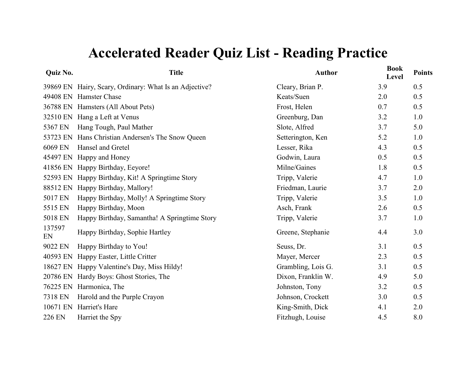| Quiz No.     | <b>Title</b>                                           | <b>Author</b>      | <b>Book</b><br>Level | <b>Points</b> |
|--------------|--------------------------------------------------------|--------------------|----------------------|---------------|
|              | 39869 EN Hairy, Scary, Ordinary: What Is an Adjective? | Cleary, Brian P.   | 3.9                  | 0.5           |
|              | 49408 EN Hamster Chase                                 | Keats/Suen         | 2.0                  | 0.5           |
|              | 36788 EN Hamsters (All About Pets)                     | Frost, Helen       | 0.7                  | 0.5           |
|              | 32510 EN Hang a Left at Venus                          | Greenburg, Dan     | 3.2                  | 1.0           |
| 5367 EN      | Hang Tough, Paul Mather                                | Slote, Alfred      | 3.7                  | 5.0           |
|              | 53723 EN Hans Christian Andersen's The Snow Queen      | Setterington, Ken  | 5.2                  | 1.0           |
| 6069 EN      | Hansel and Gretel                                      | Lesser, Rika       | 4.3                  | 0.5           |
| 45497 EN     | Happy and Honey                                        | Godwin, Laura      | 0.5                  | 0.5           |
| 41856 EN     | Happy Birthday, Eeyore!                                | Milne/Gaines       | 1.8                  | 0.5           |
| 52593 EN     | Happy Birthday, Kit! A Springtime Story                | Tripp, Valerie     | 4.7                  | 1.0           |
| 88512 EN     | Happy Birthday, Mallory!                               | Friedman, Laurie   | 3.7                  | 2.0           |
| 5017 EN      | Happy Birthday, Molly! A Springtime Story              | Tripp, Valerie     | 3.5                  | 1.0           |
| 5515 EN      | Happy Birthday, Moon                                   | Asch, Frank        | 2.6                  | 0.5           |
| 5018 EN      | Happy Birthday, Samantha! A Springtime Story           | Tripp, Valerie     | 3.7                  | 1.0           |
| 137597<br>EN | Happy Birthday, Sophie Hartley                         | Greene, Stephanie  | 4.4                  | 3.0           |
| 9022 EN      | Happy Birthday to You!                                 | Seuss, Dr.         | 3.1                  | 0.5           |
| 40593 EN     | Happy Easter, Little Critter                           | Mayer, Mercer      | 2.3                  | 0.5           |
| 18627 EN     | Happy Valentine's Day, Miss Hildy!                     | Grambling, Lois G. | 3.1                  | 0.5           |
| 20786 EN     | Hardy Boys: Ghost Stories, The                         | Dixon, Franklin W. | 4.9                  | 5.0           |
| 76225 EN     | Harmonica, The                                         | Johnston, Tony     | 3.2                  | 0.5           |
| 7318 EN      | Harold and the Purple Crayon                           | Johnson, Crockett  | 3.0                  | 0.5           |
| 10671 EN     | Harriet's Hare                                         | King-Smith, Dick   | 4.1                  | 2.0           |
| 226 EN       | Harriet the Spy                                        | Fitzhugh, Louise   | 4.5                  | 8.0           |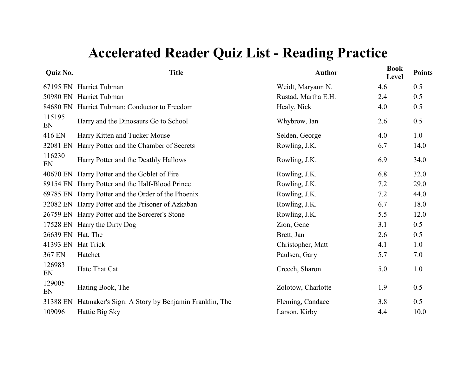| Quiz No.     | <b>Title</b>                                       | <b>Author</b>       | <b>Book</b><br>Level | <b>Points</b> |
|--------------|----------------------------------------------------|---------------------|----------------------|---------------|
|              | 67195 EN Harriet Tubman                            | Weidt, Maryann N.   | 4.6                  | 0.5           |
|              | 50980 EN Harriet Tubman                            | Rustad, Martha E.H. | 2.4                  | 0.5           |
| 84680 EN     | Harriet Tubman: Conductor to Freedom               | Healy, Nick         | 4.0                  | 0.5           |
| 115195<br>EN | Harry and the Dinosaurs Go to School               | Whybrow, Ian        | 2.6                  | 0.5           |
| 416 EN       | Harry Kitten and Tucker Mouse                      | Selden, George      | 4.0                  | 1.0           |
| 32081 EN     | Harry Potter and the Chamber of Secrets            | Rowling, J.K.       | 6.7                  | 14.0          |
| 116230<br>EN | Harry Potter and the Deathly Hallows               | Rowling, J.K.       | 6.9                  | 34.0          |
|              | 40670 EN Harry Potter and the Goblet of Fire       | Rowling, J.K.       | 6.8                  | 32.0          |
|              | 89154 EN Harry Potter and the Half-Blood Prince    | Rowling, J.K.       | 7.2                  | 29.0          |
|              | 69785 EN Harry Potter and the Order of the Phoenix | Rowling, J.K.       | 7.2                  | 44.0          |
|              | 32082 EN Harry Potter and the Prisoner of Azkaban  | Rowling, J.K.       | 6.7                  | 18.0          |
|              | 26759 EN Harry Potter and the Sorcerer's Stone     | Rowling, J.K.       | 5.5                  | 12.0          |
| 17528 EN     | Harry the Dirty Dog                                | Zion, Gene          | 3.1                  | 0.5           |
| 26639 EN     | Hat, The                                           | Brett, Jan          | 2.6                  | 0.5           |
| 41393 EN     | <b>Hat Trick</b>                                   | Christopher, Matt   | 4.1                  | 1.0           |
| 367 EN       | Hatchet                                            | Paulsen, Gary       | 5.7                  | 7.0           |
| 126983<br>EN | Hate That Cat                                      | Creech, Sharon      | 5.0                  | 1.0           |
| 129005<br>EN | Hating Book, The                                   | Zolotow, Charlotte  | 1.9                  | 0.5           |
| 31388 EN     | Hatmaker's Sign: A Story by Benjamin Franklin, The | Fleming, Candace    | 3.8                  | 0.5           |
| 109096       | Hattie Big Sky                                     | Larson, Kirby       | 4.4                  | 10.0          |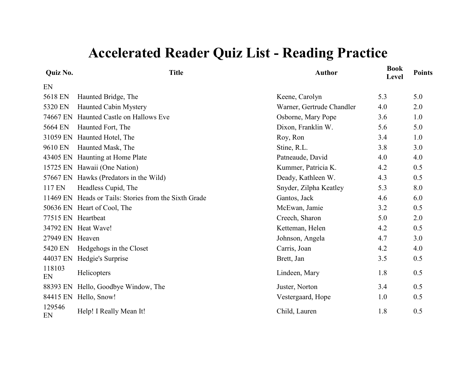| Quiz No.        | <b>Title</b>                                          | <b>Author</b>             | Book<br>Level | <b>Points</b> |
|-----------------|-------------------------------------------------------|---------------------------|---------------|---------------|
| EN              |                                                       |                           |               |               |
| 5618 EN         | Haunted Bridge, The                                   | Keene, Carolyn            | 5.3           | 5.0           |
| 5320 EN         | Haunted Cabin Mystery                                 | Warner, Gertrude Chandler | 4.0           | 2.0           |
| 74667 EN        | Haunted Castle on Hallows Eve                         | Osborne, Mary Pope        | 3.6           | 1.0           |
| 5664 EN         | Haunted Fort, The                                     | Dixon, Franklin W.        | 5.6           | 5.0           |
| 31059 EN        | Haunted Hotel, The                                    | Roy, Ron                  | 3.4           | 1.0           |
| 9610 EN         | Haunted Mask, The                                     | Stine, R.L.               | 3.8           | 3.0           |
|                 | 43405 EN Haunting at Home Plate                       | Patneaude, David          | 4.0           | 4.0           |
|                 | 15725 EN Hawaii (One Nation)                          | Kummer, Patricia K.       | 4.2           | 0.5           |
|                 | 57667 EN Hawks (Predators in the Wild)                | Deady, Kathleen W.        | 4.3           | 0.5           |
| 117 EN          | Headless Cupid, The                                   | Snyder, Zilpha Keatley    | 5.3           | 8.0           |
|                 | 11469 EN Heads or Tails: Stories from the Sixth Grade | Gantos, Jack              | 4.6           | 6.0           |
|                 | 50636 EN Heart of Cool, The                           | McEwan, Jamie             | 3.2           | 0.5           |
|                 | 77515 EN Heartbeat                                    | Creech, Sharon            | 5.0           | 2.0           |
|                 | 34792 EN Heat Wave!                                   | Ketteman, Helen           | 4.2           | 0.5           |
| 27949 EN Heaven |                                                       | Johnson, Angela           | 4.7           | 3.0           |
| 5420 EN         | Hedgehogs in the Closet                               | Carris, Joan              | 4.2           | 4.0           |
| 44037 EN        | Hedgie's Surprise                                     | Brett, Jan                | 3.5           | 0.5           |
| 118103<br>EN    | Helicopters                                           | Lindeen, Mary             | 1.8           | 0.5           |
| 88393 EN        | Hello, Goodbye Window, The                            | Juster, Norton            | 3.4           | 0.5           |
|                 | 84415 EN Hello, Snow!                                 | Vestergaard, Hope         | 1.0           | 0.5           |
| 129546<br>EN    | Help! I Really Mean It!                               | Child, Lauren             | 1.8           | 0.5           |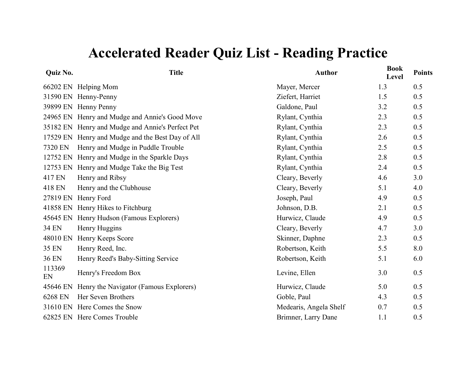| Quiz No.     | <b>Title</b>                                     | <b>Author</b>          | <b>Book</b><br>Level | <b>Points</b> |
|--------------|--------------------------------------------------|------------------------|----------------------|---------------|
|              | 66202 EN Helping Mom                             | Mayer, Mercer          | 1.3                  | 0.5           |
|              | 31590 EN Henny-Penny                             | Ziefert, Harriet       | 1.5                  | 0.5           |
|              | 39899 EN Henny Penny                             | Galdone, Paul          | 3.2                  | 0.5           |
|              | 24965 EN Henry and Mudge and Annie's Good Move   | Rylant, Cynthia        | 2.3                  | 0.5           |
|              | 35182 EN Henry and Mudge and Annie's Perfect Pet | Rylant, Cynthia        | 2.3                  | 0.5           |
|              | 17529 EN Henry and Mudge and the Best Day of All | Rylant, Cynthia        | 2.6                  | 0.5           |
| 7320 EN      | Henry and Mudge in Puddle Trouble                | Rylant, Cynthia        | 2.5                  | 0.5           |
|              | 12752 EN Henry and Mudge in the Sparkle Days     | Rylant, Cynthia        | 2.8                  | 0.5           |
|              | 12753 EN Henry and Mudge Take the Big Test       | Rylant, Cynthia        | 2.4                  | 0.5           |
| 417 EN       | Henry and Ribsy                                  | Cleary, Beverly        | 4.6                  | 3.0           |
| 418 EN       | Henry and the Clubhouse                          | Cleary, Beverly        | 5.1                  | 4.0           |
|              | 27819 EN Henry Ford                              | Joseph, Paul           | 4.9                  | 0.5           |
|              | 41858 EN Henry Hikes to Fitchburg                | Johnson, D.B.          | 2.1                  | 0.5           |
|              | 45645 EN Henry Hudson (Famous Explorers)         | Hurwicz, Claude        | 4.9                  | 0.5           |
| <b>34 EN</b> | Henry Huggins                                    | Cleary, Beverly        | 4.7                  | 3.0           |
| 48010 EN     | Henry Keeps Score                                | Skinner, Daphne        | 2.3                  | 0.5           |
| 35 EN        | Henry Reed, Inc.                                 | Robertson, Keith       | 5.5                  | 8.0           |
| 36 EN        | Henry Reed's Baby-Sitting Service                | Robertson, Keith       | 5.1                  | 6.0           |
| 113369<br>EN | Henry's Freedom Box                              | Levine, Ellen          | 3.0                  | 0.5           |
|              | 45646 EN Henry the Navigator (Famous Explorers)  | Hurwicz, Claude        | 5.0                  | 0.5           |
| 6268 EN      | Her Seven Brothers                               | Goble, Paul            | 4.3                  | 0.5           |
|              | 31610 EN Here Comes the Snow                     | Medearis, Angela Shelf | 0.7                  | 0.5           |
|              | 62825 EN Here Comes Trouble                      | Brimner, Larry Dane    | 1.1                  | 0.5           |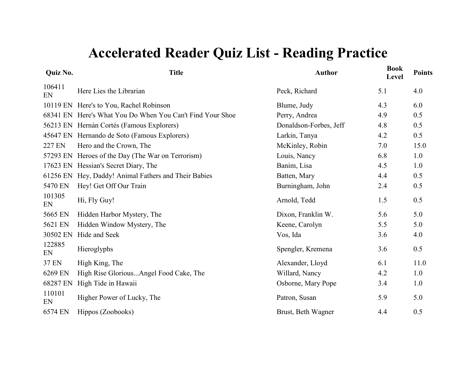| <b>Title</b>                                              | <b>Author</b>          | <b>Book</b><br>Level | <b>Points</b> |
|-----------------------------------------------------------|------------------------|----------------------|---------------|
| Here Lies the Librarian                                   | Peck, Richard          | 5.1                  | 4.0           |
| 10119 EN Here's to You, Rachel Robinson                   | Blume, Judy            | 4.3                  | 6.0           |
| 68341 EN Here's What You Do When You Can't Find Your Shoe | Perry, Andrea          | 4.9                  | 0.5           |
| 56213 EN Hernán Cortés (Famous Explorers)                 | Donaldson-Forbes, Jeff | 4.8                  | 0.5           |
| 45647 EN Hernando de Soto (Famous Explorers)              | Larkin, Tanya          | 4.2                  | 0.5           |
| Hero and the Crown, The                                   | McKinley, Robin        | 7.0                  | 15.0          |
| 57293 EN Heroes of the Day (The War on Terrorism)         | Louis, Nancy           | 6.8                  | 1.0           |
| 17623 EN Hessian's Secret Diary, The                      | Banim, Lisa            | 4.5                  | 1.0           |
| Hey, Daddy! Animal Fathers and Their Babies               | Batten, Mary           | 4.4                  | 0.5           |
| Hey! Get Off Our Train                                    | Burningham, John       | 2.4                  | 0.5           |
| Hi, Fly Guy!                                              | Arnold, Tedd           | 1.5                  | 0.5           |
| Hidden Harbor Mystery, The                                | Dixon, Franklin W.     | 5.6                  | 5.0           |
| Hidden Window Mystery, The                                | Keene, Carolyn         | 5.5                  | 5.0           |
| Hide and Seek                                             | Vos, Ida               | 3.6                  | 4.0           |
| Hieroglyphs                                               | Spengler, Kremena      | 3.6                  | 0.5           |
| High King, The                                            | Alexander, Lloyd       | 6.1                  | 11.0          |
| High Rise GloriousAngel Food Cake, The                    | Willard, Nancy         | 4.2                  | 1.0           |
| High Tide in Hawaii                                       | Osborne, Mary Pope     | 3.4                  | 1.0           |
| Higher Power of Lucky, The                                | Patron, Susan          | 5.9                  | 5.0           |
| Hippos (Zoobooks)                                         | Brust, Beth Wagner     | 4.4                  | 0.5           |
|                                                           |                        |                      |               |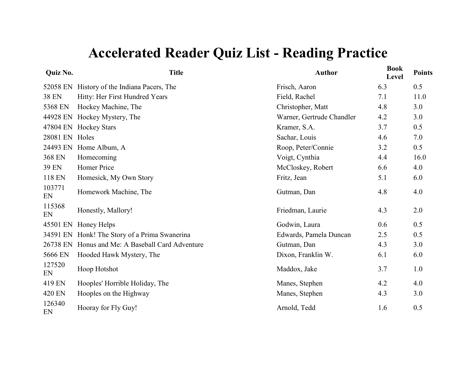| Quiz No.     | <b>Title</b>                            | <b>Author</b>             | <b>Book</b><br>Level | <b>Points</b> |
|--------------|-----------------------------------------|---------------------------|----------------------|---------------|
| 52058 EN     | History of the Indiana Pacers, The      | Frisch, Aaron             | 6.3                  | 0.5           |
| <b>38 EN</b> | Hitty: Her First Hundred Years          | Field, Rachel             | 7.1                  | 11.0          |
| 5368 EN      | Hockey Machine, The                     | Christopher, Matt         | 4.8                  | 3.0           |
| 44928 EN     | Hockey Mystery, The                     | Warner, Gertrude Chandler | 4.2                  | 3.0           |
| 47804 EN     | <b>Hockey Stars</b>                     | Kramer, S.A.              | 3.7                  | 0.5           |
| 28081 EN     | Holes                                   | Sachar, Louis             | 4.6                  | 7.0           |
| 24493 EN     | Home Album, A                           | Roop, Peter/Connie        | 3.2                  | 0.5           |
| 368 EN       | Homecoming                              | Voigt, Cynthia            | 4.4                  | 16.0          |
| 39 EN        | Homer Price                             | McCloskey, Robert         | 6.6                  | 4.0           |
| 118 EN       | Homesick, My Own Story                  | Fritz, Jean               | 5.1                  | 6.0           |
| 103771<br>EN | Homework Machine, The                   | Gutman, Dan               | 4.8                  | 4.0           |
| 115368<br>EN | Honestly, Mallory!                      | Friedman, Laurie          | 4.3                  | 2.0           |
| 45501 EN     | Honey Helps                             | Godwin, Laura             | 0.6                  | 0.5           |
| 34591 EN     | Honk! The Story of a Prima Swanerina    | Edwards, Pamela Duncan    | 2.5                  | 0.5           |
| 26738 EN     | Honus and Me: A Baseball Card Adventure | Gutman, Dan               | 4.3                  | 3.0           |
| 5666 EN      | Hooded Hawk Mystery, The                | Dixon, Franklin W.        | 6.1                  | 6.0           |
| 127520<br>EN | Hoop Hotshot                            | Maddox, Jake              | 3.7                  | 1.0           |
| 419 EN       | Hooples' Horrible Holiday, The          | Manes, Stephen            | 4.2                  | 4.0           |
| 420 EN       | Hooples on the Highway                  | Manes, Stephen            | 4.3                  | 3.0           |
| 126340<br>EN | Hooray for Fly Guy!                     | Arnold, Tedd              | 1.6                  | 0.5           |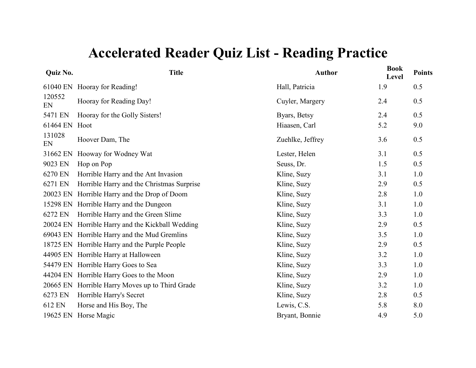| Quiz No.     | <b>Title</b>                                  | <b>Author</b>    | <b>Book</b><br>Level | <b>Points</b> |
|--------------|-----------------------------------------------|------------------|----------------------|---------------|
| 61040 EN     | Hooray for Reading!                           | Hall, Patricia   | 1.9                  | 0.5           |
| 120552<br>EN | Hooray for Reading Day!                       | Cuyler, Margery  | 2.4                  | 0.5           |
| 5471 EN      | Hooray for the Golly Sisters!                 | Byars, Betsy     | 2.4                  | 0.5           |
| 61464 EN     | Hoot                                          | Hiaasen, Carl    | 5.2                  | 9.0           |
| 131028<br>EN | Hoover Dam, The                               | Zuehlke, Jeffrey | 3.6                  | 0.5           |
| 31662 EN     | Hooway for Wodney Wat                         | Lester, Helen    | 3.1                  | 0.5           |
| 9023 EN      | Hop on Pop                                    | Seuss, Dr.       | 1.5                  | 0.5           |
| 6270 EN      | Horrible Harry and the Ant Invasion           | Kline, Suzy      | 3.1                  | 1.0           |
| 6271 EN      | Horrible Harry and the Christmas Surprise     | Kline, Suzy      | 2.9                  | 0.5           |
| 20023 EN     | Horrible Harry and the Drop of Doom           | Kline, Suzy      | 2.8                  | 1.0           |
| 15298 EN     | Horrible Harry and the Dungeon                | Kline, Suzy      | 3.1                  | 1.0           |
| 6272 EN      | Horrible Harry and the Green Slime            | Kline, Suzy      | 3.3                  | 1.0           |
| 20024 EN     | Horrible Harry and the Kickball Wedding       | Kline, Suzy      | 2.9                  | 0.5           |
|              | 69043 EN Horrible Harry and the Mud Gremlins  | Kline, Suzy      | 3.5                  | 1.0           |
|              | 18725 EN Horrible Harry and the Purple People | Kline, Suzy      | 2.9                  | 0.5           |
| 44905 EN     | Horrible Harry at Halloween                   | Kline, Suzy      | 3.2                  | 1.0           |
| 54479 EN     | Horrible Harry Goes to Sea                    | Kline, Suzy      | 3.3                  | 1.0           |
| 44204 EN     | Horrible Harry Goes to the Moon               | Kline, Suzy      | 2.9                  | 1.0           |
| 20665 EN     | Horrible Harry Moves up to Third Grade        | Kline, Suzy      | 3.2                  | 1.0           |
| 6273 EN      | Horrible Harry's Secret                       | Kline, Suzy      | 2.8                  | 0.5           |
| 612 EN       | Horse and His Boy, The                        | Lewis, C.S.      | 5.8                  | 8.0           |
| 19625 EN     | Horse Magic                                   | Bryant, Bonnie   | 4.9                  | 5.0           |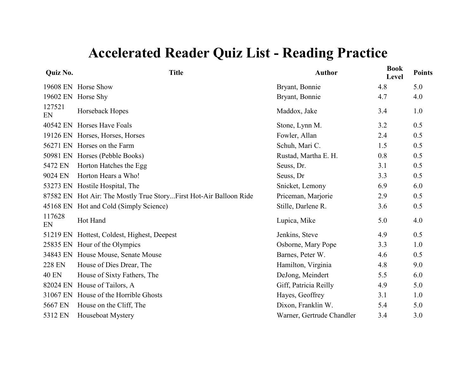| Quiz No.      | <b>Title</b>                                                      | <b>Author</b>             | <b>Book</b><br>Level | <b>Points</b> |
|---------------|-------------------------------------------------------------------|---------------------------|----------------------|---------------|
|               | 19608 EN Horse Show                                               | Bryant, Bonnie            | 4.8                  | 5.0           |
| 19602 EN      | Horse Shy                                                         | Bryant, Bonnie            | 4.7                  | 4.0           |
| 127521<br>EN  | Horseback Hopes                                                   | Maddox, Jake              | 3.4                  | 1.0           |
| 40542 EN      | <b>Horses Have Foals</b>                                          | Stone, Lynn M.            | 3.2                  | 0.5           |
| 19126 EN      | Horses, Horses, Horses                                            | Fowler, Allan             | 2.4                  | 0.5           |
| 56271 EN      | Horses on the Farm                                                | Schuh, Mari C.            | 1.5                  | 0.5           |
| 50981 EN      | Horses (Pebble Books)                                             | Rustad, Martha E. H.      | 0.8                  | 0.5           |
| 5472 EN       | Horton Hatches the Egg                                            | Seuss, Dr.                | 3.1                  | 0.5           |
| 9024 EN       | Horton Hears a Who!                                               | Seuss, Dr                 | 3.3                  | 0.5           |
| 53273 EN      | Hostile Hospital, The                                             | Snicket, Lemony           | 6.9                  | 6.0           |
|               | 87582 EN Hot Air: The Mostly True StoryFirst Hot-Air Balloon Ride | Priceman, Marjorie        | 2.9                  | 0.5           |
| 45168 EN      | Hot and Cold (Simply Science)                                     | Stille, Darlene R.        | 3.6                  | 0.5           |
| 117628<br>EN  | Hot Hand                                                          | Lupica, Mike              | 5.0                  | 4.0           |
| 51219 EN      | Hottest, Coldest, Highest, Deepest                                | Jenkins, Steve            | 4.9                  | 0.5           |
| 25835 EN      | Hour of the Olympics                                              | Osborne, Mary Pope        | 3.3                  | 1.0           |
| 34843 EN      | House Mouse, Senate Mouse                                         | Barnes, Peter W.          | 4.6                  | 0.5           |
| <b>228 EN</b> | House of Dies Drear, The                                          | Hamilton, Virginia        | 4.8                  | 9.0           |
| <b>40 EN</b>  | House of Sixty Fathers, The                                       | DeJong, Meindert          | 5.5                  | 6.0           |
| 82024 EN      | House of Tailors, A                                               | Giff, Patricia Reilly     | 4.9                  | 5.0           |
| 31067 EN      | House of the Horrible Ghosts                                      | Hayes, Geoffrey           | 3.1                  | 1.0           |
| 5667 EN       | House on the Cliff, The                                           | Dixon, Franklin W.        | 5.4                  | 5.0           |
| 5312 EN       | Houseboat Mystery                                                 | Warner, Gertrude Chandler | 3.4                  | 3.0           |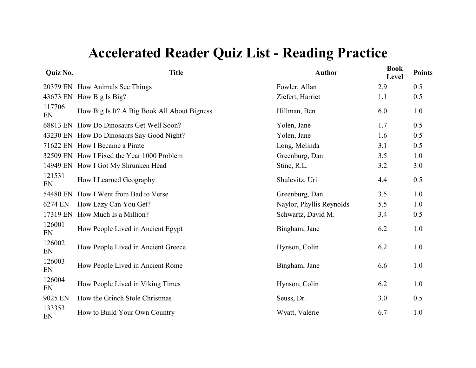| Quiz No.     | <b>Title</b>                                | <b>Author</b>            | <b>Book</b><br>Level | <b>Points</b> |
|--------------|---------------------------------------------|--------------------------|----------------------|---------------|
|              | 20379 EN How Animals See Things             | Fowler, Allan            | 2.9                  | 0.5           |
|              | 43673 EN How Big Is Big?                    | Ziefert, Harriet         | 1.1                  | 0.5           |
| 117706<br>EN | How Big Is It? A Big Book All About Bigness | Hillman, Ben             | 6.0                  | 1.0           |
|              | 68813 EN How Do Dinosaurs Get Well Soon?    | Yolen, Jane              | 1.7                  | 0.5           |
|              | 43230 EN How Do Dinosaurs Say Good Night?   | Yolen, Jane              | 1.6                  | 0.5           |
|              | 71622 EN How I Became a Pirate              | Long, Melinda            | 3.1                  | 0.5           |
|              | 32509 EN How I Fixed the Year 1000 Problem  | Greenburg, Dan           | 3.5                  | 1.0           |
|              | 14949 EN How I Got My Shrunken Head         | Stine, R.L.              | 3.2                  | 3.0           |
| 121531<br>EN | How I Learned Geography                     | Shulevitz, Uri           | 4.4                  | 0.5           |
| 54480 EN     | How I Went from Bad to Verse                | Greenburg, Dan           | 3.5                  | 1.0           |
| 6274 EN      | How Lazy Can You Get?                       | Naylor, Phyllis Reynolds | 5.5                  | 1.0           |
| 17319 EN     | How Much Is a Million?                      | Schwartz, David M.       | 3.4                  | 0.5           |
| 126001<br>EN | How People Lived in Ancient Egypt           | Bingham, Jane            | 6.2                  | 1.0           |
| 126002<br>EN | How People Lived in Ancient Greece          | Hynson, Colin            | 6.2                  | 1.0           |
| 126003<br>EN | How People Lived in Ancient Rome            | Bingham, Jane            | 6.6                  | 1.0           |
| 126004<br>EN | How People Lived in Viking Times            | Hynson, Colin            | 6.2                  | 1.0           |
| 9025 EN      | How the Grinch Stole Christmas              | Seuss, Dr.               | 3.0                  | 0.5           |
| 133353<br>EN | How to Build Your Own Country               | Wyatt, Valerie           | 6.7                  | $1.0$         |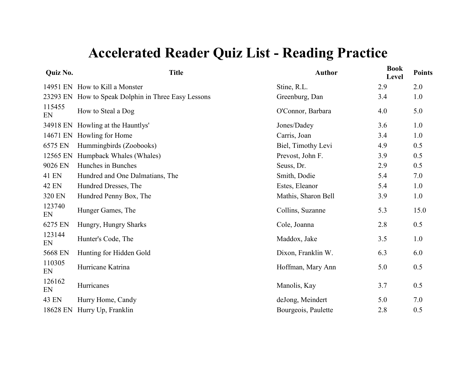| Quiz No.     | <b>Title</b>                                        | <b>Author</b>       | <b>Book</b><br>Level | <b>Points</b> |
|--------------|-----------------------------------------------------|---------------------|----------------------|---------------|
|              | 14951 EN How to Kill a Monster                      | Stine, R.L.         | 2.9                  | 2.0           |
|              | 23293 EN How to Speak Dolphin in Three Easy Lessons | Greenburg, Dan      | 3.4                  | 1.0           |
| 115455<br>EN | How to Steal a Dog                                  | O'Connor, Barbara   | 4.0                  | 5.0           |
|              | 34918 EN Howling at the Hauntlys'                   | Jones/Dadey         | 3.6                  | 1.0           |
|              | 14671 EN Howling for Home                           | Carris, Joan        | 3.4                  | 1.0           |
| 6575 EN      | Hummingbirds (Zoobooks)                             | Biel, Timothy Levi  | 4.9                  | 0.5           |
| 12565 EN     | Humpback Whales (Whales)                            | Prevost, John F.    | 3.9                  | 0.5           |
| 9026 EN      | Hunches in Bunches                                  | Seuss, Dr.          | 2.9                  | 0.5           |
| <b>41 EN</b> | Hundred and One Dalmatians, The                     | Smith, Dodie        | 5.4                  | 7.0           |
| <b>42 EN</b> | Hundred Dresses, The                                | Estes, Eleanor      | 5.4                  | 1.0           |
| 320 EN       | Hundred Penny Box, The                              | Mathis, Sharon Bell | 3.9                  | 1.0           |
| 123740<br>EN | Hunger Games, The                                   | Collins, Suzanne    | 5.3                  | 15.0          |
| 6275 EN      | Hungry, Hungry Sharks                               | Cole, Joanna        | 2.8                  | 0.5           |
| 123144<br>EN | Hunter's Code, The                                  | Maddox, Jake        | 3.5                  | 1.0           |
| 5668 EN      | Hunting for Hidden Gold                             | Dixon, Franklin W.  | 6.3                  | 6.0           |
| 110305<br>EN | Hurricane Katrina                                   | Hoffman, Mary Ann   | 5.0                  | 0.5           |
| 126162<br>EN | Hurricanes                                          | Manolis, Kay        | 3.7                  | 0.5           |
| 43 EN        | Hurry Home, Candy                                   | deJong, Meindert    | 5.0                  | 7.0           |
| 18628 EN     | Hurry Up, Franklin                                  | Bourgeois, Paulette | 2.8                  | 0.5           |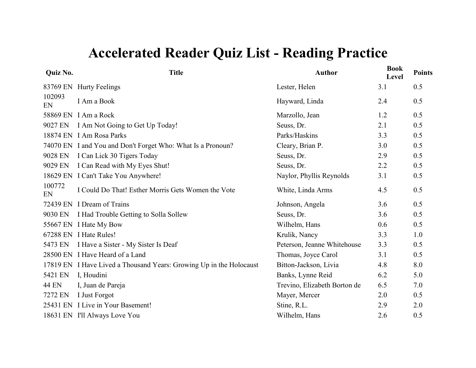| Quiz No.     | <b>Title</b>                                                        | <b>Author</b>                | <b>Book</b><br>Level | <b>Points</b> |
|--------------|---------------------------------------------------------------------|------------------------------|----------------------|---------------|
|              | 83769 EN Hurty Feelings                                             | Lester, Helen                | 3.1                  | 0.5           |
| 102093<br>EN | I Am a Book                                                         | Hayward, Linda               | 2.4                  | 0.5           |
|              | 58869 EN I Am a Rock                                                | Marzollo, Jean               | 1.2                  | 0.5           |
| 9027 EN      | I Am Not Going to Get Up Today!                                     | Seuss, Dr.                   | 2.1                  | 0.5           |
|              | 18874 EN I Am Rosa Parks                                            | Parks/Haskins                | 3.3                  | 0.5           |
|              | 74070 EN I and You and Don't Forget Who: What Is a Pronoun?         | Cleary, Brian P.             | 3.0                  | 0.5           |
| 9028 EN      | I Can Lick 30 Tigers Today                                          | Seuss, Dr.                   | 2.9                  | 0.5           |
| 9029 EN      | I Can Read with My Eyes Shut!                                       | Seuss, Dr.                   | 2.2                  | 0.5           |
|              | 18629 EN I Can't Take You Anywhere!                                 | Naylor, Phyllis Reynolds     | 3.1                  | 0.5           |
| 100772<br>EN | I Could Do That! Esther Morris Gets Women the Vote                  | White, Linda Arms            | 4.5                  | 0.5           |
|              | 72439 EN I Dream of Trains                                          | Johnson, Angela              | 3.6                  | 0.5           |
| 9030 EN      | I Had Trouble Getting to Solla Sollew                               | Seuss, Dr.                   | 3.6                  | 0.5           |
|              | 55667 EN I Hate My Bow                                              | Wilhelm, Hans                | 0.6                  | 0.5           |
|              | 67288 EN I Hate Rules!                                              | Krulik, Nancy                | 3.3                  | 1.0           |
| 5473 EN      | I Have a Sister - My Sister Is Deaf                                 | Peterson, Jeanne Whitehouse  | 3.3                  | 0.5           |
|              | 28500 EN I Have Heard of a Land                                     | Thomas, Joyce Carol          | 3.1                  | 0.5           |
|              | 17819 EN I Have Lived a Thousand Years: Growing Up in the Holocaust | Bitton-Jackson, Livia        | 4.8                  | 8.0           |
| 5421 EN      | I, Houdini                                                          | Banks, Lynne Reid            | 6.2                  | 5.0           |
| <b>44 EN</b> | I, Juan de Pareja                                                   | Trevino, Elizabeth Borton de | 6.5                  | 7.0           |
| 7272 EN      | I Just Forgot                                                       | Mayer, Mercer                | 2.0                  | 0.5           |
|              | 25431 EN I Live in Your Basement!                                   | Stine, R.L.                  | 2.9                  | 2.0           |
|              | 18631 EN I'll Always Love You                                       | Wilhelm, Hans                | 2.6                  | 0.5           |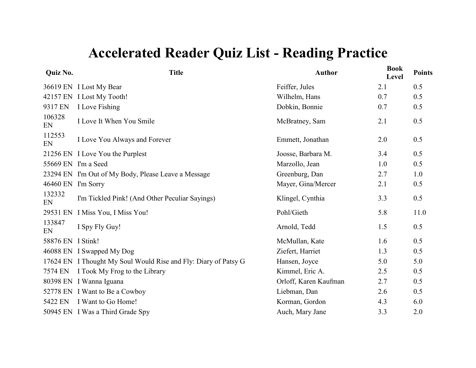| Quiz No.           | <b>Title</b>                                                    | <b>Author</b>         | <b>Book</b><br>Level | <b>Points</b> |
|--------------------|-----------------------------------------------------------------|-----------------------|----------------------|---------------|
|                    | 36619 EN I Lost My Bear                                         | Feiffer, Jules        | 2.1                  | 0.5           |
|                    | 42157 EN I Lost My Tooth!                                       | Wilhelm, Hans         | 0.7                  | 0.5           |
| 9317 EN            | I Love Fishing                                                  | Dobkin, Bonnie        | 0.7                  | 0.5           |
| 106328<br>EN       | I Love It When You Smile                                        | McBratney, Sam        | 2.1                  | 0.5           |
| 112553<br>EN       | I Love You Always and Forever                                   | Emmett, Jonathan      | 2.0                  | 0.5           |
|                    | 21256 EN I Love You the Purplest                                | Joosse, Barbara M.    | 3.4                  | 0.5           |
|                    | 55669 EN I'm a Seed                                             | Marzollo, Jean        | 1.0                  | 0.5           |
|                    | 23294 EN I'm Out of My Body, Please Leave a Message             | Greenburg, Dan        | 2.7                  | 1.0           |
| 46460 EN I'm Sorry |                                                                 | Mayer, Gina/Mercer    | 2.1                  | 0.5           |
| 132332<br>EN       | I'm Tickled Pink! (And Other Peculiar Sayings)                  | Klingel, Cynthia      | 3.3                  | 0.5           |
|                    | 29531 EN I Miss You, I Miss You!                                | Pohl/Gieth            | 5.8                  | 11.0          |
| 133847<br>EN       | I Spy Fly Guy!                                                  | Arnold, Tedd          | 1.5                  | 0.5           |
| 58876 EN I Stink!  |                                                                 | McMullan, Kate        | 1.6                  | 0.5           |
|                    | 46088 EN I Swapped My Dog                                       | Ziefert, Harriet      | 1.3                  | 0.5           |
|                    | 17624 EN I Thought My Soul Would Rise and Fly: Diary of Patsy G | Hansen, Joyce         | 5.0                  | 5.0           |
| 7574 EN            | I Took My Frog to the Library                                   | Kimmel, Eric A.       | 2.5                  | 0.5           |
|                    | 80398 EN I Wanna Iguana                                         | Orloff, Karen Kaufman | 2.7                  | 0.5           |
|                    | 52778 EN I Want to Be a Cowboy                                  | Liebman, Dan          | 2.6                  | 0.5           |
| 5422 EN            | I Want to Go Home!                                              | Korman, Gordon        | 4.3                  | 6.0           |
|                    | 50945 EN I Was a Third Grade Spy                                | Auch, Mary Jane       | 3.3                  | 2.0           |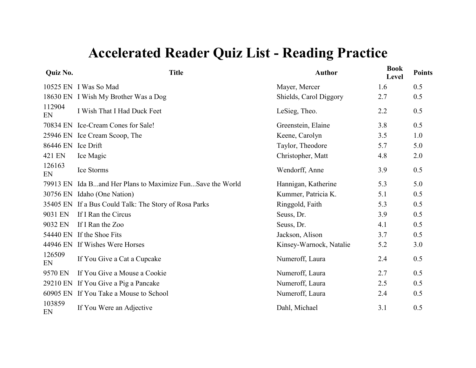| Quiz No.           | <b>Title</b>                                              | <b>Author</b>           | <b>Book</b><br>Level | <b>Points</b> |
|--------------------|-----------------------------------------------------------|-------------------------|----------------------|---------------|
|                    | 10525 EN I Was So Mad                                     | Mayer, Mercer           | 1.6                  | 0.5           |
|                    | 18630 EN I Wish My Brother Was a Dog                      | Shields, Carol Diggory  | 2.7                  | 0.5           |
| 112904<br>EN       | I Wish That I Had Duck Feet                               | LeSieg, Theo.           | 2.2                  | 0.5           |
|                    | 70834 EN Ice-Cream Cones for Sale!                        | Greenstein, Elaine      | 3.8                  | 0.5           |
|                    | 25946 EN Ice Cream Scoop, The                             | Keene, Carolyn          | 3.5                  | 1.0           |
| 86446 EN Ice Drift |                                                           | Taylor, Theodore        | 5.7                  | 5.0           |
| 421 EN             | Ice Magic                                                 | Christopher, Matt       | 4.8                  | 2.0           |
| 126163<br>EN       | Ice Storms                                                | Wendorff, Anne          | 3.9                  | 0.5           |
|                    | 79913 EN Ida Band Her Plans to Maximize FunSave the World | Hannigan, Katherine     | 5.3                  | 5.0           |
|                    | 30756 EN Idaho (One Nation)                               | Kummer, Patricia K.     | 5.1                  | 0.5           |
|                    | 35405 EN If a Bus Could Talk: The Story of Rosa Parks     | Ringgold, Faith         | 5.3                  | 0.5           |
| 9031 EN            | If I Ran the Circus                                       | Seuss, Dr.              | 3.9                  | 0.5           |
| 9032 EN            | If I Ran the Zoo                                          | Seuss, Dr.              | 4.1                  | 0.5           |
|                    | 54440 EN If the Shoe Fits                                 | Jackson, Alison         | 3.7                  | 0.5           |
|                    | 44946 EN If Wishes Were Horses                            | Kinsey-Warnock, Natalie | 5.2                  | 3.0           |
| 126509<br>EN       | If You Give a Cat a Cupcake                               | Numeroff, Laura         | 2.4                  | 0.5           |
| 9570 EN            | If You Give a Mouse a Cookie                              | Numeroff, Laura         | 2.7                  | 0.5           |
|                    | 29210 EN If You Give a Pig a Pancake                      | Numeroff, Laura         | 2.5                  | 0.5           |
|                    | 60905 EN If You Take a Mouse to School                    | Numeroff, Laura         | 2.4                  | 0.5           |
| 103859<br>EN       | If You Were an Adjective                                  | Dahl, Michael           | 3.1                  | 0.5           |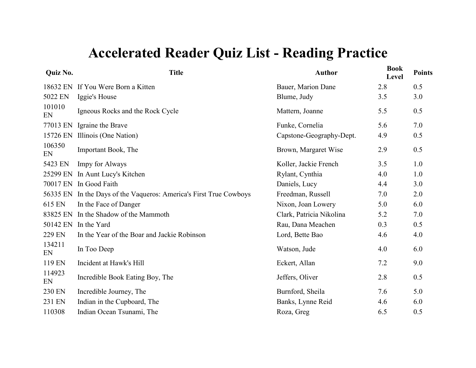| Quiz No.     | <b>Title</b>                                              | <b>Author</b>            | <b>Book</b><br>Level | <b>Points</b> |
|--------------|-----------------------------------------------------------|--------------------------|----------------------|---------------|
| 18632 EN     | If You Were Born a Kitten                                 | Bauer, Marion Dane       | 2.8                  | 0.5           |
| 5022 EN      | Iggie's House                                             | Blume, Judy              | 3.5                  | 3.0           |
| 101010<br>EN | Igneous Rocks and the Rock Cycle                          | Mattern, Joanne          | 5.5                  | 0.5           |
| 77013 EN     | Igraine the Brave                                         | Funke, Cornelia          | 5.6                  | 7.0           |
| 15726 EN     | Illinois (One Nation)                                     | Capstone-Geography-Dept. | 4.9                  | 0.5           |
| 106350<br>EN | Important Book, The                                       | Brown, Margaret Wise     | 2.9                  | 0.5           |
| 5423 EN      | <b>Impy for Always</b>                                    | Koller, Jackie French    | 3.5                  | 1.0           |
| 25299 EN     | In Aunt Lucy's Kitchen                                    | Rylant, Cynthia          | 4.0                  | 1.0           |
| 70017 EN     | In Good Faith                                             | Daniels, Lucy            | 4.4                  | 3.0           |
| 56335 EN     | In the Days of the Vaqueros: America's First True Cowboys | Freedman, Russell        | 7.0                  | 2.0           |
| 615 EN       | In the Face of Danger                                     | Nixon, Joan Lowery       | 5.0                  | 6.0           |
| 83825 EN     | In the Shadow of the Mammoth                              | Clark, Patricia Nikolina | 5.2                  | 7.0           |
| 50142 EN     | In the Yard                                               | Rau, Dana Meachen        | 0.3                  | 0.5           |
| 229 EN       | In the Year of the Boar and Jackie Robinson               | Lord, Bette Bao          | 4.6                  | 4.0           |
| 134211<br>EN | In Too Deep                                               | Watson, Jude             | 4.0                  | 6.0           |
| 119 EN       | Incident at Hawk's Hill                                   | Eckert, Allan            | 7.2                  | 9.0           |
| 114923<br>EN | Incredible Book Eating Boy, The                           | Jeffers, Oliver          | 2.8                  | 0.5           |
| 230 EN       | Incredible Journey, The                                   | Burnford, Sheila         | 7.6                  | 5.0           |
| 231 EN       | Indian in the Cupboard, The                               | Banks, Lynne Reid        | 4.6                  | 6.0           |
| 110308       | Indian Ocean Tsunami, The                                 | Roza, Greg               | 6.5                  | 0.5           |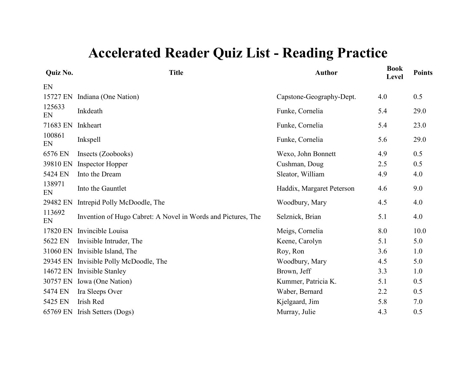| Quiz No.     | <b>Title</b>                                                 | <b>Author</b>             | <b>Book</b><br>Level | <b>Points</b> |
|--------------|--------------------------------------------------------------|---------------------------|----------------------|---------------|
| EN           |                                                              |                           |                      |               |
| 15727 EN     | Indiana (One Nation)                                         | Capstone-Geography-Dept.  | 4.0                  | 0.5           |
| 125633<br>EN | Inkdeath                                                     | Funke, Cornelia           | 5.4                  | 29.0          |
| 71683 EN     | Inkheart                                                     | Funke, Cornelia           | 5.4                  | 23.0          |
| 100861<br>EN | Inkspell                                                     | Funke, Cornelia           | 5.6                  | 29.0          |
| 6576 EN      | Insects (Zoobooks)                                           | Wexo, John Bonnett        | 4.9                  | 0.5           |
| 39810 EN     | <b>Inspector Hopper</b>                                      | Cushman, Doug             | 2.5                  | 0.5           |
| 5424 EN      | Into the Dream                                               | Sleator, William          | 4.9                  | 4.0           |
| 138971<br>EN | Into the Gauntlet                                            | Haddix, Margaret Peterson | 4.6                  | 9.0           |
| 29482 EN     | Intrepid Polly McDoodle, The                                 | Woodbury, Mary            | 4.5                  | 4.0           |
| 113692<br>EN | Invention of Hugo Cabret: A Novel in Words and Pictures, The | Selznick, Brian           | 5.1                  | 4.0           |
| 17820 EN     | Invincible Louisa                                            | Meigs, Cornelia           | 8.0                  | 10.0          |
| 5622 EN      | Invisible Intruder, The                                      | Keene, Carolyn            | 5.1                  | 5.0           |
| 31060 EN     | Invisible Island, The                                        | Roy, Ron                  | 3.6                  | 1.0           |
|              | 29345 EN Invisible Polly McDoodle, The                       | Woodbury, Mary            | 4.5                  | 5.0           |
| 14672 EN     | <b>Invisible Stanley</b>                                     | Brown, Jeff               | 3.3                  | 1.0           |
| 30757 EN     | Iowa (One Nation)                                            | Kummer, Patricia K.       | 5.1                  | 0.5           |
| 5474 EN      | Ira Sleeps Over                                              | Waber, Bernard            | 2.2                  | 0.5           |
| 5425 EN      | Irish Red                                                    | Kjelgaard, Jim            | 5.8                  | 7.0           |
|              | 65769 EN Irish Setters (Dogs)                                | Murray, Julie             | 4.3                  | 0.5           |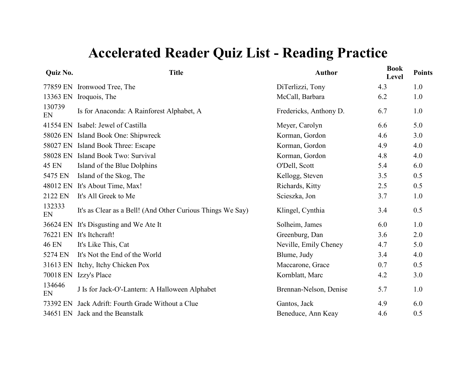| Quiz No.     | <b>Title</b>                                               | <b>Author</b>          | <b>Book</b><br>Level | <b>Points</b> |
|--------------|------------------------------------------------------------|------------------------|----------------------|---------------|
|              | 77859 EN Ironwood Tree, The                                | DiTerlizzi, Tony       | 4.3                  | 1.0           |
|              | 13363 EN Iroquois, The                                     | McCall, Barbara        | 6.2                  | 1.0           |
| 130739<br>EN | Is for Anaconda: A Rainforest Alphabet, A                  | Fredericks, Anthony D. | 6.7                  | 1.0           |
| 41554 EN     | Isabel: Jewel of Castilla                                  | Meyer, Carolyn         | 6.6                  | 5.0           |
|              | 58026 EN Island Book One: Shipwreck                        | Korman, Gordon         | 4.6                  | 3.0           |
|              | 58027 EN Island Book Three: Escape                         | Korman, Gordon         | 4.9                  | 4.0           |
|              | 58028 EN Island Book Two: Survival                         | Korman, Gordon         | 4.8                  | 4.0           |
| <b>45 EN</b> | Island of the Blue Dolphins                                | O'Dell, Scott          | 5.4                  | 6.0           |
| 5475 EN      | Island of the Skog, The                                    | Kellogg, Steven        | 3.5                  | 0.5           |
| 48012 EN     | It's About Time, Max!                                      | Richards, Kitty        | 2.5                  | 0.5           |
| 2122 EN      | It's All Greek to Me                                       | Scieszka, Jon          | 3.7                  | 1.0           |
| 132333<br>EN | It's as Clear as a Bell! (And Other Curious Things We Say) | Klingel, Cynthia       | 3.4                  | 0.5           |
| 36624 EN     | It's Disgusting and We Ate It                              | Solheim, James         | 6.0                  | 1.0           |
| 76221 EN     | It's Itchcraft!                                            | Greenburg, Dan         | 3.6                  | 2.0           |
| <b>46 EN</b> | It's Like This, Cat                                        | Neville, Emily Cheney  | 4.7                  | 5.0           |
| 5274 EN      | It's Not the End of the World                              | Blume, Judy            | 3.4                  | 4.0           |
| 31613 EN     | Itchy, Itchy Chicken Pox                                   | Maccarone, Grace       | 0.7                  | 0.5           |
| 70018 EN     | Izzy's Place                                               | Kornblatt, Marc        | 4.2                  | 3.0           |
| 134646<br>EN | J Is for Jack-O'-Lantern: A Halloween Alphabet             | Brennan-Nelson, Denise | 5.7                  | 1.0           |
| 73392 EN     | Jack Adrift: Fourth Grade Without a Clue                   | Gantos, Jack           | 4.9                  | 6.0           |
|              | 34651 EN Jack and the Beanstalk                            | Beneduce, Ann Keay     | 4.6                  | 0.5           |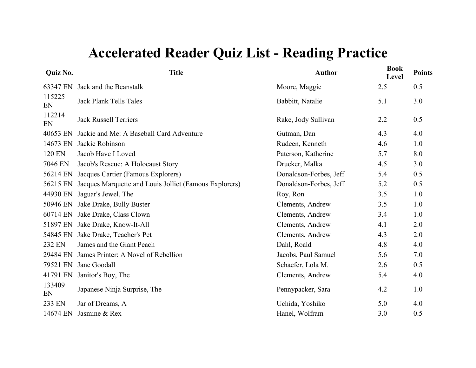| Quiz No.     | <b>Title</b>                                           | <b>Author</b>          | <b>Book</b><br>Level | <b>Points</b> |
|--------------|--------------------------------------------------------|------------------------|----------------------|---------------|
| 63347 EN     | Jack and the Beanstalk                                 | Moore, Maggie          | 2.5                  | 0.5           |
| 115225<br>EN | <b>Jack Plank Tells Tales</b>                          | Babbitt, Natalie       | 5.1                  | 3.0           |
| 112214<br>EN | <b>Jack Russell Terriers</b>                           | Rake, Jody Sullivan    | 2.2                  | 0.5           |
| 40653 EN     | Jackie and Me: A Baseball Card Adventure               | Gutman, Dan            | 4.3                  | 4.0           |
| 14673 EN     | Jackie Robinson                                        | Rudeen, Kenneth        | 4.6                  | 1.0           |
| 120 EN       | Jacob Have I Loved                                     | Paterson, Katherine    | 5.7                  | 8.0           |
| 7046 EN      | Jacob's Rescue: A Holocaust Story                      | Drucker, Malka         | 4.5                  | 3.0           |
| 56214 EN     | Jacques Cartier (Famous Explorers)                     | Donaldson-Forbes, Jeff | 5.4                  | 0.5           |
| 56215 EN     | Jacques Marquette and Louis Jolliet (Famous Explorers) | Donaldson-Forbes, Jeff | 5.2                  | 0.5           |
| 44930 EN     | Jaguar's Jewel, The                                    | Roy, Ron               | 3.5                  | 1.0           |
| 50946 EN     | Jake Drake, Bully Buster                               | Clements, Andrew       | 3.5                  | 1.0           |
| 60714 EN     | Jake Drake, Class Clown                                | Clements, Andrew       | 3.4                  | 1.0           |
| 51897 EN     | Jake Drake, Know-It-All                                | Clements, Andrew       | 4.1                  | 2.0           |
| 54845 EN     | Jake Drake, Teacher's Pet                              | Clements, Andrew       | 4.3                  | 2.0           |
| 232 EN       | James and the Giant Peach                              | Dahl, Roald            | 4.8                  | 4.0           |
| 29484 EN     | James Printer: A Novel of Rebellion                    | Jacobs, Paul Samuel    | 5.6                  | 7.0           |
| 79521 EN     | Jane Goodall                                           | Schaefer, Lola M.      | 2.6                  | 0.5           |
| 41791 EN     | Janitor's Boy, The                                     | Clements, Andrew       | 5.4                  | 4.0           |
| 133409<br>EN | Japanese Ninja Surprise, The                           | Pennypacker, Sara      | 4.2                  | 1.0           |
| 233 EN       | Jar of Dreams, A                                       | Uchida, Yoshiko        | 5.0                  | 4.0           |
| 14674 EN     | Jasmine & Rex                                          | Hanel, Wolfram         | 3.0                  | 0.5           |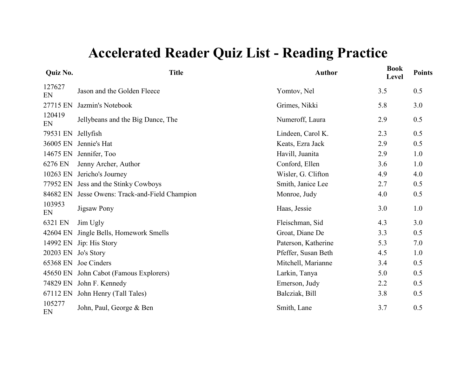| Quiz No.     | <b>Title</b>                          | <b>Author</b>       | <b>Book</b><br>Level | <b>Points</b> |
|--------------|---------------------------------------|---------------------|----------------------|---------------|
| 127627<br>EN | Jason and the Golden Fleece           | Yomtov, Nel         | 3.5                  | 0.5           |
| 27715 EN     | Jazmin's Notebook                     | Grimes, Nikki       | 5.8                  | 3.0           |
| 120419<br>EN | Jellybeans and the Big Dance, The     | Numeroff, Laura     | 2.9                  | 0.5           |
| 79531 EN     | Jellyfish                             | Lindeen, Carol K.   | 2.3                  | 0.5           |
| 36005 EN     | Jennie's Hat                          | Keats, Ezra Jack    | 2.9                  | 0.5           |
| 14675 EN     | Jennifer, Too                         | Havill, Juanita     | 2.9                  | 1.0           |
| 6276 EN      | Jenny Archer, Author                  | Conford, Ellen      | 3.6                  | 1.0           |
| 10263 EN     | Jericho's Journey                     | Wisler, G. Clifton  | 4.9                  | 4.0           |
| 77952 EN     | Jess and the Stinky Cowboys           | Smith, Janice Lee   | 2.7                  | 0.5           |
| 84682 EN     | Jesse Owens: Track-and-Field Champion | Monroe, Judy        | 4.0                  | 0.5           |
| 103953<br>EN | <b>Jigsaw Pony</b>                    | Haas, Jessie        | 3.0                  | 1.0           |
| 6321 EN      | Jim Ugly                              | Fleischman, Sid     | 4.3                  | 3.0           |
| 42604 EN     | Jingle Bells, Homework Smells         | Groat, Diane De     | 3.3                  | 0.5           |
| 14992 EN     | Jip: His Story                        | Paterson, Katherine | 5.3                  | 7.0           |
| 20203 EN     | Jo's Story                            | Pfeffer, Susan Beth | 4.5                  | 1.0           |
| 65368 EN     | Joe Cinders                           | Mitchell, Marianne  | 3.4                  | 0.5           |
| 45650 EN     | John Cabot (Famous Explorers)         | Larkin, Tanya       | 5.0                  | 0.5           |
| 74829 EN     | John F. Kennedy                       | Emerson, Judy       | 2.2                  | 0.5           |
| 67112 EN     | John Henry (Tall Tales)               | Balcziak, Bill      | 3.8                  | 0.5           |
| 105277<br>EN | John, Paul, George & Ben              | Smith, Lane         | 3.7                  | 0.5           |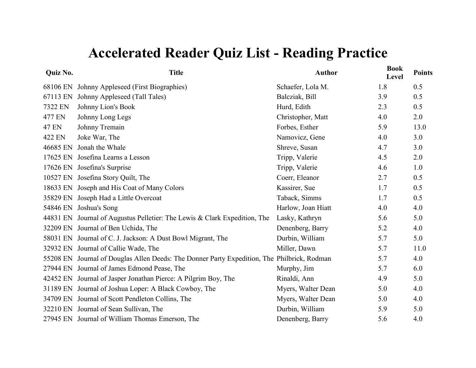| Quiz No.     | <b>Title</b>                                                                                | <b>Author</b>      | <b>Book</b><br>Level | <b>Points</b> |
|--------------|---------------------------------------------------------------------------------------------|--------------------|----------------------|---------------|
| 68106 EN     | Johnny Appleseed (First Biographies)                                                        | Schaefer, Lola M.  | 1.8                  | 0.5           |
| 67113 EN     | Johnny Appleseed (Tall Tales)                                                               | Balcziak, Bill     | 3.9                  | 0.5           |
| 7322 EN      | Johnny Lion's Book                                                                          | Hurd, Edith        | 2.3                  | 0.5           |
| 477 EN       | Johnny Long Legs                                                                            | Christopher, Matt  | 4.0                  | 2.0           |
| <b>47 EN</b> | Johnny Tremain                                                                              | Forbes, Esther     | 5.9                  | 13.0          |
| 422 EN       | Joke War, The                                                                               | Namovicz, Gene     | 4.0                  | 3.0           |
| 46685 EN     | Jonah the Whale                                                                             | Shreve, Susan      | 4.7                  | 3.0           |
|              | 17625 EN Josefina Learns a Lesson                                                           | Tripp, Valerie     | 4.5                  | 2.0           |
|              | 17626 EN Josefina's Surprise                                                                | Tripp, Valerie     | 4.6                  | 1.0           |
|              | 10527 EN Josefina Story Quilt, The                                                          | Coerr, Eleanor     | 2.7                  | 0.5           |
|              | 18633 EN Joseph and His Coat of Many Colors                                                 | Kassirer, Sue      | 1.7                  | 0.5           |
|              | 35829 EN Joseph Had a Little Overcoat                                                       | Taback, Simms      | 1.7                  | 0.5           |
|              | 54846 EN Joshua's Song                                                                      | Harlow, Joan Hiatt | 4.0                  | 4.0           |
|              | 44831 EN Journal of Augustus Pelletier: The Lewis & Clark Expedition, The                   | Lasky, Kathryn     | 5.6                  | 5.0           |
|              | 32209 EN Journal of Ben Uchida, The                                                         | Denenberg, Barry   | 5.2                  | 4.0           |
|              | 58031 EN Journal of C. J. Jackson: A Dust Bowl Migrant, The                                 | Durbin, William    | 5.7                  | 5.0           |
|              | 32932 EN Journal of Callie Wade, The                                                        | Miller, Dawn       | 5.7                  | 11.0          |
|              | 55208 EN Journal of Douglas Allen Deeds: The Donner Party Expedition, The Philbrick, Rodman |                    | 5.7                  | 4.0           |
|              | 27944 EN Journal of James Edmond Pease, The                                                 | Murphy, Jim        | 5.7                  | 6.0           |
|              | 42452 EN Journal of Jasper Jonathan Pierce: A Pilgrim Boy, The                              | Rinaldi, Ann       | 4.9                  | 5.0           |
|              | 31189 EN Journal of Joshua Loper: A Black Cowboy, The                                       | Myers, Walter Dean | 5.0                  | 4.0           |
|              | 34709 EN Journal of Scott Pendleton Collins, The                                            | Myers, Walter Dean | 5.0                  | 4.0           |
|              | 32210 EN Journal of Sean Sullivan, The                                                      | Durbin, William    | 5.9                  | 5.0           |
|              | 27945 EN Journal of William Thomas Emerson, The                                             | Denenberg, Barry   | 5.6                  | 4.0           |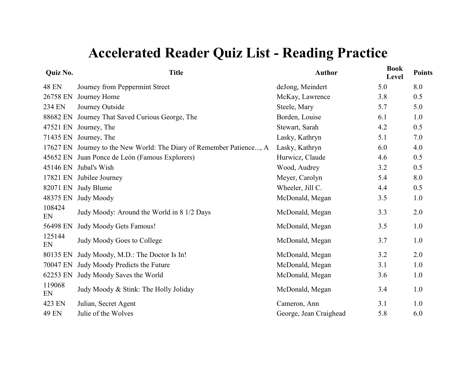| <b>Title</b>                                                         | <b>Author</b>          | <b>Book</b><br>Level | <b>Points</b> |
|----------------------------------------------------------------------|------------------------|----------------------|---------------|
| Journey from Peppermint Street                                       | deJong, Meindert       | 5.0                  | 8.0           |
| Journey Home                                                         | McKay, Lawrence        | 3.8                  | 0.5           |
| Journey Outside                                                      | Steele, Mary           | 5.7                  | 5.0           |
| 88682 EN Journey That Saved Curious George, The                      | Borden, Louise         | 6.1                  | 1.0           |
| 47521 EN<br>Journey, The                                             | Stewart, Sarah         | 4.2                  | 0.5           |
| 71435 EN Journey, The                                                | Lasky, Kathryn         | 5.1                  | 7.0           |
| 17627 EN Journey to the New World: The Diary of Remember Patience, A | Lasky, Kathryn         | 6.0                  | 4.0           |
| 45652 EN Juan Ponce de León (Famous Explorers)                       | Hurwicz, Claude        | 4.6                  | 0.5           |
| 45146 EN Jubal's Wish                                                | Wood, Audrey           | 3.2                  | 0.5           |
| 17821 EN Jubilee Journey                                             | Meyer, Carolyn         | 5.4                  | 8.0           |
| 82071 EN Judy Blume                                                  | Wheeler, Jill C.       | 4.4                  | 0.5           |
| <b>Judy Moody</b>                                                    | McDonald, Megan        | 3.5                  | 1.0           |
| Judy Moody: Around the World in 8 1/2 Days                           | McDonald, Megan        | 3.3                  | 2.0           |
| Judy Moody Gets Famous!                                              | McDonald, Megan        | 3.5                  | 1.0           |
| Judy Moody Goes to College                                           | McDonald, Megan        | 3.7                  | 1.0           |
| Judy Moody, M.D.: The Doctor Is In!                                  | McDonald, Megan        | 3.2                  | 2.0           |
| Judy Moody Predicts the Future                                       | McDonald, Megan        | 3.1                  | 1.0           |
| Judy Moody Saves the World                                           | McDonald, Megan        | 3.6                  | 1.0           |
| Judy Moody & Stink: The Holly Joliday                                | McDonald, Megan        | 3.4                  | 1.0           |
| Julian, Secret Agent                                                 | Cameron, Ann           | 3.1                  | 1.0           |
| Julie of the Wolves                                                  | George, Jean Craighead | 5.8                  | 6.0           |
|                                                                      |                        |                      |               |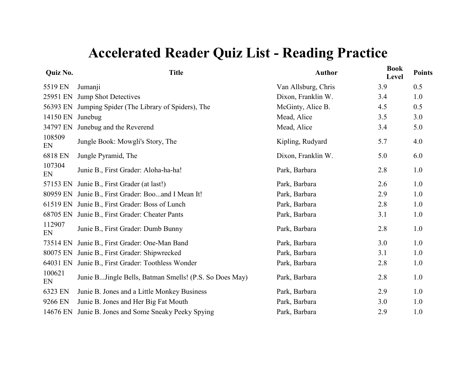| Quiz No.     | <b>Title</b>                                           | <b>Author</b>       | <b>Book</b><br>Level | <b>Points</b> |
|--------------|--------------------------------------------------------|---------------------|----------------------|---------------|
| 5519 EN      | Jumanji                                                | Van Allsburg, Chris | 3.9                  | 0.5           |
| 25951 EN     | <b>Jump Shot Detectives</b>                            | Dixon, Franklin W.  | 3.4                  | 1.0           |
| 56393 EN     | Jumping Spider (The Library of Spiders), The           | McGinty, Alice B.   | 4.5                  | 0.5           |
| 14150 EN     | Junebug                                                | Mead, Alice         | 3.5                  | 3.0           |
| 34797 EN     | Junebug and the Reverend                               | Mead, Alice         | 3.4                  | 5.0           |
| 108509<br>EN | Jungle Book: Mowgli's Story, The                       | Kipling, Rudyard    | 5.7                  | 4.0           |
| 6818 EN      | Jungle Pyramid, The                                    | Dixon, Franklin W.  | 5.0                  | 6.0           |
| 107304<br>EN | Junie B., First Grader: Aloha-ha-ha!                   | Park, Barbara       | 2.8                  | 1.0           |
| 57153 EN     | Junie B., First Grader (at last!)                      | Park, Barbara       | 2.6                  | 1.0           |
| 80959 EN     | Junie B., First Grader: Booand I Mean It!              | Park, Barbara       | 2.9                  | 1.0           |
|              | 61519 EN Junie B., First Grader: Boss of Lunch         | Park, Barbara       | 2.8                  | 1.0           |
| 68705 EN     | Junie B., First Grader: Cheater Pants                  | Park, Barbara       | 3.1                  | 1.0           |
| 112907<br>EN | Junie B., First Grader: Dumb Bunny                     | Park, Barbara       | 2.8                  | 1.0           |
| 73514 EN     | Junie B., First Grader: One-Man Band                   | Park, Barbara       | 3.0                  | 1.0           |
| 80075 EN     | Junie B., First Grader: Shipwrecked                    | Park, Barbara       | 3.1                  | $1.0$         |
| 64031 EN     | Junie B., First Grader: Toothless Wonder               | Park, Barbara       | 2.8                  | 1.0           |
| 100621<br>EN | Junie BJingle Bells, Batman Smells! (P.S. So Does May) | Park, Barbara       | 2.8                  | 1.0           |
| 6323 EN      | Junie B. Jones and a Little Monkey Business            | Park, Barbara       | 2.9                  | 1.0           |
| 9266 EN      | Junie B. Jones and Her Big Fat Mouth                   | Park, Barbara       | 3.0                  | 1.0           |
| 14676 EN     | Junie B. Jones and Some Sneaky Peeky Spying            | Park, Barbara       | 2.9                  | 1.0           |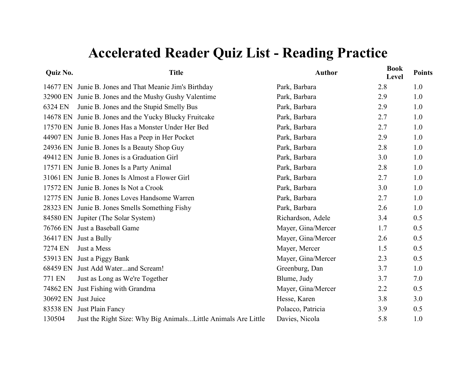| <b>Quiz No.</b> | <b>Title</b>                                                   | <b>Author</b>      | <b>Book</b><br>Level | <b>Points</b> |
|-----------------|----------------------------------------------------------------|--------------------|----------------------|---------------|
|                 | 14677 EN Junie B. Jones and That Meanie Jim's Birthday         | Park, Barbara      | 2.8                  | 1.0           |
| 32900 EN        | Junie B. Jones and the Mushy Gushy Valentime                   | Park, Barbara      | 2.9                  | 1.0           |
| 6324 EN         | Junie B. Jones and the Stupid Smelly Bus                       | Park, Barbara      | 2.9                  | 1.0           |
| 14678 EN        | Junie B. Jones and the Yucky Blucky Fruitcake                  | Park, Barbara      | 2.7                  | 1.0           |
|                 | 17570 EN Junie B. Jones Has a Monster Under Her Bed            | Park, Barbara      | 2.7                  | 1.0           |
|                 | 44907 EN Junie B. Jones Has a Peep in Her Pocket               | Park, Barbara      | 2.9                  | 1.0           |
|                 | 24936 EN Junie B. Jones Is a Beauty Shop Guy                   | Park, Barbara      | 2.8                  | 1.0           |
|                 | 49412 EN Junie B. Jones is a Graduation Girl                   | Park, Barbara      | 3.0                  | 1.0           |
|                 | 17571 EN Junie B. Jones Is a Party Animal                      | Park, Barbara      | 2.8                  | 1.0           |
|                 | 31061 EN Junie B. Jones Is Almost a Flower Girl                | Park, Barbara      | 2.7                  | 1.0           |
|                 | 17572 EN Junie B. Jones Is Not a Crook                         | Park, Barbara      | 3.0                  | 1.0           |
|                 | 12775 EN Junie B. Jones Loves Handsome Warren                  | Park, Barbara      | 2.7                  | 1.0           |
|                 | 28323 EN Junie B. Jones Smells Something Fishy                 | Park, Barbara      | 2.6                  | 1.0           |
|                 | 84580 EN Jupiter (The Solar System)                            | Richardson, Adele  | 3.4                  | 0.5           |
|                 | 76766 EN Just a Baseball Game                                  | Mayer, Gina/Mercer | 1.7                  | 0.5           |
|                 | 36417 EN Just a Bully                                          | Mayer, Gina/Mercer | 2.6                  | 0.5           |
| 7274 EN         | Just a Mess                                                    | Mayer, Mercer      | 1.5                  | 0.5           |
| 53913 EN        | Just a Piggy Bank                                              | Mayer, Gina/Mercer | 2.3                  | 0.5           |
|                 | 68459 EN Just Add Waterand Scream!                             | Greenburg, Dan     | 3.7                  | 1.0           |
| 771 EN          | Just as Long as We're Together                                 | Blume, Judy        | 3.7                  | 7.0           |
| 74862 EN        | Just Fishing with Grandma                                      | Mayer, Gina/Mercer | 2.2                  | 0.5           |
| 30692 EN        | Just Juice                                                     | Hesse, Karen       | 3.8                  | 3.0           |
| 83538 EN        | Just Plain Fancy                                               | Polacco, Patricia  | 3.9                  | 0.5           |
| 130504          | Just the Right Size: Why Big Animals Little Animals Are Little | Davies, Nicola     | 5.8                  | 1.0           |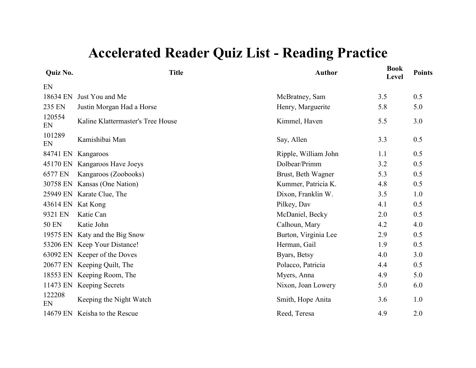| Quiz No.     | <b>Title</b>                      | <b>Author</b>        | <b>Book</b><br>Level | <b>Points</b> |
|--------------|-----------------------------------|----------------------|----------------------|---------------|
| EN           |                                   |                      |                      |               |
| 18634 EN     | Just You and Me                   | McBratney, Sam       | 3.5                  | 0.5           |
| 235 EN       | Justin Morgan Had a Horse         | Henry, Marguerite    | 5.8                  | 5.0           |
| 120554<br>EN | Kaline Klattermaster's Tree House | Kimmel, Haven        | 5.5                  | 3.0           |
| 101289<br>EN | Kamishibai Man                    | Say, Allen           | 3.3                  | 0.5           |
| 84741 EN     | Kangaroos                         | Ripple, William John | 1.1                  | 0.5           |
| 45170 EN     | Kangaroos Have Joeys              | Dolbear/Primm        | 3.2                  | 0.5           |
| 6577 EN      | Kangaroos (Zoobooks)              | Brust, Beth Wagner   | 5.3                  | 0.5           |
| 30758 EN     | Kansas (One Nation)               | Kummer, Patricia K.  | 4.8                  | 0.5           |
| 25949 EN     | Karate Clue, The                  | Dixon, Franklin W.   | 3.5                  | 1.0           |
| 43614 EN     | Kat Kong                          | Pilkey, Dav          | 4.1                  | 0.5           |
| 9321 EN      | Katie Can                         | McDaniel, Becky      | 2.0                  | 0.5           |
| <b>50 EN</b> | Katie John                        | Calhoun, Mary        | 4.2                  | 4.0           |
| 19575 EN     | Katy and the Big Snow             | Burton, Virginia Lee | 2.9                  | 0.5           |
|              | 53206 EN Keep Your Distance!      | Herman, Gail         | 1.9                  | 0.5           |
| 63092 EN     | Keeper of the Doves               | Byars, Betsy         | 4.0                  | 3.0           |
| 20677 EN     | Keeping Quilt, The                | Polacco, Patricia    | 4.4                  | 0.5           |
| 18553 EN     | Keeping Room, The                 | Myers, Anna          | 4.9                  | 5.0           |
| 11473 EN     | <b>Keeping Secrets</b>            | Nixon, Joan Lowery   | 5.0                  | 6.0           |
| 122208<br>EN | Keeping the Night Watch           | Smith, Hope Anita    | 3.6                  | 1.0           |
| 14679 EN     | Keisha to the Rescue              | Reed, Teresa         | 4.9                  | 2.0           |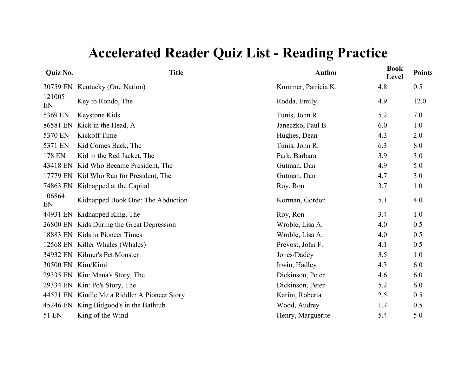| Quiz No.          | <b>Title</b>                                 | <b>Author</b>       | <b>Book</b><br>Level | <b>Points</b> |
|-------------------|----------------------------------------------|---------------------|----------------------|---------------|
|                   | 30759 EN Kentucky (One Nation)               | Kummer, Patricia K. | 4.8                  | 0.5           |
| 121005<br>EN      | Key to Rondo, The                            | Rodda, Emily        | 4.9                  | 12.0          |
| 5369 EN           | Keystone Kids                                | Tunis, John R.      | 5.2                  | 7.0           |
| 86581 EN          | Kick in the Head, A                          | Janeczko, Paul B.   | 6.0                  | 1.0           |
| 5370 EN           | Kickoff Time                                 | Hughes, Dean        | 4.3                  | 2.0           |
| 5371 EN           | Kid Comes Back, The                          | Tunis, John R.      | 6.3                  | 8.0           |
| 178 EN            | Kid in the Red Jacket, The                   | Park, Barbara       | 3.9                  | 3.0           |
|                   | 43418 EN Kid Who Became President, The       | Gutman, Dan         | 4.9                  | 5.0           |
|                   | 17779 EN Kid Who Ran for President, The      | Gutman, Dan         | 4.7                  | 3.0           |
| 74863 EN          | Kidnapped at the Capital                     | Roy, Ron            | 3.7                  | 1.0           |
| 106864<br>EN      | Kidnapped Book One: The Abduction            | Korman, Gordon      | 5.1                  | 4.0           |
| 44931 EN          | Kidnapped King, The                          | Roy, Ron            | 3.4                  | 1.0           |
|                   | 26800 EN Kids During the Great Depression    | Wroble, Lisa A.     | 4.0                  | 0.5           |
|                   | 18883 EN Kids in Pioneer Times               | Wroble, Lisa A.     | 4.0                  | 0.5           |
|                   | 12568 EN Killer Whales (Whales)              | Prevost, John F.    | 4.1                  | 0.5           |
|                   | 34932 EN Kilmer's Pet Monster                | Jones/Dadey         | 3.5                  | 1.0           |
| 30500 EN Kim/Kimi |                                              | Irwin, Hadley       | 4.3                  | 6.0           |
|                   | 29335 EN Kin: Mana's Story, The              | Dickinson, Peter    | 4.6                  | 6.0           |
|                   | 29334 EN Kin: Po's Story, The                | Dickinson, Peter    | 5.2                  | 6.0           |
|                   | 44571 EN Kindle Me a Riddle: A Pioneer Story | Karim, Roberta      | 2.5                  | 0.5           |
| 45246 EN          | King Bidgood's in the Bathtub                | Wood, Audrey        | 1.7                  | 0.5           |
| 51 EN             | King of the Wind                             | Henry, Marguerite   | 5.4                  | 5.0           |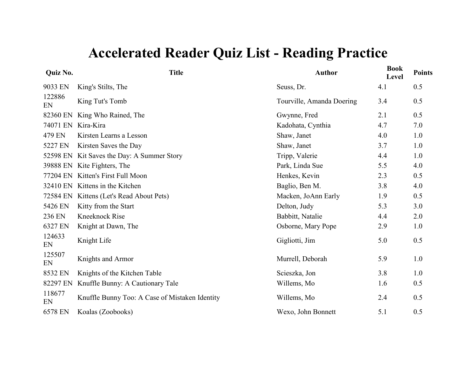| Quiz No.     | <b>Title</b>                                   | <b>Author</b>             | <b>Book</b><br>Level | <b>Points</b> |
|--------------|------------------------------------------------|---------------------------|----------------------|---------------|
| 9033 EN      | King's Stilts, The                             | Seuss, Dr.                | 4.1                  | 0.5           |
| 122886<br>EN | King Tut's Tomb                                | Tourville, Amanda Doering | 3.4                  | 0.5           |
| 82360 EN     | King Who Rained, The                           | Gwynne, Fred              | 2.1                  | 0.5           |
| 74071 EN     | Kira-Kira                                      | Kadohata, Cynthia         | 4.7                  | 7.0           |
| 479 EN       | Kirsten Learns a Lesson                        | Shaw, Janet               | 4.0                  | 1.0           |
| 5227 EN      | Kirsten Saves the Day                          | Shaw, Janet               | 3.7                  | 1.0           |
|              | 52598 EN Kit Saves the Day: A Summer Story     | Tripp, Valerie            | 4.4                  | 1.0           |
|              | 39888 EN Kite Fighters, The                    | Park, Linda Sue           | 5.5                  | 4.0           |
| 77204 EN     | Kitten's First Full Moon                       | Henkes, Kevin             | 2.3                  | 0.5           |
|              | 32410 EN Kittens in the Kitchen                | Baglio, Ben M.            | 3.8                  | 4.0           |
|              | 72584 EN Kittens (Let's Read About Pets)       | Macken, JoAnn Early       | 1.9                  | 0.5           |
| 5426 EN      | Kitty from the Start                           | Delton, Judy              | 5.3                  | 3.0           |
| 236 EN       | <b>Kneeknock Rise</b>                          | Babbitt, Natalie          | 4.4                  | 2.0           |
| 6327 EN      | Knight at Dawn, The                            | Osborne, Mary Pope        | 2.9                  | 1.0           |
| 124633<br>EN | Knight Life                                    | Gigliotti, Jim            | 5.0                  | 0.5           |
| 125507<br>EN | Knights and Armor                              | Murrell, Deborah          | 5.9                  | 1.0           |
| 8532 EN      | Knights of the Kitchen Table                   | Scieszka, Jon             | 3.8                  | 1.0           |
| 82297 EN     | Knuffle Bunny: A Cautionary Tale               | Willems, Mo               | 1.6                  | 0.5           |
| 118677<br>EN | Knuffle Bunny Too: A Case of Mistaken Identity | Willems, Mo               | 2.4                  | 0.5           |
| 6578 EN      | Koalas (Zoobooks)                              | Wexo, John Bonnett        | 5.1                  | 0.5           |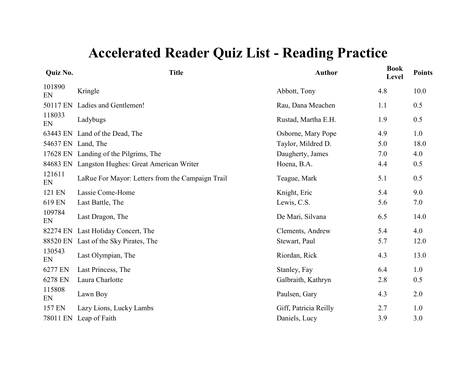| <b>Quiz No.</b> | <b>Title</b>                                     | <b>Author</b>         | <b>Book</b><br>Level | <b>Points</b> |
|-----------------|--------------------------------------------------|-----------------------|----------------------|---------------|
| 101890<br>EN    | Kringle                                          | Abbott, Tony          | 4.8                  | 10.0          |
| 50117 EN        | Ladies and Gentlemen!                            | Rau, Dana Meachen     | 1.1                  | 0.5           |
| 118033<br>EN    | Ladybugs                                         | Rustad, Martha E.H.   | 1.9                  | 0.5           |
| 63443 EN        | Land of the Dead, The                            | Osborne, Mary Pope    | 4.9                  | 1.0           |
|                 | 54637 EN Land, The                               | Taylor, Mildred D.    | 5.0                  | 18.0          |
| 17628 EN        | Landing of the Pilgrims, The                     | Daugherty, James      | 7.0                  | 4.0           |
| 84683 EN        | Langston Hughes: Great American Writer           | Hoena, B.A.           | 4.4                  | 0.5           |
| 121611<br>EN    | LaRue For Mayor: Letters from the Campaign Trail | Teague, Mark          | 5.1                  | 0.5           |
| 121 EN          | Lassie Come-Home                                 | Knight, Eric          | 5.4                  | 9.0           |
| 619 EN          | Last Battle, The                                 | Lewis, C.S.           | 5.6                  | 7.0           |
| 109784<br>EN    | Last Dragon, The                                 | De Mari, Silvana      | 6.5                  | 14.0          |
| 82274 EN        | Last Holiday Concert, The                        | Clements, Andrew      | 5.4                  | 4.0           |
| 88520 EN        | Last of the Sky Pirates, The                     | Stewart, Paul         | 5.7                  | 12.0          |
| 130543<br>EN    | Last Olympian, The                               | Riordan, Rick         | 4.3                  | 13.0          |
| 6277 EN         | Last Princess, The                               | Stanley, Fay          | 6.4                  | 1.0           |
| 6278 EN         | Laura Charlotte                                  | Galbraith, Kathryn    | 2.8                  | 0.5           |
| 115808<br>EN    | Lawn Boy                                         | Paulsen, Gary         | 4.3                  | 2.0           |
| 157 EN          | Lazy Lions, Lucky Lambs                          | Giff, Patricia Reilly | 2.7                  | 1.0           |
| 78011 EN        | Leap of Faith                                    | Daniels, Lucy         | 3.9                  | 3.0           |
|                 |                                                  |                       |                      |               |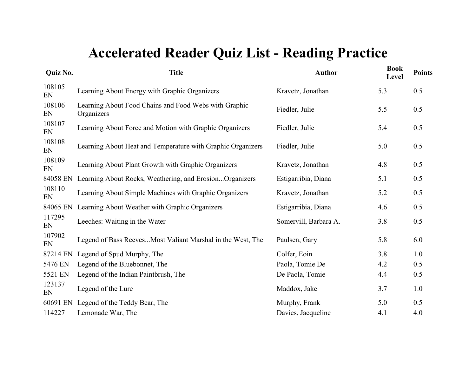| Quiz No.     | <b>Title</b>                                                        | <b>Author</b>         | <b>Book</b><br>Level | <b>Points</b> |
|--------------|---------------------------------------------------------------------|-----------------------|----------------------|---------------|
| 108105<br>EN | Learning About Energy with Graphic Organizers                       | Kravetz, Jonathan     | 5.3                  | 0.5           |
| 108106<br>EN | Learning About Food Chains and Food Webs with Graphic<br>Organizers | Fiedler, Julie        | 5.5                  | 0.5           |
| 108107<br>EN | Learning About Force and Motion with Graphic Organizers             | Fiedler, Julie        | 5.4                  | 0.5           |
| 108108<br>EN | Learning About Heat and Temperature with Graphic Organizers         | Fiedler, Julie        | 5.0                  | 0.5           |
| 108109<br>EN | Learning About Plant Growth with Graphic Organizers                 | Kravetz, Jonathan     | 4.8                  | 0.5           |
| 84058 EN     | Learning About Rocks, Weathering, and ErosionOrganizers             | Estigarribia, Diana   | 5.1                  | 0.5           |
| 108110<br>EN | Learning About Simple Machines with Graphic Organizers              | Kravetz, Jonathan     | 5.2                  | 0.5           |
| 84065 EN     | Learning About Weather with Graphic Organizers                      | Estigarribia, Diana   | 4.6                  | 0.5           |
| 117295<br>EN | Leeches: Waiting in the Water                                       | Somervill, Barbara A. | 3.8                  | 0.5           |
| 107902<br>EN | Legend of Bass Reeves Most Valiant Marshal in the West, The         | Paulsen, Gary         | 5.8                  | 6.0           |
| 87214 EN     | Legend of Spud Murphy, The                                          | Colfer, Eoin          | 3.8                  | 1.0           |
| 5476 EN      | Legend of the Bluebonnet, The                                       | Paola, Tomie De       | 4.2                  | 0.5           |
| 5521 EN      | Legend of the Indian Paintbrush, The                                | De Paola, Tomie       | 4.4                  | 0.5           |
| 123137<br>EN | Legend of the Lure                                                  | Maddox, Jake          | 3.7                  | 1.0           |
| 60691 EN     | Legend of the Teddy Bear, The                                       | Murphy, Frank         | 5.0                  | 0.5           |
| 114227       | Lemonade War, The                                                   | Davies, Jacqueline    | 4.1                  | 4.0           |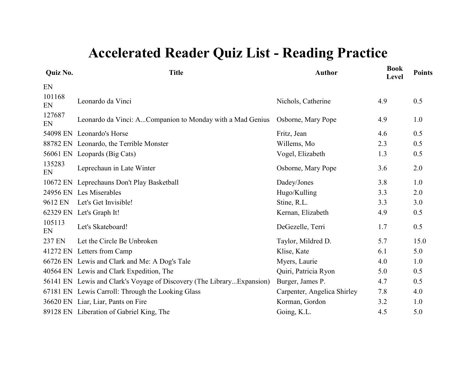| Quiz No.     | <b>Title</b>                                                          | <b>Author</b>               | <b>Book</b><br>Level | <b>Points</b> |
|--------------|-----------------------------------------------------------------------|-----------------------------|----------------------|---------------|
| EN           |                                                                       |                             |                      |               |
| 101168<br>EN | Leonardo da Vinci                                                     | Nichols, Catherine          | 4.9                  | 0.5           |
| 127687<br>EN | Leonardo da Vinci: ACompanion to Monday with a Mad Genius             | Osborne, Mary Pope          | 4.9                  | 1.0           |
|              | 54098 EN Leonardo's Horse                                             | Fritz, Jean                 | 4.6                  | 0.5           |
|              | 88782 EN Leonardo, the Terrible Monster                               | Willems, Mo                 | 2.3                  | 0.5           |
|              | 56061 EN Leopards (Big Cats)                                          | Vogel, Elizabeth            | 1.3                  | 0.5           |
| 135283<br>EN | Leprechaun in Late Winter                                             | Osborne, Mary Pope          | 3.6                  | 2.0           |
| 10672 EN     | Leprechauns Don't Play Basketball                                     | Dadey/Jones                 | 3.8                  | 1.0           |
|              | 24956 EN Les Miserables                                               | Hugo/Kulling                | 3.3                  | 2.0           |
| 9612 EN      | Let's Get Invisible!                                                  | Stine, R.L.                 | 3.3                  | 3.0           |
|              | 62329 EN Let's Graph It!                                              | Kernan, Elizabeth           | 4.9                  | 0.5           |
| 105113<br>EN | Let's Skateboard!                                                     | DeGezelle, Terri            | 1.7                  | 0.5           |
| 237 EN       | Let the Circle Be Unbroken                                            | Taylor, Mildred D.          | 5.7                  | 15.0          |
|              | 41272 EN Letters from Camp                                            | Klise, Kate                 | 6.1                  | 5.0           |
|              | 66726 EN Lewis and Clark and Me: A Dog's Tale                         | Myers, Laurie               | 4.0                  | 1.0           |
|              | 40564 EN Lewis and Clark Expedition, The                              | Quiri, Patricia Ryon        | 5.0                  | 0.5           |
|              | 56141 EN Lewis and Clark's Voyage of Discovery (The LibraryExpansion) | Burger, James P.            | 4.7                  | 0.5           |
|              | 67181 EN Lewis Carroll: Through the Looking Glass                     | Carpenter, Angelica Shirley | 7.8                  | 4.0           |
|              | 36620 EN Liar, Liar, Pants on Fire                                    | Korman, Gordon              | 3.2                  | 1.0           |
|              | 89128 EN Liberation of Gabriel King, The                              | Going, K.L.                 | 4.5                  | 5.0           |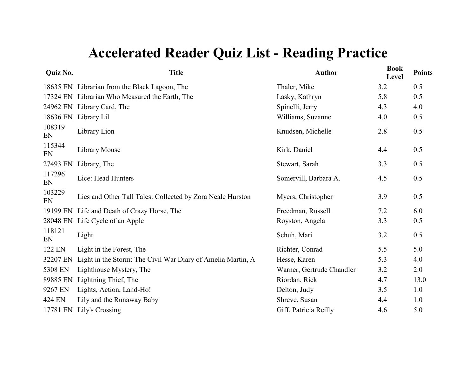| Quiz No.     | <b>Title</b>                                                | <b>Author</b>             | <b>Book</b><br>Level | <b>Points</b> |
|--------------|-------------------------------------------------------------|---------------------------|----------------------|---------------|
|              | 18635 EN Librarian from the Black Lagoon, The               | Thaler, Mike              | 3.2                  | 0.5           |
|              | 17324 EN Librarian Who Measured the Earth, The              | Lasky, Kathryn            | 5.8                  | 0.5           |
|              | 24962 EN Library Card, The                                  | Spinelli, Jerry           | 4.3                  | 4.0           |
|              | 18636 EN Library Lil                                        | Williams, Suzanne         | 4.0                  | 0.5           |
| 108319<br>EN | Library Lion                                                | Knudsen, Michelle         | 2.8                  | 0.5           |
| 115344<br>EN | Library Mouse                                               | Kirk, Daniel              | 4.4                  | 0.5           |
| 27493 EN     | Library, The                                                | Stewart, Sarah            | 3.3                  | 0.5           |
| 117296<br>EN | Lice: Head Hunters                                          | Somervill, Barbara A.     | 4.5                  | 0.5           |
| 103229<br>EN | Lies and Other Tall Tales: Collected by Zora Neale Hurston  | Myers, Christopher        | 3.9                  | 0.5           |
| 19199 EN     | Life and Death of Crazy Horse, The                          | Freedman, Russell         | 7.2                  | 6.0           |
| 28048 EN     | Life Cycle of an Apple                                      | Royston, Angela           | 3.3                  | 0.5           |
| 118121<br>EN | Light                                                       | Schuh, Mari               | 3.2                  | 0.5           |
| 122 EN       | Light in the Forest, The                                    | Richter, Conrad           | 5.5                  | 5.0           |
| 32207 EN     | Light in the Storm: The Civil War Diary of Amelia Martin, A | Hesse, Karen              | 5.3                  | 4.0           |
| 5308 EN      | Lighthouse Mystery, The                                     | Warner, Gertrude Chandler | 3.2                  | 2.0           |
| 89885 EN     | Lightning Thief, The                                        | Riordan, Rick             | 4.7                  | 13.0          |
| 9267 EN      | Lights, Action, Land-Ho!                                    | Delton, Judy              | 3.5                  | 1.0           |
| 424 EN       | Lily and the Runaway Baby                                   | Shreve, Susan             | 4.4                  | 1.0           |
| 17781 EN     | Lily's Crossing                                             | Giff, Patricia Reilly     | 4.6                  | 5.0           |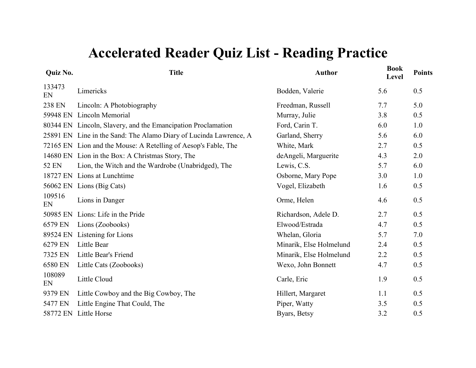| Quiz No.     | <b>Title</b>                                             | <b>Author</b>           | <b>Book</b><br><b>Level</b> | <b>Points</b> |
|--------------|----------------------------------------------------------|-------------------------|-----------------------------|---------------|
| 133473<br>EN | Limericks                                                | Bodden, Valerie         | 5.6                         | 0.5           |
| 238 EN       | Lincoln: A Photobiography                                | Freedman, Russell       | 7.7                         | 5.0           |
| 59948 EN     | Lincoln Memorial                                         | Murray, Julie           | 3.8                         | 0.5           |
| 80344 EN     | Lincoln, Slavery, and the Emancipation Proclamation      | Ford, Carin T.          | 6.0                         | 1.0           |
| 25891 EN     | Line in the Sand: The Alamo Diary of Lucinda Lawrence, A | Garland, Sherry         | 5.6                         | 6.0           |
| 72165 EN     | Lion and the Mouse: A Retelling of Aesop's Fable, The    | White, Mark             | 2.7                         | 0.5           |
| 14680 EN     | Lion in the Box: A Christmas Story, The                  | deAngeli, Marguerite    | 4.3                         | 2.0           |
| 52 EN        | Lion, the Witch and the Wardrobe (Unabridged), The       | Lewis, C.S.             | 5.7                         | 6.0           |
| 18727 EN     | Lions at Lunchtime                                       | Osborne, Mary Pope      | 3.0                         | 1.0           |
| 56062 EN     | Lions (Big Cats)                                         | Vogel, Elizabeth        | 1.6                         | 0.5           |
| 109516<br>EN | Lions in Danger                                          | Orme, Helen             | 4.6                         | 0.5           |
| 50985 EN     | Lions: Life in the Pride                                 | Richardson, Adele D.    | 2.7                         | 0.5           |
| 6579 EN      | Lions (Zoobooks)                                         | Elwood/Estrada          | 4.7                         | 0.5           |
| 89524 EN     | Listening for Lions                                      | Whelan, Gloria          | 5.7                         | 7.0           |
| 6279 EN      | Little Bear                                              | Minarik, Else Holmelund | 2.4                         | 0.5           |
| 7325 EN      | Little Bear's Friend                                     | Minarik, Else Holmelund | 2.2                         | 0.5           |
| 6580 EN      | Little Cats (Zoobooks)                                   | Wexo, John Bonnett      | 4.7                         | 0.5           |
| 108089<br>EN | Little Cloud                                             | Carle, Eric             | 1.9                         | 0.5           |
| 9379 EN      | Little Cowboy and the Big Cowboy, The                    | Hillert, Margaret       | 1.1                         | 0.5           |
| 5477 EN      | Little Engine That Could, The                            | Piper, Watty            | 3.5                         | 0.5           |
| 58772 EN     | Little Horse                                             | Byars, Betsy            | 3.2                         | 0.5           |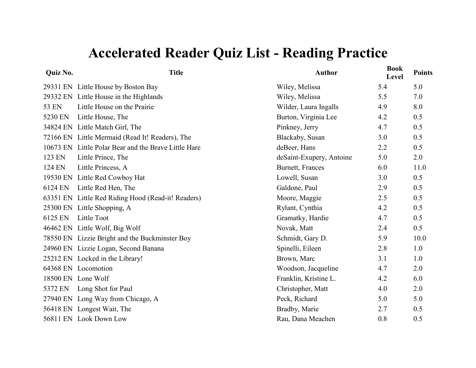| Quiz No. | <b>Title</b>                                         | <b>Author</b>            | <b>Book</b><br>Level | <b>Points</b> |
|----------|------------------------------------------------------|--------------------------|----------------------|---------------|
|          | 29331 EN Little House by Boston Bay                  | Wiley, Melissa           | 5.4                  | 5.0           |
|          | 29332 EN Little House in the Highlands               | Wiley, Melissa           | 5.5                  | 7.0           |
| 53 EN    | Little House on the Prairie                          | Wilder, Laura Ingalls    | 4.9                  | 8.0           |
| 5230 EN  | Little House, The                                    | Burton, Virginia Lee     | 4.2                  | 0.5           |
|          | 34824 EN Little Match Girl, The                      | Pinkney, Jerry           | 4.7                  | 0.5           |
|          | 72166 EN Little Mermaid (Read It! Readers), The      | Blackaby, Susan          | 3.0                  | 0.5           |
|          | 10673 EN Little Polar Bear and the Brave Little Hare | deBeer, Hans             | 2.2                  | 0.5           |
| 123 EN   | Little Prince, The                                   | deSaint-Exupery, Antoine | 5.0                  | 2.0           |
| 124 EN   | Little Princess, A                                   | Burnett, Frances         | 6.0                  | 11.0          |
|          | 19530 EN Little Red Cowboy Hat                       | Lowell, Susan            | 3.0                  | 0.5           |
| 6124 EN  | Little Red Hen, The                                  | Galdone, Paul            | 2.9                  | 0.5           |
|          | 63351 EN Little Red Riding Hood (Read-it! Readers)   | Moore, Maggie            | 2.5                  | 0.5           |
|          | 25300 EN Little Shopping, A                          | Rylant, Cynthia          | 4.2                  | 0.5           |
| 6125 EN  | Little Toot                                          | Gramatky, Hardie         | 4.7                  | 0.5           |
|          | 46462 EN Little Wolf, Big Wolf                       | Novak, Matt              | 2.4                  | 0.5           |
|          | 78550 EN Lizzie Bright and the Buckminster Boy       | Schmidt, Gary D.         | 5.9                  | 10.0          |
|          | 24960 EN Lizzie Logan, Second Banana                 | Spinelli, Eileen         | 2.8                  | 1.0           |
|          | 25212 EN Locked in the Library!                      | Brown, Marc              | 3.1                  | 1.0           |
|          | 64368 EN Locomotion                                  | Woodson, Jacqueline      | 4.7                  | 2.0           |
|          | 18500 EN Lone Wolf                                   | Franklin, Kristine L.    | 4.2                  | 6.0           |
|          | 5372 EN Long Shot for Paul                           | Christopher, Matt        | 4.0                  | 2.0           |
|          | 27940 EN Long Way from Chicago, A                    | Peck, Richard            | 5.0                  | 5.0           |
|          | 56418 EN Longest Wait, The                           | Bradby, Marie            | 2.7                  | 0.5           |
|          | 56811 EN Look Down Low                               | Rau, Dana Meachen        | 0.8                  | 0.5           |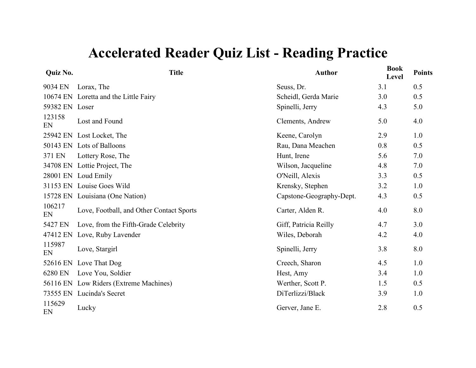| Quiz No.       | <b>Title</b>                             | <b>Author</b>            | <b>Book</b><br>Level | <b>Points</b> |
|----------------|------------------------------------------|--------------------------|----------------------|---------------|
| 9034 EN        | Lorax, The                               | Seuss, Dr.               | 3.1                  | 0.5           |
|                | 10674 EN Loretta and the Little Fairy    | Scheidl, Gerda Marie     | 3.0                  | 0.5           |
| 59382 EN Loser |                                          | Spinelli, Jerry          | 4.3                  | 5.0           |
| 123158<br>EN   | Lost and Found                           | Clements, Andrew         | 5.0                  | 4.0           |
|                | 25942 EN Lost Locket, The                | Keene, Carolyn           | 2.9                  | 1.0           |
|                | 50143 EN Lots of Balloons                | Rau, Dana Meachen        | 0.8                  | 0.5           |
| 371 EN         | Lottery Rose, The                        | Hunt, Irene              | 5.6                  | 7.0           |
|                | 34708 EN Lottie Project, The             | Wilson, Jacqueline       | 4.8                  | 7.0           |
|                | 28001 EN Loud Emily                      | O'Neill, Alexis          | 3.3                  | 0.5           |
|                | 31153 EN Louise Goes Wild                | Krensky, Stephen         | 3.2                  | 1.0           |
|                | 15728 EN Louisiana (One Nation)          | Capstone-Geography-Dept. | 4.3                  | 0.5           |
| 106217<br>EN   | Love, Football, and Other Contact Sports | Carter, Alden R.         | 4.0                  | 8.0           |
| 5427 EN        | Love, from the Fifth-Grade Celebrity     | Giff, Patricia Reilly    | 4.7                  | 3.0           |
| 47412 EN       | Love, Ruby Lavender                      | Wiles, Deborah           | 4.2                  | 4.0           |
| 115987<br>EN   | Love, Stargirl                           | Spinelli, Jerry          | 3.8                  | 8.0           |
| 52616 EN       | Love That Dog                            | Creech, Sharon           | 4.5                  | 1.0           |
| 6280 EN        | Love You, Soldier                        | Hest, Amy                | 3.4                  | 1.0           |
|                | 56116 EN Low Riders (Extreme Machines)   | Werther, Scott P.        | 1.5                  | 0.5           |
|                | 73555 EN Lucinda's Secret                | DiTerlizzi/Black         | 3.9                  | 1.0           |
| 115629<br>EN   | Lucky                                    | Gerver, Jane E.          | 2.8                  | 0.5           |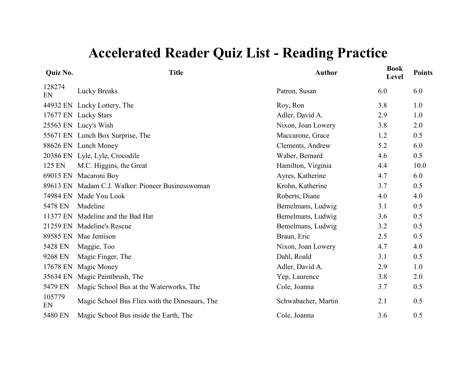| Quiz No.     | <b>Title</b>                                      | <b>Author</b>       | <b>Book</b><br>Level | <b>Points</b> |
|--------------|---------------------------------------------------|---------------------|----------------------|---------------|
| 128274<br>EN | <b>Lucky Breaks</b>                               | Patron, Susan       | 6.0                  | 6.0           |
| 44932 EN     | Lucky Lottery, The                                | Roy, Ron            | 3.8                  | 1.0           |
| 17677 EN     | <b>Lucky Stars</b>                                | Adler, David A.     | 2.9                  | 1.0           |
|              | 25563 EN Lucy's Wish                              | Nixon, Joan Lowery  | 3.8                  | 2.0           |
|              | 55671 EN Lunch Box Surprise, The                  | Maccarone, Grace    | 1.2                  | 0.5           |
|              | 88626 EN Lunch Money                              | Clements, Andrew    | 5.2                  | 6.0           |
|              | 20386 EN Lyle, Lyle, Crocodile                    | Waber, Bernard      | 4.6                  | 0.5           |
| 125 EN       | M.C. Higgins, the Great                           | Hamilton, Virginia  | 4.4                  | 10.0          |
| 69015 EN     | Macaroni Boy                                      | Ayres, Katherine    | 4.7                  | 6.0           |
|              | 89613 EN Madam C.J. Walker: Pioneer Businesswoman | Krohn, Katherine    | 3.7                  | 0.5           |
| 74984 EN     | Made You Look                                     | Roberts, Diane      | 4.0                  | 4.0           |
| 5478 EN      | Madeline                                          | Bemelmans, Ludwig   | 3.1                  | 0.5           |
| 11377 EN     | Madeline and the Bad Hat                          | Bemelmans, Ludwig   | 3.6                  | 0.5           |
| 21259 EN     | <b>Madeline's Rescue</b>                          | Bemelmans, Ludwig   | 3.2                  | 0.5           |
| 89585 EN     | Mae Jemison                                       | Braun, Eric         | 2.5                  | 0.5           |
| 5428 EN      | Maggie, Too                                       | Nixon, Joan Lowery  | 4.7                  | 4.0           |
| 9268 EN      | Magic Finger, The                                 | Dahl, Roald         | 3.1                  | 0.5           |
| 17678 EN     | Magic Money                                       | Adler, David A.     | 2.9                  | 1.0           |
| 35634 EN     | Magic Paintbrush, The                             | Yep, Laurence       | 3.8                  | 2.0           |
| 5479 EN      | Magic School Bus at the Waterworks, The           | Cole, Joanna        | 3.7                  | 0.5           |
| 105779<br>EN | Magic School Bus Flies with the Dinosaurs, The    | Schwabacher, Martin | 2.1                  | 0.5           |
| 5480 EN      | Magic School Bus inside the Earth, The            | Cole, Joanna        | 3.6                  | 0.5           |
|              |                                                   |                     |                      |               |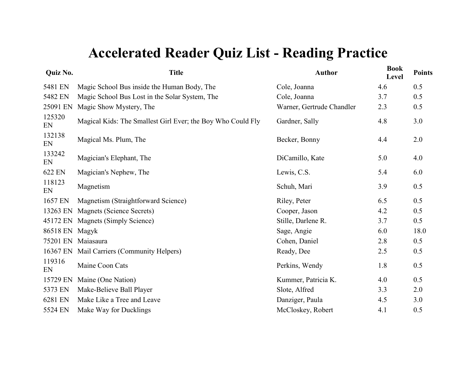| Quiz No.       | <b>Title</b>                                                | <b>Author</b>             | <b>Book</b><br>Level | <b>Points</b> |
|----------------|-------------------------------------------------------------|---------------------------|----------------------|---------------|
| 5481 EN        | Magic School Bus inside the Human Body, The                 | Cole, Joanna              | 4.6                  | 0.5           |
| 5482 EN        | Magic School Bus Lost in the Solar System, The              | Cole, Joanna              | 3.7                  | 0.5           |
| 25091 EN       | Magic Show Mystery, The                                     | Warner, Gertrude Chandler | 2.3                  | 0.5           |
| 125320<br>EN   | Magical Kids: The Smallest Girl Ever; the Boy Who Could Fly | Gardner, Sally            | 4.8                  | 3.0           |
| 132138<br>EN   | Magical Ms. Plum, The                                       | Becker, Bonny             | 4.4                  | 2.0           |
| 133242<br>EN   | Magician's Elephant, The                                    | DiCamillo, Kate           | 5.0                  | 4.0           |
| 622 EN         | Magician's Nephew, The                                      | Lewis, C.S.               | 5.4                  | 6.0           |
| 118123<br>EN   | Magnetism                                                   | Schuh, Mari               | 3.9                  | 0.5           |
| 1657 EN        | Magnetism (Straightforward Science)                         | Riley, Peter              | 6.5                  | 0.5           |
| 13263 EN       | Magnets (Science Secrets)                                   | Cooper, Jason             | 4.2                  | 0.5           |
|                | 45172 EN Magnets (Simply Science)                           | Stille, Darlene R.        | 3.7                  | 0.5           |
| 86518 EN Magyk |                                                             | Sage, Angie               | 6.0                  | 18.0          |
|                | 75201 EN Maiasaura                                          | Cohen, Daniel             | 2.8                  | 0.5           |
|                | 16367 EN Mail Carriers (Community Helpers)                  | Ready, Dee                | 2.5                  | 0.5           |
| 119316<br>EN   | Maine Coon Cats                                             | Perkins, Wendy            | 1.8                  | 0.5           |
| 15729 EN       | Maine (One Nation)                                          | Kummer, Patricia K.       | 4.0                  | 0.5           |
| 5373 EN        | Make-Believe Ball Player                                    | Slote, Alfred             | 3.3                  | 2.0           |
| 6281 EN        | Make Like a Tree and Leave                                  | Danziger, Paula           | 4.5                  | 3.0           |
| 5524 EN        | Make Way for Ducklings                                      | McCloskey, Robert         | 4.1                  | 0.5           |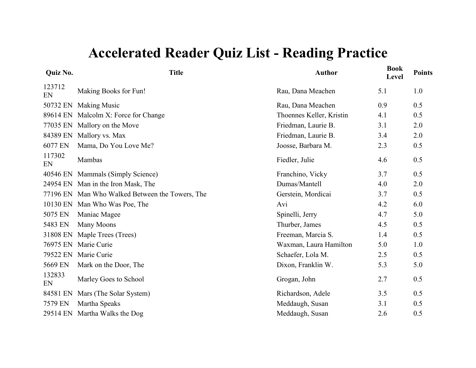| <b>Quiz No.</b> | <b>Title</b>                                    | <b>Author</b>            | <b>Book</b><br><b>Level</b> | <b>Points</b> |
|-----------------|-------------------------------------------------|--------------------------|-----------------------------|---------------|
| 123712<br>EN    | Making Books for Fun!                           | Rau, Dana Meachen        | 5.1                         | 1.0           |
|                 | 50732 EN Making Music                           | Rau, Dana Meachen        | 0.9                         | 0.5           |
|                 | 89614 EN Malcolm X: Force for Change            | Thoennes Keller, Kristin | 4.1                         | 0.5           |
|                 | 77035 EN Mallory on the Move                    | Friedman, Laurie B.      | 3.1                         | 2.0           |
|                 | 84389 EN Mallory vs. Max                        | Friedman, Laurie B.      | 3.4                         | 2.0           |
| 6077 EN         | Mama, Do You Love Me?                           | Joosse, Barbara M.       | 2.3                         | 0.5           |
| 117302<br>EN    | Mambas                                          | Fiedler, Julie           | 4.6                         | 0.5           |
|                 | 40546 EN Mammals (Simply Science)               | Franchino, Vicky         | 3.7                         | 0.5           |
|                 | 24954 EN Man in the Iron Mask, The              | Dumas/Mantell            | 4.0                         | 2.0           |
|                 | 77196 EN Man Who Walked Between the Towers, The | Gerstein, Mordicai       | 3.7                         | 0.5           |
|                 | 10130 EN Man Who Was Poe, The                   | Avi                      | 4.2                         | 6.0           |
| 5075 EN         | Maniac Magee                                    | Spinelli, Jerry          | 4.7                         | 5.0           |
| 5483 EN         | Many Moons                                      | Thurber, James           | 4.5                         | 0.5           |
|                 | 31808 EN Maple Trees (Trees)                    | Freeman, Marcia S.       | 1.4                         | 0.5           |
| 76975 EN        | Marie Curie                                     | Waxman, Laura Hamilton   | 5.0                         | 1.0           |
| 79522 EN        | Marie Curie                                     | Schaefer, Lola M.        | 2.5                         | 0.5           |
| 5669 EN         | Mark on the Door, The                           | Dixon, Franklin W.       | 5.3                         | 5.0           |
| 132833<br>EN    | Marley Goes to School                           | Grogan, John             | 2.7                         | 0.5           |
| 84581 EN        | Mars (The Solar System)                         | Richardson, Adele        | 3.5                         | 0.5           |
| 7579 EN         | Martha Speaks                                   | Meddaugh, Susan          | 3.1                         | 0.5           |
|                 | 29514 EN Martha Walks the Dog                   | Meddaugh, Susan          | 2.6                         | 0.5           |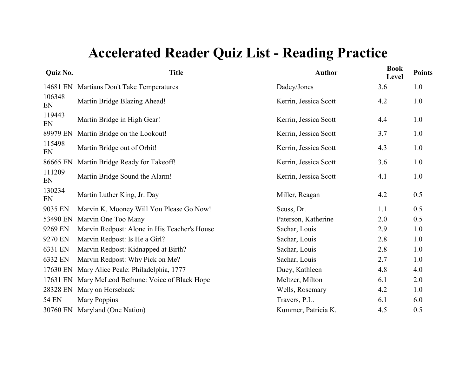| Quiz No.     | <b>Title</b>                                 | <b>Author</b>         | <b>Book</b><br>Level | <b>Points</b> |
|--------------|----------------------------------------------|-----------------------|----------------------|---------------|
|              | 14681 EN Martians Don't Take Temperatures    | Dadey/Jones           | 3.6                  | 1.0           |
| 106348<br>EN | Martin Bridge Blazing Ahead!                 | Kerrin, Jessica Scott | 4.2                  | 1.0           |
| 119443<br>EN | Martin Bridge in High Gear!                  | Kerrin, Jessica Scott | 4.4                  | 1.0           |
| 89979 EN     | Martin Bridge on the Lookout!                | Kerrin, Jessica Scott | 3.7                  | 1.0           |
| 115498<br>EN | Martin Bridge out of Orbit!                  | Kerrin, Jessica Scott | 4.3                  | 1.0           |
| 86665 EN     | Martin Bridge Ready for Takeoff!             | Kerrin, Jessica Scott | 3.6                  | 1.0           |
| 111209<br>EN | Martin Bridge Sound the Alarm!               | Kerrin, Jessica Scott | 4.1                  | 1.0           |
| 130234<br>EN | Martin Luther King, Jr. Day                  | Miller, Reagan        | 4.2                  | 0.5           |
| 9035 EN      | Marvin K. Mooney Will You Please Go Now!     | Seuss, Dr.            | 1.1                  | 0.5           |
| 53490 EN     | Marvin One Too Many                          | Paterson, Katherine   | 2.0                  | 0.5           |
| 9269 EN      | Marvin Redpost: Alone in His Teacher's House | Sachar, Louis         | 2.9                  | 1.0           |
| 9270 EN      | Marvin Redpost: Is He a Girl?                | Sachar, Louis         | 2.8                  | 1.0           |
| 6331 EN      | Marvin Redpost: Kidnapped at Birth?          | Sachar, Louis         | 2.8                  | 1.0           |
| 6332 EN      | Marvin Redpost: Why Pick on Me?              | Sachar, Louis         | 2.7                  | 1.0           |
| 17630 EN     | Mary Alice Peale: Philadelphia, 1777         | Duey, Kathleen        | 4.8                  | 4.0           |
| 17631 EN     | Mary McLeod Bethune: Voice of Black Hope     | Meltzer, Milton       | 6.1                  | 2.0           |
| 28328 EN     | Mary on Horseback                            | Wells, Rosemary       | 4.2                  | 1.0           |
| <b>54 EN</b> | Mary Poppins                                 | Travers, P.L.         | 6.1                  | 6.0           |
|              | 30760 EN Maryland (One Nation)               | Kummer, Patricia K.   | 4.5                  | 0.5           |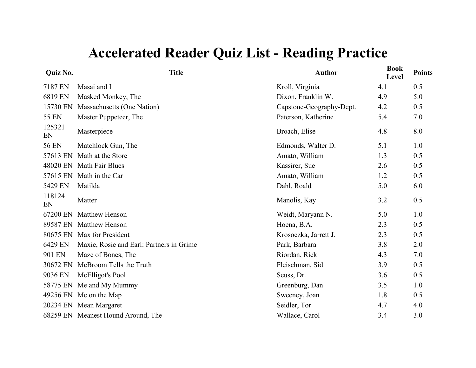| Quiz No.     | <b>Title</b>                             | <b>Author</b>            | <b>Book</b><br>Level | <b>Points</b> |
|--------------|------------------------------------------|--------------------------|----------------------|---------------|
| 7187 EN      | Masai and I                              | Kroll, Virginia          | 4.1                  | 0.5           |
| 6819 EN      | Masked Monkey, The                       | Dixon, Franklin W.       | 4.9                  | 5.0           |
| 15730 EN     | Massachusetts (One Nation)               | Capstone-Geography-Dept. | 4.2                  | 0.5           |
| <b>55 EN</b> | Master Puppeteer, The                    | Paterson, Katherine      | 5.4                  | 7.0           |
| 125321<br>EN | Masterpiece                              | Broach, Elise            | 4.8                  | 8.0           |
| <b>56 EN</b> | Matchlock Gun, The                       | Edmonds, Walter D.       | 5.1                  | 1.0           |
| 57613 EN     | Math at the Store                        | Amato, William           | 1.3                  | 0.5           |
| 48020 EN     | Math Fair Blues                          | Kassirer, Sue            | 2.6                  | 0.5           |
| 57615 EN     | Math in the Car                          | Amato, William           | 1.2                  | 0.5           |
| 5429 EN      | Matilda                                  | Dahl, Roald              | 5.0                  | 6.0           |
| 118124<br>EN | Matter                                   | Manolis, Kay             | 3.2                  | 0.5           |
| 67200 EN     | <b>Matthew Henson</b>                    | Weidt, Maryann N.        | 5.0                  | 1.0           |
| 89587 EN     | <b>Matthew Henson</b>                    | Hoena, B.A.              | 2.3                  | 0.5           |
| 80675 EN     | Max for President                        | Krosoczka, Jarrett J.    | 2.3                  | 0.5           |
| 6429 EN      | Maxie, Rosie and Earl: Partners in Grime | Park, Barbara            | 3.8                  | 2.0           |
| 901 EN       | Maze of Bones, The                       | Riordan, Rick            | 4.3                  | 7.0           |
| 30672 EN     | McBroom Tells the Truth                  | Fleischman, Sid          | 3.9                  | 0.5           |
| 9036 EN      | McElligot's Pool                         | Seuss, Dr.               | 3.6                  | 0.5           |
| 58775 EN     | Me and My Mummy                          | Greenburg, Dan           | 3.5                  | 1.0           |
|              | 49256 EN Me on the Map                   | Sweeney, Joan            | 1.8                  | 0.5           |
|              | 20234 EN Mean Margaret                   | Seidler, Tor             | 4.7                  | 4.0           |
|              | 68259 EN Meanest Hound Around, The       | Wallace, Carol           | 3.4                  | 3.0           |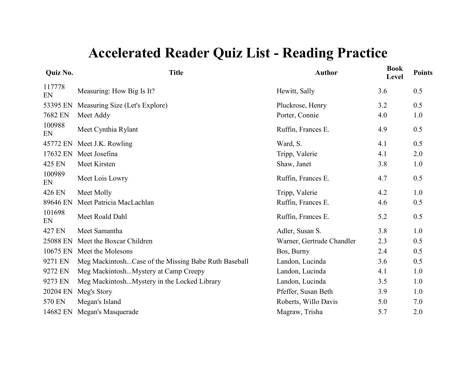| Quiz No.     | <b>Title</b>                                         | <b>Author</b>             | <b>Book</b><br>Level | <b>Points</b> |
|--------------|------------------------------------------------------|---------------------------|----------------------|---------------|
| 117778<br>EN | Measuring: How Big Is It?                            | Hewitt, Sally             | 3.6                  | 0.5           |
| 53395 EN     | Measuring Size (Let's Explore)                       | Pluckrose, Henry          | 3.2                  | 0.5           |
| 7682 EN      | Meet Addy                                            | Porter, Connie            | 4.0                  | 1.0           |
| 100988<br>EN | Meet Cynthia Rylant                                  | Ruffin, Frances E.        | 4.9                  | 0.5           |
| 45772 EN     | Meet J.K. Rowling                                    | Ward, S.                  | 4.1                  | 0.5           |
| 17632 EN     | Meet Josefina                                        | Tripp, Valerie            | 4.1                  | 2.0           |
| 425 EN       | Meet Kirsten                                         | Shaw, Janet               | 3.8                  | 1.0           |
| 100989<br>EN | Meet Lois Lowry                                      | Ruffin, Frances E.        | 4.7                  | 0.5           |
| 426 EN       | Meet Molly                                           | Tripp, Valerie            | 4.2                  | 1.0           |
| 89646 EN     | Meet Patricia MacLachlan                             | Ruffin, Frances E.        | 4.6                  | 0.5           |
| 101698<br>EN | Meet Roald Dahl                                      | Ruffin, Frances E.        | 5.2                  | 0.5           |
| 427 EN       | Meet Samantha                                        | Adler, Susan S.           | 3.8                  | 1.0           |
| 25088 EN     | Meet the Boxcar Children                             | Warner, Gertrude Chandler | 2.3                  | 0.5           |
| 10675 EN     | Meet the Molesons                                    | Bos, Burny                | 2.4                  | 0.5           |
| 9271 EN      | Meg MackintoshCase of the Missing Babe Ruth Baseball | Landon, Lucinda           | 3.6                  | 0.5           |
| 9272 EN      | Meg MackintoshMystery at Camp Creepy                 | Landon, Lucinda           | 4.1                  | 1.0           |
| 9273 EN      | Meg MackintoshMystery in the Locked Library          | Landon, Lucinda           | 3.5                  | 1.0           |
| 20204 EN     | Meg's Story                                          | Pfeffer, Susan Beth       | 3.9                  | 1.0           |
| 570 EN       | Megan's Island                                       | Roberts, Willo Davis      | 5.0                  | 7.0           |
| 14682 EN     | Megan's Masquerade                                   | Magraw, Trisha            | 5.7                  | 2.0           |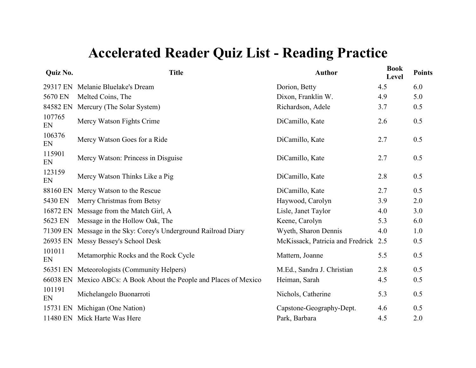| Quiz No.     | <b>Title</b>                                              | <b>Author</b>                    | <b>Book</b><br>Level | <b>Points</b> |
|--------------|-----------------------------------------------------------|----------------------------------|----------------------|---------------|
| 29317 EN     | Melanie Bluelake's Dream                                  | Dorion, Betty                    | 4.5                  | 6.0           |
| 5670 EN      | Melted Coins, The                                         | Dixon, Franklin W.               | 4.9                  | 5.0           |
| 84582 EN     | Mercury (The Solar System)                                | Richardson, Adele                | 3.7                  | 0.5           |
| 107765<br>EN | Mercy Watson Fights Crime                                 | DiCamillo, Kate                  | 2.6                  | 0.5           |
| 106376<br>EN | Mercy Watson Goes for a Ride                              | DiCamillo, Kate                  | 2.7                  | 0.5           |
| 115901<br>EN | Mercy Watson: Princess in Disguise                        | DiCamillo, Kate                  | 2.7                  | 0.5           |
| 123159<br>EN | Mercy Watson Thinks Like a Pig                            | DiCamillo, Kate                  | 2.8                  | 0.5           |
| 88160 EN     | Mercy Watson to the Rescue                                | DiCamillo, Kate                  | 2.7                  | 0.5           |
| 5430 EN      | Merry Christmas from Betsy                                | Haywood, Carolyn                 | 3.9                  | 2.0           |
| 16872 EN     | Message from the Match Girl, A                            | Lisle, Janet Taylor              | 4.0                  | 3.0           |
| 5623 EN      | Message in the Hollow Oak, The                            | Keene, Carolyn                   | 5.3                  | 6.0           |
| 71309 EN     | Message in the Sky: Corey's Underground Railroad Diary    | Wyeth, Sharon Dennis             | 4.0                  | 1.0           |
| 26935 EN     | Messy Bessey's School Desk                                | McKissack, Patricia and Fredrick | 2.5                  | 0.5           |
| 101011<br>EN | Metamorphic Rocks and the Rock Cycle                      | Mattern, Joanne                  | 5.5                  | 0.5           |
| 56351 EN     | Meteorologists (Community Helpers)                        | M.Ed., Sandra J. Christian       | 2.8                  | 0.5           |
| 66038 EN     | Mexico ABCs: A Book About the People and Places of Mexico | Heiman, Sarah                    | 4.5                  | 0.5           |
| 101191<br>EN | Michelangelo Buonarroti                                   | Nichols, Catherine               | 5.3                  | 0.5           |
| 15731 EN     | Michigan (One Nation)                                     | Capstone-Geography-Dept.         | 4.6                  | 0.5           |
|              | 11480 EN Mick Harte Was Here                              | Park, Barbara                    | 4.5                  | 2.0           |
|              |                                                           |                                  |                      |               |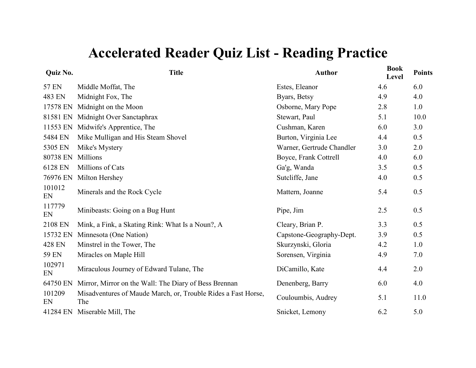| Quiz No.     | <b>Title</b>                                                         | <b>Author</b>             | <b>Book</b><br>Level | <b>Points</b> |
|--------------|----------------------------------------------------------------------|---------------------------|----------------------|---------------|
| 57 EN        | Middle Moffat, The                                                   | Estes, Eleanor            | 4.6                  | 6.0           |
| 483 EN       | Midnight Fox, The                                                    | Byars, Betsy              | 4.9                  | 4.0           |
| 17578 EN     | Midnight on the Moon                                                 | Osborne, Mary Pope        | 2.8                  | 1.0           |
| 81581 EN     | Midnight Over Sanctaphrax                                            | Stewart, Paul             | 5.1                  | 10.0          |
| 11553 EN     | Midwife's Apprentice, The                                            | Cushman, Karen            | 6.0                  | 3.0           |
| 5484 EN      | Mike Mulligan and His Steam Shovel                                   | Burton, Virginia Lee      | 4.4                  | 0.5           |
| 5305 EN      | Mike's Mystery                                                       | Warner, Gertrude Chandler | 3.0                  | 2.0           |
| 80738 EN     | Millions                                                             | Boyce, Frank Cottrell     | 4.0                  | 6.0           |
| 6128 EN      | Millions of Cats                                                     | Ga'g, Wanda               | 3.5                  | 0.5           |
| 76976 EN     | Milton Hershey                                                       | Sutcliffe, Jane           | 4.0                  | 0.5           |
| 101012<br>EN | Minerals and the Rock Cycle                                          | Mattern, Joanne           | 5.4                  | 0.5           |
| 117779<br>EN | Minibeasts: Going on a Bug Hunt                                      | Pipe, Jim                 | 2.5                  | 0.5           |
| 2108 EN      | Mink, a Fink, a Skating Rink: What Is a Noun?, A                     | Cleary, Brian P.          | 3.3                  | 0.5           |
| 15732 EN     | Minnesota (One Nation)                                               | Capstone-Geography-Dept.  | 3.9                  | 0.5           |
| 428 EN       | Minstrel in the Tower, The                                           | Skurzynski, Gloria        | 4.2                  | 1.0           |
| 59 EN        | Miracles on Maple Hill                                               | Sorensen, Virginia        | 4.9                  | 7.0           |
| 102971<br>EN | Miraculous Journey of Edward Tulane, The                             | DiCamillo, Kate           | 4.4                  | 2.0           |
| 64750 EN     | Mirror, Mirror on the Wall: The Diary of Bess Brennan                | Denenberg, Barry          | 6.0                  | 4.0           |
| 101209<br>EN | Misadventures of Maude March, or, Trouble Rides a Fast Horse,<br>The | Couloumbis, Audrey        | 5.1                  | 11.0          |
| 41284 EN     | Miserable Mill, The                                                  | Snicket, Lemony           | 6.2                  | 5.0           |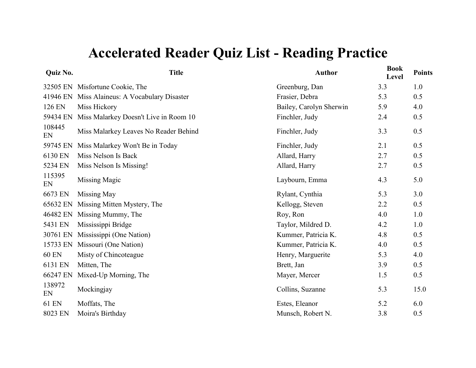| Quiz No.     | <b>Title</b>                                  | <b>Author</b>           | <b>Book</b><br>Level | <b>Points</b> |
|--------------|-----------------------------------------------|-------------------------|----------------------|---------------|
|              | 32505 EN Misfortune Cookie, The               | Greenburg, Dan          | 3.3                  | 1.0           |
|              | 41946 EN Miss Alaineus: A Vocabulary Disaster | Frasier, Debra          | 5.3                  | 0.5           |
| 126 EN       | Miss Hickory                                  | Bailey, Carolyn Sherwin | 5.9                  | 4.0           |
| 59434 EN     | Miss Malarkey Doesn't Live in Room 10         | Finchler, Judy          | 2.4                  | 0.5           |
| 108445<br>EN | Miss Malarkey Leaves No Reader Behind         | Finchler, Judy          | 3.3                  | 0.5           |
| 59745 EN     | Miss Malarkey Won't Be in Today               | Finchler, Judy          | 2.1                  | 0.5           |
| 6130 EN      | Miss Nelson Is Back                           | Allard, Harry           | 2.7                  | 0.5           |
| 5234 EN      | Miss Nelson Is Missing!                       | Allard, Harry           | 2.7                  | 0.5           |
| 115395<br>EN | Missing Magic                                 | Laybourn, Emma          | 4.3                  | 5.0           |
| 6673 EN      | Missing May                                   | Rylant, Cynthia         | 5.3                  | 3.0           |
| 65632 EN     | Missing Mitten Mystery, The                   | Kellogg, Steven         | 2.2                  | 0.5           |
| 46482 EN     | Missing Mummy, The                            | Roy, Ron                | 4.0                  | 1.0           |
| 5431 EN      | Mississippi Bridge                            | Taylor, Mildred D.      | 4.2                  | 1.0           |
| 30761 EN     | Mississippi (One Nation)                      | Kummer, Patricia K.     | 4.8                  | 0.5           |
| 15733 EN     | Missouri (One Nation)                         | Kummer, Patricia K.     | 4.0                  | 0.5           |
| <b>60 EN</b> | Misty of Chincoteague                         | Henry, Marguerite       | 5.3                  | 4.0           |
| 6131 EN      | Mitten, The                                   | Brett, Jan              | 3.9                  | 0.5           |
| 66247 EN     | Mixed-Up Morning, The                         | Mayer, Mercer           | 1.5                  | 0.5           |
| 138972<br>EN | Mockingjay                                    | Collins, Suzanne        | 5.3                  | 15.0          |
| <b>61 EN</b> | Moffats, The                                  | Estes, Eleanor          | 5.2                  | 6.0           |
| 8023 EN      | Moira's Birthday                              | Munsch, Robert N.       | 3.8                  | 0.5           |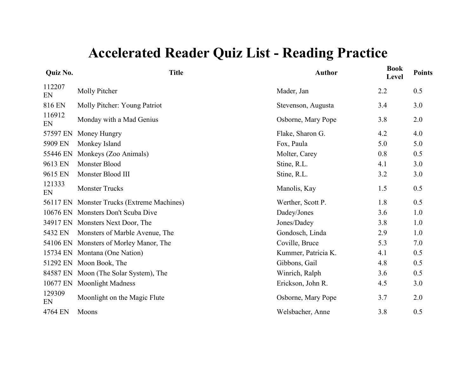| Quiz No.     | <b>Title</b>                          | <b>Author</b>       | <b>Book</b><br>Level | <b>Points</b> |
|--------------|---------------------------------------|---------------------|----------------------|---------------|
| 112207<br>EN | Molly Pitcher                         | Mader, Jan          | 2.2                  | 0.5           |
| 816 EN       | Molly Pitcher: Young Patriot          | Stevenson, Augusta  | 3.4                  | 3.0           |
| 116912<br>EN | Monday with a Mad Genius              | Osborne, Mary Pope  | 3.8                  | 2.0           |
| 57597 EN     | Money Hungry                          | Flake, Sharon G.    | 4.2                  | 4.0           |
| 5909 EN      | Monkey Island                         | Fox, Paula          | 5.0                  | 5.0           |
| 55446 EN     | Monkeys (Zoo Animals)                 | Molter, Carey       | 0.8                  | 0.5           |
| 9613 EN      | Monster Blood                         | Stine, R.L.         | 4.1                  | 3.0           |
| 9615 EN      | Monster Blood III                     | Stine, R.L.         | 3.2                  | 3.0           |
| 121333<br>EN | <b>Monster Trucks</b>                 | Manolis, Kay        | 1.5                  | 0.5           |
| 56117 EN     | Monster Trucks (Extreme Machines)     | Werther, Scott P.   | 1.8                  | 0.5           |
| 10676 EN     | <b>Monsters Don't Scuba Dive</b>      | Dadey/Jones         | 3.6                  | 1.0           |
|              | 34917 EN Monsters Next Door, The      | Jones/Dadey         | 3.8                  | 1.0           |
| 5432 EN      | Monsters of Marble Avenue, The        | Gondosch, Linda     | 2.9                  | 1.0           |
| 54106 EN     | Monsters of Morley Manor, The         | Coville, Bruce      | 5.3                  | 7.0           |
| 15734 EN     | Montana (One Nation)                  | Kummer, Patricia K. | 4.1                  | 0.5           |
| 51292 EN     | Moon Book, The                        | Gibbons, Gail       | 4.8                  | 0.5           |
|              | 84587 EN Moon (The Solar System), The | Winrich, Ralph      | 3.6                  | 0.5           |
| 10677 EN     | <b>Moonlight Madness</b>              | Erickson, John R.   | 4.5                  | 3.0           |
| 129309<br>EN | Moonlight on the Magic Flute          | Osborne, Mary Pope  | 3.7                  | 2.0           |
| 4764 EN      | Moons                                 | Welsbacher, Anne    | 3.8                  | 0.5           |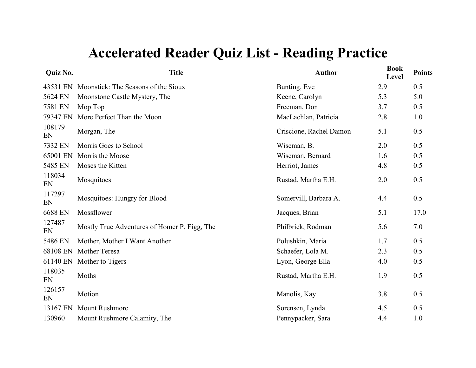| <b>Quiz No.</b> | <b>Title</b>                                 | <b>Author</b>           | <b>Book</b><br>Level | <b>Points</b> |
|-----------------|----------------------------------------------|-------------------------|----------------------|---------------|
|                 | 43531 EN Moonstick: The Seasons of the Sioux | Bunting, Eve            | 2.9                  | 0.5           |
| 5624 EN         | Moonstone Castle Mystery, The                | Keene, Carolyn          | 5.3                  | 5.0           |
| 7581 EN         | Mop Top                                      | Freeman, Don            | 3.7                  | 0.5           |
| 79347 EN        | More Perfect Than the Moon                   | MacLachlan, Patricia    | 2.8                  | 1.0           |
| 108179<br>EN    | Morgan, The                                  | Criscione, Rachel Damon | 5.1                  | 0.5           |
| 7332 EN         | Morris Goes to School                        | Wiseman, B.             | 2.0                  | 0.5           |
| 65001 EN        | Morris the Moose                             | Wiseman, Bernard        | 1.6                  | 0.5           |
| 5485 EN         | Moses the Kitten                             | Herriot, James          | 4.8                  | 0.5           |
| 118034<br>EN    | Mosquitoes                                   | Rustad, Martha E.H.     | 2.0                  | 0.5           |
| 117297<br>EN    | Mosquitoes: Hungry for Blood                 | Somervill, Barbara A.   | 4.4                  | 0.5           |
| 6688 EN         | Mossflower                                   | Jacques, Brian          | 5.1                  | 17.0          |
| 127487<br>EN    | Mostly True Adventures of Homer P. Figg, The | Philbrick, Rodman       | 5.6                  | 7.0           |
| 5486 EN         | Mother, Mother I Want Another                | Polushkin, Maria        | 1.7                  | 0.5           |
| 68108 EN        | Mother Teresa                                | Schaefer, Lola M.       | 2.3                  | 0.5           |
|                 | 61140 EN Mother to Tigers                    | Lyon, George Ella       | 4.0                  | 0.5           |
| 118035<br>EN    | Moths                                        | Rustad, Martha E.H.     | 1.9                  | 0.5           |
| 126157<br>EN    | Motion                                       | Manolis, Kay            | 3.8                  | 0.5           |
| 13167 EN        | <b>Mount Rushmore</b>                        | Sorensen, Lynda         | 4.5                  | 0.5           |
| 130960          | Mount Rushmore Calamity, The                 | Pennypacker, Sara       | 4.4                  | $1.0$         |
|                 |                                              |                         |                      |               |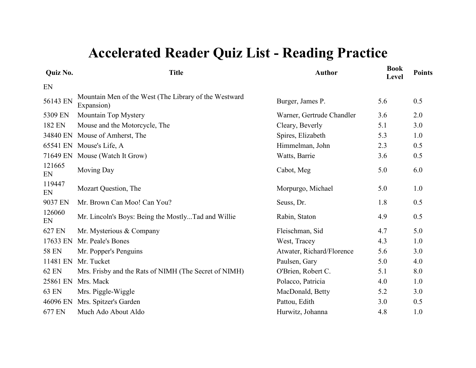| Quiz No.     | <b>Title</b>                                                        | <b>Author</b>             | <b>Book</b><br>Level | <b>Points</b> |
|--------------|---------------------------------------------------------------------|---------------------------|----------------------|---------------|
| EN           |                                                                     |                           |                      |               |
| 56143 EN     | Mountain Men of the West (The Library of the Westward<br>Expansion) | Burger, James P.          | 5.6                  | 0.5           |
| 5309 EN      | Mountain Top Mystery                                                | Warner, Gertrude Chandler | 3.6                  | 2.0           |
| 182 EN       | Mouse and the Motorcycle, The                                       | Cleary, Beverly           | 5.1                  | 3.0           |
| 34840 EN     | Mouse of Amherst, The                                               | Spires, Elizabeth         | 5.3                  | 1.0           |
| 65541 EN     | Mouse's Life, A                                                     | Himmelman, John           | 2.3                  | 0.5           |
| 71649 EN     | Mouse (Watch It Grow)                                               | Watts, Barrie             | 3.6                  | 0.5           |
| 121665<br>EN | <b>Moving Day</b>                                                   | Cabot, Meg                | 5.0                  | 6.0           |
| 119447<br>EN | Mozart Question, The                                                | Morpurgo, Michael         | 5.0                  | 1.0           |
| 9037 EN      | Mr. Brown Can Moo! Can You?                                         | Seuss, Dr.                | 1.8                  | 0.5           |
| 126060<br>EN | Mr. Lincoln's Boys: Being the MostlyTad and Willie                  | Rabin, Staton             | 4.9                  | 0.5           |
| 627 EN       | Mr. Mysterious & Company                                            | Fleischman, Sid           | 4.7                  | 5.0           |
| 17633 EN     | Mr. Peale's Bones                                                   | West, Tracey              | 4.3                  | 1.0           |
| <b>58 EN</b> | Mr. Popper's Penguins                                               | Atwater, Richard/Florence | 5.6                  | 3.0           |
| 11481 EN     | Mr. Tucket                                                          | Paulsen, Gary             | 5.0                  | 4.0           |
| 62 EN        | Mrs. Frisby and the Rats of NIMH (The Secret of NIMH)               | O'Brien, Robert C.        | 5.1                  | 8.0           |
| 25861 EN     | Mrs. Mack                                                           | Polacco, Patricia         | 4.0                  | 1.0           |
| 63 EN        | Mrs. Piggle-Wiggle                                                  | MacDonald, Betty          | 5.2                  | 3.0           |
| 46096 EN     | Mrs. Spitzer's Garden                                               | Pattou, Edith             | 3.0                  | 0.5           |
| 677 EN       | Much Ado About Aldo                                                 | Hurwitz, Johanna          | 4.8                  | 1.0           |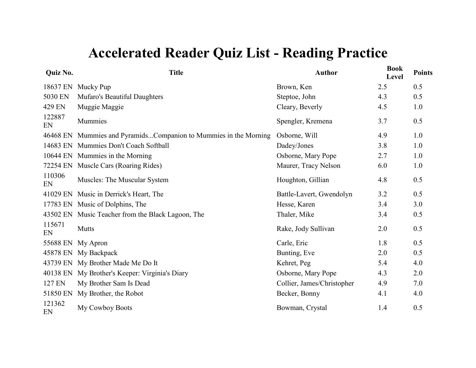| Quiz No.     | <b>Title</b>                                            | <b>Author</b>              | <b>Book</b><br>Level | <b>Points</b> |
|--------------|---------------------------------------------------------|----------------------------|----------------------|---------------|
| 18637 EN     | Mucky Pup                                               | Brown, Ken                 | 2.5                  | 0.5           |
| 5030 EN      | Mufaro's Beautiful Daughters                            | Steptoe, John              | 4.3                  | 0.5           |
| 429 EN       | Muggie Maggie                                           | Cleary, Beverly            | 4.5                  | 1.0           |
| 122887<br>EN | Mummies                                                 | Spengler, Kremena          | 3.7                  | 0.5           |
| 46468 EN     | Mummies and PyramidsCompanion to Mummies in the Morning | Osborne, Will              | 4.9                  | 1.0           |
| 14683 EN     | Mummies Don't Coach Softball                            | Dadey/Jones                | 3.8                  | 1.0           |
|              | 10644 EN Mummies in the Morning                         | Osborne, Mary Pope         | 2.7                  | 1.0           |
| 72254 EN     | Muscle Cars (Roaring Rides)                             | Maurer, Tracy Nelson       | 6.0                  | 1.0           |
| 110306<br>EN | Muscles: The Muscular System                            | Houghton, Gillian          | 4.8                  | 0.5           |
| 41029 EN     | Music in Derrick's Heart, The                           | Battle-Lavert, Gwendolyn   | 3.2                  | 0.5           |
|              | 17783 EN Music of Dolphins, The                         | Hesse, Karen               | 3.4                  | 3.0           |
| 43502 EN     | Music Teacher from the Black Lagoon, The                | Thaler, Mike               | 3.4                  | 0.5           |
| 115671<br>EN | Mutts                                                   | Rake, Jody Sullivan        | 2.0                  | 0.5           |
| 55688 EN     | My Apron                                                | Carle, Eric                | 1.8                  | 0.5           |
| 45878 EN     | My Backpack                                             | Bunting, Eve               | 2.0                  | 0.5           |
|              | 43739 EN My Brother Made Me Do It                       | Kehret, Peg                | 5.4                  | 4.0           |
| 40138 EN     | My Brother's Keeper: Virginia's Diary                   | Osborne, Mary Pope         | 4.3                  | 2.0           |
| 127 EN       | My Brother Sam Is Dead                                  | Collier, James/Christopher | 4.9                  | 7.0           |
| 51850 EN     | My Brother, the Robot                                   | Becker, Bonny              | 4.1                  | 4.0           |
| 121362<br>EN | My Cowboy Boots                                         | Bowman, Crystal            | 1.4                  | 0.5           |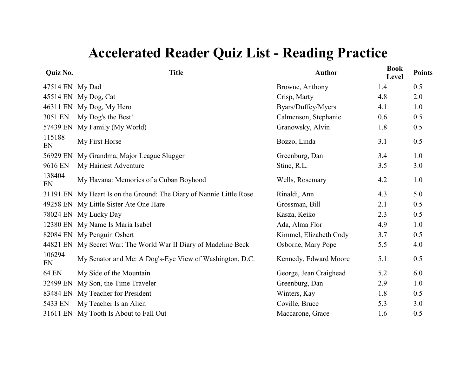| <b>Quiz No.</b> | <b>Title</b>                                                        | <b>Author</b>          | <b>Book</b><br>Level | <b>Points</b> |
|-----------------|---------------------------------------------------------------------|------------------------|----------------------|---------------|
| 47514 EN My Dad |                                                                     | Browne, Anthony        | 1.4                  | 0.5           |
|                 | 45514 EN My Dog, Cat                                                | Crisp, Marty           | 4.8                  | 2.0           |
|                 | 46311 EN My Dog, My Hero                                            | Byars/Duffey/Myers     | 4.1                  | 1.0           |
| 3051 EN         | My Dog's the Best!                                                  | Calmenson, Stephanie   | 0.6                  | 0.5           |
| 57439 EN        | My Family (My World)                                                | Granowsky, Alvin       | 1.8                  | 0.5           |
| 115188<br>EN    | My First Horse                                                      | Bozzo, Linda           | 3.1                  | 0.5           |
| 56929 EN        | My Grandma, Major League Slugger                                    | Greenburg, Dan         | 3.4                  | 1.0           |
| 9616 EN         | My Hairiest Adventure                                               | Stine, R.L.            | 3.5                  | 3.0           |
| 138404<br>EN    | My Havana: Memories of a Cuban Boyhood                              | Wells, Rosemary        | 4.2                  | 1.0           |
|                 | 31191 EN My Heart Is on the Ground: The Diary of Nannie Little Rose | Rinaldi, Ann           | 4.3                  | 5.0           |
|                 | 49258 EN My Little Sister Ate One Hare                              | Grossman, Bill         | 2.1                  | 0.5           |
|                 | 78024 EN My Lucky Day                                               | Kasza, Keiko           | 2.3                  | 0.5           |
|                 | 12380 EN My Name Is Maria Isabel                                    | Ada, Alma Flor         | 4.9                  | 1.0           |
|                 | 82084 EN My Penguin Osbert                                          | Kimmel, Elizabeth Cody | 3.7                  | 0.5           |
|                 | 44821 EN My Secret War: The World War II Diary of Madeline Beck     | Osborne, Mary Pope     | 5.5                  | 4.0           |
| 106294<br>EN    | My Senator and Me: A Dog's-Eye View of Washington, D.C.             | Kennedy, Edward Moore  | 5.1                  | 0.5           |
| 64 EN           | My Side of the Mountain                                             | George, Jean Craighead | 5.2                  | 6.0           |
| 32499 EN        | My Son, the Time Traveler                                           | Greenburg, Dan         | 2.9                  | 1.0           |
|                 | 83484 EN My Teacher for President                                   | Winters, Kay           | 1.8                  | 0.5           |
| 5433 EN         | My Teacher Is an Alien                                              | Coville, Bruce         | 5.3                  | 3.0           |
|                 | 31611 EN My Tooth Is About to Fall Out                              | Maccarone, Grace       | 1.6                  | 0.5           |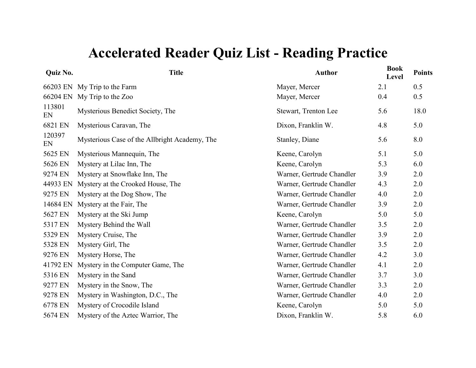| Quiz No.     | <b>Title</b>                                  | <b>Author</b>             | <b>Book</b><br>Level | <b>Points</b> |
|--------------|-----------------------------------------------|---------------------------|----------------------|---------------|
|              | 66203 EN My Trip to the Farm                  | Mayer, Mercer             | 2.1                  | 0.5           |
| 66204 EN     | My Trip to the Zoo                            | Mayer, Mercer             | 0.4                  | 0.5           |
| 113801<br>EN | Mysterious Benedict Society, The              | Stewart, Trenton Lee      | 5.6                  | 18.0          |
| 6821 EN      | Mysterious Caravan, The                       | Dixon, Franklin W.        | 4.8                  | 5.0           |
| 120397<br>EN | Mysterious Case of the Allbright Academy, The | Stanley, Diane            | 5.6                  | 8.0           |
| 5625 EN      | Mysterious Mannequin, The                     | Keene, Carolyn            | 5.1                  | 5.0           |
| 5626 EN      | Mystery at Lilac Inn, The                     | Keene, Carolyn            | 5.3                  | 6.0           |
| 9274 EN      | Mystery at Snowflake Inn, The                 | Warner, Gertrude Chandler | 3.9                  | 2.0           |
| 44933 EN     | Mystery at the Crooked House, The             | Warner, Gertrude Chandler | 4.3                  | 2.0           |
| 9275 EN      | Mystery at the Dog Show, The                  | Warner, Gertrude Chandler | 4.0                  | 2.0           |
| 14684 EN     | Mystery at the Fair, The                      | Warner, Gertrude Chandler | 3.9                  | 2.0           |
| 5627 EN      | Mystery at the Ski Jump                       | Keene, Carolyn            | 5.0                  | 5.0           |
| 5317 EN      | Mystery Behind the Wall                       | Warner, Gertrude Chandler | 3.5                  | 2.0           |
| 5329 EN      | Mystery Cruise, The                           | Warner, Gertrude Chandler | 3.9                  | 2.0           |
| 5328 EN      | Mystery Girl, The                             | Warner, Gertrude Chandler | 3.5                  | 2.0           |
| 9276 EN      | Mystery Horse, The                            | Warner, Gertrude Chandler | 4.2                  | 3.0           |
| 41792 EN     | Mystery in the Computer Game, The             | Warner, Gertrude Chandler | 4.1                  | 2.0           |
| 5316 EN      | Mystery in the Sand                           | Warner, Gertrude Chandler | 3.7                  | 3.0           |
| 9277 EN      | Mystery in the Snow, The                      | Warner, Gertrude Chandler | 3.3                  | 2.0           |
| 9278 EN      | Mystery in Washington, D.C., The              | Warner, Gertrude Chandler | 4.0                  | 2.0           |
| 6778 EN      | Mystery of Crocodile Island                   | Keene, Carolyn            | 5.0                  | 5.0           |
| 5674 EN      | Mystery of the Aztec Warrior, The             | Dixon, Franklin W.        | 5.8                  | 6.0           |
|              |                                               |                           |                      |               |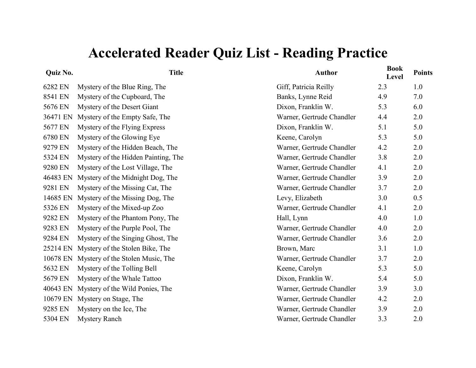| <b>Quiz No.</b> | <b>Title</b>                        | <b>Author</b>             | <b>Book</b><br>Level | <b>Points</b> |
|-----------------|-------------------------------------|---------------------------|----------------------|---------------|
| 6282 EN         | Mystery of the Blue Ring, The       | Giff, Patricia Reilly     | 2.3                  | 1.0           |
| 8541 EN         | Mystery of the Cupboard, The        | Banks, Lynne Reid         | 4.9                  | 7.0           |
| 5676 EN         | Mystery of the Desert Giant         | Dixon, Franklin W.        | 5.3                  | 6.0           |
| 36471 EN        | Mystery of the Empty Safe, The      | Warner, Gertrude Chandler | 4.4                  | 2.0           |
| 5677 EN         | Mystery of the Flying Express       | Dixon, Franklin W.        | 5.1                  | 5.0           |
| 6780 EN         | Mystery of the Glowing Eye          | Keene, Carolyn            | 5.3                  | 5.0           |
| 9279 EN         | Mystery of the Hidden Beach, The    | Warner, Gertrude Chandler | 4.2                  | 2.0           |
| 5324 EN         | Mystery of the Hidden Painting, The | Warner, Gertrude Chandler | 3.8                  | 2.0           |
| 9280 EN         | Mystery of the Lost Village, The    | Warner, Gertrude Chandler | 4.1                  | 2.0           |
| 46483 EN        | Mystery of the Midnight Dog, The    | Warner, Gertrude Chandler | 3.9                  | 2.0           |
| 9281 EN         | Mystery of the Missing Cat, The     | Warner, Gertrude Chandler | 3.7                  | 2.0           |
| 14685 EN        | Mystery of the Missing Dog, The     | Levy, Elizabeth           | 3.0                  | 0.5           |
| 5326 EN         | Mystery of the Mixed-up Zoo         | Warner, Gertrude Chandler | 4.1                  | 2.0           |
| 9282 EN         | Mystery of the Phantom Pony, The    | Hall, Lynn                | 4.0                  | 1.0           |
| 9283 EN         | Mystery of the Purple Pool, The     | Warner, Gertrude Chandler | 4.0                  | 2.0           |
| 9284 EN         | Mystery of the Singing Ghost, The   | Warner, Gertrude Chandler | 3.6                  | 2.0           |
| 25214 EN        | Mystery of the Stolen Bike, The     | Brown, Marc               | 3.1                  | 1.0           |
| 10678 EN        | Mystery of the Stolen Music, The    | Warner, Gertrude Chandler | 3.7                  | 2.0           |
| 5632 EN         | Mystery of the Tolling Bell         | Keene, Carolyn            | 5.3                  | 5.0           |
| 5679 EN         | Mystery of the Whale Tattoo         | Dixon, Franklin W.        | 5.4                  | 5.0           |
| 40643 EN        | Mystery of the Wild Ponies, The     | Warner, Gertrude Chandler | 3.9                  | 3.0           |
| 10679 EN        | Mystery on Stage, The               | Warner, Gertrude Chandler | 4.2                  | 2.0           |
| 9285 EN         | Mystery on the Ice, The             | Warner, Gertrude Chandler | 3.9                  | 2.0           |
| 5304 EN         | <b>Mystery Ranch</b>                | Warner, Gertrude Chandler | 3.3                  | 2.0           |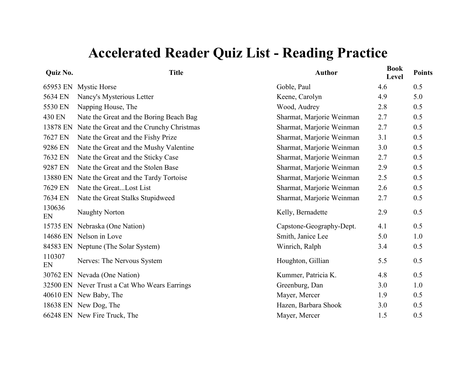#### **Quiz No.**

| Quiz No.     | <b>Title</b>                                  | <b>Author</b>             | <b>Book</b><br>Level | <b>Points</b> |
|--------------|-----------------------------------------------|---------------------------|----------------------|---------------|
| 65953 EN     | <b>Mystic Horse</b>                           | Goble, Paul               | 4.6                  | 0.5           |
| 5634 EN      | Nancy's Mysterious Letter                     | Keene, Carolyn            | 4.9                  | 5.0           |
| 5530 EN      | Napping House, The                            | Wood, Audrey              | 2.8                  | 0.5           |
| 430 EN       | Nate the Great and the Boring Beach Bag       | Sharmat, Marjorie Weinman | 2.7                  | 0.5           |
| 13878 EN     | Nate the Great and the Crunchy Christmas      | Sharmat, Marjorie Weinman | 2.7                  | 0.5           |
| 7627 EN      | Nate the Great and the Fishy Prize            | Sharmat, Marjorie Weinman | 3.1                  | 0.5           |
| 9286 EN      | Nate the Great and the Mushy Valentine        | Sharmat, Marjorie Weinman | 3.0                  | 0.5           |
| 7632 EN      | Nate the Great and the Sticky Case            | Sharmat, Marjorie Weinman | 2.7                  | 0.5           |
| 9287 EN      | Nate the Great and the Stolen Base            | Sharmat, Marjorie Weinman | 2.9                  | 0.5           |
| 13880 EN     | Nate the Great and the Tardy Tortoise         | Sharmat, Marjorie Weinman | 2.5                  | 0.5           |
| 7629 EN      | Nate the GreatLost List                       | Sharmat, Marjorie Weinman | 2.6                  | 0.5           |
| 7634 EN      | Nate the Great Stalks Stupidweed              | Sharmat, Marjorie Weinman | 2.7                  | 0.5           |
| 130636<br>EN | <b>Naughty Norton</b>                         | Kelly, Bernadette         | 2.9                  | 0.5           |
|              | 15735 EN Nebraska (One Nation)                | Capstone-Geography-Dept.  | 4.1                  | 0.5           |
|              | 14686 EN Nelson in Love                       | Smith, Janice Lee         | 5.0                  | 1.0           |
|              | 84583 EN Neptune (The Solar System)           | Winrich, Ralph            | 3.4                  | 0.5           |
| 110307<br>EN | Nerves: The Nervous System                    | Houghton, Gillian         | 5.5                  | 0.5           |
|              | 30762 EN Nevada (One Nation)                  | Kummer, Patricia K.       | 4.8                  | 0.5           |
|              | 32500 EN Never Trust a Cat Who Wears Earrings | Greenburg, Dan            | 3.0                  | 1.0           |
|              | 40610 EN New Baby, The                        | Mayer, Mercer             | 1.9                  | 0.5           |
|              | 18638 EN New Dog, The                         | Hazen, Barbara Shook      | 3.0                  | 0.5           |
|              | 66248 EN New Fire Truck, The                  | Mayer, Mercer             | 1.5                  | 0.5           |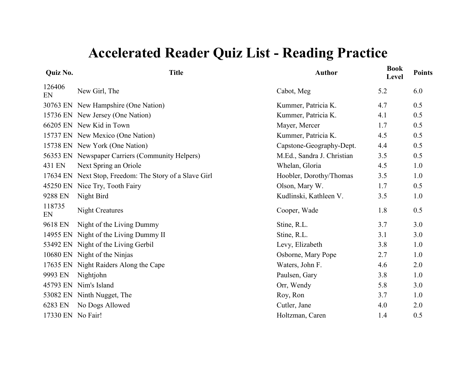| Quiz No.          | <b>Title</b>                                           | <b>Author</b>              | <b>Book</b><br>Level | <b>Points</b> |
|-------------------|--------------------------------------------------------|----------------------------|----------------------|---------------|
| 126406<br>EN      | New Girl, The                                          | Cabot, Meg                 | 5.2                  | 6.0           |
|                   | 30763 EN New Hampshire (One Nation)                    | Kummer, Patricia K.        | 4.7                  | 0.5           |
|                   | 15736 EN New Jersey (One Nation)                       | Kummer, Patricia K.        | 4.1                  | 0.5           |
|                   | 66205 EN New Kid in Town                               | Mayer, Mercer              | 1.7                  | 0.5           |
|                   | 15737 EN New Mexico (One Nation)                       | Kummer, Patricia K.        | 4.5                  | 0.5           |
|                   | 15738 EN New York (One Nation)                         | Capstone-Geography-Dept.   | 4.4                  | 0.5           |
|                   | 56353 EN Newspaper Carriers (Community Helpers)        | M.Ed., Sandra J. Christian | 3.5                  | 0.5           |
| 431 EN            | Next Spring an Oriole                                  | Whelan, Gloria             | 4.5                  | 1.0           |
|                   | 17634 EN Next Stop, Freedom: The Story of a Slave Girl | Hoobler, Dorothy/Thomas    | 3.5                  | 1.0           |
|                   | 45250 EN Nice Try, Tooth Fairy                         | Olson, Mary W.             | 1.7                  | 0.5           |
| 9288 EN           | Night Bird                                             | Kudlinski, Kathleen V.     | 3.5                  | 1.0           |
| 118735<br>EN      | <b>Night Creatures</b>                                 | Cooper, Wade               | 1.8                  | 0.5           |
| 9618 EN           | Night of the Living Dummy                              | Stine, R.L.                | 3.7                  | 3.0           |
|                   | 14955 EN Night of the Living Dummy II                  | Stine, R.L.                | 3.1                  | 3.0           |
|                   | 53492 EN Night of the Living Gerbil                    | Levy, Elizabeth            | 3.8                  | 1.0           |
|                   | 10680 EN Night of the Ninjas                           | Osborne, Mary Pope         | 2.7                  | 1.0           |
|                   | 17635 EN Night Raiders Along the Cape                  | Waters, John F.            | 4.6                  | 2.0           |
| 9993 EN           | Nightjohn                                              | Paulsen, Gary              | 3.8                  | 1.0           |
|                   | 45793 EN Nim's Island                                  | Orr, Wendy                 | 5.8                  | 3.0           |
|                   | 53082 EN Ninth Nugget, The                             | Roy, Ron                   | 3.7                  | 1.0           |
| 6283 EN           | No Dogs Allowed                                        | Cutler, Jane               | 4.0                  | 2.0           |
| 17330 EN No Fair! |                                                        | Holtzman, Caren            | 1.4                  | 0.5           |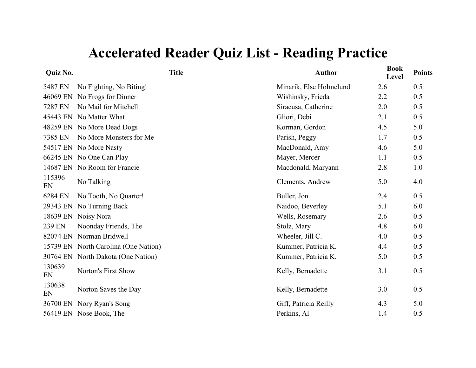| Quiz No.     |                                      | <b>Title</b> | <b>Author</b>           | <b>Book</b><br>Level | <b>Points</b> |
|--------------|--------------------------------------|--------------|-------------------------|----------------------|---------------|
| 5487 EN      | No Fighting, No Biting!              |              | Minarik, Else Holmelund | 2.6                  | 0.5           |
|              | 46069 EN No Frogs for Dinner         |              | Wishinsky, Frieda       | 2.2                  | 0.5           |
| 7287 EN      | No Mail for Mitchell                 |              | Siracusa, Catherine     | 2.0                  | 0.5           |
|              | 45443 EN No Matter What              |              | Gliori, Debi            | 2.1                  | 0.5           |
|              | 48259 EN No More Dead Dogs           |              | Korman, Gordon          | 4.5                  | 5.0           |
| 7385 EN      | No More Monsters for Me              |              | Parish, Peggy           | 1.7                  | 0.5           |
|              | 54517 EN No More Nasty               |              | MacDonald, Amy          | 4.6                  | 5.0           |
|              | 66245 EN No One Can Play             |              | Mayer, Mercer           | 1.1                  | 0.5           |
|              | 14687 EN No Room for Francie         |              | Macdonald, Maryann      | 2.8                  | 1.0           |
| 115396<br>EN | No Talking                           |              | Clements, Andrew        | 5.0                  | 4.0           |
| 6284 EN      | No Tooth, No Quarter!                |              | Buller, Jon             | 2.4                  | 0.5           |
|              | 29343 EN No Turning Back             |              | Naidoo, Beverley        | 5.1                  | 6.0           |
|              | 18639 EN Noisy Nora                  |              | Wells, Rosemary         | 2.6                  | 0.5           |
| 239 EN       | Noonday Friends, The                 |              | Stolz, Mary             | 4.8                  | 6.0           |
|              | 82074 EN Norman Bridwell             |              | Wheeler, Jill C.        | 4.0                  | 0.5           |
|              | 15739 EN North Carolina (One Nation) |              | Kummer, Patricia K.     | 4.4                  | 0.5           |
|              | 30764 EN North Dakota (One Nation)   |              | Kummer, Patricia K.     | 5.0                  | 0.5           |
| 130639<br>EN | Norton's First Show                  |              | Kelly, Bernadette       | 3.1                  | 0.5           |
| 130638<br>EN | Norton Saves the Day                 |              | Kelly, Bernadette       | 3.0                  | 0.5           |
|              | 36700 EN Nory Ryan's Song            |              | Giff, Patricia Reilly   | 4.3                  | 5.0           |
|              | 56419 EN Nose Book, The              |              | Perkins, Al             | 1.4                  | 0.5           |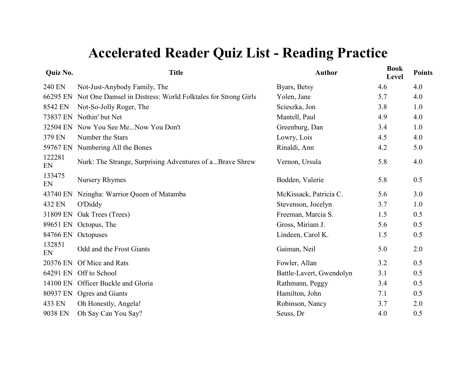| <b>Quiz No.</b> | <b>Title</b>                                                 | <b>Author</b>            | <b>Book</b><br>Level | <b>Points</b> |
|-----------------|--------------------------------------------------------------|--------------------------|----------------------|---------------|
| 240 EN          | Not-Just-Anybody Family, The                                 | Byars, Betsy             | 4.6                  | 4.0           |
| 66295 EN        | Not One Damsel in Distress: World Folktales for Strong Girls | Yolen, Jane              | 5.7                  | 4.0           |
| 8542 EN         | Not-So-Jolly Roger, The                                      | Scieszka, Jon            | 3.8                  | 1.0           |
|                 | 73837 EN Nothin' but Net                                     | Mantell, Paul            | 4.9                  | 4.0           |
|                 | 32504 EN Now You See MeNow You Don't                         | Greenburg, Dan           | 3.4                  | 1.0           |
| 379 EN          | Number the Stars                                             | Lowry, Lois              | 4.5                  | 4.0           |
| 59767 EN        | Numbering All the Bones                                      | Rinaldi, Ann             | 4.2                  | 5.0           |
| 122281<br>EN    | Nurk: The Strange, Surprising Adventures of aBrave Shrew     | Vernon, Ursula           | 5.8                  | 4.0           |
| 133475<br>EN    | <b>Nursery Rhymes</b>                                        | Bodden, Valerie          | 5.8                  | 0.5           |
| 43740 EN        | Nzingha: Warrior Queen of Matamba                            | McKissack, Patricia C.   | 5.6                  | 3.0           |
| 432 EN          | <b>O'Diddy</b>                                               | Stevenson, Jocelyn       | 3.7                  | 1.0           |
| 31809 EN        | Oak Trees (Trees)                                            | Freeman, Marcia S.       | 1.5                  | 0.5           |
|                 | 89651 EN Octopus, The                                        | Gross, Miriam J.         | 5.6                  | 0.5           |
| 84766 EN        | Octopuses                                                    | Lindeen, Carol K.        | 1.5                  | 0.5           |
| 132851<br>EN    | Odd and the Frost Giants                                     | Gaiman, Neil             | 5.0                  | 2.0           |
|                 | 20376 EN Of Mice and Rats                                    | Fowler, Allan            | 3.2                  | 0.5           |
|                 | 64291 EN Off to School                                       | Battle-Lavert, Gwendolyn | 3.1                  | 0.5           |
|                 | 14100 EN Officer Buckle and Gloria                           | Rathmann, Peggy          | 3.4                  | 0.5           |
|                 | 80937 EN Ogres and Giants                                    | Hamilton, John           | 7.1                  | 0.5           |
| 433 EN          | Oh Honestly, Angela!                                         | Robinson, Nancy          | 3.7                  | 2.0           |
| 9038 EN         | Oh Say Can You Say?                                          | Seuss, Dr                | 4.0                  | 0.5           |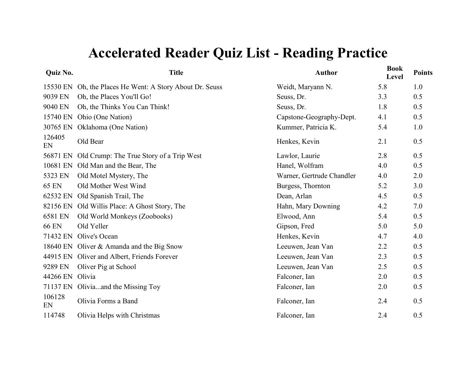| Quiz No.        | <b>Title</b>                                             | <b>Author</b>             | <b>Book</b><br>Level | <b>Points</b> |
|-----------------|----------------------------------------------------------|---------------------------|----------------------|---------------|
|                 | 15530 EN Oh, the Places He Went: A Story About Dr. Seuss | Weidt, Maryann N.         | 5.8                  | 1.0           |
| 9039 EN         | Oh, the Places You'll Go!                                | Seuss, Dr.                | 3.3                  | 0.5           |
| 9040 EN         | Oh, the Thinks You Can Think!                            | Seuss, Dr.                | 1.8                  | 0.5           |
| 15740 EN        | Ohio (One Nation)                                        | Capstone-Geography-Dept.  | 4.1                  | 0.5           |
| 30765 EN        | Oklahoma (One Nation)                                    | Kummer, Patricia K.       | 5.4                  | 1.0           |
| 126405<br>EN    | Old Bear                                                 | Henkes, Kevin             | 2.1                  | 0.5           |
|                 | 56871 EN Old Crump: The True Story of a Trip West        | Lawlor, Laurie            | 2.8                  | 0.5           |
|                 | 10681 EN Old Man and the Bear, The                       | Hanel, Wolfram            | 4.0                  | 0.5           |
| 5323 EN         | Old Motel Mystery, The                                   | Warner, Gertrude Chandler | 4.0                  | 2.0           |
| <b>65 EN</b>    | Old Mother West Wind                                     | Burgess, Thornton         | 5.2                  | 3.0           |
| 62532 EN        | Old Spanish Trail, The                                   | Dean, Arlan               | 4.5                  | 0.5           |
|                 | 82156 EN Old Willis Place: A Ghost Story, The            | Hahn, Mary Downing        | 4.2                  | 7.0           |
| 6581 EN         | Old World Monkeys (Zoobooks)                             | Elwood, Ann               | 5.4                  | 0.5           |
| <b>66 EN</b>    | Old Yeller                                               | Gipson, Fred              | 5.0                  | 5.0           |
| 71432 EN        | Olive's Ocean                                            | Henkes, Kevin             | 4.7                  | 4.0           |
|                 | 18640 EN Oliver & Amanda and the Big Snow                | Leeuwen, Jean Van         | 2.2                  | 0.5           |
|                 | 44915 EN Oliver and Albert, Friends Forever              | Leeuwen, Jean Van         | 2.3                  | 0.5           |
| 9289 EN         | Oliver Pig at School                                     | Leeuwen, Jean Van         | 2.5                  | 0.5           |
| 44266 EN Olivia |                                                          | Falconer, Ian             | 2.0                  | 0.5           |
|                 | 71137 EN Oliviaand the Missing Toy                       | Falconer, Ian             | 2.0                  | 0.5           |
| 106128<br>EN    | Olivia Forms a Band                                      | Falconer, Ian             | 2.4                  | 0.5           |
| 114748          | Olivia Helps with Christmas                              | Falconer, Ian             | 2.4                  | 0.5           |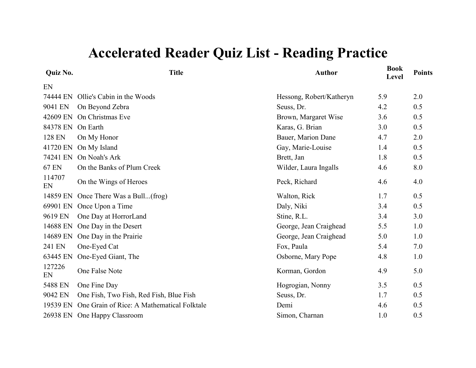| Quiz No.     | <b>Title</b>                               | <b>Author</b>            | <b>Book</b><br>Level | <b>Points</b> |
|--------------|--------------------------------------------|--------------------------|----------------------|---------------|
| EN           |                                            |                          |                      |               |
| 74444 EN     | Ollie's Cabin in the Woods                 | Hessong, Robert/Katheryn | 5.9                  | 2.0           |
| 9041 EN      | On Beyond Zebra                            | Seuss, Dr.               | 4.2                  | 0.5           |
| 42609 EN     | On Christmas Eve                           | Brown, Margaret Wise     | 3.6                  | 0.5           |
| 84378 EN     | On Earth                                   | Karas, G. Brian          | 3.0                  | 0.5           |
| 128 EN       | On My Honor                                | Bauer, Marion Dane       | 4.7                  | 2.0           |
| 41720 EN     | On My Island                               | Gay, Marie-Louise        | 1.4                  | 0.5           |
| 74241 EN     | On Noah's Ark                              | Brett, Jan               | 1.8                  | 0.5           |
| <b>67 EN</b> | On the Banks of Plum Creek                 | Wilder, Laura Ingalls    | 4.6                  | 8.0           |
| 114707<br>EN | On the Wings of Heroes                     | Peck, Richard            | 4.6                  | 4.0           |
| 14859 EN     | Once There Was a Bull(frog)                | Walton, Rick             | 1.7                  | 0.5           |
| 69901 EN     | Once Upon a Time                           | Daly, Niki               | 3.4                  | 0.5           |
| 9619 EN      | One Day at HorrorLand                      | Stine, R.L.              | 3.4                  | 3.0           |
| 14688 EN     | One Day in the Desert                      | George, Jean Craighead   | 5.5                  | 1.0           |
| 14689 EN     | One Day in the Prairie                     | George, Jean Craighead   | 5.0                  | 1.0           |
| 241 EN       | One-Eyed Cat                               | Fox, Paula               | 5.4                  | 7.0           |
| 63445 EN     | One-Eyed Giant, The                        | Osborne, Mary Pope       | 4.8                  | 1.0           |
| 127226<br>EN | One False Note                             | Korman, Gordon           | 4.9                  | 5.0           |
| 5488 EN      | One Fine Day                               | Hogrogian, Nonny         | 3.5                  | 0.5           |
| 9042 EN      | One Fish, Two Fish, Red Fish, Blue Fish    | Seuss, Dr.               | 1.7                  | 0.5           |
| 19539 EN     | One Grain of Rice: A Mathematical Folktale | Demi                     | 4.6                  | 0.5           |
|              | 26938 EN One Happy Classroom               | Simon, Charnan           | 1.0                  | 0.5           |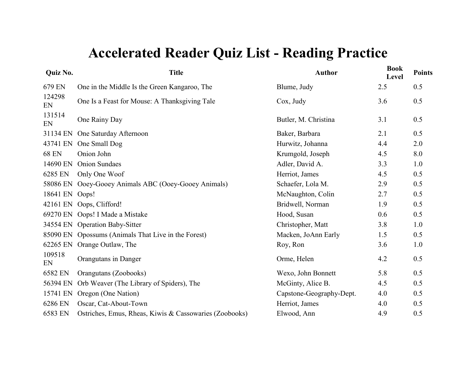| Quiz No.     | <b>Title</b>                                           | <b>Author</b>            | <b>Book</b><br>Level | <b>Points</b> |
|--------------|--------------------------------------------------------|--------------------------|----------------------|---------------|
| 679 EN       | One in the Middle Is the Green Kangaroo, The           | Blume, Judy              | 2.5                  | 0.5           |
| 124298<br>EN | One Is a Feast for Mouse: A Thanksgiving Tale          | Cox, Judy                | 3.6                  | 0.5           |
| 131514<br>EN | One Rainy Day                                          | Butler, M. Christina     | 3.1                  | 0.5           |
| 31134 EN     | One Saturday Afternoon                                 | Baker, Barbara           | 2.1                  | 0.5           |
| 43741 EN     | One Small Dog                                          | Hurwitz, Johanna         | 4.4                  | 2.0           |
| <b>68 EN</b> | Onion John                                             | Krumgold, Joseph         | 4.5                  | 8.0           |
| 14690 EN     | <b>Onion Sundaes</b>                                   | Adler, David A.          | 3.3                  | 1.0           |
| 6285 EN      | Only One Woof                                          | Herriot, James           | 4.5                  | 0.5           |
| 58086 EN     | Ooey-Gooey Animals ABC (Ooey-Gooey Animals)            | Schaefer, Lola M.        | 2.9                  | 0.5           |
| 18641 EN     | Oops!                                                  | McNaughton, Colin        | 2.7                  | 0.5           |
| 42161 EN     | Oops, Clifford!                                        | Bridwell, Norman         | 1.9                  | 0.5           |
|              | 69270 EN Oops! I Made a Mistake                        | Hood, Susan              | 0.6                  | 0.5           |
|              | 34554 EN Operation Baby-Sitter                         | Christopher, Matt        | 3.8                  | 1.0           |
|              | 85090 EN Opossums (Animals That Live in the Forest)    | Macken, JoAnn Early      | 1.5                  | 0.5           |
| 62265 EN     | Orange Outlaw, The                                     | Roy, Ron                 | 3.6                  | 1.0           |
| 109518<br>EN | Orangutans in Danger                                   | Orme, Helen              | 4.2                  | 0.5           |
| 6582 EN      | Orangutans (Zoobooks)                                  | Wexo, John Bonnett       | 5.8                  | 0.5           |
| 56394 EN     | Orb Weaver (The Library of Spiders), The               | McGinty, Alice B.        | 4.5                  | 0.5           |
| 15741 EN     | Oregon (One Nation)                                    | Capstone-Geography-Dept. | 4.0                  | 0.5           |
| 6286 EN      | Oscar, Cat-About-Town                                  | Herriot, James           | 4.0                  | 0.5           |
| 6583 EN      | Ostriches, Emus, Rheas, Kiwis & Cassowaries (Zoobooks) | Elwood, Ann              | 4.9                  | 0.5           |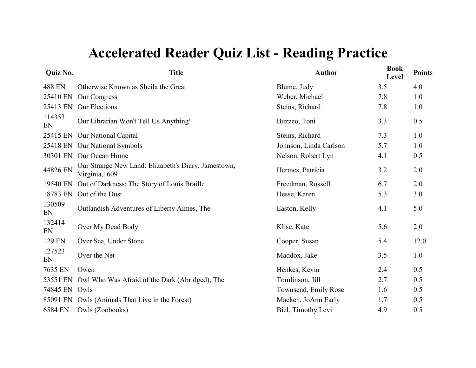| Quiz No.      | <b>Title</b>                                                          | <b>Author</b>          | <b>Book</b><br>Level | <b>Points</b> |
|---------------|-----------------------------------------------------------------------|------------------------|----------------------|---------------|
| 488 EN        | Otherwise Known as Sheila the Great                                   | Blume, Judy            | 3.5                  | 4.0           |
| 25410 EN      | Our Congress                                                          | Weber, Michael         | 7.8                  | 1.0           |
| 25413 EN      | Our Elections                                                         | Steins, Richard        | 7.8                  | 1.0           |
| 114353<br>EN  | Our Librarian Won't Tell Us Anything!                                 | Buzzeo, Toni           | 3.3                  | 0.5           |
| 25415 EN      | <b>Our National Capital</b>                                           | Steins, Richard        | 7.3                  | 1.0           |
| 25418 EN      | <b>Our National Symbols</b>                                           | Johnson, Linda Carlson | 5.7                  | 1.0           |
| 30301 EN      | Our Ocean Home                                                        | Nelson, Robert Lyn     | 4.1                  | 0.5           |
| 44826 EN      | Our Strange New Land: Elizabeth's Diary, Jamestown,<br>Virginia, 1609 | Hermes, Patricia       | 3.2                  | 2.0           |
| 19540 EN      | Out of Darkness: The Story of Louis Braille                           | Freedman, Russell      | 6.7                  | 2.0           |
| 18783 EN      | Out of the Dust                                                       | Hesse, Karen           | 5.3                  | 3.0           |
| 130509<br>EN  | Outlandish Adventures of Liberty Aimes, The                           | Easton, Kelly          | 4.1                  | 5.0           |
| 132414<br>EN  | Over My Dead Body                                                     | Klise, Kate            | 5.6                  | 2.0           |
| 129 EN        | Over Sea, Under Stone                                                 | Cooper, Susan          | 5.4                  | 12.0          |
| 127523<br>EN  | Over the Net                                                          | Maddox, Jake           | 3.5                  | 1.0           |
| 7635 EN       | Owen                                                                  | Henkes, Kevin          | 2.4                  | 0.5           |
| 53551 EN      | Owl Who Was Afraid of the Dark (Abridged), The                        | Tomlinson, Jill        | 2.7                  | 0.5           |
| 74845 EN Owls |                                                                       | Townsend, Emily Rose   | 1.6                  | 0.5           |
| 85091 EN      | Owls (Animals That Live in the Forest)                                | Macken, JoAnn Early    | 1.7                  | 0.5           |
| 6584 EN       | Owls (Zoobooks)                                                       | Biel, Timothy Levi     | 4.9                  | 0.5           |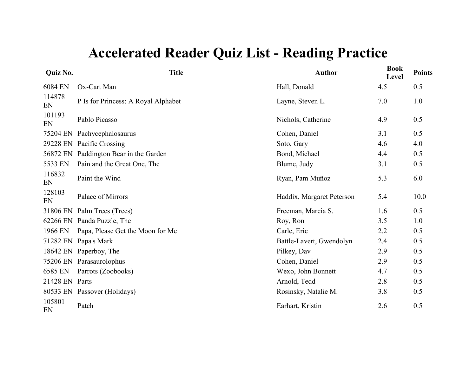| <b>Quiz No.</b> | <b>Title</b>                           | <b>Author</b>             | <b>Book</b><br>Level | <b>Points</b> |
|-----------------|----------------------------------------|---------------------------|----------------------|---------------|
| 6084 EN         | Ox-Cart Man                            | Hall, Donald              | 4.5                  | 0.5           |
| 114878<br>EN    | P Is for Princess: A Royal Alphabet    | Layne, Steven L.          | 7.0                  | 1.0           |
| 101193<br>EN    | Pablo Picasso                          | Nichols, Catherine        | 4.9                  | 0.5           |
| 75204 EN        | Pachycephalosaurus                     | Cohen, Daniel             | 3.1                  | 0.5           |
| 29228 EN        | Pacific Crossing                       | Soto, Gary                | 4.6                  | 4.0           |
|                 | 56872 EN Paddington Bear in the Garden | Bond, Michael             | 4.4                  | 0.5           |
| 5533 EN         | Pain and the Great One, The            | Blume, Judy               | 3.1                  | 0.5           |
| 116832<br>EN    | Paint the Wind                         | Ryan, Pam Muñoz           | 5.3                  | 6.0           |
| 128103<br>EN    | Palace of Mirrors                      | Haddix, Margaret Peterson | 5.4                  | 10.0          |
|                 | 31806 EN Palm Trees (Trees)            | Freeman, Marcia S.        | 1.6                  | 0.5           |
|                 | 62266 EN Panda Puzzle, The             | Roy, Ron                  | 3.5                  | 1.0           |
| 1966 EN         | Papa, Please Get the Moon for Me       | Carle, Eric               | 2.2                  | 0.5           |
| 71282 EN        | Papa's Mark                            | Battle-Lavert, Gwendolyn  | 2.4                  | 0.5           |
|                 | 18642 EN Paperboy, The                 | Pilkey, Dav               | 2.9                  | 0.5           |
|                 | 75206 EN Parasaurolophus               | Cohen, Daniel             | 2.9                  | 0.5           |
| 6585 EN         | Parrots (Zoobooks)                     | Wexo, John Bonnett        | 4.7                  | 0.5           |
| 21428 EN Parts  |                                        | Arnold, Tedd              | 2.8                  | 0.5           |
|                 | 80533 EN Passover (Holidays)           | Rosinsky, Natalie M.      | 3.8                  | 0.5           |
| 105801<br>EN    | Patch                                  | Earhart, Kristin          | 2.6                  | 0.5           |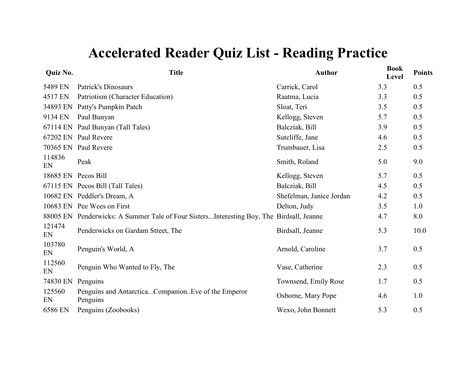| Quiz No.     | <b>Title</b>                                                                             | <b>Author</b>            | <b>Book</b><br>Level | <b>Points</b> |
|--------------|------------------------------------------------------------------------------------------|--------------------------|----------------------|---------------|
| 5489 EN      | Patrick's Dinosaurs                                                                      | Carrick, Carol           | 3.3                  | 0.5           |
| 4517 EN      | Patriotism (Character Education)                                                         | Raatma, Lucia            | 3.3                  | 0.5           |
|              | 34893 EN Patty's Pumpkin Patch                                                           | Sloat, Teri              | 3.5                  | 0.5           |
| 9134 EN      | Paul Bunyan                                                                              | Kellogg, Steven          | 5.7                  | 0.5           |
|              | 67114 EN Paul Bunyan (Tall Tales)                                                        | Balcziak, Bill           | 3.9                  | 0.5           |
|              | 67202 EN Paul Revere                                                                     | Sutcliffe, Jane          | 4.6                  | 0.5           |
|              | 70365 EN Paul Revere                                                                     | Trumbauer, Lisa          | 2.5                  | 0.5           |
| 114836<br>EN | Peak                                                                                     | Smith, Roland            | 5.0                  | 9.0           |
|              | 18685 EN Pecos Bill                                                                      | Kellogg, Steven          | 5.7                  | 0.5           |
|              | 67115 EN Pecos Bill (Tall Tales)                                                         | Balcziak, Bill           | 4.5                  | 0.5           |
|              | 10682 EN Peddler's Dream, A                                                              | Shefelman, Janice Jordan | 4.2                  | 0.5           |
|              | 10683 EN Pee Wees on First                                                               | Delton, Judy             | 3.5                  | 1.0           |
|              | 88005 EN Penderwicks: A Summer Tale of Four SistersInteresting Boy, The Birdsall, Jeanne |                          | 4.7                  | 8.0           |
| 121474<br>EN | Penderwicks on Gardam Street, The                                                        | Birdsall, Jeanne         | 5.3                  | 10.0          |
| 103780<br>EN | Penguin's World, A                                                                       | Arnold, Caroline         | 3.7                  | 0.5           |
| 112560<br>EN | Penguin Who Wanted to Fly, The                                                           | Vase, Catherine          | 2.3                  | 0.5           |
| 74830 EN     | Penguins                                                                                 | Townsend, Emily Rose     | 1.7                  | 0.5           |
| 125560<br>EN | Penguins and AntarcticaCompanionEve of the Emperor<br>Penguins                           | Osborne, Mary Pope       | 4.6                  | 1.0           |
| 6586 EN      | Penguins (Zoobooks)                                                                      | Wexo, John Bonnett       | 5.3                  | 0.5           |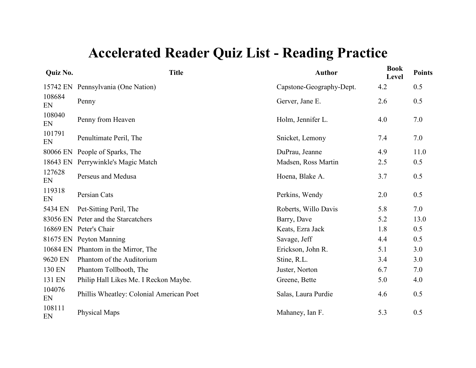| Quiz No.     | <b>Title</b>                             | <b>Author</b>            | <b>Book</b><br>Level | <b>Points</b> |
|--------------|------------------------------------------|--------------------------|----------------------|---------------|
|              | 15742 EN Pennsylvania (One Nation)       | Capstone-Geography-Dept. | 4.2                  | 0.5           |
| 108684<br>EN | Penny                                    | Gerver, Jane E.          | 2.6                  | 0.5           |
| 108040<br>EN | Penny from Heaven                        | Holm, Jennifer L.        | 4.0                  | 7.0           |
| 101791<br>EN | Penultimate Peril, The                   | Snicket, Lemony          | 7.4                  | 7.0           |
| 80066 EN     | People of Sparks, The                    | DuPrau, Jeanne           | 4.9                  | 11.0          |
| 18643 EN     | Perrywinkle's Magic Match                | Madsen, Ross Martin      | 2.5                  | 0.5           |
| 127628<br>EN | Perseus and Medusa                       | Hoena, Blake A.          | 3.7                  | 0.5           |
| 119318<br>EN | Persian Cats                             | Perkins, Wendy           | 2.0                  | 0.5           |
| 5434 EN      | Pet-Sitting Peril, The                   | Roberts, Willo Davis     | 5.8                  | 7.0           |
|              | 83056 EN Peter and the Starcatchers      | Barry, Dave              | 5.2                  | 13.0          |
|              | 16869 EN Peter's Chair                   | Keats, Ezra Jack         | 1.8                  | 0.5           |
|              | 81675 EN Peyton Manning                  | Savage, Jeff             | 4.4                  | 0.5           |
|              | 10684 EN Phantom in the Mirror, The      | Erickson, John R.        | 5.1                  | 3.0           |
| 9620 EN      | Phantom of the Auditorium                | Stine, R.L.              | 3.4                  | 3.0           |
| 130 EN       | Phantom Tollbooth, The                   | Juster, Norton           | 6.7                  | 7.0           |
| 131 EN       | Philip Hall Likes Me. I Reckon Maybe.    | Greene, Bette            | 5.0                  | 4.0           |
| 104076<br>EN | Phillis Wheatley: Colonial American Poet | Salas, Laura Purdie      | 4.6                  | 0.5           |
| 108111<br>EN | Physical Maps                            | Mahaney, Ian F.          | 5.3                  | 0.5           |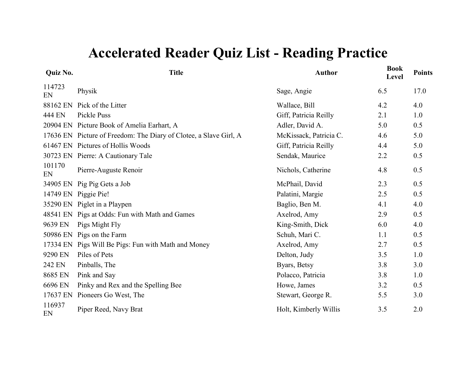| Quiz No.     | <b>Title</b>                                                      | <b>Author</b>          | <b>Book</b><br>Level | <b>Points</b> |
|--------------|-------------------------------------------------------------------|------------------------|----------------------|---------------|
| 114723<br>EN | Physik                                                            | Sage, Angie            | 6.5                  | 17.0          |
| 88162 EN     | Pick of the Litter                                                | Wallace, Bill          | 4.2                  | 4.0           |
| 444 EN       | Pickle Puss                                                       | Giff, Patricia Reilly  | 2.1                  | 1.0           |
|              | 20904 EN Picture Book of Amelia Earhart, A                        | Adler, David A.        | 5.0                  | 0.5           |
|              | 17636 EN Picture of Freedom: The Diary of Clotee, a Slave Girl, A | McKissack, Patricia C. | 4.6                  | 5.0           |
|              | 61467 EN Pictures of Hollis Woods                                 | Giff, Patricia Reilly  | 4.4                  | 5.0           |
|              | 30723 EN Pierre: A Cautionary Tale                                | Sendak, Maurice        | 2.2                  | 0.5           |
| 101170<br>EN | Pierre-Auguste Renoir                                             | Nichols, Catherine     | 4.8                  | 0.5           |
|              | 34905 EN Pig Pig Gets a Job                                       | McPhail, David         | 2.3                  | 0.5           |
|              | 14749 EN Piggie Pie!                                              | Palatini, Margie       | 2.5                  | 0.5           |
|              | 35290 EN Piglet in a Playpen                                      | Baglio, Ben M.         | 4.1                  | 4.0           |
|              | 48541 EN Pigs at Odds: Fun with Math and Games                    | Axelrod, Amy           | 2.9                  | 0.5           |
| 9639 EN      | Pigs Might Fly                                                    | King-Smith, Dick       | 6.0                  | 4.0           |
| 50986 EN     | Pigs on the Farm                                                  | Schuh, Mari C.         | 1.1                  | 0.5           |
|              | 17334 EN Pigs Will Be Pigs: Fun with Math and Money               | Axelrod, Amy           | 2.7                  | 0.5           |
| 9290 EN      | Piles of Pets                                                     | Delton, Judy           | 3.5                  | 1.0           |
| 242 EN       | Pinballs, The                                                     | Byars, Betsy           | 3.8                  | 3.0           |
| 8685 EN      | Pink and Say                                                      | Polacco, Patricia      | 3.8                  | 1.0           |
| 6696 EN      | Pinky and Rex and the Spelling Bee                                | Howe, James            | 3.2                  | 0.5           |
| 17637 EN     | Pioneers Go West, The                                             | Stewart, George R.     | 5.5                  | 3.0           |
| 116937<br>EN | Piper Reed, Navy Brat                                             | Holt, Kimberly Willis  | 3.5                  | 2.0           |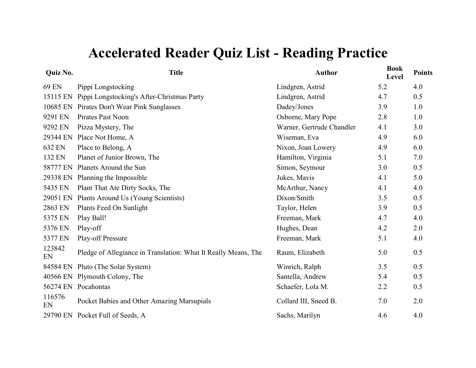| Quiz No.     | <b>Title</b>                                                   | <b>Author</b>             | <b>Book</b><br>Level | <b>Points</b> |
|--------------|----------------------------------------------------------------|---------------------------|----------------------|---------------|
| 69 EN        | Pippi Longstocking                                             | Lindgren, Astrid          | 5.2                  | 4.0           |
| 15115 EN     | Pippi Longstocking's After-Christmas Party                     | Lindgren, Astrid          | 4.7                  | 0.5           |
| 10685 EN     | Pirates Don't Wear Pink Sunglasses                             | Dadey/Jones               | 3.9                  | 1.0           |
| 9291 EN      | Pirates Past Noon                                              | Osborne, Mary Pope        | 2.8                  | 1.0           |
| 9292 EN      | Pizza Mystery, The                                             | Warner, Gertrude Chandler | 4.1                  | 3.0           |
| 29344 EN     | Place Not Home, A                                              | Wiseman, Eva              | 4.9                  | 6.0           |
| 632 EN       | Place to Belong, A                                             | Nixon, Joan Lowery        | 4.9                  | 6.0           |
| 132 EN       | Planet of Junior Brown, The                                    | Hamilton, Virginia        | 5.1                  | 7.0           |
| 58777 EN     | Planets Around the Sun                                         | Simon, Seymour            | 3.0                  | 0.5           |
| 29338 EN     | Planning the Impossible                                        | Jukes, Mavis              | 4.1                  | 5.0           |
| 5435 EN      | Plant That Ate Dirty Socks, The                                | McArthur, Nancy           | 4.1                  | 4.0           |
| 29051 EN     | Plants Around Us (Young Scientists)                            | Dixon/Smith               | 3.5                  | 0.5           |
| 2863 EN      | Plants Feed On Sunlight                                        | Taylor, Helen             | 3.9                  | 0.5           |
| 5375 EN      | Play Ball!                                                     | Freeman, Mark             | 4.7                  | 4.0           |
| 5376 EN      | Play-off                                                       | Hughes, Dean              | 4.2                  | 2.0           |
| 5377 EN      | Play-off Pressure                                              | Freeman, Mark             | 5.1                  | 4.0           |
| 123842<br>EN | Pledge of Allegiance in Translation: What It Really Means, The | Raum, Elizabeth           | 5.0                  | 0.5           |
| 84584 EN     | Pluto (The Solar System)                                       | Winrich, Ralph            | 3.5                  | 0.5           |
|              | 40566 EN Plymouth Colony, The                                  | Santella, Andrew          | 5.4                  | 0.5           |
|              | 56274 EN Pocahontas                                            | Schaefer, Lola M.         | 2.2                  | 0.5           |
| 116576<br>EN | Pocket Babies and Other Amazing Marsupials                     | Collard III, Sneed B.     | 7.0                  | 2.0           |
|              | 29790 EN Pocket Full of Seeds, A                               | Sachs, Marilyn            | 4.6                  | 4.0           |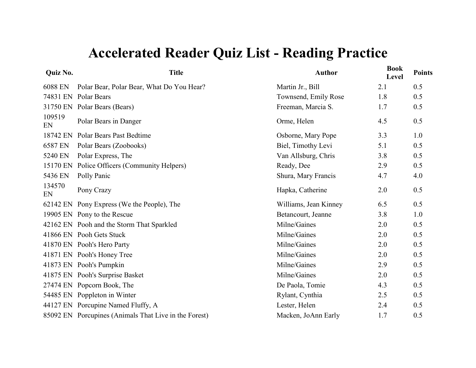| Quiz No.     | <b>Title</b>                                          | <b>Author</b>         | <b>Book</b><br>Level | <b>Points</b> |
|--------------|-------------------------------------------------------|-----------------------|----------------------|---------------|
| 6088 EN      | Polar Bear, Polar Bear, What Do You Hear?             | Martin Jr., Bill      | 2.1                  | 0.5           |
| 74831 EN     | <b>Polar Bears</b>                                    | Townsend, Emily Rose  | 1.8                  | 0.5           |
|              | 31750 EN Polar Bears (Bears)                          | Freeman, Marcia S.    | 1.7                  | 0.5           |
| 109519<br>EN | Polar Bears in Danger                                 | Orme, Helen           | 4.5                  | 0.5           |
| 18742 EN     | Polar Bears Past Bedtime                              | Osborne, Mary Pope    | 3.3                  | 1.0           |
| 6587 EN      | Polar Bears (Zoobooks)                                | Biel, Timothy Levi    | 5.1                  | 0.5           |
| 5240 EN      | Polar Express, The                                    | Van Allsburg, Chris   | 3.8                  | 0.5           |
| 15170 EN     | Police Officers (Community Helpers)                   | Ready, Dee            | 2.9                  | 0.5           |
| 5436 EN      | Polly Panic                                           | Shura, Mary Francis   | 4.7                  | 4.0           |
| 134570<br>EN | Pony Crazy                                            | Hapka, Catherine      | 2.0                  | 0.5           |
|              | 62142 EN Pony Express (We the People), The            | Williams, Jean Kinney | 6.5                  | 0.5           |
|              | 19905 EN Pony to the Rescue                           | Betancourt, Jeanne    | 3.8                  | 1.0           |
|              | 42162 EN Pooh and the Storm That Sparkled             | Milne/Gaines          | 2.0                  | 0.5           |
|              | 41866 EN Pooh Gets Stuck                              | Milne/Gaines          | 2.0                  | 0.5           |
|              | 41870 EN Pooh's Hero Party                            | Milne/Gaines          | 2.0                  | 0.5           |
|              | 41871 EN Pooh's Honey Tree                            | Milne/Gaines          | 2.0                  | 0.5           |
|              | 41873 EN Pooh's Pumpkin                               | Milne/Gaines          | 2.9                  | 0.5           |
|              | 41875 EN Pooh's Surprise Basket                       | Milne/Gaines          | 2.0                  | 0.5           |
|              | 27474 EN Popcorn Book, The                            | De Paola, Tomie       | 4.3                  | 0.5           |
|              | 54485 EN Poppleton in Winter                          | Rylant, Cynthia       | 2.5                  | 0.5           |
|              | 44127 EN Porcupine Named Fluffy, A                    | Lester, Helen         | 2.4                  | 0.5           |
|              | 85092 EN Porcupines (Animals That Live in the Forest) | Macken, JoAnn Early   | 1.7                  | 0.5           |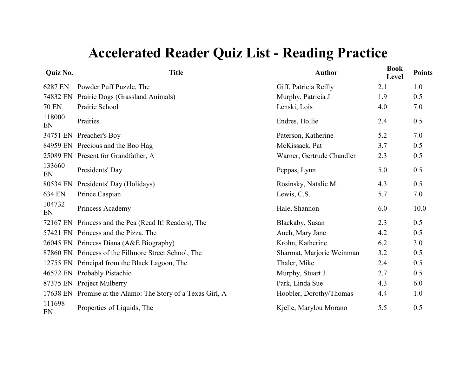| Quiz No.     | <b>Title</b>                                                | <b>Author</b>             | <b>Book</b><br>Level | <b>Points</b> |
|--------------|-------------------------------------------------------------|---------------------------|----------------------|---------------|
| 6287 EN      | Powder Puff Puzzle, The                                     | Giff, Patricia Reilly     | 2.1                  | 1.0           |
| 74832 EN     | Prairie Dogs (Grassland Animals)                            | Murphy, Patricia J.       | 1.9                  | 0.5           |
| <b>70 EN</b> | Prairie School                                              | Lenski, Lois              | 4.0                  | 7.0           |
| 118000<br>EN | Prairies                                                    | Endres, Hollie            | 2.4                  | 0.5           |
|              | 34751 EN Preacher's Boy                                     | Paterson, Katherine       | 5.2                  | 7.0           |
|              | 84959 EN Precious and the Boo Hag                           | McKissack, Pat            | 3.7                  | 0.5           |
|              | 25089 EN Present for Grandfather, A                         | Warner, Gertrude Chandler | 2.3                  | 0.5           |
| 133660<br>EN | Presidents' Day                                             | Peppas, Lynn              | 5.0                  | 0.5           |
| 80534 EN     | Presidents' Day (Holidays)                                  | Rosinsky, Natalie M.      | 4.3                  | 0.5           |
| 634 EN       | Prince Caspian                                              | Lewis, C.S.               | 5.7                  | 7.0           |
| 104732<br>EN | Princess Academy                                            | Hale, Shannon             | 6.0                  | 10.0          |
|              | 72167 EN Princess and the Pea (Read It! Readers), The       | Blackaby, Susan           | 2.3                  | 0.5           |
|              | 57421 EN Princess and the Pizza, The                        | Auch, Mary Jane           | 4.2                  | 0.5           |
|              | 26045 EN Princess Diana (A&E Biography)                     | Krohn, Katherine          | 6.2                  | 3.0           |
|              | 87860 EN Princess of the Fillmore Street School, The        | Sharmat, Marjorie Weinman | 3.2                  | 0.5           |
|              | 12755 EN Principal from the Black Lagoon, The               | Thaler, Mike              | 2.4                  | 0.5           |
| 46572 EN     | Probably Pistachio                                          | Murphy, Stuart J.         | 2.7                  | 0.5           |
|              | 87375 EN Project Mulberry                                   | Park, Linda Sue           | 4.3                  | 6.0           |
|              | 17638 EN Promise at the Alamo: The Story of a Texas Girl, A | Hoobler, Dorothy/Thomas   | 4.4                  | 1.0           |
| 111698<br>EN | Properties of Liquids, The                                  | Kjelle, Marylou Morano    | 5.5                  | 0.5           |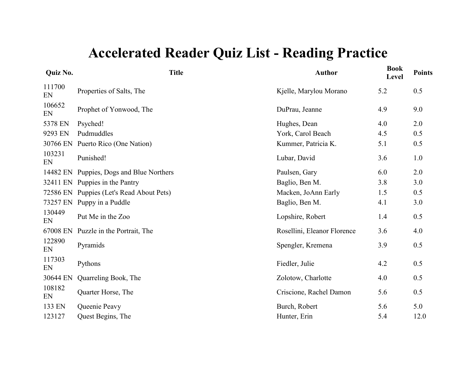| Quiz No.     | <b>Title</b>                             | <b>Author</b>               | <b>Book</b><br><b>Level</b> | <b>Points</b> |
|--------------|------------------------------------------|-----------------------------|-----------------------------|---------------|
| 111700<br>EN | Properties of Salts, The                 | Kjelle, Marylou Morano      | 5.2                         | 0.5           |
| 106652<br>EN | Prophet of Yonwood, The                  | DuPrau, Jeanne              | 4.9                         | 9.0           |
| 5378 EN      | Psyched!                                 | Hughes, Dean                | 4.0                         | 2.0           |
| 9293 EN      | Pudmuddles                               | York, Carol Beach           | 4.5                         | 0.5           |
| 30766 EN     | Puerto Rico (One Nation)                 | Kummer, Patricia K.         | 5.1                         | 0.5           |
| 103231<br>EN | Punished!                                | Lubar, David                | 3.6                         | 1.0           |
|              | 14482 EN Puppies, Dogs and Blue Northers | Paulsen, Gary               | 6.0                         | 2.0           |
|              | 32411 EN Puppies in the Pantry           | Baglio, Ben M.              | 3.8                         | 3.0           |
|              | 72586 EN Puppies (Let's Read About Pets) | Macken, JoAnn Early         | 1.5                         | 0.5           |
|              | 73257 EN Puppy in a Puddle               | Baglio, Ben M.              | 4.1                         | 3.0           |
| 130449<br>EN | Put Me in the Zoo                        | Lopshire, Robert            | 1.4                         | 0.5           |
| 67008 EN     | Puzzle in the Portrait, The              | Rosellini, Eleanor Florence | 3.6                         | 4.0           |
| 122890<br>EN | Pyramids                                 | Spengler, Kremena           | 3.9                         | 0.5           |
| 117303<br>EN | Pythons                                  | Fiedler, Julie              | 4.2                         | 0.5           |
| 30644 EN     | Quarreling Book, The                     | Zolotow, Charlotte          | 4.0                         | 0.5           |
| 108182<br>EN | Quarter Horse, The                       | Criscione, Rachel Damon     | 5.6                         | 0.5           |
| 133 EN       | Queenie Peavy                            | Burch, Robert               | 5.6                         | 5.0           |
| 123127       | Quest Begins, The                        | Hunter, Erin                | 5.4                         | 12.0          |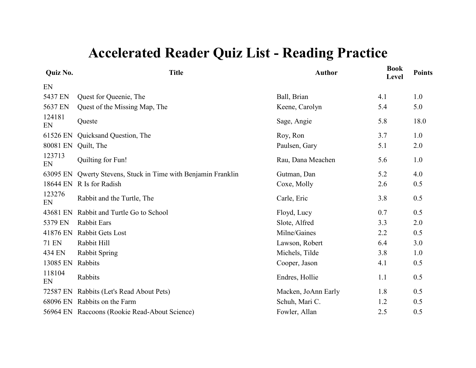| Quiz No.     | <b>Title</b>                                         | <b>Author</b>       | <b>Book</b><br>Level | <b>Points</b> |
|--------------|------------------------------------------------------|---------------------|----------------------|---------------|
| EN           |                                                      |                     |                      |               |
| 5437 EN      | Quest for Queenie, The                               | Ball, Brian         | 4.1                  | 1.0           |
| 5637 EN      | Quest of the Missing Map, The                        | Keene, Carolyn      | 5.4                  | 5.0           |
| 124181<br>EN | Queste                                               | Sage, Angie         | 5.8                  | 18.0          |
| 61526 EN     | Quicksand Question, The                              | Roy, Ron            | 3.7                  | 1.0           |
| 80081 EN     | Quilt, The                                           | Paulsen, Gary       | 5.1                  | 2.0           |
| 123713<br>EN | Quilting for Fun!                                    | Rau, Dana Meachen   | 5.6                  | 1.0           |
| 63095 EN     | Qwerty Stevens, Stuck in Time with Benjamin Franklin | Gutman, Dan         | 5.2                  | 4.0           |
| 18644 EN     | R Is for Radish                                      | Coxe, Molly         | 2.6                  | 0.5           |
| 123276<br>EN | Rabbit and the Turtle, The                           | Carle, Eric         | 3.8                  | 0.5           |
| 43681 EN     | Rabbit and Turtle Go to School                       | Floyd, Lucy         | 0.7                  | 0.5           |
| 5379 EN      | <b>Rabbit Ears</b>                                   | Slote, Alfred       | 3.3                  | 2.0           |
| 41876 EN     | Rabbit Gets Lost                                     | Milne/Gaines        | 2.2                  | 0.5           |
| <b>71 EN</b> | Rabbit Hill                                          | Lawson, Robert      | 6.4                  | 3.0           |
| 434 EN       | <b>Rabbit Spring</b>                                 | Michels, Tilde      | 3.8                  | 1.0           |
| 13085 EN     | Rabbits                                              | Cooper, Jason       | 4.1                  | 0.5           |
| 118104<br>EN | Rabbits                                              | Endres, Hollie      | 1.1                  | 0.5           |
| 72587 EN     | Rabbits (Let's Read About Pets)                      | Macken, JoAnn Early | 1.8                  | 0.5           |
|              | 68096 EN Rabbits on the Farm                         | Schuh, Mari C.      | 1.2                  | 0.5           |
|              | 56964 EN Raccoons (Rookie Read-About Science)        | Fowler, Allan       | 2.5                  | 0.5           |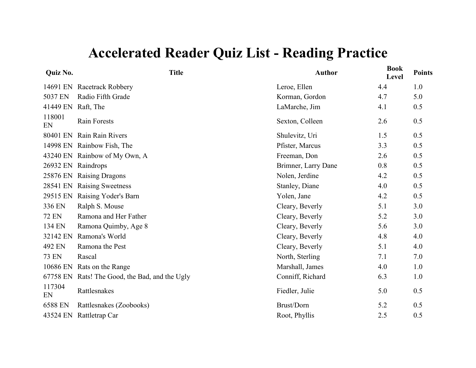| Quiz No.     | <b>Title</b>                          | <b>Author</b>       | <b>Book</b><br>Level | <b>Points</b> |
|--------------|---------------------------------------|---------------------|----------------------|---------------|
| 14691 EN     | Racetrack Robbery                     | Leroe, Ellen        | 4.4                  | 1.0           |
| 5037 EN      | Radio Fifth Grade                     | Korman, Gordon      | 4.7                  | 5.0           |
| 41449 EN     | Raft, The                             | LaMarche, Jim       | 4.1                  | 0.5           |
| 118001<br>EN | <b>Rain Forests</b>                   | Sexton, Colleen     | 2.6                  | 0.5           |
| 80401 EN     | Rain Rain Rivers                      | Shulevitz, Uri      | 1.5                  | 0.5           |
| 14998 EN     | Rainbow Fish, The                     | Pfister, Marcus     | 3.3                  | 0.5           |
| 43240 EN     | Rainbow of My Own, A                  | Freeman, Don        | 2.6                  | 0.5           |
| 26932 EN     | Raindrops                             | Brimner, Larry Dane | 0.8                  | 0.5           |
| 25876 EN     | <b>Raising Dragons</b>                | Nolen, Jerdine      | 4.2                  | 0.5           |
| 28541 EN     | <b>Raising Sweetness</b>              | Stanley, Diane      | 4.0                  | 0.5           |
| 29515 EN     | Raising Yoder's Barn                  | Yolen, Jane         | 4.2                  | 0.5           |
| 336 EN       | Ralph S. Mouse                        | Cleary, Beverly     | 5.1                  | 3.0           |
| <b>72 EN</b> | Ramona and Her Father                 | Cleary, Beverly     | 5.2                  | 3.0           |
| 134 EN       | Ramona Quimby, Age 8                  | Cleary, Beverly     | 5.6                  | 3.0           |
| 32142 EN     | Ramona's World                        | Cleary, Beverly     | 4.8                  | 4.0           |
| 492 EN       | Ramona the Pest                       | Cleary, Beverly     | 5.1                  | 4.0           |
| <b>73 EN</b> | Rascal                                | North, Sterling     | 7.1                  | 7.0           |
| 10686 EN     | Rats on the Range                     | Marshall, James     | 4.0                  | 1.0           |
| 67758 EN     | Rats! The Good, the Bad, and the Ugly | Conniff, Richard    | 6.3                  | 1.0           |
| 117304<br>EN | Rattlesnakes                          | Fiedler, Julie      | 5.0                  | 0.5           |
| 6588 EN      | Rattlesnakes (Zoobooks)               | Brust/Dorn          | 5.2                  | 0.5           |
| 43524 EN     | Rattletrap Car                        | Root, Phyllis       | 2.5                  | 0.5           |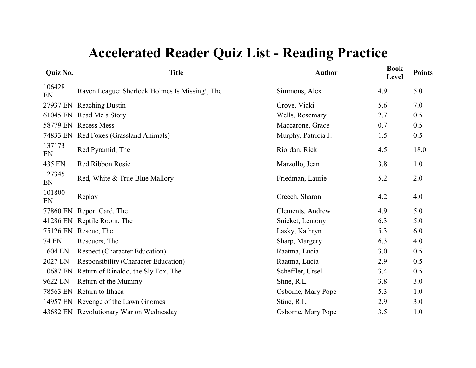| Quiz No.     | <b>Title</b>                                   | <b>Author</b>       | <b>Book</b><br>Level | <b>Points</b> |
|--------------|------------------------------------------------|---------------------|----------------------|---------------|
| 106428<br>EN | Raven League: Sherlock Holmes Is Missing!, The | Simmons, Alex       | 4.9                  | 5.0           |
|              | 27937 EN Reaching Dustin                       | Grove, Vicki        | 5.6                  | 7.0           |
|              | 61045 EN Read Me a Story                       | Wells, Rosemary     | 2.7                  | 0.5           |
|              | 58779 EN Recess Mess                           | Maccarone, Grace    | 0.7                  | 0.5           |
|              | 74833 EN Red Foxes (Grassland Animals)         | Murphy, Patricia J. | 1.5                  | 0.5           |
| 137173<br>EN | Red Pyramid, The                               | Riordan, Rick       | 4.5                  | 18.0          |
| 435 EN       | Red Ribbon Rosie                               | Marzollo, Jean      | 3.8                  | 1.0           |
| 127345<br>EN | Red, White & True Blue Mallory                 | Friedman, Laurie    | 5.2                  | 2.0           |
| 101800<br>EN | Replay                                         | Creech, Sharon      | 4.2                  | 4.0           |
| 77860 EN     | Report Card, The                               | Clements, Andrew    | 4.9                  | 5.0           |
|              | 41286 EN Reptile Room, The                     | Snicket, Lemony     | 6.3                  | 5.0           |
|              | 75126 EN Rescue, The                           | Lasky, Kathryn      | 5.3                  | 6.0           |
| <b>74 EN</b> | Rescuers, The                                  | Sharp, Margery      | 6.3                  | 4.0           |
| 1604 EN      | <b>Respect (Character Education)</b>           | Raatma, Lucia       | 3.0                  | 0.5           |
| 2027 EN      | <b>Responsibility (Character Education)</b>    | Raatma, Lucia       | 2.9                  | 0.5           |
|              | 10687 EN Return of Rinaldo, the Sly Fox, The   | Scheffler, Ursel    | 3.4                  | 0.5           |
| 9622 EN      | Return of the Mummy                            | Stine, R.L.         | 3.8                  | 3.0           |
|              | 78563 EN Return to Ithaca                      | Osborne, Mary Pope  | 5.3                  | 1.0           |
|              | 14957 EN Revenge of the Lawn Gnomes            | Stine, R.L.         | 2.9                  | 3.0           |
|              | 43682 EN Revolutionary War on Wednesday        | Osborne, Mary Pope  | 3.5                  | 1.0           |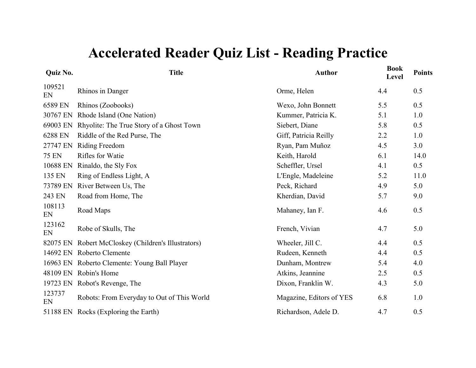| <b>Title</b>                                        | <b>Author</b>            | <b>Book</b><br>Level | <b>Points</b> |
|-----------------------------------------------------|--------------------------|----------------------|---------------|
| Rhinos in Danger                                    | Orme, Helen              | 4.4                  | 0.5           |
| Rhinos (Zoobooks)                                   | Wexo, John Bonnett       | 5.5                  | 0.5           |
| Rhode Island (One Nation)                           | Kummer, Patricia K.      | 5.1                  | 1.0           |
| Rhyolite: The True Story of a Ghost Town            | Siebert, Diane           | 5.8                  | 0.5           |
| Riddle of the Red Purse, The                        | Giff, Patricia Reilly    | 2.2                  | 1.0           |
| Riding Freedom                                      | Ryan, Pam Muñoz          | 4.5                  | 3.0           |
| <b>Rifles for Watie</b>                             | Keith, Harold            | 6.1                  | 14.0          |
| Rinaldo, the Sly Fox                                | Scheffler, Ursel         | 4.1                  | 0.5           |
| Ring of Endless Light, A                            | L'Engle, Madeleine       | 5.2                  | 11.0          |
| River Between Us, The                               | Peck, Richard            | 4.9                  | 5.0           |
| Road from Home, The                                 | Kherdian, David          | 5.7                  | 9.0           |
| Road Maps                                           | Mahaney, Ian F.          | 4.6                  | 0.5           |
| Robe of Skulls, The                                 | French, Vivian           | 4.7                  | 5.0           |
| 82075 EN Robert McCloskey (Children's Illustrators) | Wheeler, Jill C.         | 4.4                  | 0.5           |
| 14692 EN Roberto Clemente                           | Rudeen, Kenneth          | 4.4                  | 0.5           |
| 16963 EN Roberto Clemente: Young Ball Player        | Dunham, Montrew          | 5.4                  | 4.0           |
| 48109 EN Robin's Home                               | Atkins, Jeannine         | 2.5                  | 0.5           |
| 19723 EN Robot's Revenge, The                       | Dixon, Franklin W.       | 4.3                  | 5.0           |
| Robots: From Everyday to Out of This World          | Magazine, Editors of YES | 6.8                  | 1.0           |
| 51188 EN Rocks (Exploring the Earth)                | Richardson, Adele D.     | 4.7                  | 0.5           |
|                                                     |                          |                      |               |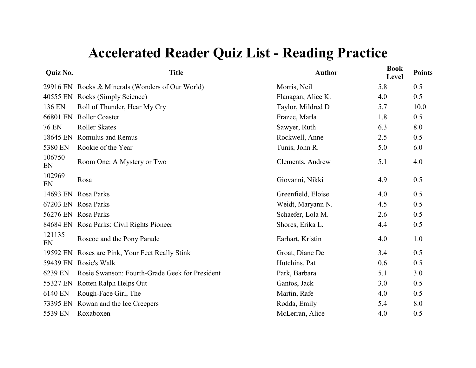| Quiz No.     | <b>Title</b>                                     | <b>Author</b>      | <b>Book</b><br>Level | <b>Points</b> |
|--------------|--------------------------------------------------|--------------------|----------------------|---------------|
|              | 29916 EN Rocks & Minerals (Wonders of Our World) | Morris, Neil       | 5.8                  | 0.5           |
| 40555 EN     | Rocks (Simply Science)                           | Flanagan, Alice K. | 4.0                  | 0.5           |
| 136 EN       | Roll of Thunder, Hear My Cry                     | Taylor, Mildred D  | 5.7                  | 10.0          |
| 66801 EN     | <b>Roller Coaster</b>                            | Frazee, Marla      | 1.8                  | 0.5           |
| <b>76 EN</b> | <b>Roller Skates</b>                             | Sawyer, Ruth       | 6.3                  | 8.0           |
| 18645 EN     | Romulus and Remus                                | Rockwell, Anne     | 2.5                  | 0.5           |
| 5380 EN      | Rookie of the Year                               | Tunis, John R.     | 5.0                  | 6.0           |
| 106750<br>EN | Room One: A Mystery or Two                       | Clements, Andrew   | 5.1                  | 4.0           |
| 102969<br>EN | Rosa                                             | Giovanni, Nikki    | 4.9                  | 0.5           |
| 14693 EN     | Rosa Parks                                       | Greenfield, Eloise | 4.0                  | 0.5           |
| 67203 EN     | Rosa Parks                                       | Weidt, Maryann N.  | 4.5                  | 0.5           |
|              | 56276 EN Rosa Parks                              | Schaefer, Lola M.  | 2.6                  | 0.5           |
|              | 84684 EN Rosa Parks: Civil Rights Pioneer        | Shores, Erika L.   | 4.4                  | 0.5           |
| 121135<br>EN | Roscoe and the Pony Parade                       | Earhart, Kristin   | 4.0                  | 1.0           |
| 19592 EN     | Roses are Pink, Your Feet Really Stink           | Groat, Diane De    | 3.4                  | 0.5           |
| 59439 EN     | Rosie's Walk                                     | Hutchins, Pat      | 0.6                  | 0.5           |
| 6239 EN      | Rosie Swanson: Fourth-Grade Geek for President   | Park, Barbara      | 5.1                  | 3.0           |
| 55327 EN     | Rotten Ralph Helps Out                           | Gantos, Jack       | 3.0                  | 0.5           |
| 6140 EN      | Rough-Face Girl, The                             | Martin, Rafe       | 4.0                  | 0.5           |
| 73395 EN     | Rowan and the Ice Creepers                       | Rodda, Emily       | 5.4                  | 8.0           |
| 5539 EN      | Roxaboxen                                        | McLerran, Alice    | 4.0                  | 0.5           |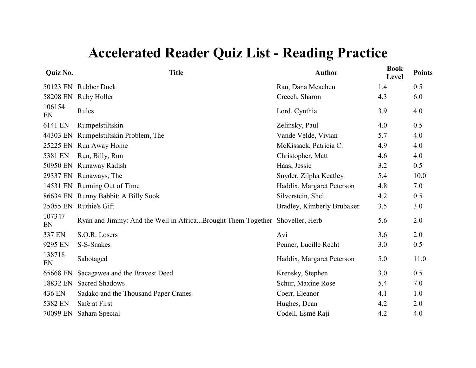| Quiz No.     | <b>Title</b>                                                                | <b>Author</b>              | <b>Book</b><br>Level | <b>Points</b> |
|--------------|-----------------------------------------------------------------------------|----------------------------|----------------------|---------------|
| 50123 EN     | <b>Rubber Duck</b>                                                          | Rau, Dana Meachen          | 1.4                  | 0.5           |
| 58208 EN     | Ruby Holler                                                                 | Creech, Sharon             | 4.3                  | 6.0           |
| 106154<br>EN | Rules                                                                       | Lord, Cynthia              | 3.9                  | 4.0           |
| 6141 EN      | Rumpelstiltskin                                                             | Zelinsky, Paul             | 4.0                  | 0.5           |
| 44303 EN     | Rumpelstiltskin Problem, The                                                | Vande Velde, Vivian        | 5.7                  | 4.0           |
| 25225 EN     | Run Away Home                                                               | McKissack, Patricia C.     | 4.9                  | 4.0           |
| 5381 EN      | Run, Billy, Run                                                             | Christopher, Matt          | 4.6                  | 4.0           |
| 50950 EN     | Runaway Radish                                                              | Haas, Jessie               | 3.2                  | 0.5           |
| 29337 EN     | Runaways, The                                                               | Snyder, Zilpha Keatley     | 5.4                  | 10.0          |
| 14531 EN     | Running Out of Time                                                         | Haddix, Margaret Peterson  | 4.8                  | 7.0           |
| 86634 EN     | Runny Babbit: A Billy Sook                                                  | Silverstein, Shel          | 4.2                  | 0.5           |
| 25055 EN     | Ruthie's Gift                                                               | Bradley, Kimberly Brubaker | 3.5                  | 3.0           |
| 107347<br>EN | Ryan and Jimmy: And the Well in AfricaBrought Them Together Shoveller, Herb |                            | 5.6                  | 2.0           |
| 337 EN       | S.O.R. Losers                                                               | Avi                        | 3.6                  | 2.0           |
| 9295 EN      | S-S-Snakes                                                                  | Penner, Lucille Recht      | 3.0                  | 0.5           |
| 138718<br>EN | Sabotaged                                                                   | Haddix, Margaret Peterson  | 5.0                  | 11.0          |
| 65668 EN     | Sacagawea and the Bravest Deed                                              | Krensky, Stephen           | 3.0                  | 0.5           |
| 18832 EN     | <b>Sacred Shadows</b>                                                       | Schur, Maxine Rose         | 5.4                  | 7.0           |
| 436 EN       | Sadako and the Thousand Paper Cranes                                        | Coerr, Eleanor             | 4.1                  | 1.0           |
| 5382 EN      | Safe at First                                                               | Hughes, Dean               | 4.2                  | 2.0           |
| 70099 EN     | Sahara Special                                                              | Codell, Esmé Raji          | 4.2                  | 4.0           |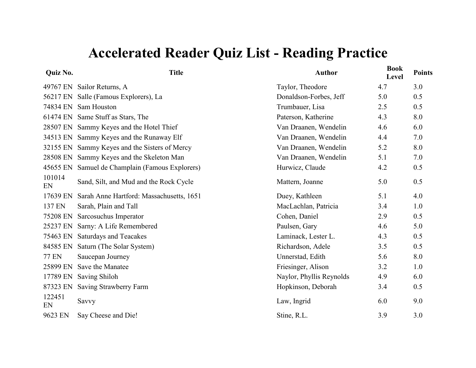| <b>Ouiz No.</b> |  |
|-----------------|--|
|                 |  |
|                 |  |

| Quiz No.     | <b>Title</b>                                  | <b>Author</b>            | <b>Book</b><br>Level | <b>Points</b> |
|--------------|-----------------------------------------------|--------------------------|----------------------|---------------|
|              | 49767 EN Sailor Returns, A                    | Taylor, Theodore         | 4.7                  | 3.0           |
|              | 56217 EN Salle (Famous Explorers), La         | Donaldson-Forbes, Jeff   | 5.0                  | 0.5           |
|              | 74834 EN Sam Houston                          | Trumbauer, Lisa          | 2.5                  | 0.5           |
|              | 61474 EN Same Stuff as Stars, The             | Paterson, Katherine      | 4.3                  | 8.0           |
|              | 28507 EN Sammy Keyes and the Hotel Thief      | Van Draanen, Wendelin    | 4.6                  | 6.0           |
|              | 34513 EN Sammy Keyes and the Runaway Elf      | Van Draanen, Wendelin    | 4.4                  | 7.0           |
|              | 32155 EN Sammy Keyes and the Sisters of Mercy | Van Draanen, Wendelin    | 5.2                  | 8.0           |
|              | 28508 EN Sammy Keyes and the Skeleton Man     | Van Draanen, Wendelin    | 5.1                  | 7.0           |
| 45655 EN     | Samuel de Champlain (Famous Explorers)        | Hurwicz, Claude          | 4.2                  | 0.5           |
| 101014<br>EN | Sand, Silt, and Mud and the Rock Cycle        | Mattern, Joanne          | 5.0                  | 0.5           |
| 17639 EN     | Sarah Anne Hartford: Massachusetts, 1651      | Duey, Kathleen           | 5.1                  | 4.0           |
| 137 EN       | Sarah, Plain and Tall                         | MacLachlan, Patricia     | 3.4                  | 1.0           |
| 75208 EN     | Sarcosuchus Imperator                         | Cohen, Daniel            | 2.9                  | 0.5           |
| 25237 EN     | Sarny: A Life Remembered                      | Paulsen, Gary            | 4.6                  | 5.0           |
| 75463 EN     | <b>Saturdays and Teacakes</b>                 | Laminack, Lester L.      | 4.3                  | 0.5           |
|              | 84585 EN Saturn (The Solar System)            | Richardson, Adele        | 3.5                  | 0.5           |
| <b>77 EN</b> | Saucepan Journey                              | Unnerstad, Edith         | 5.6                  | 8.0           |
| 25899 EN     | Save the Manatee                              | Friesinger, Alison       | 3.2                  | 1.0           |
| 17789 EN     | <b>Saving Shiloh</b>                          | Naylor, Phyllis Reynolds | 4.9                  | 6.0           |
| 87323 EN     | Saving Strawberry Farm                        | Hopkinson, Deborah       | 3.4                  | 0.5           |
| 122451<br>EN | Savvy                                         | Law, Ingrid              | 6.0                  | 9.0           |
| 9623 EN      | Say Cheese and Die!                           | Stine, R.L.              | 3.9                  | 3.0           |
|              |                                               |                          |                      |               |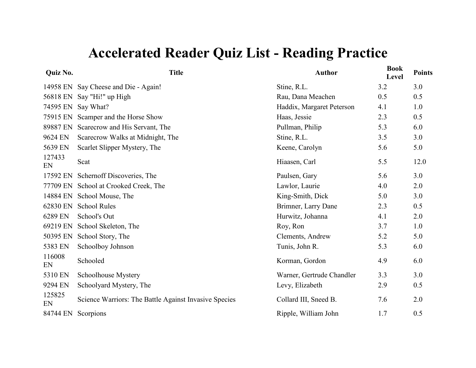| Quiz No.     | <b>Title</b>                                          | <b>Author</b>             | <b>Book</b><br>Level | <b>Points</b> |
|--------------|-------------------------------------------------------|---------------------------|----------------------|---------------|
|              | 14958 EN Say Cheese and Die - Again!                  | Stine, R.L.               | 3.2                  | 3.0           |
| 56818 EN     | Say "Hi!" up High                                     | Rau, Dana Meachen         | 0.5                  | 0.5           |
| 74595 EN     | Say What?                                             | Haddix, Margaret Peterson | 4.1                  | 1.0           |
| 75915 EN     | Scamper and the Horse Show                            | Haas, Jessie              | 2.3                  | 0.5           |
| 89887 EN     | Scarecrow and His Servant, The                        | Pullman, Philip           | 5.3                  | 6.0           |
| 9624 EN      | Scarecrow Walks at Midnight, The                      | Stine, R.L.               | 3.5                  | 3.0           |
| 5639 EN      | Scarlet Slipper Mystery, The                          | Keene, Carolyn            | 5.6                  | 5.0           |
| 127433<br>EN | Scat                                                  | Hiaasen, Carl             | 5.5                  | 12.0          |
| 17592 EN     | Schernoff Discoveries, The                            | Paulsen, Gary             | 5.6                  | 3.0           |
| 77709 EN     | School at Crooked Creek, The                          | Lawlor, Laurie            | 4.0                  | 2.0           |
| 14884 EN     | School Mouse, The                                     | King-Smith, Dick          | 5.0                  | 3.0           |
| 62830 EN     | <b>School Rules</b>                                   | Brimner, Larry Dane       | 2.3                  | 0.5           |
| 6289 EN      | School's Out                                          | Hurwitz, Johanna          | 4.1                  | 2.0           |
| 69219 EN     | School Skeleton, The                                  | Roy, Ron                  | 3.7                  | 1.0           |
| 50395 EN     | School Story, The                                     | Clements, Andrew          | 5.2                  | 5.0           |
| 5383 EN      | Schoolboy Johnson                                     | Tunis, John R.            | 5.3                  | 6.0           |
| 116008<br>EN | Schooled                                              | Korman, Gordon            | 4.9                  | 6.0           |
| 5310 EN      | Schoolhouse Mystery                                   | Warner, Gertrude Chandler | 3.3                  | 3.0           |
| 9294 EN      | Schoolyard Mystery, The                               | Levy, Elizabeth           | 2.9                  | 0.5           |
| 125825<br>EN | Science Warriors: The Battle Against Invasive Species | Collard III, Sneed B.     | 7.6                  | 2.0           |
| 84744 EN     | Scorpions                                             | Ripple, William John      | 1.7                  | 0.5           |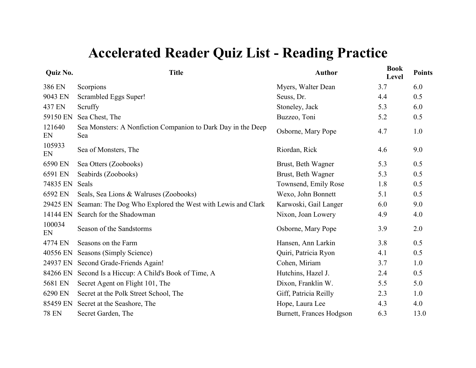| <b>Quiz No.</b> | <b>Title</b>                                                        | <b>Author</b>            | <b>Book</b><br>Level | <b>Points</b> |
|-----------------|---------------------------------------------------------------------|--------------------------|----------------------|---------------|
| 386 EN          | Scorpions                                                           | Myers, Walter Dean       | 3.7                  | 6.0           |
| 9043 EN         | Scrambled Eggs Super!                                               | Seuss, Dr.               | 4.4                  | 0.5           |
| 437 EN          | Scruffy                                                             | Stoneley, Jack           | 5.3                  | 6.0           |
| 59150 EN        | Sea Chest, The                                                      | Buzzeo, Toni             | 5.2                  | 0.5           |
| 121640<br>EN    | Sea Monsters: A Nonfiction Companion to Dark Day in the Deep<br>Sea | Osborne, Mary Pope       | 4.7                  | 1.0           |
| 105933<br>EN    | Sea of Monsters, The                                                | Riordan, Rick            | 4.6                  | 9.0           |
| 6590 EN         | Sea Otters (Zoobooks)                                               | Brust, Beth Wagner       | 5.3                  | 0.5           |
| 6591 EN         | Seabirds (Zoobooks)                                                 | Brust, Beth Wagner       | 5.3                  | 0.5           |
| 74835 EN        | Seals                                                               | Townsend, Emily Rose     | 1.8                  | 0.5           |
| 6592 EN         | Seals, Sea Lions & Walruses (Zoobooks)                              | Wexo, John Bonnett       | 5.1                  | 0.5           |
| 29425 EN        | Seaman: The Dog Who Explored the West with Lewis and Clark          | Karwoski, Gail Langer    | 6.0                  | 9.0           |
| 14144 EN        | Search for the Shadowman                                            | Nixon, Joan Lowery       | 4.9                  | 4.0           |
| 100034<br>EN    | Season of the Sandstorms                                            | Osborne, Mary Pope       | 3.9                  | 2.0           |
| 4774 EN         | Seasons on the Farm                                                 | Hansen, Ann Larkin       | 3.8                  | 0.5           |
| 40556 EN        | Seasons (Simply Science)                                            | Quiri, Patricia Ryon     | 4.1                  | 0.5           |
| 24937 EN        | Second Grade-Friends Again!                                         | Cohen, Miriam            | 3.7                  | 1.0           |
| 84266 EN        | Second Is a Hiccup: A Child's Book of Time, A                       | Hutchins, Hazel J.       | 2.4                  | 0.5           |
| 5681 EN         | Secret Agent on Flight 101, The                                     | Dixon, Franklin W.       | 5.5                  | 5.0           |
| 6290 EN         | Secret at the Polk Street School, The                               | Giff, Patricia Reilly    | 2.3                  | 1.0           |
| 85459 EN        | Secret at the Seashore, The                                         | Hope, Laura Lee          | 4.3                  | 4.0           |
| <b>78 EN</b>    | Secret Garden, The                                                  | Burnett, Frances Hodgson | 6.3                  | 13.0          |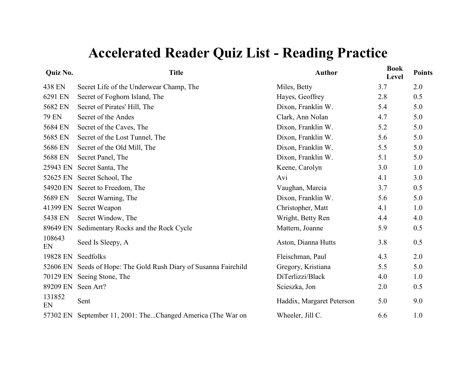| Quiz No.     | <b>Title</b>                                            | <b>Author</b>             | <b>Book</b><br>Level | <b>Points</b> |
|--------------|---------------------------------------------------------|---------------------------|----------------------|---------------|
| 438 EN       | Secret Life of the Underwear Champ, The                 | Miles, Betty              | 3.7                  | 2.0           |
| 6291 EN      | Secret of Foghorn Island, The                           | Hayes, Geoffrey           | 2.8                  | 0.5           |
| 5682 EN      | Secret of Pirates' Hill, The                            | Dixon, Franklin W.        | 5.4                  | 5.0           |
| <b>79 EN</b> | Secret of the Andes                                     | Clark, Ann Nolan          | 4.7                  | 5.0           |
| 5684 EN      | Secret of the Caves, The                                | Dixon, Franklin W.        | 5.2                  | 5.0           |
| 5685 EN      | Secret of the Lost Tunnel, The                          | Dixon, Franklin W.        | 5.6                  | 5.0           |
| 5686 EN      | Secret of the Old Mill, The                             | Dixon, Franklin W.        | 5.5                  | 5.0           |
| 5688 EN      | Secret Panel, The                                       | Dixon, Franklin W.        | 5.1                  | 5.0           |
| 25943 EN     | Secret Santa, The                                       | Keene, Carolyn            | 3.0                  | 1.0           |
| 52625 EN     | Secret School, The                                      | Avi                       | 4.1                  | 3.0           |
| 54920 EN     | Secret to Freedom, The                                  | Vaughan, Marcia           | 3.7                  | 0.5           |
| 5689 EN      | Secret Warning, The                                     | Dixon, Franklin W.        | 5.6                  | 5.0           |
| 41399 EN     | Secret Weapon                                           | Christopher, Matt         | 4.1                  | 1.0           |
| 5438 EN      | Secret Window, The                                      | Wright, Betty Ren         | 4.4                  | 4.0           |
| 89649 EN     | Sedimentary Rocks and the Rock Cycle                    | Mattern, Joanne           | 5.9                  | 0.5           |
| 108643<br>EN | Seed Is Sleepy, A                                       | Aston, Dianna Hutts       | 3.8                  | 0.5           |
| 19828 EN     | Seedfolks                                               | Fleischman, Paul          | 4.3                  | 2.0           |
| 52606 EN     | Seeds of Hope: The Gold Rush Diary of Susanna Fairchild | Gregory, Kristiana        | 5.5                  | 5.0           |
| 70129 EN     | Seeing Stone, The                                       | DiTerlizzi/Black          | 4.0                  | 1.0           |
| 89209 EN     | Seen Art?                                               | Scieszka, Jon             | 2.0                  | 0.5           |
| 131852<br>EN | Sent                                                    | Haddix, Margaret Peterson | 5.0                  | 9.0           |
| 57302 EN     | September 11, 2001: TheChanged America (The War on      | Wheeler, Jill C.          | 6.6                  | 1.0           |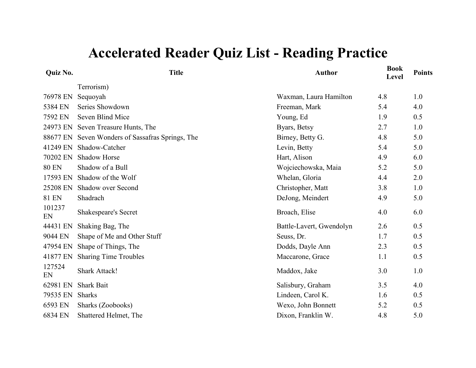| Quiz No.     | <b>Title</b>                                     | <b>Author</b>            | <b>Book</b><br>Level | <b>Points</b> |
|--------------|--------------------------------------------------|--------------------------|----------------------|---------------|
|              | Terrorism)                                       |                          |                      |               |
| 76978 EN     | Sequoyah                                         | Waxman, Laura Hamilton   | 4.8                  | 1.0           |
| 5384 EN      | Series Showdown                                  | Freeman, Mark            | 5.4                  | 4.0           |
| 7592 EN      | Seven Blind Mice                                 | Young, Ed                | 1.9                  | 0.5           |
|              | 24973 EN Seven Treasure Hunts, The               | Byars, Betsy             | 2.7                  | 1.0           |
|              | 88677 EN Seven Wonders of Sassafras Springs, The | Birney, Betty G.         | 4.8                  | 5.0           |
| 41249 EN     | Shadow-Catcher                                   | Levin, Betty             | 5.4                  | 5.0           |
| 70202 EN     | <b>Shadow Horse</b>                              | Hart, Alison             | 4.9                  | 6.0           |
| <b>80 EN</b> | Shadow of a Bull                                 | Wojciechowska, Maia      | 5.2                  | 5.0           |
| 17593 EN     | Shadow of the Wolf                               | Whelan, Gloria           | 4.4                  | 2.0           |
| 25208 EN     | Shadow over Second                               | Christopher, Matt        | 3.8                  | 1.0           |
| <b>81 EN</b> | Shadrach                                         | DeJong, Meindert         | 4.9                  | 5.0           |
| 101237<br>EN | <b>Shakespeare's Secret</b>                      | Broach, Elise            | 4.0                  | 6.0           |
| 44431 EN     | Shaking Bag, The                                 | Battle-Lavert, Gwendolyn | 2.6                  | 0.5           |
| 9044 EN      | Shape of Me and Other Stuff                      | Seuss, Dr.               | 1.7                  | 0.5           |
| 47954 EN     | Shape of Things, The                             | Dodds, Dayle Ann         | 2.3                  | 0.5           |
| 41877 EN     | <b>Sharing Time Troubles</b>                     | Maccarone, Grace         | 1.1                  | 0.5           |
| 127524<br>EN | <b>Shark Attack!</b>                             | Maddox, Jake             | 3.0                  | 1.0           |
| 62981 EN     | <b>Shark Bait</b>                                | Salisbury, Graham        | 3.5                  | 4.0           |
| 79535 EN     | <b>Sharks</b>                                    | Lindeen, Carol K.        | 1.6                  | 0.5           |
| 6593 EN      | Sharks (Zoobooks)                                | Wexo, John Bonnett       | 5.2                  | 0.5           |
| 6834 EN      | Shattered Helmet, The                            | Dixon, Franklin W.       | 4.8                  | 5.0           |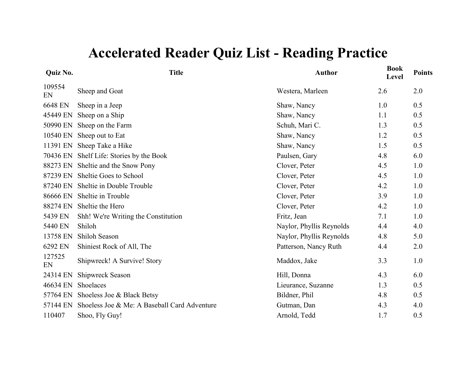| Quiz No.     | <b>Title</b>                                 | <b>Author</b>            | <b>Book</b><br>Level | <b>Points</b> |
|--------------|----------------------------------------------|--------------------------|----------------------|---------------|
| 109554<br>EN | Sheep and Goat                               | Westera, Marleen         | 2.6                  | 2.0           |
| 6648 EN      | Sheep in a Jeep                              | Shaw, Nancy              | 1.0                  | 0.5           |
| 45449 EN     | Sheep on a Ship                              | Shaw, Nancy              | 1.1                  | 0.5           |
| 50990 EN     | Sheep on the Farm                            | Schuh, Mari C.           | 1.3                  | 0.5           |
| 10540 EN     | Sheep out to Eat                             | Shaw, Nancy              | 1.2                  | 0.5           |
| 11391 EN     | Sheep Take a Hike                            | Shaw, Nancy              | 1.5                  | 0.5           |
|              | 70436 EN Shelf Life: Stories by the Book     | Paulsen, Gary            | 4.8                  | 6.0           |
|              | 88273 EN Sheltie and the Snow Pony           | Clover, Peter            | 4.5                  | 1.0           |
| 87239 EN     | Sheltie Goes to School                       | Clover, Peter            | 4.5                  | 1.0           |
| 87240 EN     | Sheltie in Double Trouble                    | Clover, Peter            | 4.2                  | 1.0           |
| 86666 EN     | Sheltie in Trouble                           | Clover, Peter            | 3.9                  | 1.0           |
| 88274 EN     | Sheltie the Hero                             | Clover, Peter            | 4.2                  | 1.0           |
| 5439 EN      | Shh! We're Writing the Constitution          | Fritz, Jean              | 7.1                  | 1.0           |
| 5440 EN      | Shiloh                                       | Naylor, Phyllis Reynolds | 4.4                  | 4.0           |
| 13758 EN     | Shiloh Season                                | Naylor, Phyllis Reynolds | 4.8                  | 5.0           |
| 6292 EN      | Shiniest Rock of All, The                    | Patterson, Nancy Ruth    | 4.4                  | 2.0           |
| 127525<br>EN | Shipwreck! A Survive! Story                  | Maddox, Jake             | 3.3                  | 1.0           |
| 24314 EN     | <b>Shipwreck Season</b>                      | Hill, Donna              | 4.3                  | 6.0           |
| 46634 EN     | Shoelaces                                    | Lieurance, Suzanne       | 1.3                  | 0.5           |
| 57764 EN     | Shoeless Joe & Black Betsy                   | Bildner, Phil            | 4.8                  | 0.5           |
| 57144 EN     | Shoeless Joe & Me: A Baseball Card Adventure | Gutman, Dan              | 4.3                  | 4.0           |
| 110407       | Shoo, Fly Guy!                               | Arnold, Tedd             | 1.7                  | 0.5           |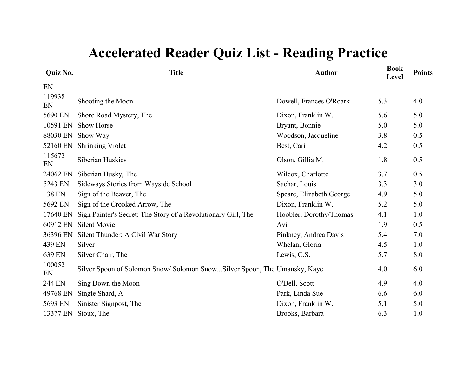| Quiz No.     | <b>Title</b>                                                             | <b>Author</b>            | <b>Book</b><br>Level | <b>Points</b> |
|--------------|--------------------------------------------------------------------------|--------------------------|----------------------|---------------|
| EN           |                                                                          |                          |                      |               |
| 119938<br>EN | Shooting the Moon                                                        | Dowell, Frances O'Roark  | 5.3                  | 4.0           |
| 5690 EN      | Shore Road Mystery, The                                                  | Dixon, Franklin W.       | 5.6                  | 5.0           |
| 10591 EN     | Show Horse                                                               | Bryant, Bonnie           | 5.0                  | 5.0           |
| 88030 EN     | Show Way                                                                 | Woodson, Jacqueline      | 3.8                  | 0.5           |
| 52160 EN     | <b>Shrinking Violet</b>                                                  | Best, Cari               | 4.2                  | 0.5           |
| 115672<br>EN | Siberian Huskies                                                         | Olson, Gillia M.         | 1.8                  | 0.5           |
| 24062 EN     | Siberian Husky, The                                                      | Wilcox, Charlotte        | 3.7                  | 0.5           |
| 5243 EN      | Sideways Stories from Wayside School                                     | Sachar, Louis            | 3.3                  | 3.0           |
| 138 EN       | Sign of the Beaver, The                                                  | Speare, Elizabeth George | 4.9                  | 5.0           |
| 5692 EN      | Sign of the Crooked Arrow, The                                           | Dixon, Franklin W.       | 5.2                  | 5.0           |
| 17640 EN     | Sign Painter's Secret: The Story of a Revolutionary Girl, The            | Hoobler, Dorothy/Thomas  | 4.1                  | 1.0           |
| 60912 EN     | <b>Silent Movie</b>                                                      | Avi                      | 1.9                  | 0.5           |
| 36396 EN     | Silent Thunder: A Civil War Story                                        | Pinkney, Andrea Davis    | 5.4                  | 7.0           |
| 439 EN       | Silver                                                                   | Whelan, Gloria           | 4.5                  | 1.0           |
| 639 EN       | Silver Chair, The                                                        | Lewis, C.S.              | 5.7                  | 8.0           |
| 100052<br>EN | Silver Spoon of Solomon Snow/Solomon SnowSilver Spoon, The Umansky, Kaye |                          | 4.0                  | 6.0           |
| 244 EN       | Sing Down the Moon                                                       | O'Dell, Scott            | 4.9                  | 4.0           |
| 49768 EN     | Single Shard, A                                                          | Park, Linda Sue          | 6.6                  | 6.0           |
| 5693 EN      | Sinister Signpost, The                                                   | Dixon, Franklin W.       | 5.1                  | 5.0           |
| 13377 EN     | Sioux, The                                                               | Brooks, Barbara          | 6.3                  | 1.0           |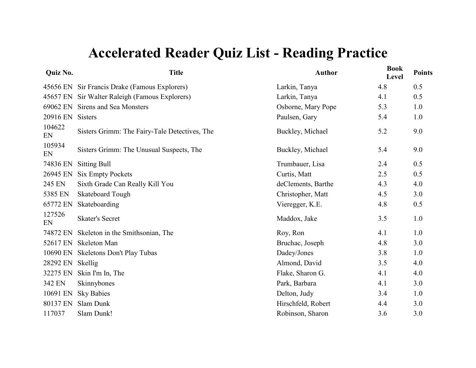| Quiz No.     | <b>Title</b>                                  | <b>Author</b>      | <b>Book</b><br>Level | <b>Points</b> |
|--------------|-----------------------------------------------|--------------------|----------------------|---------------|
|              | 45656 EN Sir Francis Drake (Famous Explorers) | Larkin, Tanya      | 4.8                  | 0.5           |
| 45657 EN     | Sir Walter Raleigh (Famous Explorers)         | Larkin, Tanya      | 4.1                  | 0.5           |
| 69062 EN     | Sirens and Sea Monsters                       | Osborne, Mary Pope | 5.3                  | 1.0           |
| 20916 EN     | Sisters                                       | Paulsen, Gary      | 5.4                  | 1.0           |
| 104622<br>EN | Sisters Grimm: The Fairy-Tale Detectives, The | Buckley, Michael   | 5.2                  | 9.0           |
| 105934<br>EN | Sisters Grimm: The Unusual Suspects, The      | Buckley, Michael   | 5.4                  | 9.0           |
| 74836 EN     | <b>Sitting Bull</b>                           | Trumbauer, Lisa    | 2.4                  | 0.5           |
| 26945 EN     | <b>Six Empty Pockets</b>                      | Curtis, Matt       | 2.5                  | 0.5           |
| 245 EN       | Sixth Grade Can Really Kill You               | deClements, Barthe | 4.3                  | 4.0           |
| 5385 EN      | <b>Skateboard Tough</b>                       | Christopher, Matt  | 4.5                  | 3.0           |
| 65772 EN     | Skateboarding                                 | Vieregger, K.E.    | 4.8                  | 0.5           |
| 127526<br>EN | <b>Skater's Secret</b>                        | Maddox, Jake       | 3.5                  | 1.0           |
| 74872 EN     | Skeleton in the Smithsonian, The              | Roy, Ron           | 4.1                  | 1.0           |
| 52617 EN     | Skeleton Man                                  | Bruchac, Joseph    | 4.8                  | 3.0           |
| 10690 EN     | <b>Skeletons Don't Play Tubas</b>             | Dadey/Jones        | 3.8                  | 1.0           |
| 28292 EN     | Skellig                                       | Almond, David      | 3.5                  | 4.0           |
| 32275 EN     | Skin I'm In, The                              | Flake, Sharon G.   | 4.1                  | 4.0           |
| 342 EN       | Skinnybones                                   | Park, Barbara      | 4.1                  | 3.0           |
| 10691 EN     | <b>Sky Babies</b>                             | Delton, Judy       | 3.4                  | 1.0           |
| 80137 EN     | Slam Dunk                                     | Hirschfeld, Robert | 4.4                  | 3.0           |
| 117037       | Slam Dunk!                                    | Robinson, Sharon   | 3.6                  | 3.0           |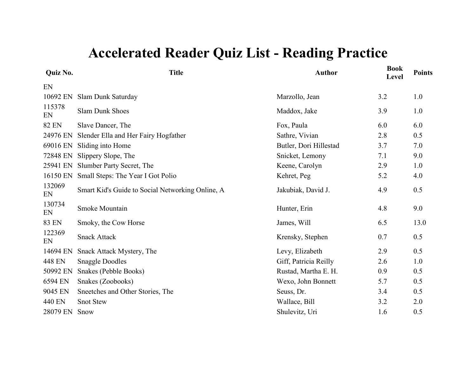| Quiz No.     | <b>Title</b>                                     | <b>Author</b>          | <b>Book</b><br>Level | <b>Points</b> |
|--------------|--------------------------------------------------|------------------------|----------------------|---------------|
| EN           |                                                  |                        |                      |               |
| 10692 EN     | Slam Dunk Saturday                               | Marzollo, Jean         | 3.2                  | 1.0           |
| 115378<br>EN | <b>Slam Dunk Shoes</b>                           | Maddox, Jake           | 3.9                  | 1.0           |
| <b>82 EN</b> | Slave Dancer, The                                | Fox, Paula             | 6.0                  | 6.0           |
| 24976 EN     | Slender Ella and Her Fairy Hogfather             | Sathre, Vivian         | 2.8                  | 0.5           |
| 69016 EN     | Sliding into Home                                | Butler, Dori Hillestad | 3.7                  | 7.0           |
| 72848 EN     | Slippery Slope, The                              | Snicket, Lemony        | 7.1                  | 9.0           |
| 25941 EN     | Slumber Party Secret, The                        | Keene, Carolyn         | 2.9                  | 1.0           |
| 16150 EN     | Small Steps: The Year I Got Polio                | Kehret, Peg            | 5.2                  | 4.0           |
| 132069<br>EN | Smart Kid's Guide to Social Networking Online, A | Jakubiak, David J.     | 4.9                  | 0.5           |
| 130734<br>EN | Smoke Mountain                                   | Hunter, Erin           | 4.8                  | 9.0           |
| 83 EN        | Smoky, the Cow Horse                             | James, Will            | 6.5                  | 13.0          |
| 122369<br>EN | <b>Snack Attack</b>                              | Krensky, Stephen       | 0.7                  | 0.5           |
| 14694 EN     | Snack Attack Mystery, The                        | Levy, Elizabeth        | 2.9                  | 0.5           |
| 448 EN       | <b>Snaggle Doodles</b>                           | Giff, Patricia Reilly  | 2.6                  | 1.0           |
| 50992 EN     | Snakes (Pebble Books)                            | Rustad, Martha E. H.   | 0.9                  | 0.5           |
| 6594 EN      | Snakes (Zoobooks)                                | Wexo, John Bonnett     | 5.7                  | 0.5           |
| 9045 EN      | Sneetches and Other Stories, The                 | Seuss, Dr.             | 3.4                  | 0.5           |
| 440 EN       | <b>Snot Stew</b>                                 | Wallace, Bill          | 3.2                  | 2.0           |
| 28079 EN     | Snow                                             | Shulevitz, Uri         | 1.6                  | 0.5           |
|              |                                                  |                        |                      |               |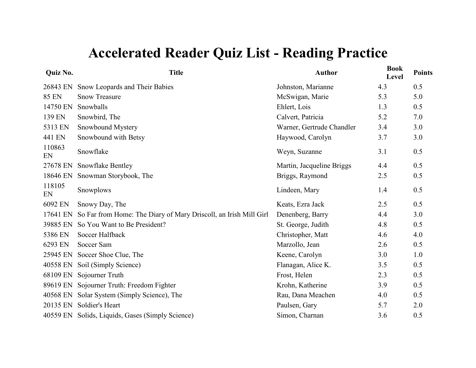| Quiz No.     | <b>Title</b>                                                     | <b>Author</b>             | <b>Book</b><br>Level | <b>Points</b> |
|--------------|------------------------------------------------------------------|---------------------------|----------------------|---------------|
| 26843 EN     | Snow Leopards and Their Babies                                   | Johnston, Marianne        | 4.3                  | 0.5           |
| <b>85 EN</b> | <b>Snow Treasure</b>                                             | McSwigan, Marie           | 5.3                  | 5.0           |
| 14750 EN     | Snowballs                                                        | Ehlert, Lois              | 1.3                  | 0.5           |
| 139 EN       | Snowbird, The                                                    | Calvert, Patricia         | 5.2                  | 7.0           |
| 5313 EN      | Snowbound Mystery                                                | Warner, Gertrude Chandler | 3.4                  | 3.0           |
| 441 EN       | Snowbound with Betsy                                             | Haywood, Carolyn          | 3.7                  | 3.0           |
| 110863<br>EN | Snowflake                                                        | Weyn, Suzanne             | 3.1                  | 0.5           |
| 27678 EN     | Snowflake Bentley                                                | Martin, Jacqueline Briggs | 4.4                  | 0.5           |
| 18646 EN     | Snowman Storybook, The                                           | Briggs, Raymond           | 2.5                  | 0.5           |
| 118105<br>EN | Snowplows                                                        | Lindeen, Mary             | 1.4                  | 0.5           |
| 6092 EN      | Snowy Day, The                                                   | Keats, Ezra Jack          | 2.5                  | 0.5           |
| 17641 EN     | So Far from Home: The Diary of Mary Driscoll, an Irish Mill Girl | Denenberg, Barry          | 4.4                  | 3.0           |
| 39885 EN     | So You Want to Be President?                                     | St. George, Judith        | 4.8                  | 0.5           |
| 5386 EN      | Soccer Halfback                                                  | Christopher, Matt         | 4.6                  | 4.0           |
| 6293 EN      | Soccer Sam                                                       | Marzollo, Jean            | 2.6                  | 0.5           |
| 25945 EN     | Soccer Shoe Clue, The                                            | Keene, Carolyn            | 3.0                  | 1.0           |
| 40558 EN     | Soil (Simply Science)                                            | Flanagan, Alice K.        | 3.5                  | 0.5           |
| 68109 EN     | Sojourner Truth                                                  | Frost, Helen              | 2.3                  | 0.5           |
|              | 89619 EN Sojourner Truth: Freedom Fighter                        | Krohn, Katherine          | 3.9                  | 0.5           |
|              | 40568 EN Solar System (Simply Science), The                      | Rau, Dana Meachen         | 4.0                  | 0.5           |
|              | 20135 EN Soldier's Heart                                         | Paulsen, Gary             | 5.7                  | 2.0           |
|              | 40559 EN Solids, Liquids, Gases (Simply Science)                 | Simon, Charnan            | 3.6                  | 0.5           |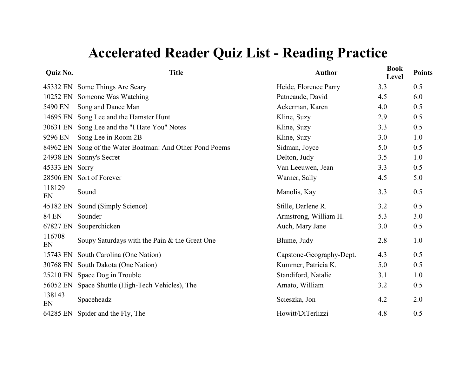| Quiz No.     | <b>Title</b>                                    | <b>Author</b>            | <b>Book</b><br>Level | <b>Points</b> |
|--------------|-------------------------------------------------|--------------------------|----------------------|---------------|
|              | 45332 EN Some Things Are Scary                  | Heide, Florence Parry    | 3.3                  | 0.5           |
| 10252 EN     | Someone Was Watching                            | Patneaude, David         | 4.5                  | 6.0           |
| 5490 EN      | Song and Dance Man                              | Ackerman, Karen          | 4.0                  | 0.5           |
| 14695 EN     | Song Lee and the Hamster Hunt                   | Kline, Suzy              | 2.9                  | 0.5           |
| 30631 EN     | Song Lee and the "I Hate You" Notes             | Kline, Suzy              | 3.3                  | 0.5           |
| 9296 EN      | Song Lee in Room 2B                             | Kline, Suzy              | 3.0                  | 1.0           |
| 84962 EN     | Song of the Water Boatman: And Other Pond Poems | Sidman, Joyce            | 5.0                  | 0.5           |
| 24938 EN     | Sonny's Secret                                  | Delton, Judy             | 3.5                  | 1.0           |
| 45333 EN     | Sorry                                           | Van Leeuwen, Jean        | 3.3                  | 0.5           |
| 28506 EN     | Sort of Forever                                 | Warner, Sally            | 4.5                  | 5.0           |
| 118129<br>EN | Sound                                           | Manolis, Kay             | 3.3                  | 0.5           |
| 45182 EN     | Sound (Simply Science)                          | Stille, Darlene R.       | 3.2                  | 0.5           |
| <b>84 EN</b> | Sounder                                         | Armstrong, William H.    | 5.3                  | 3.0           |
| 67827 EN     | Souperchicken                                   | Auch, Mary Jane          | 3.0                  | 0.5           |
| 116708<br>EN | Soupy Saturdays with the Pain & the Great One   | Blume, Judy              | 2.8                  | 1.0           |
| 15743 EN     | South Carolina (One Nation)                     | Capstone-Geography-Dept. | 4.3                  | 0.5           |
| 30768 EN     | South Dakota (One Nation)                       | Kummer, Patricia K.      | 5.0                  | 0.5           |
| 25210 EN     | Space Dog in Trouble                            | Standiford, Natalie      | 3.1                  | 1.0           |
| 56052 EN     | Space Shuttle (High-Tech Vehicles), The         | Amato, William           | 3.2                  | 0.5           |
| 138143<br>EN | Spaceheadz                                      | Scieszka, Jon            | 4.2                  | 2.0           |
| 64285 EN     | Spider and the Fly, The                         | Howitt/DiTerlizzi        | 4.8                  | 0.5           |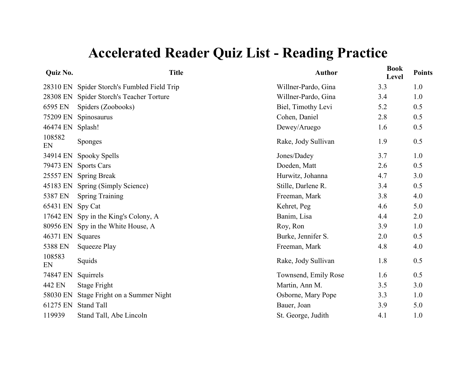| Quiz No.     | <b>Title</b>                       | <b>Author</b>        | <b>Book</b><br>Level | <b>Points</b> |
|--------------|------------------------------------|----------------------|----------------------|---------------|
| 28310 EN     | Spider Storch's Fumbled Field Trip | Willner-Pardo, Gina  | 3.3                  | 1.0           |
| 28308 EN     | Spider Storch's Teacher Torture    | Willner-Pardo, Gina  | 3.4                  | 1.0           |
| 6595 EN      | Spiders (Zoobooks)                 | Biel, Timothy Levi   | 5.2                  | 0.5           |
| 75209 EN     | Spinosaurus                        | Cohen, Daniel        | 2.8                  | 0.5           |
| 46474 EN     | Splash!                            | Dewey/Aruego         | 1.6                  | 0.5           |
| 108582<br>EN | <b>Sponges</b>                     | Rake, Jody Sullivan  | 1.9                  | 0.5           |
| 34914 EN     | Spooky Spells                      | Jones/Dadey          | 3.7                  | 1.0           |
| 79473 EN     | <b>Sports Cars</b>                 | Doeden, Matt         | 2.6                  | 0.5           |
| 25557 EN     | <b>Spring Break</b>                | Hurwitz, Johanna     | 4.7                  | 3.0           |
| 45183 EN     | Spring (Simply Science)            | Stille, Darlene R.   | 3.4                  | 0.5           |
| 5387 EN      | <b>Spring Training</b>             | Freeman, Mark        | 3.8                  | 4.0           |
| 65431 EN     | Spy Cat                            | Kehret, Peg          | 4.6                  | 5.0           |
| 17642 EN     | Spy in the King's Colony, A        | Banim, Lisa          | 4.4                  | 2.0           |
| 80956 EN     | Spy in the White House, A          | Roy, Ron             | 3.9                  | 1.0           |
| 46371 EN     | Squares                            | Burke, Jennifer S.   | 2.0                  | 0.5           |
| 5388 EN      | Squeeze Play                       | Freeman, Mark        | 4.8                  | 4.0           |
| 108583<br>EN | Squids                             | Rake, Jody Sullivan  | 1.8                  | 0.5           |
| 74847 EN     | Squirrels                          | Townsend, Emily Rose | 1.6                  | 0.5           |
| 442 EN       | Stage Fright                       | Martin, Ann M.       | 3.5                  | 3.0           |
| 58030 EN     | Stage Fright on a Summer Night     | Osborne, Mary Pope   | 3.3                  | 1.0           |
| 61275 EN     | <b>Stand Tall</b>                  | Bauer, Joan          | 3.9                  | 5.0           |
| 119939       | Stand Tall, Abe Lincoln            | St. George, Judith   | 4.1                  | 1.0           |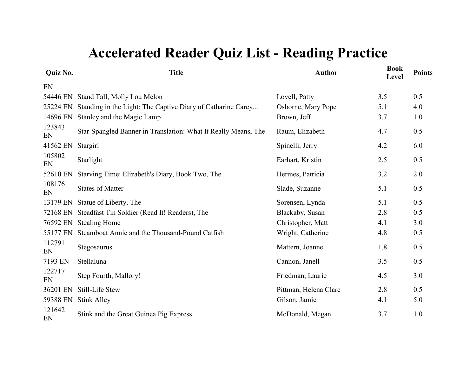| Quiz No.     | <b>Title</b>                                                   | <b>Author</b>         | <b>Book</b><br>Level | <b>Points</b> |
|--------------|----------------------------------------------------------------|-----------------------|----------------------|---------------|
| EN           |                                                                |                       |                      |               |
| 54446 EN     | Stand Tall, Molly Lou Melon                                    | Lovell, Patty         | 3.5                  | 0.5           |
| 25224 EN     | Standing in the Light: The Captive Diary of Catharine Carey    | Osborne, Mary Pope    | 5.1                  | 4.0           |
| 14696 EN     | Stanley and the Magic Lamp                                     | Brown, Jeff           | 3.7                  | 1.0           |
| 123843<br>EN | Star-Spangled Banner in Translation: What It Really Means, The | Raum, Elizabeth       | 4.7                  | 0.5           |
| 41562 EN     | Stargirl                                                       | Spinelli, Jerry       | 4.2                  | 6.0           |
| 105802<br>EN | Starlight                                                      | Earhart, Kristin      | 2.5                  | 0.5           |
| 52610 EN     | Starving Time: Elizabeth's Diary, Book Two, The                | Hermes, Patricia      | 3.2                  | 2.0           |
| 108176<br>EN | <b>States of Matter</b>                                        | Slade, Suzanne        | 5.1                  | 0.5           |
| 13179 EN     | Statue of Liberty, The                                         | Sorensen, Lynda       | 5.1                  | 0.5           |
| 72168 EN     | Steadfast Tin Soldier (Read It! Readers), The                  | Blackaby, Susan       | 2.8                  | 0.5           |
| 76592 EN     | <b>Stealing Home</b>                                           | Christopher, Matt     | 4.1                  | 3.0           |
| 55177 EN     | Steamboat Annie and the Thousand-Pound Catfish                 | Wright, Catherine     | 4.8                  | 0.5           |
| 112791<br>EN | Stegosaurus                                                    | Mattern, Joanne       | 1.8                  | 0.5           |
| 7193 EN      | Stellaluna                                                     | Cannon, Janell        | 3.5                  | 0.5           |
| 122717<br>EN | Step Fourth, Mallory!                                          | Friedman, Laurie      | 4.5                  | 3.0           |
| 36201 EN     | <b>Still-Life Stew</b>                                         | Pittman, Helena Clare | 2.8                  | 0.5           |
| 59388 EN     | <b>Stink Alley</b>                                             | Gilson, Jamie         | 4.1                  | 5.0           |
| 121642<br>EN | Stink and the Great Guinea Pig Express                         | McDonald, Megan       | 3.7                  | 1.0           |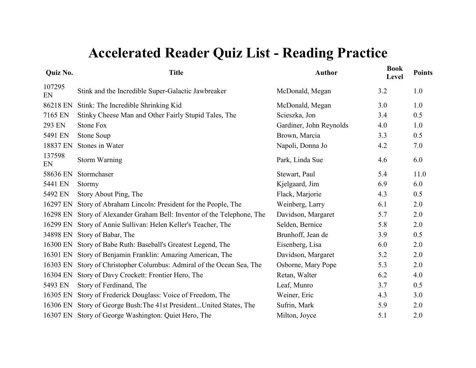| <b>Quiz No.</b> | <b>Title</b>                                                         | <b>Author</b>           | <b>Book</b><br>Level | <b>Points</b> |
|-----------------|----------------------------------------------------------------------|-------------------------|----------------------|---------------|
| 107295<br>EN    | Stink and the Incredible Super-Galactic Jawbreaker                   | McDonald, Megan         | 3.2                  | 1.0           |
| 86218 EN        | Stink: The Incredible Shrinking Kid                                  | McDonald, Megan         | 3.0                  | 1.0           |
| 7165 EN         | Stinky Cheese Man and Other Fairly Stupid Tales, The                 | Scieszka, Jon           | 3.4                  | 0.5           |
| 293 EN          | <b>Stone Fox</b>                                                     | Gardiner, John Reynolds | 4.0                  | 1.0           |
| 5491 EN         | Stone Soup                                                           | Brown, Marcia           | 3.3                  | 0.5           |
| 18837 EN        | Stones in Water                                                      | Napoli, Donna Jo        | 4.2                  | 7.0           |
| 137598<br>EN    | <b>Storm Warning</b>                                                 | Park, Linda Sue         | 4.6                  | 6.0           |
| 58636 EN        | Stormchaser                                                          | Stewart, Paul           | 5.4                  | 11.0          |
| 5441 EN         | Stormy                                                               | Kjelgaard, Jim          | 6.9                  | 6.0           |
| 5492 EN         | Story About Ping, The                                                | Flack, Marjorie         | 4.3                  | 0.5           |
| 16297 EN        | Story of Abraham Lincoln: President for the People, The              | Weinberg, Larry         | 6.1                  | 2.0           |
| 16298 EN        | Story of Alexander Graham Bell: Inventor of the Telephone, The       | Davidson, Margaret      | 5.7                  | 2.0           |
| 16299 EN        | Story of Annie Sullivan: Helen Keller's Teacher, The                 | Selden, Bernice         | 5.8                  | 2.0           |
| 34898 EN        | Story of Babar, The                                                  | Brunhoff, Jean de       | 3.9                  | 0.5           |
| 16300 EN        | Story of Babe Ruth: Baseball's Greatest Legend, The                  | Eisenberg, Lisa         | 6.0                  | 2.0           |
| 16301 EN        | Story of Benjamin Franklin: Amazing American, The                    | Davidson, Margaret      | 5.2                  | 2.0           |
| 16303 EN        | Story of Christopher Columbus: Admiral of the Ocean Sea, The         | Osborne, Mary Pope      | 5.3                  | 2.0           |
| 16304 EN        | Story of Davy Crockett: Frontier Hero, The                           | Retan, Walter           | 6.2                  | 4.0           |
| 5493 EN         | Story of Ferdinand, The                                              | Leaf, Munro             | 3.7                  | 0.5           |
| 16305 EN        | Story of Frederick Douglass: Voice of Freedom, The                   | Weiner, Eric            | 4.3                  | 3.0           |
|                 | 16306 EN Story of George Bush: The 41st President United States, The | Sufrin, Mark            | 5.9                  | 2.0           |
|                 | 16307 EN Story of George Washington: Quiet Hero, The                 | Milton, Joyce           | 5.1                  | 2.0           |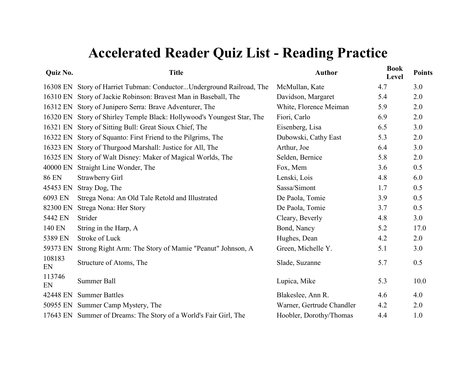| Quiz No.     | <b>Title</b>                                                           | <b>Author</b>             | <b>Book</b><br>Level | <b>Points</b> |
|--------------|------------------------------------------------------------------------|---------------------------|----------------------|---------------|
|              | 16308 EN Story of Harriet Tubman: ConductorUnderground Railroad, The   | McMullan, Kate            | 4.7                  | 3.0           |
|              | 16310 EN Story of Jackie Robinson: Bravest Man in Baseball, The        | Davidson, Margaret        | 5.4                  | 2.0           |
|              | 16312 EN Story of Junipero Serra: Brave Adventurer, The                | White, Florence Meiman    | 5.9                  | 2.0           |
|              | 16320 EN Story of Shirley Temple Black: Hollywood's Youngest Star, The | Fiori, Carlo              | 6.9                  | 2.0           |
|              | 16321 EN Story of Sitting Bull: Great Sioux Chief, The                 | Eisenberg, Lisa           | 6.5                  | 3.0           |
| 16322 EN     | Story of Squanto: First Friend to the Pilgrims, The                    | Dubowski, Cathy East      | 5.3                  | 2.0           |
| 16323 EN     | Story of Thurgood Marshall: Justice for All, The                       | Arthur, Joe               | 6.4                  | 3.0           |
|              | 16325 EN Story of Walt Disney: Maker of Magical Worlds, The            | Selden, Bernice           | 5.8                  | 2.0           |
| 40000 EN     | Straight Line Wonder, The                                              | Fox, Mem                  | 3.6                  | 0.5           |
| <b>86 EN</b> | <b>Strawberry Girl</b>                                                 | Lenski, Lois              | 4.8                  | 6.0           |
| 45453 EN     | Stray Dog, The                                                         | Sassa/Simont              | 1.7                  | 0.5           |
| 6093 EN      | Strega Nona: An Old Tale Retold and Illustrated                        | De Paola, Tomie           | 3.9                  | 0.5           |
| 82300 EN     | Strega Nona: Her Story                                                 | De Paola, Tomie           | 3.7                  | 0.5           |
| 5442 EN      | Strider                                                                | Cleary, Beverly           | 4.8                  | 3.0           |
| 140 EN       | String in the Harp, A.                                                 | Bond, Nancy               | 5.2                  | 17.0          |
| 5389 EN      | Stroke of Luck                                                         | Hughes, Dean              | 4.2                  | 2.0           |
| 59373 EN     | Strong Right Arm: The Story of Mamie "Peanut" Johnson, A               | Green, Michelle Y.        | 5.1                  | 3.0           |
| 108183<br>EN | Structure of Atoms, The                                                | Slade, Suzanne            | 5.7                  | 0.5           |
| 113746<br>EN | Summer Ball                                                            | Lupica, Mike              | 5.3                  | 10.0          |
| 42448 EN     | <b>Summer Battles</b>                                                  | Blakeslee, Ann R.         | 4.6                  | 4.0           |
|              | 50955 EN Summer Camp Mystery, The                                      | Warner, Gertrude Chandler | 4.2                  | 2.0           |
|              | 17643 EN Summer of Dreams: The Story of a World's Fair Girl, The       | Hoobler, Dorothy/Thomas   | 4.4                  | 1.0           |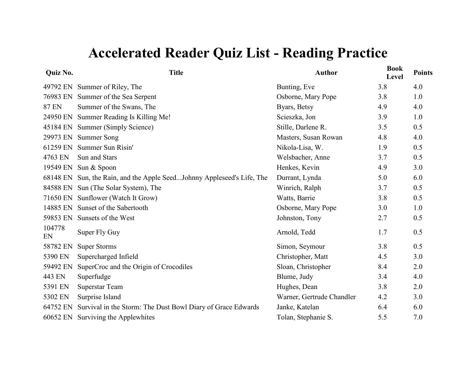| Quiz No.     | <b>Title</b>                                                           | <b>Author</b>             | <b>Book</b><br>Level | <b>Points</b> |
|--------------|------------------------------------------------------------------------|---------------------------|----------------------|---------------|
| 49792 EN     | Summer of Riley, The                                                   | Bunting, Eve              | 3.8                  | 4.0           |
|              | 76983 EN Summer of the Sea Serpent                                     | Osborne, Mary Pope        | 3.8                  | 1.0           |
| <b>87 EN</b> | Summer of the Swans, The                                               | Byars, Betsy              | 4.9                  | 4.0           |
| 24950 EN     | Summer Reading Is Killing Me!                                          | Scieszka, Jon             | 3.9                  | 1.0           |
| 45184 EN     | Summer (Simply Science)                                                | Stille, Darlene R.        | 3.5                  | 0.5           |
| 29973 EN     | <b>Summer Song</b>                                                     | Masters, Susan Rowan      | 4.8                  | 4.0           |
| 61259 EN     | Summer Sun Risin'                                                      | Nikola-Lisa, W.           | 1.9                  | 0.5           |
| 4763 EN      | Sun and Stars                                                          | Welsbacher, Anne          | 3.7                  | 0.5           |
| 19549 EN     | Sun & Spoon                                                            | Henkes, Kevin             | 4.9                  | 3.0           |
|              | 68148 EN Sun, the Rain, and the Apple SeedJohnny Appleseed's Life, The | Durrant, Lynda            | 5.0                  | 6.0           |
| 84588 EN     | Sun (The Solar System), The                                            | Winrich, Ralph            | 3.7                  | 0.5           |
| 71650 EN     | Sunflower (Watch It Grow)                                              | Watts, Barrie             | 3.8                  | 0.5           |
| 14885 EN     | Sunset of the Sabertooth                                               | Osborne, Mary Pope        | 3.0                  | 1.0           |
| 59853 EN     | Sunsets of the West                                                    | Johnston, Tony            | 2.7                  | 0.5           |
| 104778<br>EN | Super Fly Guy                                                          | Arnold, Tedd              | 1.7                  | 0.5           |
| 58782 EN     | <b>Super Storms</b>                                                    | Simon, Seymour            | 3.8                  | 0.5           |
| 5390 EN      | Supercharged Infield                                                   | Christopher, Matt         | 4.5                  | 3.0           |
| 59492 EN     | SuperCroc and the Origin of Crocodiles                                 | Sloan, Christopher        | 8.4                  | 2.0           |
| 443 EN       | Superfudge                                                             | Blume, Judy               | 3.4                  | 4.0           |
| 5391 EN      | Superstar Team                                                         | Hughes, Dean              | 3.8                  | 2.0           |
| 5302 EN      | Surprise Island                                                        | Warner, Gertrude Chandler | 4.2                  | 3.0           |
| 64752 EN     | Survival in the Storm: The Dust Bowl Diary of Grace Edwards            | Janke, Katelan            | 6.4                  | 6.0           |
| 60652 EN     | Surviving the Applewhites                                              | Tolan, Stephanie S.       | 5.5                  | 7.0           |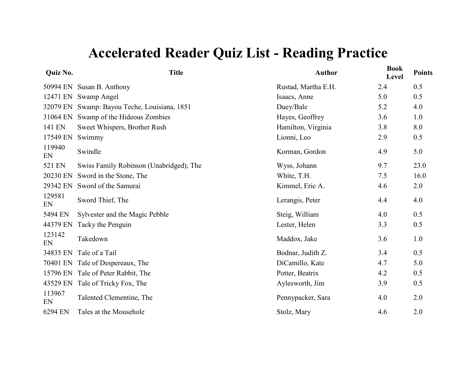| Quiz No.     | <b>Title</b>                            | <b>Author</b>       | <b>Book</b><br>Level | <b>Points</b> |
|--------------|-----------------------------------------|---------------------|----------------------|---------------|
| 50994 EN     | Susan B. Anthony                        | Rustad, Martha E.H. | 2.4                  | 0.5           |
| 12471 EN     | Swamp Angel                             | Isaacs, Anne        | 5.0                  | 0.5           |
| 32079 EN     | Swamp: Bayou Teche, Louisiana, 1851     | Duey/Bale           | 5.2                  | 4.0           |
| 31064 EN     | Swamp of the Hideous Zombies            | Hayes, Geoffrey     | 3.6                  | 1.0           |
| 141 EN       | Sweet Whispers, Brother Rush            | Hamilton, Virginia  | 3.8                  | 8.0           |
| 17549 EN     | Swimmy                                  | Lionni, Leo         | 2.9                  | 0.5           |
| 119940<br>EN | Swindle                                 | Korman, Gordon      | 4.9                  | 5.0           |
| 521 EN       | Swiss Family Robinson (Unabridged), The | Wyss, Johann        | 9.7                  | 23.0          |
| 20230 EN     | Sword in the Stone, The                 | White, T.H.         | 7.5                  | 16.0          |
| 29342 EN     | Sword of the Samurai                    | Kimmel, Eric A.     | 4.6                  | 2.0           |
| 129581<br>EN | Sword Thief, The                        | Lerangis, Peter     | 4.4                  | 4.0           |
| 5494 EN      | Sylvester and the Magic Pebble          | Steig, William      | 4.0                  | 0.5           |
| 44379 EN     | Tacky the Penguin                       | Lester, Helen       | 3.3                  | 0.5           |
| 123142<br>EN | Takedown                                | Maddox, Jake        | 3.6                  | 1.0           |
| 34835 EN     | Tale of a Tail                          | Bodnar, Judith Z.   | 3.4                  | 0.5           |
| 70401 EN     | Tale of Despereaux, The                 | DiCamillo, Kate     | 4.7                  | 5.0           |
| 15796 EN     | Tale of Peter Rabbit, The               | Potter, Beatrix     | 4.2                  | 0.5           |
| 43529 EN     | Tale of Tricky Fox, The                 | Aylesworth, Jim     | 3.9                  | 0.5           |
| 113967<br>EN | Talented Clementine, The                | Pennypacker, Sara   | 4.0                  | 2.0           |
| 6294 EN      | Tales at the Mousehole                  | Stolz, Mary         | 4.6                  | 2.0           |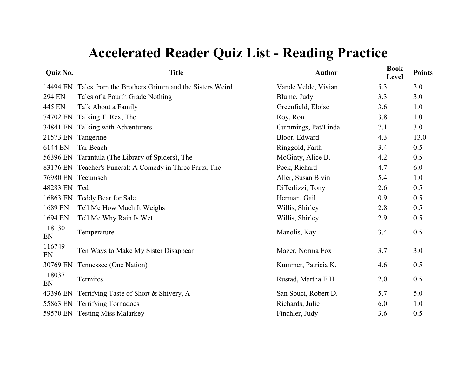| Quiz No.     | <b>Title</b>                                             | <b>Author</b>        | <b>Book</b><br>Level | <b>Points</b> |
|--------------|----------------------------------------------------------|----------------------|----------------------|---------------|
| 14494 EN     | Tales from the Brothers Grimm and the Sisters Weird      | Vande Velde, Vivian  | 5.3                  | 3.0           |
| 294 EN       | Tales of a Fourth Grade Nothing                          | Blume, Judy          | 3.3                  | 3.0           |
| 445 EN       | Talk About a Family                                      | Greenfield, Eloise   | 3.6                  | 1.0           |
| 74702 EN     | Talking T. Rex, The                                      | Roy, Ron             | 3.8                  | 1.0           |
| 34841 EN     | Talking with Adventurers                                 | Cummings, Pat/Linda  | 7.1                  | 3.0           |
| 21573 EN     | Tangerine                                                | Bloor, Edward        | 4.3                  | 13.0          |
| 6144 EN      | Tar Beach                                                | Ringgold, Faith      | 3.4                  | 0.5           |
| 56396 EN     | Tarantula (The Library of Spiders), The                  | McGinty, Alice B.    | 4.2                  | 0.5           |
|              | 83176 EN Teacher's Funeral: A Comedy in Three Parts, The | Peck, Richard        | 4.7                  | 6.0           |
| 76980 EN     | Tecumseh                                                 | Aller, Susan Bivin   | 5.4                  | 1.0           |
| 48283 EN     | Ted                                                      | DiTerlizzi, Tony     | 2.6                  | 0.5           |
| 16863 EN     | Teddy Bear for Sale                                      | Herman, Gail         | 0.9                  | 0.5           |
| 1689 EN      | Tell Me How Much It Weighs                               | Willis, Shirley      | 2.8                  | 0.5           |
| 1694 EN      | Tell Me Why Rain Is Wet                                  | Willis, Shirley      | 2.9                  | 0.5           |
| 118130<br>EN | Temperature                                              | Manolis, Kay         | 3.4                  | 0.5           |
| 116749<br>EN | Ten Ways to Make My Sister Disappear                     | Mazer, Norma Fox     | 3.7                  | 3.0           |
| 30769 EN     | Tennessee (One Nation)                                   | Kummer, Patricia K.  | 4.6                  | 0.5           |
| 118037<br>EN | Termites                                                 | Rustad, Martha E.H.  | 2.0                  | 0.5           |
| 43396 EN     | Terrifying Taste of Short & Shivery, A                   | San Souci, Robert D. | 5.7                  | 5.0           |
|              | 55863 EN Terrifying Tornadoes                            | Richards, Julie      | 6.0                  | 1.0           |
|              | 59570 EN Testing Miss Malarkey                           | Finchler, Judy       | 3.6                  | 0.5           |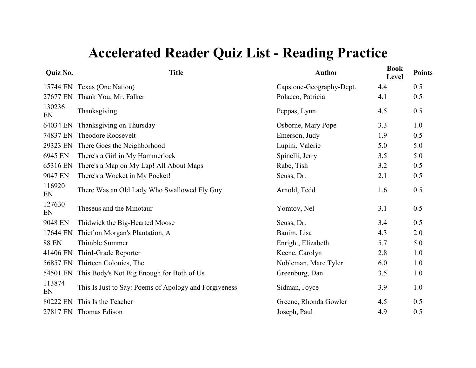| Quiz No.     | <b>Title</b>                                          | <b>Author</b>            | <b>Book</b><br>Level | <b>Points</b> |
|--------------|-------------------------------------------------------|--------------------------|----------------------|---------------|
|              | 15744 EN Texas (One Nation)                           | Capstone-Geography-Dept. | 4.4                  | 0.5           |
| 27677 EN     | Thank You, Mr. Falker                                 | Polacco, Patricia        | 4.1                  | 0.5           |
| 130236<br>EN | Thanksgiving                                          | Peppas, Lynn             | 4.5                  | 0.5           |
| 64034 EN     | Thanksgiving on Thursday                              | Osborne, Mary Pope       | 3.3                  | 1.0           |
| 74837 EN     | <b>Theodore Roosevelt</b>                             | Emerson, Judy            | 1.9                  | 0.5           |
| 29323 EN     | There Goes the Neighborhood                           | Lupini, Valerie          | 5.0                  | 5.0           |
| 6945 EN      | There's a Girl in My Hammerlock                       | Spinelli, Jerry          | 3.5                  | 5.0           |
| 65316 EN     | There's a Map on My Lap! All About Maps               | Rabe, Tish               | 3.2                  | 0.5           |
| 9047 EN      | There's a Wocket in My Pocket!                        | Seuss, Dr.               | 2.1                  | 0.5           |
| 116920<br>EN | There Was an Old Lady Who Swallowed Fly Guy           | Arnold, Tedd             | 1.6                  | 0.5           |
| 127630<br>EN | Theseus and the Minotaur                              | Yomtov, Nel              | 3.1                  | 0.5           |
| 9048 EN      | Thidwick the Big-Hearted Moose                        | Seuss, Dr.               | 3.4                  | 0.5           |
| 17644 EN     | Thief on Morgan's Plantation, A                       | Banim, Lisa              | 4.3                  | 2.0           |
| <b>88 EN</b> | Thimble Summer                                        | Enright, Elizabeth       | 5.7                  | 5.0           |
| 41406 EN     | Third-Grade Reporter                                  | Keene, Carolyn           | 2.8                  | 1.0           |
| 56857 EN     | Thirteen Colonies, The                                | Nobleman, Marc Tyler     | 6.0                  | 1.0           |
| 54501 EN     | This Body's Not Big Enough for Both of Us             | Greenburg, Dan           | 3.5                  | 1.0           |
| 113874<br>EN | This Is Just to Say: Poems of Apology and Forgiveness | Sidman, Joyce            | 3.9                  | 1.0           |
| 80222 EN     | This Is the Teacher                                   | Greene, Rhonda Gowler    | 4.5                  | 0.5           |
| 27817 EN     | Thomas Edison                                         | Joseph, Paul             | 4.9                  | 0.5           |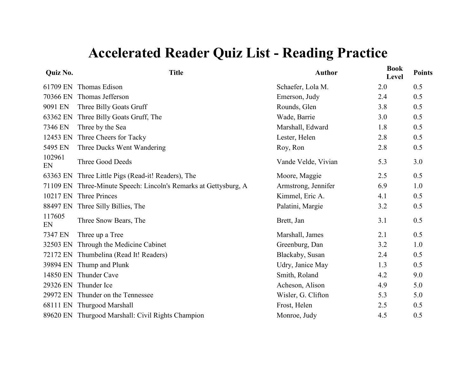| Quiz No.     | <b>Title</b>                                            | <b>Author</b>       | <b>Book</b><br>Level | <b>Points</b> |
|--------------|---------------------------------------------------------|---------------------|----------------------|---------------|
| 61709 EN     | Thomas Edison                                           | Schaefer, Lola M.   | 2.0                  | 0.5           |
| 70366 EN     | Thomas Jefferson                                        | Emerson, Judy       | 2.4                  | 0.5           |
| 9091 EN      | Three Billy Goats Gruff                                 | Rounds, Glen        | 3.8                  | 0.5           |
| 63362 EN     | Three Billy Goats Gruff, The                            | Wade, Barrie        | 3.0                  | 0.5           |
| 7346 EN      | Three by the Sea                                        | Marshall, Edward    | 1.8                  | 0.5           |
| 12453 EN     | Three Cheers for Tacky                                  | Lester, Helen       | 2.8                  | 0.5           |
| 5495 EN      | Three Ducks Went Wandering                              | Roy, Ron            | 2.8                  | 0.5           |
| 102961<br>EN | Three Good Deeds                                        | Vande Velde, Vivian | 5.3                  | 3.0           |
| 63363 EN     | Three Little Pigs (Read-it! Readers), The               | Moore, Maggie       | 2.5                  | 0.5           |
| 71109 EN     | Three-Minute Speech: Lincoln's Remarks at Gettysburg, A | Armstrong, Jennifer | 6.9                  | 1.0           |
| 10217 EN     | Three Princes                                           | Kimmel, Eric A.     | 4.1                  | 0.5           |
| 88497 EN     | Three Silly Billies, The                                | Palatini, Margie    | 3.2                  | 0.5           |
| 117605<br>EN | Three Snow Bears, The                                   | Brett, Jan          | 3.1                  | 0.5           |
| 7347 EN      | Three up a Tree                                         | Marshall, James     | 2.1                  | 0.5           |
| 32503 EN     | Through the Medicine Cabinet                            | Greenburg, Dan      | 3.2                  | 1.0           |
|              | 72172 EN Thumbelina (Read It! Readers)                  | Blackaby, Susan     | 2.4                  | 0.5           |
|              | 39894 EN Thump and Plunk                                | Udry, Janice May    | 1.3                  | 0.5           |
| 14850 EN     | Thunder Cave                                            | Smith, Roland       | 4.2                  | 9.0           |
|              | 29326 EN Thunder Ice                                    | Acheson, Alison     | 4.9                  | 5.0           |
|              | 29972 EN Thunder on the Tennessee                       | Wisler, G. Clifton  | 5.3                  | 5.0           |
|              | 68111 EN Thurgood Marshall                              | Frost, Helen        | 2.5                  | 0.5           |
|              | 89620 EN Thurgood Marshall: Civil Rights Champion       | Monroe, Judy        | 4.5                  | 0.5           |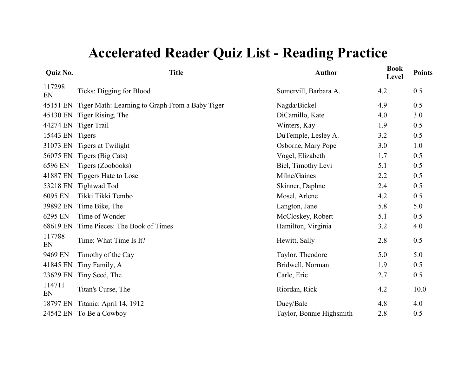| <b>Quiz No.</b> | <b>Title</b>                                    | <b>Author</b>            | <b>Book</b><br>Level | <b>Points</b> |
|-----------------|-------------------------------------------------|--------------------------|----------------------|---------------|
| 117298<br>EN    | Ticks: Digging for Blood                        | Somervill, Barbara A.    | 4.2                  | 0.5           |
| 45151 EN        | Tiger Math: Learning to Graph From a Baby Tiger | Nagda/Bickel             | 4.9                  | 0.5           |
|                 | 45130 EN Tiger Rising, The                      | DiCamillo, Kate          | 4.0                  | 3.0           |
|                 | 44274 EN Tiger Trail                            | Winters, Kay             | 1.9                  | 0.5           |
| 15443 EN Tigers |                                                 | DuTemple, Lesley A.      | 3.2                  | 0.5           |
|                 | 31073 EN Tigers at Twilight                     | Osborne, Mary Pope       | 3.0                  | 1.0           |
| 56075 EN        | Tigers (Big Cats)                               | Vogel, Elizabeth         | 1.7                  | 0.5           |
| 6596 EN         | Tigers (Zoobooks)                               | Biel, Timothy Levi       | 5.1                  | 0.5           |
| 41887 EN        | Tiggers Hate to Lose                            | Milne/Gaines             | 2.2                  | 0.5           |
| 53218 EN        | Tightwad Tod                                    | Skinner, Daphne          | 2.4                  | 0.5           |
| 6095 EN         | Tikki Tikki Tembo                               | Mosel, Arlene            | 4.2                  | 0.5           |
| 39892 EN        | Time Bike, The                                  | Langton, Jane            | 5.8                  | 5.0           |
| 6295 EN         | Time of Wonder                                  | McCloskey, Robert        | 5.1                  | 0.5           |
| 68619 EN        | Time Pieces: The Book of Times                  | Hamilton, Virginia       | 3.2                  | 4.0           |
| 117788<br>EN    | Time: What Time Is It?                          | Hewitt, Sally            | 2.8                  | 0.5           |
| 9469 EN         | Timothy of the Cay                              | Taylor, Theodore         | 5.0                  | 5.0           |
| 41845 EN        | Tiny Family, A                                  | Bridwell, Norman         | 1.9                  | 0.5           |
| 23629 EN        | Tiny Seed, The                                  | Carle, Eric              | 2.7                  | 0.5           |
| 114711<br>EN    | Titan's Curse, The                              | Riordan, Rick            | 4.2                  | 10.0          |
| 18797 EN        | Titanic: April 14, 1912                         | Duey/Bale                | 4.8                  | 4.0           |
|                 | 24542 EN To Be a Cowboy                         | Taylor, Bonnie Highsmith | 2.8                  | 0.5           |
|                 |                                                 |                          |                      |               |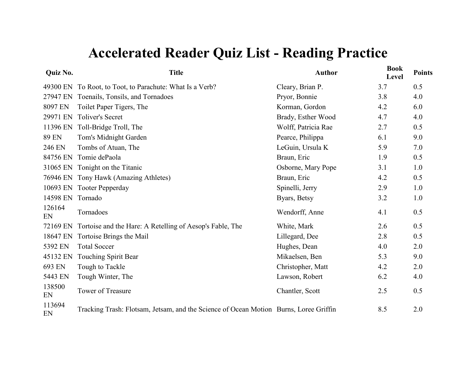| Quiz No.     | <b>Title</b>                                                                          | <b>Author</b>       | <b>Book</b><br><b>Level</b> | <b>Points</b> |
|--------------|---------------------------------------------------------------------------------------|---------------------|-----------------------------|---------------|
| 49300 EN     | To Root, to Toot, to Parachute: What Is a Verb?                                       | Cleary, Brian P.    | 3.7                         | 0.5           |
| 27947 EN     | Toenails, Tonsils, and Tornadoes                                                      | Pryor, Bonnie       | 3.8                         | 4.0           |
| 8097 EN      | Toilet Paper Tigers, The                                                              | Korman, Gordon      | 4.2                         | 6.0           |
| 29971 EN     | <b>Toliver's Secret</b>                                                               | Brady, Esther Wood  | 4.7                         | 4.0           |
| 11396 EN     | Toll-Bridge Troll, The                                                                | Wolff, Patricia Rae | 2.7                         | 0.5           |
| <b>89 EN</b> | Tom's Midnight Garden                                                                 | Pearce, Philippa    | 6.1                         | 9.0           |
| 246 EN       | Tombs of Atuan, The                                                                   | LeGuin, Ursula K    | 5.9                         | 7.0           |
| 84756 EN     | Tomie dePaola                                                                         | Braun, Eric         | 1.9                         | 0.5           |
| 31065 EN     | Tonight on the Titanic                                                                | Osborne, Mary Pope  | 3.1                         | 1.0           |
| 76946 EN     | Tony Hawk (Amazing Athletes)                                                          | Braun, Eric         | 4.2                         | 0.5           |
| 10693 EN     | <b>Tooter Pepperday</b>                                                               | Spinelli, Jerry     | 2.9                         | 1.0           |
| 14598 EN     | Tornado                                                                               | Byars, Betsy        | 3.2                         | 1.0           |
| 126164<br>EN | Tornadoes                                                                             | Wendorff, Anne      | 4.1                         | 0.5           |
| 72169 EN     | Tortoise and the Hare: A Retelling of Aesop's Fable, The                              | White, Mark         | 2.6                         | 0.5           |
| 18647 EN     | Tortoise Brings the Mail                                                              | Lillegard, Dee      | 2.8                         | 0.5           |
| 5392 EN      | <b>Total Soccer</b>                                                                   | Hughes, Dean        | 4.0                         | 2.0           |
| 45132 EN     | Touching Spirit Bear                                                                  | Mikaelsen, Ben      | 5.3                         | 9.0           |
| 693 EN       | Tough to Tackle                                                                       | Christopher, Matt   | 4.2                         | 2.0           |
| 5443 EN      | Tough Winter, The                                                                     | Lawson, Robert      | 6.2                         | 4.0           |
| 138500<br>EN | Tower of Treasure                                                                     | Chantler, Scott     | 2.5                         | 0.5           |
| 113694<br>EN | Tracking Trash: Flotsam, Jetsam, and the Science of Ocean Motion Burns, Loree Griffin |                     | 8.5                         | 2.0           |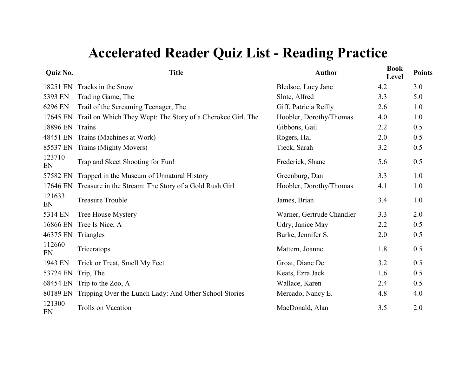| Quiz No.     | <b>Title</b>                                                | <b>Author</b>             | <b>Book</b><br>Level | <b>Points</b> |
|--------------|-------------------------------------------------------------|---------------------------|----------------------|---------------|
| 18251 EN     | Tracks in the Snow                                          | Bledsoe, Lucy Jane        | 4.2                  | 3.0           |
| 5393 EN      | Trading Game, The                                           | Slote, Alfred             | 3.3                  | 5.0           |
| 6296 EN      | Trail of the Screaming Teenager, The                        | Giff, Patricia Reilly     | 2.6                  | 1.0           |
| 17645 EN     | Trail on Which They Wept: The Story of a Cherokee Girl, The | Hoobler, Dorothy/Thomas   | 4.0                  | 1.0           |
| 18896 EN     | Trains                                                      | Gibbons, Gail             | 2.2                  | 0.5           |
| 48451 EN     | Trains (Machines at Work)                                   | Rogers, Hal               | 2.0                  | 0.5           |
| 85537 EN     | Trains (Mighty Movers)                                      | Tieck, Sarah              | 3.2                  | 0.5           |
| 123710<br>EN | Trap and Skeet Shooting for Fun!                            | Frederick, Shane          | 5.6                  | 0.5           |
| 57582 EN     | Trapped in the Museum of Unnatural History                  | Greenburg, Dan            | 3.3                  | 1.0           |
| 17646 EN     | Treasure in the Stream: The Story of a Gold Rush Girl       | Hoobler, Dorothy/Thomas   | 4.1                  | 1.0           |
| 121633<br>EN | <b>Treasure Trouble</b>                                     | James, Brian              | 3.4                  | 1.0           |
| 5314 EN      | <b>Tree House Mystery</b>                                   | Warner, Gertrude Chandler | 3.3                  | 2.0           |
| 16866 EN     | Tree Is Nice, A                                             | Udry, Janice May          | 2.2                  | 0.5           |
| 46375 EN     | Triangles                                                   | Burke, Jennifer S.        | 2.0                  | 0.5           |
| 112660<br>EN | Triceratops                                                 | Mattern, Joanne           | 1.8                  | 0.5           |
| 1943 EN      | Trick or Treat, Smell My Feet                               | Groat, Diane De           | 3.2                  | 0.5           |
| 53724 EN     | Trip, The                                                   | Keats, Ezra Jack          | 1.6                  | 0.5           |
| 68454 EN     | Trip to the Zoo, A                                          | Wallace, Karen            | 2.4                  | 0.5           |
| 80189 EN     | Tripping Over the Lunch Lady: And Other School Stories      | Mercado, Nancy E.         | 4.8                  | 4.0           |
| 121300<br>EN | <b>Trolls on Vacation</b>                                   | MacDonald, Alan           | 3.5                  | 2.0           |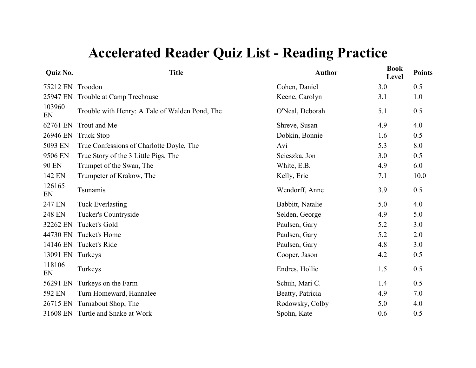| <b>Quiz No.</b> | <b>Title</b>                                   | <b>Author</b>    | <b>Book</b><br>Level | <b>Points</b> |
|-----------------|------------------------------------------------|------------------|----------------------|---------------|
| 75212 EN        | Troodon                                        | Cohen, Daniel    | 3.0                  | 0.5           |
| 25947 EN        | Trouble at Camp Treehouse                      | Keene, Carolyn   | 3.1                  | 1.0           |
| 103960<br>EN    | Trouble with Henry: A Tale of Walden Pond, The | O'Neal, Deborah  | 5.1                  | 0.5           |
| 62761 EN        | Trout and Me                                   | Shreve, Susan    | 4.9                  | 4.0           |
| 26946 EN        | <b>Truck Stop</b>                              | Dobkin, Bonnie   | 1.6                  | 0.5           |
| 5093 EN         | True Confessions of Charlotte Doyle, The       | Avi              | 5.3                  | 8.0           |
| 9506 EN         | True Story of the 3 Little Pigs, The           | Scieszka, Jon    | 3.0                  | 0.5           |
| <b>90 EN</b>    | Trumpet of the Swan, The                       | White, E.B.      | 4.9                  | 6.0           |
| 142 EN          | Trumpeter of Krakow, The                       | Kelly, Eric      | 7.1                  | 10.0          |
| 126165<br>EN    | Tsunamis                                       | Wendorff, Anne   | 3.9                  | 0.5           |
| 247 EN          | <b>Tuck Everlasting</b>                        | Babbitt, Natalie | 5.0                  | 4.0           |
| 248 EN          | Tucker's Countryside                           | Selden, George   | 4.9                  | 5.0           |
| 32262 EN        | Tucket's Gold                                  | Paulsen, Gary    | 5.2                  | 3.0           |
| 44730 EN        | Tucket's Home                                  | Paulsen, Gary    | 5.2                  | 2.0           |
|                 | 14146 EN Tucket's Ride                         | Paulsen, Gary    | 4.8                  | 3.0           |
| 13091 EN        | Turkeys                                        | Cooper, Jason    | 4.2                  | 0.5           |
| 118106<br>EN    | Turkeys                                        | Endres, Hollie   | 1.5                  | 0.5           |
| 56291 EN        | Turkeys on the Farm                            | Schuh, Mari C.   | 1.4                  | 0.5           |
| 592 EN          | Turn Homeward, Hannalee                        | Beatty, Patricia | 4.9                  | 7.0           |
| 26715 EN        | Turnabout Shop, The                            | Rodowsky, Colby  | 5.0                  | 4.0           |
|                 | 31608 EN Turtle and Snake at Work              | Spohn, Kate      | 0.6                  | 0.5           |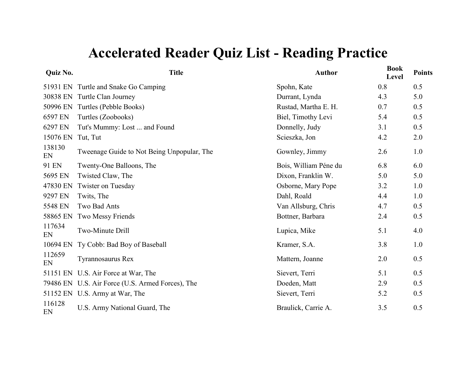| Quiz No.     | <b>Title</b>                                     | <b>Author</b>         | <b>Book</b><br>Level | <b>Points</b> |
|--------------|--------------------------------------------------|-----------------------|----------------------|---------------|
|              | 51931 EN Turtle and Snake Go Camping             | Spohn, Kate           | 0.8                  | 0.5           |
|              | 30838 EN Turtle Clan Journey                     | Durrant, Lynda        | 4.3                  | 5.0           |
|              | 50996 EN Turtles (Pebble Books)                  | Rustad, Martha E. H.  | 0.7                  | 0.5           |
| 6597 EN      | Turtles (Zoobooks)                               | Biel, Timothy Levi    | 5.4                  | 0.5           |
| 6297 EN      | Tut's Mummy: Lost  and Found                     | Donnelly, Judy        | 3.1                  | 0.5           |
| 15076 EN     | Tut, Tut                                         | Scieszka, Jon         | 4.2                  | 2.0           |
| 138130<br>EN | Tweenage Guide to Not Being Unpopular, The       | Gownley, Jimmy        | 2.6                  | 1.0           |
| 91 EN        | Twenty-One Balloons, The                         | Bois, William Péne du | 6.8                  | 6.0           |
| 5695 EN      | Twisted Claw, The                                | Dixon, Franklin W.    | 5.0                  | 5.0           |
| 47830 EN     | Twister on Tuesday                               | Osborne, Mary Pope    | 3.2                  | 1.0           |
| 9297 EN      | Twits, The                                       | Dahl, Roald           | 4.4                  | 1.0           |
| 5548 EN      | Two Bad Ants                                     | Van Allsburg, Chris   | 4.7                  | 0.5           |
| 58865 EN     | Two Messy Friends                                | Bottner, Barbara      | 2.4                  | 0.5           |
| 117634<br>EN | Two-Minute Drill                                 | Lupica, Mike          | 5.1                  | 4.0           |
| 10694 EN     | Ty Cobb: Bad Boy of Baseball                     | Kramer, S.A.          | 3.8                  | 1.0           |
| 112659<br>EN | Tyrannosaurus Rex                                | Mattern, Joanne       | 2.0                  | 0.5           |
|              | 51151 EN U.S. Air Force at War, The              | Sievert, Terri        | 5.1                  | 0.5           |
|              | 79486 EN U.S. Air Force (U.S. Armed Forces), The | Doeden, Matt          | 2.9                  | 0.5           |
|              | 51152 EN U.S. Army at War, The                   | Sievert, Terri        | 5.2                  | 0.5           |
| 116128<br>EN | U.S. Army National Guard, The                    | Braulick, Carrie A.   | 3.5                  | 0.5           |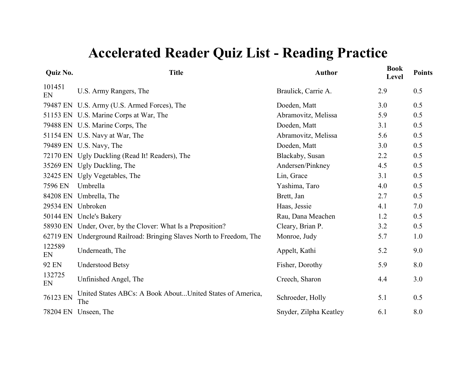| Quiz No.     | <b>Title</b>                                                         | <b>Author</b>          | <b>Book</b><br>Level | <b>Points</b> |
|--------------|----------------------------------------------------------------------|------------------------|----------------------|---------------|
| 101451<br>EN | U.S. Army Rangers, The                                               | Braulick, Carrie A.    | 2.9                  | 0.5           |
|              | 79487 EN U.S. Army (U.S. Armed Forces), The                          | Doeden, Matt           | 3.0                  | 0.5           |
|              | 51153 EN U.S. Marine Corps at War, The                               | Abramovitz, Melissa    | 5.9                  | 0.5           |
|              | 79488 EN U.S. Marine Corps, The                                      | Doeden, Matt           | 3.1                  | 0.5           |
|              | 51154 EN U.S. Navy at War, The                                       | Abramovitz, Melissa    | 5.6                  | 0.5           |
|              | 79489 EN U.S. Navy, The                                              | Doeden, Matt           | 3.0                  | 0.5           |
|              | 72170 EN Ugly Duckling (Read It! Readers), The                       | Blackaby, Susan        | 2.2                  | 0.5           |
|              | 35269 EN Ugly Duckling, The                                          | Andersen/Pinkney       | 4.5                  | 0.5           |
|              | 32425 EN Ugly Vegetables, The                                        | Lin, Grace             | 3.1                  | 0.5           |
| 7596 EN      | Umbrella                                                             | Yashima, Taro          | 4.0                  | 0.5           |
|              | 84208 EN Umbrella, The                                               | Brett, Jan             | 2.7                  | 0.5           |
|              | 29534 EN Unbroken                                                    | Haas, Jessie           | 4.1                  | 7.0           |
|              | 50144 EN Uncle's Bakery                                              | Rau, Dana Meachen      | 1.2                  | 0.5           |
|              | 58930 EN Under, Over, by the Clover: What Is a Preposition?          | Cleary, Brian P.       | 3.2                  | 0.5           |
|              | 62719 EN Underground Railroad: Bringing Slaves North to Freedom, The | Monroe, Judy           | 5.7                  | 1.0           |
| 122589<br>EN | Underneath, The                                                      | Appelt, Kathi          | 5.2                  | 9.0           |
| 92 EN        | <b>Understood Betsy</b>                                              | Fisher, Dorothy        | 5.9                  | 8.0           |
| 132725<br>EN | Unfinished Angel, The                                                | Creech, Sharon         | 4.4                  | 3.0           |
| 76123 EN     | United States ABCs: A Book AboutUnited States of America,<br>The     | Schroeder, Holly       | 5.1                  | 0.5           |
|              | 78204 EN Unseen, The                                                 | Snyder, Zilpha Keatley | 6.1                  | 8.0           |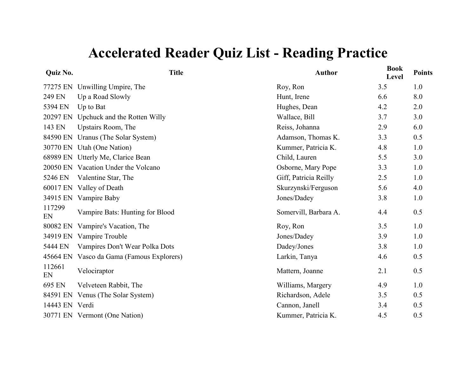| Quiz No.       | <b>Title</b>                        | <b>Author</b>         | <b>Book</b><br>Level | <b>Points</b> |
|----------------|-------------------------------------|-----------------------|----------------------|---------------|
| 77275 EN       | Unwilling Umpire, The               | Roy, Ron              | 3.5                  | 1.0           |
| 249 EN         | Up a Road Slowly                    | Hunt, Irene           | 6.6                  | 8.0           |
| 5394 EN        | Up to Bat                           | Hughes, Dean          | 4.2                  | 2.0           |
| 20297 EN       | Upchuck and the Rotten Willy        | Wallace, Bill         | 3.7                  | 3.0           |
| 143 EN         | Upstairs Room, The                  | Reiss, Johanna        | 2.9                  | 6.0           |
| 84590 EN       | Uranus (The Solar System)           | Adamson, Thomas K.    | 3.3                  | 0.5           |
|                | 30770 EN Utah (One Nation)          | Kummer, Patricia K.   | 4.8                  | 1.0           |
|                | 68989 EN Utterly Me, Clarice Bean   | Child, Lauren         | 5.5                  | 3.0           |
|                | 20050 EN Vacation Under the Volcano | Osborne, Mary Pope    | 3.3                  | 1.0           |
| 5246 EN        | Valentine Star, The                 | Giff, Patricia Reilly | 2.5                  | 1.0           |
|                | 60017 EN Valley of Death            | Skurzynski/Ferguson   | 5.6                  | 4.0           |
|                | 34915 EN Vampire Baby               | Jones/Dadey           | 3.8                  | 1.0           |
| 117299<br>EN   | Vampire Bats: Hunting for Blood     | Somervill, Barbara A. | 4.4                  | 0.5           |
| 80082 EN       | Vampire's Vacation, The             | Roy, Ron              | 3.5                  | 1.0           |
|                | 34919 EN Vampire Trouble            | Jones/Dadey           | 3.9                  | 1.0           |
| 5444 EN        | Vampires Don't Wear Polka Dots      | Dadey/Jones           | 3.8                  | 1.0           |
| 45664 EN       | Vasco da Gama (Famous Explorers)    | Larkin, Tanya         | 4.6                  | 0.5           |
| 112661<br>EN   | Velociraptor                        | Mattern, Joanne       | 2.1                  | 0.5           |
| 695 EN         | Velveteen Rabbit, The               | Williams, Margery     | 4.9                  | 1.0           |
|                | 84591 EN Venus (The Solar System)   | Richardson, Adele     | 3.5                  | 0.5           |
| 14443 EN Verdi |                                     | Cannon, Janell        | 3.4                  | 0.5           |
|                | 30771 EN Vermont (One Nation)       | Kummer, Patricia K.   | 4.5                  | 0.5           |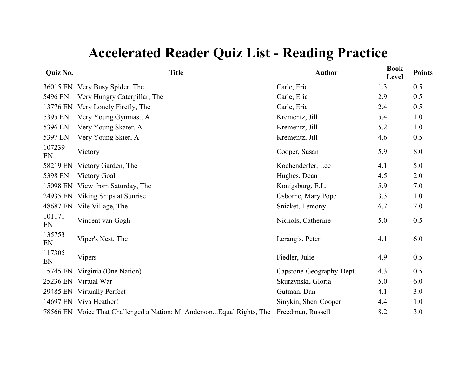| Quiz No.     | <b>Title</b>                                                           | <b>Author</b>            | <b>Book</b><br>Level | <b>Points</b> |
|--------------|------------------------------------------------------------------------|--------------------------|----------------------|---------------|
|              | 36015 EN Very Busy Spider, The                                         | Carle, Eric              | 1.3                  | 0.5           |
| 5496 EN      | Very Hungry Caterpillar, The                                           | Carle, Eric              | 2.9                  | 0.5           |
| 13776 EN     | Very Lonely Firefly, The                                               | Carle, Eric              | 2.4                  | 0.5           |
| 5395 EN      | Very Young Gymnast, A                                                  | Krementz, Jill           | 5.4                  | 1.0           |
| 5396 EN      | Very Young Skater, A                                                   | Krementz, Jill           | 5.2                  | 1.0           |
| 5397 EN      | Very Young Skier, A                                                    | Krementz, Jill           | 4.6                  | 0.5           |
| 107239<br>EN | Victory                                                                | Cooper, Susan            | 5.9                  | 8.0           |
| 58219 EN     | Victory Garden, The                                                    | Kochenderfer, Lee        | 4.1                  | 5.0           |
| 5398 EN      | <b>Victory Goal</b>                                                    | Hughes, Dean             | 4.5                  | 2.0           |
|              | 15098 EN View from Saturday, The                                       | Konigsburg, E.L.         | 5.9                  | 7.0           |
|              | 24935 EN Viking Ships at Sunrise                                       | Osborne, Mary Pope       | 3.3                  | 1.0           |
| 48687 EN     | Vile Village, The                                                      | Snicket, Lemony          | 6.7                  | 7.0           |
| 101171<br>EN | Vincent van Gogh                                                       | Nichols, Catherine       | 5.0                  | 0.5           |
| 135753<br>EN | Viper's Nest, The                                                      | Lerangis, Peter          | 4.1                  | 6.0           |
| 117305<br>EN | <b>Vipers</b>                                                          | Fiedler, Julie           | 4.9                  | 0.5           |
|              | 15745 EN Virginia (One Nation)                                         | Capstone-Geography-Dept. | 4.3                  | 0.5           |
|              | 25236 EN Virtual War                                                   | Skurzynski, Gloria       | 5.0                  | 6.0           |
|              | 29485 EN Virtually Perfect                                             | Gutman, Dan              | 4.1                  | 3.0           |
|              | 14697 EN Viva Heather!                                                 | Sinykin, Sheri Cooper    | 4.4                  | 1.0           |
|              | 78566 EN Voice That Challenged a Nation: M. Anderson Equal Rights, The | Freedman, Russell        | 8.2                  | 3.0           |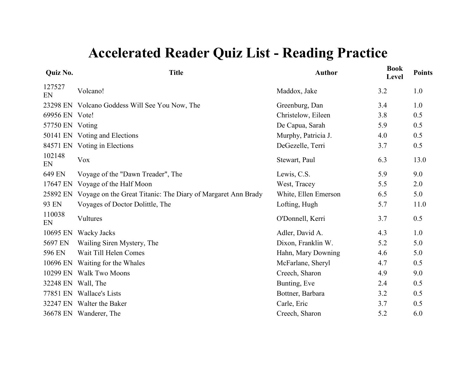| <b>Quiz No.</b> | <b>Title</b>                                                          | <b>Author</b>        | <b>Book</b><br>Level | <b>Points</b> |
|-----------------|-----------------------------------------------------------------------|----------------------|----------------------|---------------|
| 127527<br>EN    | Volcano!                                                              | Maddox, Jake         | 3.2                  | 1.0           |
|                 | 23298 EN Volcano Goddess Will See You Now, The                        | Greenburg, Dan       | 3.4                  | 1.0           |
| 69956 EN Vote!  |                                                                       | Christelow, Eileen   | 3.8                  | 0.5           |
| 57750 EN Voting |                                                                       | De Capua, Sarah      | 5.9                  | 0.5           |
|                 | 50141 EN Voting and Elections                                         | Murphy, Patricia J.  | 4.0                  | 0.5           |
|                 | 84571 EN Voting in Elections                                          | DeGezelle, Terri     | 3.7                  | 0.5           |
| 102148<br>EN    | <b>Vox</b>                                                            | Stewart, Paul        | 6.3                  | 13.0          |
| 649 EN          | Voyage of the "Dawn Treader", The                                     | Lewis, C.S.          | 5.9                  | 9.0           |
|                 | 17647 EN Voyage of the Half Moon                                      | West, Tracey         | 5.5                  | 2.0           |
|                 | 25892 EN Voyage on the Great Titanic: The Diary of Margaret Ann Brady | White, Ellen Emerson | 6.5                  | 5.0           |
| 93 EN           | Voyages of Doctor Dolittle, The                                       | Lofting, Hugh        | 5.7                  | 11.0          |
| 110038<br>EN    | Vultures                                                              | O'Donnell, Kerri     | 3.7                  | 0.5           |
| 10695 EN        | Wacky Jacks                                                           | Adler, David A.      | 4.3                  | 1.0           |
| 5697 EN         | Wailing Siren Mystery, The                                            | Dixon, Franklin W.   | 5.2                  | 5.0           |
| 596 EN          | Wait Till Helen Comes                                                 | Hahn, Mary Downing   | 4.6                  | 5.0           |
| 10696 EN        | Waiting for the Whales                                                | McFarlane, Sheryl    | 4.7                  | 0.5           |
|                 | 10299 EN Walk Two Moons                                               | Creech, Sharon       | 4.9                  | 9.0           |
|                 | 32248 EN Wall, The                                                    | Bunting, Eve         | 2.4                  | 0.5           |
|                 | 77851 EN Wallace's Lists                                              | Bottner, Barbara     | 3.2                  | 0.5           |
|                 | 32247 EN Walter the Baker                                             | Carle, Eric          | 3.7                  | 0.5           |
|                 | 36678 EN Wanderer, The                                                | Creech, Sharon       | 5.2                  | 6.0           |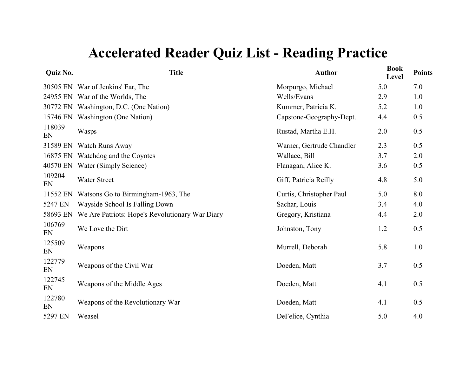| Quiz No.     | <b>Title</b>                                    | <b>Author</b>             | <b>Book</b><br>Level | <b>Points</b> |
|--------------|-------------------------------------------------|---------------------------|----------------------|---------------|
|              | 30505 EN War of Jenkins' Ear, The               | Morpurgo, Michael         | 5.0                  | 7.0           |
|              | 24955 EN War of the Worlds, The                 | Wells/Evans               | 2.9                  | 1.0           |
|              | 30772 EN Washington, D.C. (One Nation)          | Kummer, Patricia K.       | 5.2                  | 1.0           |
|              | 15746 EN Washington (One Nation)                | Capstone-Geography-Dept.  | 4.4                  | 0.5           |
| 118039<br>EN | Wasps                                           | Rustad, Martha E.H.       | 2.0                  | 0.5           |
|              | 31589 EN Watch Runs Away                        | Warner, Gertrude Chandler | 2.3                  | 0.5           |
|              | 16875 EN Watchdog and the Coyotes               | Wallace, Bill             | 3.7                  | 2.0           |
|              | 40570 EN Water (Simply Science)                 | Flanagan, Alice K.        | 3.6                  | 0.5           |
| 109204<br>EN | <b>Water Street</b>                             | Giff, Patricia Reilly     | 4.8                  | 5.0           |
| 11552 EN     | Watsons Go to Birmingham-1963, The              | Curtis, Christopher Paul  | 5.0                  | 8.0           |
| 5247 EN      | Wayside School Is Falling Down                  | Sachar, Louis             | 3.4                  | 4.0           |
| 58693 EN     | We Are Patriots: Hope's Revolutionary War Diary | Gregory, Kristiana        | 4.4                  | 2.0           |
| 106769<br>EN | We Love the Dirt                                | Johnston, Tony            | 1.2                  | 0.5           |
| 125509<br>EN | Weapons                                         | Murrell, Deborah          | 5.8                  | 1.0           |
| 122779<br>EN | Weapons of the Civil War                        | Doeden, Matt              | 3.7                  | 0.5           |
| 122745<br>EN | Weapons of the Middle Ages                      | Doeden, Matt              | 4.1                  | 0.5           |
| 122780<br>EN | Weapons of the Revolutionary War                | Doeden, Matt              | 4.1                  | 0.5           |
| 5297 EN      | Weasel                                          | DeFelice, Cynthia         | 5.0                  | 4.0           |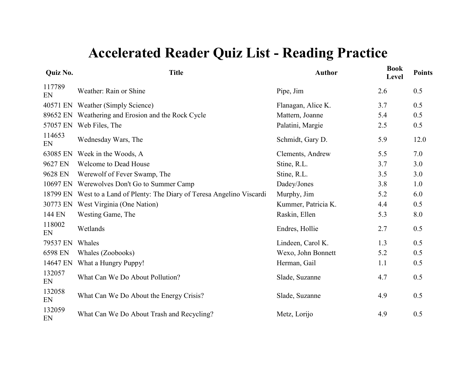| Quiz No.     | <b>Title</b>                                                    | <b>Author</b>       | <b>Book</b><br>Level | <b>Points</b> |
|--------------|-----------------------------------------------------------------|---------------------|----------------------|---------------|
| 117789<br>EN | Weather: Rain or Shine                                          | Pipe, Jim           | 2.6                  | 0.5           |
| 40571 EN     | Weather (Simply Science)                                        | Flanagan, Alice K.  | 3.7                  | 0.5           |
| 89652 EN     | Weathering and Erosion and the Rock Cycle                       | Mattern, Joanne     | 5.4                  | 0.5           |
| 57057 EN     | Web Files, The                                                  | Palatini, Margie    | 2.5                  | 0.5           |
| 114653<br>EN | Wednesday Wars, The                                             | Schmidt, Gary D.    | 5.9                  | 12.0          |
| 63085 EN     | Week in the Woods, A                                            | Clements, Andrew    | 5.5                  | 7.0           |
| 9627 EN      | <b>Welcome to Dead House</b>                                    | Stine, R.L.         | 3.7                  | 3.0           |
| 9628 EN      | Werewolf of Fever Swamp, The                                    | Stine, R.L.         | 3.5                  | 3.0           |
| 10697 EN     | Werewolves Don't Go to Summer Camp                              | Dadey/Jones         | 3.8                  | 1.0           |
| 18799 EN     | West to a Land of Plenty: The Diary of Teresa Angelino Viscardi | Murphy, Jim         | 5.2                  | 6.0           |
| 30773 EN     | West Virginia (One Nation)                                      | Kummer, Patricia K. | 4.4                  | 0.5           |
| 144 EN       | Westing Game, The                                               | Raskin, Ellen       | 5.3                  | 8.0           |
| 118002<br>EN | Wetlands                                                        | Endres, Hollie      | 2.7                  | 0.5           |
| 79537 EN     | Whales                                                          | Lindeen, Carol K.   | 1.3                  | 0.5           |
| 6598 EN      | Whales (Zoobooks)                                               | Wexo, John Bonnett  | 5.2                  | 0.5           |
| 14647 EN     | What a Hungry Puppy!                                            | Herman, Gail        | 1.1                  | 0.5           |
| 132057<br>EN | What Can We Do About Pollution?                                 | Slade, Suzanne      | 4.7                  | 0.5           |
| 132058<br>EN | What Can We Do About the Energy Crisis?                         | Slade, Suzanne      | 4.9                  | 0.5           |
| 132059<br>EN | What Can We Do About Trash and Recycling?                       | Metz, Lorijo        | 4.9                  | 0.5           |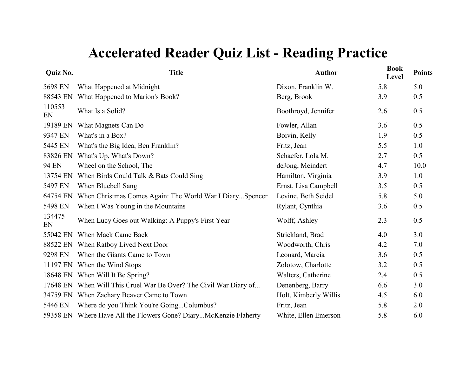| Quiz No.     | <b>Title</b>                                                     | <b>Author</b>         | <b>Book</b><br>Level | <b>Points</b> |
|--------------|------------------------------------------------------------------|-----------------------|----------------------|---------------|
| 5698 EN      | What Happened at Midnight                                        | Dixon, Franklin W.    | 5.8                  | 5.0           |
| 88543 EN     | What Happened to Marion's Book?                                  | Berg, Brook           | 3.9                  | 0.5           |
| 110553<br>EN | What Is a Solid?                                                 | Boothroyd, Jennifer   | 2.6                  | 0.5           |
| 19189 EN     | What Magnets Can Do                                              | Fowler, Allan         | 3.6                  | 0.5           |
| 9347 EN      | What's in a Box?                                                 | Boivin, Kelly         | 1.9                  | 0.5           |
| 5445 EN      | What's the Big Idea, Ben Franklin?                               | Fritz, Jean           | 5.5                  | 1.0           |
| 83826 EN     | What's Up, What's Down?                                          | Schaefer, Lola M.     | 2.7                  | 0.5           |
| 94 EN        | Wheel on the School, The                                         | deJong, Meindert      | 4.7                  | 10.0          |
| 13754 EN     | When Birds Could Talk & Bats Could Sing                          | Hamilton, Virginia    | 3.9                  | 1.0           |
| 5497 EN      | When Bluebell Sang                                               | Ernst, Lisa Campbell  | 3.5                  | 0.5           |
| 64754 EN     | When Christmas Comes Again: The World War I DiarySpencer         | Levine, Beth Seidel   | 5.8                  | 5.0           |
| 5498 EN      | When I Was Young in the Mountains                                | Rylant, Cynthia       | 3.6                  | 0.5           |
| 134475<br>EN | When Lucy Goes out Walking: A Puppy's First Year                 | Wolff, Ashley         | 2.3                  | 0.5           |
| 55042 EN     | When Mack Came Back                                              | Strickland, Brad      | 4.0                  | 3.0           |
| 88522 EN     | When Ratboy Lived Next Door                                      | Woodworth, Chris      | 4.2                  | 7.0           |
| 9298 EN      | When the Giants Came to Town                                     | Leonard, Marcia       | 3.6                  | 0.5           |
| 11197 EN     | When the Wind Stops                                              | Zolotow, Charlotte    | 3.2                  | 0.5           |
| 18648 EN     | When Will It Be Spring?                                          | Walters, Catherine    | 2.4                  | 0.5           |
| 17648 EN     | When Will This Cruel War Be Over? The Civil War Diary of         | Denenberg, Barry      | 6.6                  | 3.0           |
| 34759 EN     | When Zachary Beaver Came to Town                                 | Holt, Kimberly Willis | 4.5                  | 6.0           |
| 5446 EN      | Where do you Think You're GoingColumbus?                         | Fritz, Jean           | 5.8                  | 2.0           |
|              | 59358 EN Where Have All the Flowers Gone? DiaryMcKenzie Flaherty | White, Ellen Emerson  | 5.8                  | 6.0           |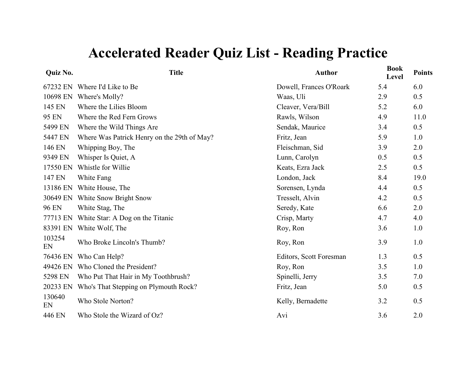| Quiz No.     | <b>Title</b>                                | <b>Author</b>           | <b>Book</b><br>Level | <b>Points</b> |
|--------------|---------------------------------------------|-------------------------|----------------------|---------------|
|              | 67232 EN Where I'd Like to Be               | Dowell, Frances O'Roark | 5.4                  | 6.0           |
| 10698 EN     | Where's Molly?                              | Waas, Uli               | 2.9                  | 0.5           |
| 145 EN       | Where the Lilies Bloom                      | Cleaver, Vera/Bill      | 5.2                  | 6.0           |
| 95 EN        | Where the Red Fern Grows                    | Rawls, Wilson           | 4.9                  | 11.0          |
| 5499 EN      | Where the Wild Things Are                   | Sendak, Maurice         | 3.4                  | 0.5           |
| 5447 EN      | Where Was Patrick Henry on the 29th of May? | Fritz, Jean             | 5.9                  | 1.0           |
| 146 EN       | Whipping Boy, The                           | Fleischman, Sid         | 3.9                  | 2.0           |
| 9349 EN      | Whisper Is Quiet, A                         | Lunn, Carolyn           | 0.5                  | 0.5           |
| 17550 EN     | Whistle for Willie                          | Keats, Ezra Jack        | 2.5                  | 0.5           |
| 147 EN       | White Fang                                  | London, Jack            | 8.4                  | 19.0          |
| 13186 EN     | White House, The                            | Sorensen, Lynda         | 4.4                  | 0.5           |
| 30649 EN     | White Snow Bright Snow                      | Tresselt, Alvin         | 4.2                  | 0.5           |
| 96 EN        | White Stag, The                             | Seredy, Kate            | 6.6                  | 2.0           |
| 77713 EN     | White Star: A Dog on the Titanic            | Crisp, Marty            | 4.7                  | 4.0           |
| 83391 EN     | White Wolf, The                             | Roy, Ron                | 3.6                  | 1.0           |
| 103254<br>EN | Who Broke Lincoln's Thumb?                  | Roy, Ron                | 3.9                  | 1.0           |
| 76436 EN     | Who Can Help?                               | Editors, Scott Foresman | 1.3                  | 0.5           |
| 49426 EN     | Who Cloned the President?                   | Roy, Ron                | 3.5                  | 1.0           |
| 5298 EN      | Who Put That Hair in My Toothbrush?         | Spinelli, Jerry         | 3.5                  | 7.0           |
| 20233 EN     | Who's That Stepping on Plymouth Rock?       | Fritz, Jean             | 5.0                  | 0.5           |
| 130640<br>EN | Who Stole Norton?                           | Kelly, Bernadette       | 3.2                  | 0.5           |
| 446 EN       | Who Stole the Wizard of Oz?                 | Avi                     | 3.6                  | 2.0           |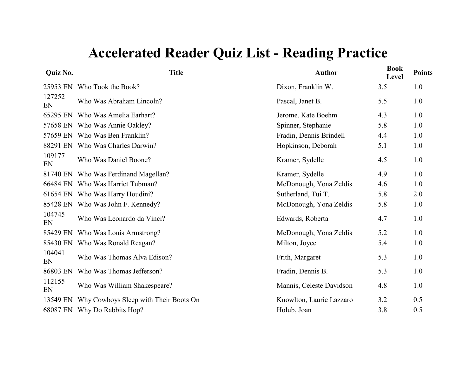| Quiz No.     | <b>Title</b>                          | <b>Author</b>            | <b>Book</b><br>Level | <b>Points</b> |
|--------------|---------------------------------------|--------------------------|----------------------|---------------|
| 25953 EN     | Who Took the Book?                    | Dixon, Franklin W.       | 3.5                  | 1.0           |
| 127252<br>EN | Who Was Abraham Lincoln?              | Pascal, Janet B.         | 5.5                  | 1.0           |
| 65295 EN     | Who Was Amelia Earhart?               | Jerome, Kate Boehm       | 4.3                  | 1.0           |
|              | 57658 EN Who Was Annie Oakley?        | Spinner, Stephanie       | 5.8                  | 1.0           |
|              | 57659 EN Who Was Ben Franklin?        | Fradin, Dennis Brindell  | 4.4                  | 1.0           |
|              | 88291 EN Who Was Charles Darwin?      | Hopkinson, Deborah       | 5.1                  | 1.0           |
| 109177<br>EN | Who Was Daniel Boone?                 | Kramer, Sydelle          | 4.5                  | 1.0           |
| 81740 EN     | Who Was Ferdinand Magellan?           | Kramer, Sydelle          | 4.9                  | 1.0           |
| 66484 EN     | Who Was Harriet Tubman?               | McDonough, Yona Zeldis   | 4.6                  | 1.0           |
|              | 61654 EN Who Was Harry Houdini?       | Sutherland, Tui T.       | 5.8                  | 2.0           |
| 85428 EN     | Who Was John F. Kennedy?              | McDonough, Yona Zeldis   | 5.8                  | 1.0           |
| 104745<br>EN | Who Was Leonardo da Vinci?            | Edwards, Roberta         | 4.7                  | 1.0           |
| 85429 EN     | Who Was Louis Armstrong?              | McDonough, Yona Zeldis   | 5.2                  | 1.0           |
| 85430 EN     | Who Was Ronald Reagan?                | Milton, Joyce            | 5.4                  | 1.0           |
| 104041<br>EN | Who Was Thomas Alva Edison?           | Frith, Margaret          | 5.3                  | 1.0           |
| 86803 EN     | Who Was Thomas Jefferson?             | Fradin, Dennis B.        | 5.3                  | 1.0           |
| 112155<br>EN | Who Was William Shakespeare?          | Mannis, Celeste Davidson | 4.8                  | 1.0           |
| 13549 EN     | Why Cowboys Sleep with Their Boots On | Knowlton, Laurie Lazzaro | 3.2                  | 0.5           |
|              | 68087 EN Why Do Rabbits Hop?          | Holub, Joan              | 3.8                  | 0.5           |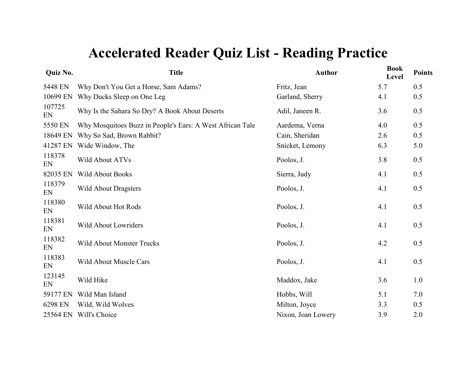| Quiz No.     | <b>Title</b>                                              | <b>Author</b>      | <b>Book</b><br>Level | <b>Points</b> |
|--------------|-----------------------------------------------------------|--------------------|----------------------|---------------|
| 5448 EN      | Why Don't You Get a Horse, Sam Adams?                     | Fritz, Jean        | 5.7                  | 0.5           |
| 10699 EN     | Why Ducks Sleep on One Leg                                | Garland, Sherry    | 4.1                  | 0.5           |
| 107725<br>EN | Why Is the Sahara So Dry? A Book About Deserts            | Adil, Janeen R.    | 3.6                  | 0.5           |
| 5550 EN      | Why Mosquitoes Buzz in People's Ears: A West African Tale | Aardema, Verna     | 4.0                  | 0.5           |
| 18649 EN     | Why So Sad, Brown Rabbit?                                 | Cain, Sheridan     | 2.6                  | 0.5           |
| 41287 EN     | Wide Window, The                                          | Snicket, Lemony    | 6.3                  | 5.0           |
| 118378<br>EN | Wild About ATVs                                           | Poolos, J.         | 3.8                  | 0.5           |
| 82035 EN     | <b>Wild About Books</b>                                   | Sierra, Judy       | 4.1                  | 0.5           |
| 118379<br>EN | <b>Wild About Dragsters</b>                               | Poolos, J.         | 4.1                  | 0.5           |
| 118380<br>EN | Wild About Hot Rods                                       | Poolos, J.         | 4.1                  | 0.5           |
| 118381<br>EN | Wild About Lowriders                                      | Poolos, J.         | 4.1                  | 0.5           |
| 118382<br>EN | <b>Wild About Monster Trucks</b>                          | Poolos, J.         | 4.2                  | 0.5           |
| 118383<br>EN | <b>Wild About Muscle Cars</b>                             | Poolos, J.         | 4.1                  | 0.5           |
| 123145<br>EN | Wild Hike                                                 | Maddox, Jake       | 3.6                  | 1.0           |
| 59177 EN     | Wild Man Island                                           | Hobbs, Will        | 5.1                  | 7.0           |
| 6298 EN      | Wild, Wild Wolves                                         | Milton, Joyce      | 3.3                  | 0.5           |
| 25564 EN     | Will's Choice                                             | Nixon, Joan Lowery | 3.9                  | 2.0           |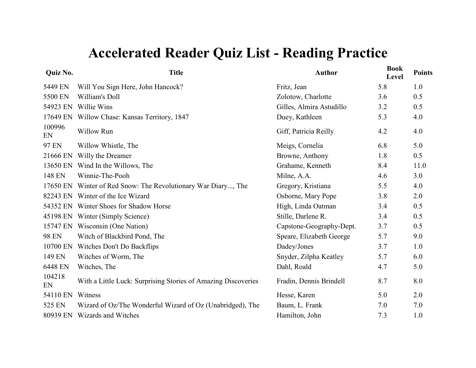| Quiz No.     | <b>Title</b>                                                  | <b>Author</b>            | <b>Book</b><br>Level | <b>Points</b> |
|--------------|---------------------------------------------------------------|--------------------------|----------------------|---------------|
| 5449 EN      | Will You Sign Here, John Hancock?                             | Fritz, Jean              | 5.8                  | 1.0           |
| 5500 EN      | William's Doll                                                | Zolotow, Charlotte       | 3.6                  | 0.5           |
| 54923 EN     | Willie Wins                                                   | Gilles, Almira Astudillo | 3.2                  | 0.5           |
|              | 17649 EN Willow Chase: Kansas Territory, 1847                 | Duey, Kathleen           | 5.3                  | 4.0           |
| 100996<br>EN | <b>Willow Run</b>                                             | Giff, Patricia Reilly    | 4.2                  | 4.0           |
| 97 EN        | Willow Whistle, The                                           | Meigs, Cornelia          | 6.8                  | 5.0           |
| 21666 EN     | Willy the Dreamer                                             | Browne, Anthony          | 1.8                  | 0.5           |
|              | 13650 EN Wind In the Willows, The                             | Grahame, Kenneth         | 8.4                  | 11.0          |
| 148 EN       | Winnie-The-Pooh                                               | Milne, A.A.              | 4.6                  | 3.0           |
|              | 17650 EN Winter of Red Snow: The Revolutionary War Diary, The | Gregory, Kristiana       | 5.5                  | 4.0           |
|              | 82243 EN Winter of the Ice Wizard                             | Osborne, Mary Pope       | 3.8                  | 2.0           |
|              | 54352 EN Winter Shoes for Shadow Horse                        | High, Linda Oatman       | 3.4                  | 0.5           |
|              | 45198 EN Winter (Simply Science)                              | Stille, Darlene R.       | 3.4                  | 0.5           |
| 15747 EN     | Wisconsin (One Nation)                                        | Capstone-Geography-Dept. | 3.7                  | 0.5           |
| <b>98 EN</b> | Witch of Blackbird Pond, The                                  | Speare, Elizabeth George | 5.7                  | 9.0           |
| 10700 EN     | Witches Don't Do Backflips                                    | Dadey/Jones              | 3.7                  | 1.0           |
| 149 EN       | Witches of Worm, The                                          | Snyder, Zilpha Keatley   | 5.7                  | 6.0           |
| 6448 EN      | Witches, The                                                  | Dahl, Roald              | 4.7                  | 5.0           |
| 104218<br>EN | With a Little Luck: Surprising Stories of Amazing Discoveries | Fradin, Dennis Brindell  | 8.7                  | 8.0           |
| 54110 EN     | Witness                                                       | Hesse, Karen             | 5.0                  | 2.0           |
| 525 EN       | Wizard of Oz/The Wonderful Wizard of Oz (Unabridged), The     | Baum, L. Frank           | 7.0                  | 7.0           |
| 80939 EN     | Wizards and Witches                                           | Hamilton, John           | 7.3                  | 1.0           |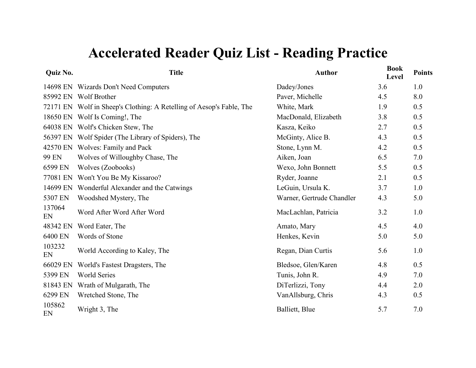| Quiz No.     | <b>Title</b>                                                         | <b>Author</b>             | <b>Book</b><br>Level | <b>Points</b> |
|--------------|----------------------------------------------------------------------|---------------------------|----------------------|---------------|
|              | 14698 EN Wizards Don't Need Computers                                | Dadey/Jones               | 3.6                  | 1.0           |
|              | 85992 EN Wolf Brother                                                | Paver, Michelle           | 4.5                  | 8.0           |
|              | 72171 EN Wolf in Sheep's Clothing: A Retelling of Aesop's Fable, The | White, Mark               | 1.9                  | 0.5           |
| 18650 EN     | Wolf Is Coming!, The                                                 | MacDonald, Elizabeth      | 3.8                  | 0.5           |
| 64038 EN     | Wolf's Chicken Stew, The                                             | Kasza, Keiko              | 2.7                  | 0.5           |
|              | 56397 EN Wolf Spider (The Library of Spiders), The                   | McGinty, Alice B.         | 4.3                  | 0.5           |
| 42570 EN     | Wolves: Family and Pack                                              | Stone, Lynn M.            | 4.2                  | 0.5           |
| 99 EN        | Wolves of Willoughby Chase, The                                      | Aiken, Joan               | 6.5                  | 7.0           |
| 6599 EN      | Wolves (Zoobooks)                                                    | Wexo, John Bonnett        | 5.5                  | 0.5           |
| 77081 EN     | Won't You Be My Kissaroo?                                            | Ryder, Joanne             | 2.1                  | 0.5           |
| 14699 EN     | Wonderful Alexander and the Catwings                                 | LeGuin, Ursula K.         | 3.7                  | 1.0           |
| 5307 EN      | Woodshed Mystery, The                                                | Warner, Gertrude Chandler | 4.3                  | 5.0           |
| 137064<br>EN | Word After Word After Word                                           | MacLachlan, Patricia      | 3.2                  | 1.0           |
| 48342 EN     | Word Eater, The                                                      | Amato, Mary               | 4.5                  | 4.0           |
| 6400 EN      | Words of Stone                                                       | Henkes, Kevin             | 5.0                  | 5.0           |
| 103232<br>EN | World According to Kaley, The                                        | Regan, Dian Curtis        | 5.6                  | 1.0           |
| 66029 EN     | World's Fastest Dragsters, The                                       | Bledsoe, Glen/Karen       | 4.8                  | 0.5           |
| 5399 EN      | <b>World Series</b>                                                  | Tunis, John R.            | 4.9                  | 7.0           |
| 81843 EN     | Wrath of Mulgarath, The                                              | DiTerlizzi, Tony          | 4.4                  | 2.0           |
| 6299 EN      | Wretched Stone, The                                                  | VanAllsburg, Chris        | 4.3                  | 0.5           |
| 105862<br>EN | Wright 3, The                                                        | Balliett, Blue            | 5.7                  | 7.0           |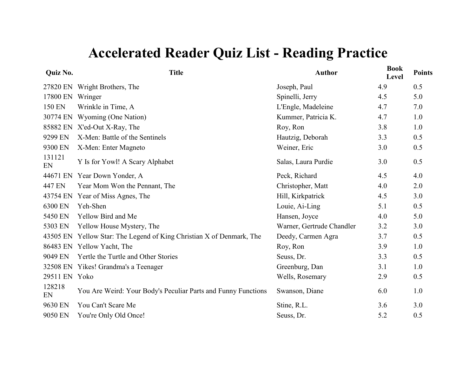| Quiz No.      | <b>Title</b>                                                         | <b>Author</b>             | <b>Book</b><br>Level | <b>Points</b> |
|---------------|----------------------------------------------------------------------|---------------------------|----------------------|---------------|
| 27820 EN      | Wright Brothers, The                                                 | Joseph, Paul              | 4.9                  | 0.5           |
| 17800 EN      | Wringer                                                              | Spinelli, Jerry           | 4.5                  | 5.0           |
| 150 EN        | Wrinkle in Time, A                                                   | L'Engle, Madeleine        | 4.7                  | 7.0           |
| 30774 EN      | Wyoming (One Nation)                                                 | Kummer, Patricia K.       | 4.7                  | 1.0           |
| 85882 EN      | X'ed-Out X-Ray, The                                                  | Roy, Ron                  | 3.8                  | 1.0           |
| 9299 EN       | X-Men: Battle of the Sentinels                                       | Hautzig, Deborah          | 3.3                  | 0.5           |
| 9300 EN       | X-Men: Enter Magneto                                                 | Weiner, Eric              | 3.0                  | 0.5           |
| 131121<br>EN  | Y Is for Yowl! A Scary Alphabet                                      | Salas, Laura Purdie       | 3.0                  | 0.5           |
| 44671 EN      | Year Down Yonder, A                                                  | Peck, Richard             | 4.5                  | 4.0           |
| 447 EN        | Year Mom Won the Pennant, The                                        | Christopher, Matt         | 4.0                  | 2.0           |
| 43754 EN      | Year of Miss Agnes, The                                              | Hill, Kirkpatrick         | 4.5                  | 3.0           |
| 6300 EN       | Yeh-Shen                                                             | Louie, Ai-Ling            | 5.1                  | 0.5           |
| 5450 EN       | Yellow Bird and Me                                                   | Hansen, Joyce             | 4.0                  | 5.0           |
| 5303 EN       | Yellow House Mystery, The                                            | Warner, Gertrude Chandler | 3.2                  | 3.0           |
|               | 43505 EN Yellow Star: The Legend of King Christian X of Denmark, The | Deedy, Carmen Agra        | 3.7                  | 0.5           |
|               | 86483 EN Yellow Yacht, The                                           | Roy, Ron                  | 3.9                  | 1.0           |
| 9049 EN       | Yertle the Turtle and Other Stories                                  | Seuss, Dr.                | 3.3                  | 0.5           |
|               | 32508 EN Yikes! Grandma's a Teenager                                 | Greenburg, Dan            | 3.1                  | 1.0           |
| 29511 EN Yoko |                                                                      | Wells, Rosemary           | 2.9                  | 0.5           |
| 128218<br>EN  | You Are Weird: Your Body's Peculiar Parts and Funny Functions        | Swanson, Diane            | 6.0                  | 1.0           |
| 9630 EN       | You Can't Scare Me                                                   | Stine, R.L.               | 3.6                  | 3.0           |
| 9050 EN       | You're Only Old Once!                                                | Seuss, Dr.                | 5.2                  | 0.5           |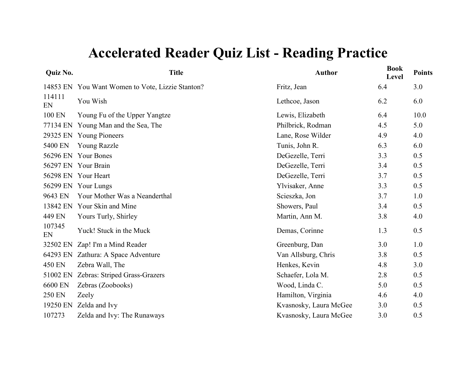| Quiz No.     | <b>Title</b>                                     | <b>Author</b>          | <b>Book</b><br>Level | <b>Points</b> |
|--------------|--------------------------------------------------|------------------------|----------------------|---------------|
|              | 14853 EN You Want Women to Vote, Lizzie Stanton? | Fritz, Jean            | 6.4                  | 3.0           |
| 114111<br>EN | You Wish                                         | Lethcoe, Jason         | 6.2                  | 6.0           |
| 100 EN       | Young Fu of the Upper Yangtze                    | Lewis, Elizabeth       | 6.4                  | 10.0          |
|              | 77134 EN Young Man and the Sea, The              | Philbrick, Rodman      | 4.5                  | 5.0           |
|              | 29325 EN Young Pioneers                          | Lane, Rose Wilder      | 4.9                  | 4.0           |
| 5400 EN      | <b>Young Razzle</b>                              | Tunis, John R.         | 6.3                  | 6.0           |
|              | 56296 EN Your Bones                              | DeGezelle, Terri       | 3.3                  | 0.5           |
|              | 56297 EN Your Brain                              | DeGezelle, Terri       | 3.4                  | 0.5           |
|              | 56298 EN Your Heart                              | DeGezelle, Terri       | 3.7                  | 0.5           |
|              | 56299 EN Your Lungs                              | Ylvisaker, Anne        | 3.3                  | 0.5           |
| 9643 EN      | Your Mother Was a Neanderthal                    | Scieszka, Jon          | 3.7                  | 1.0           |
|              | 13842 EN Your Skin and Mine                      | Showers, Paul          | 3.4                  | 0.5           |
| 449 EN       | Yours Turly, Shirley                             | Martin, Ann M.         | 3.8                  | 4.0           |
| 107345<br>EN | Yuck! Stuck in the Muck                          | Demas, Corinne         | 1.3                  | 0.5           |
| 32502 EN     | Zap! I'm a Mind Reader                           | Greenburg, Dan         | 3.0                  | 1.0           |
| 64293 EN     | Zathura: A Space Adventure                       | Van Allsburg, Chris    | 3.8                  | 0.5           |
| 450 EN       | Zebra Wall, The                                  | Henkes, Kevin          | 4.8                  | 3.0           |
| 51002 EN     | Zebras: Striped Grass-Grazers                    | Schaefer, Lola M.      | 2.8                  | 0.5           |
| 6600 EN      | Zebras (Zoobooks)                                | Wood, Linda C.         | 5.0                  | 0.5           |
| 250 EN       | Zeely                                            | Hamilton, Virginia     | 4.6                  | 4.0           |
| 19250 EN     | Zelda and Ivy                                    | Kvasnosky, Laura McGee | 3.0                  | 0.5           |
| 107273       | Zelda and Ivy: The Runaways                      | Kvasnosky, Laura McGee | 3.0                  | 0.5           |